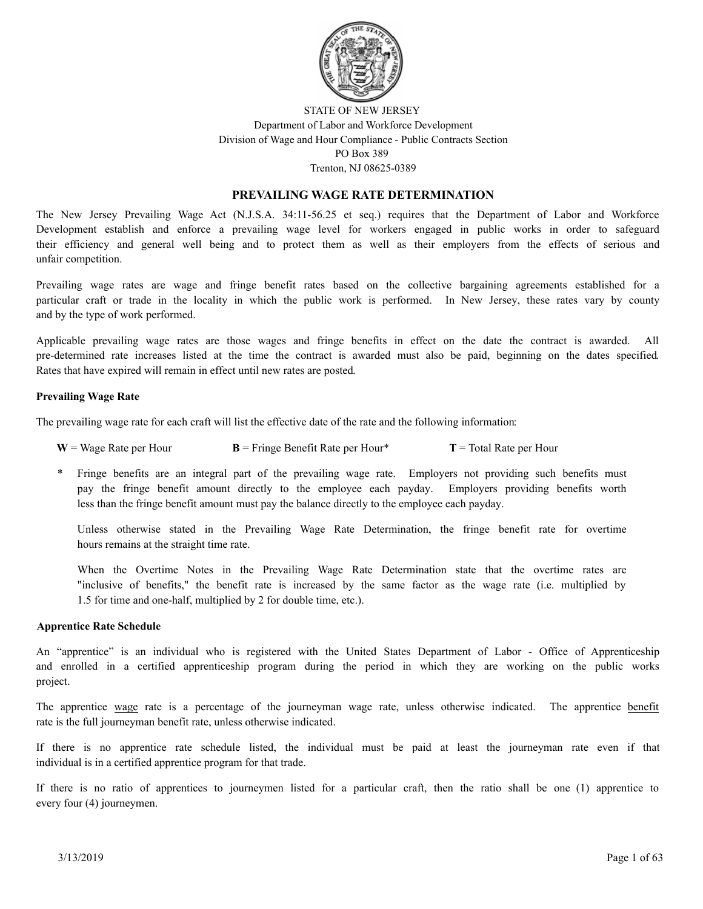

# STATE OF NEW JERSEY Department of Labor and Workforce Development Division of Wage and Hour Compliance - Public Contracts Section PO Box 389 Trenton, NJ 08625-0389

# **PREVAILING WAGE RATE DETERMINATION**

The New Jersey Prevailing Wage Act (N.J.S.A. 34:11-56.25 et seq.) requires that the Department of Labor and Workforce Development establish and enforce a prevailing wage level for workers engaged in public works in order to safeguard their efficiency and general well being and to protect them as well as their employers from the effects of serious and unfair competition.

Prevailing wage rates are wage and fringe benefit rates based on the collective bargaining agreements established for a particular craft or trade in the locality in which the public work is performed. In New Jersey, these rates vary by county and by the type of work performed.

Applicable prevailing wage rates are those wages and fringe benefits in effect on the date the contract is awarded. All pre-determined rate increases listed at the time the contract is awarded must also be paid, beginning on the dates specified. Rates that have expired will remain in effect until new rates are posted.

## **Prevailing Wage Rate**

The prevailing wage rate for each craft will list the effective date of the rate and the following information:

| $W = Wage$ Rate per Hour | $\mathbf{B}$ = Fringe Benefit Rate per Hour* | $T = Total Rate per Hour$ |
|--------------------------|----------------------------------------------|---------------------------|
|--------------------------|----------------------------------------------|---------------------------|

Fringe benefits are an integral part of the prevailing wage rate. Employers not providing such benefits must pay the fringe benefit amount directly to the employee each payday. Employers providing benefits worth less than the fringe benefit amount must pay the balance directly to the employee each payday.

Unless otherwise stated in the Prevailing Wage Rate Determination, the fringe benefit rate for overtime hours remains at the straight time rate.

When the Overtime Notes in the Prevailing Wage Rate Determination state that the overtime rates are "inclusive of benefits," the benefit rate is increased by the same factor as the wage rate (i.e. multiplied by 1.5 for time and one-half, multiplied by 2 for double time, etc.).

## **Apprentice Rate Schedule**

An "apprentice" is an individual who is registered with the United States Department of Labor - Office of Apprenticeship and enrolled in a certified apprenticeship program during the period in which they are working on the public works project.

The apprentice wage rate is a percentage of the journeyman wage rate, unless otherwise indicated. The apprentice benefit rate is the full journeyman benefit rate, unless otherwise indicated.

If there is no apprentice rate schedule listed, the individual must be paid at least the journeyman rate even if that individual is in a certified apprentice program for that trade.

If there is no ratio of apprentices to journeymen listed for a particular craft, then the ratio shall be one (1) apprentice to every four (4) journeymen.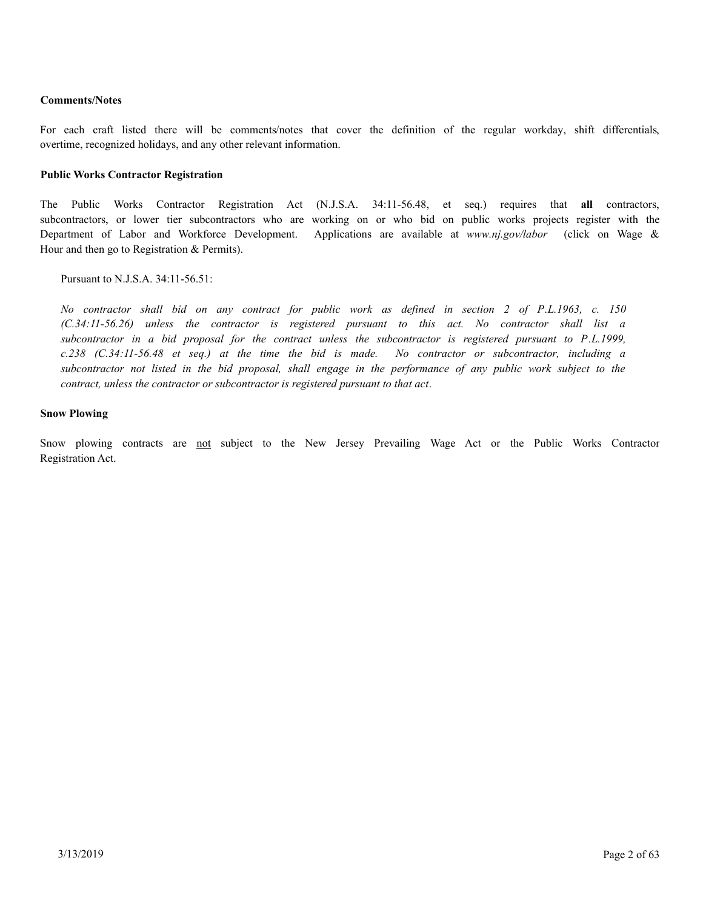# **Comments/Notes**

For each craft listed there will be comments/notes that cover the definition of the regular workday, shift differentials, overtime, recognized holidays, and any other relevant information.

## **Public Works Contractor Registration**

The Public Works Contractor Registration Act (N.J.S.A. 34:11-56.48, et seq.) requires that **all** contractors, subcontractors, or lower tier subcontractors who are working on or who bid on public works projects register with the Department of Labor and Workforce Development. Applications are available at *www.nj.gov/labor* (click on Wage & Hour and then go to Registration & Permits).

Pursuant to N.J.S.A. 34:11-56.51:

*No contractor shall bid on any contract for public work as defined in section 2 of P.L.1963, c. 150 (C.34:11-56.26) unless the contractor is registered pursuant to this act. No contractor shall list a subcontractor in a bid proposal for the contract unless the subcontractor is registered pursuant to P.L.1999, c.238 (C.34:11-56.48 et seq.) at the time the bid is made. No contractor or subcontractor, including a subcontractor not listed in the bid proposal, shall engage in the performance of any public work subject to the contract, unless the contractor or subcontractor is registered pursuant to that act.*

## **Snow Plowing**

Snow plowing contracts are not subject to the New Jersey Prevailing Wage Act or the Public Works Contractor Registration Act.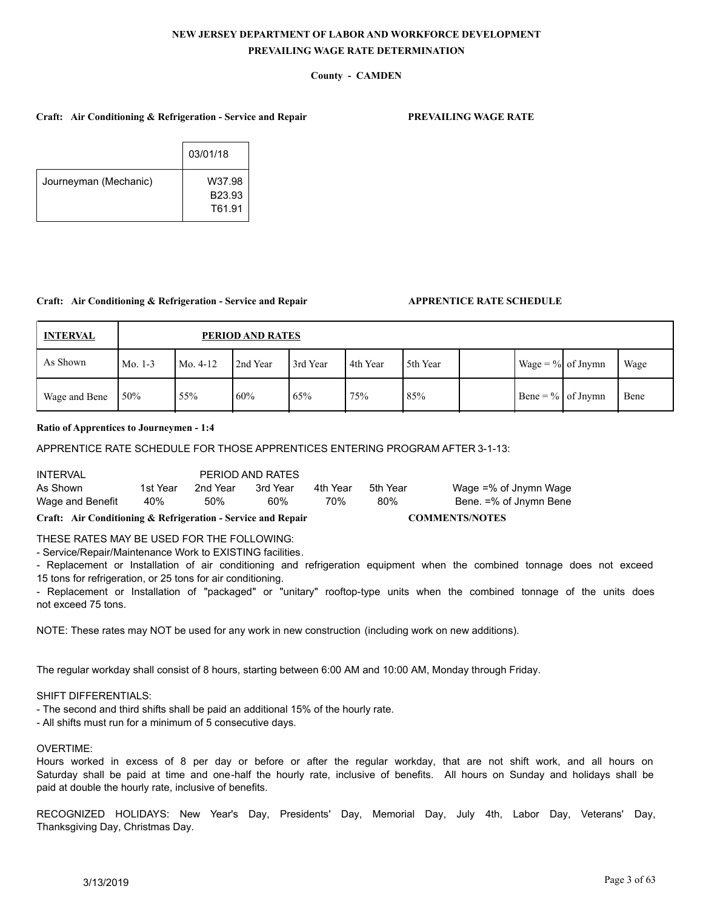# **County - CAMDEN**

### **Craft: Air Conditioning & Refrigeration - Service and Repair PREVAILING WAGE RATE**

|                       | 03/01/18         |
|-----------------------|------------------|
| Journeyman (Mechanic) | W37.98<br>B23.93 |
|                       | T61.91           |

#### **Craft: Air Conditioning & Refrigeration - Service and Repair APPRENTICE RATE SCHEDULE**

| <b>INTERVAL</b> |           | PERIOD AND RATES |          |          |          |          |  |                      |  |      |
|-----------------|-----------|------------------|----------|----------|----------|----------|--|----------------------|--|------|
| As Shown        | Mo. $1-3$ | Mo. 4-12         | 2nd Year | 3rd Year | 4th Year | 5th Year |  | Wage = $\%$ of Jnymn |  | Wage |
| Wage and Bene   | 50%       | 55%              | 60%      | 65%      | 75%      | 85%      |  | Bene = $\%$ of Jnymn |  | Bene |

### **Ratio of Apprentices to Journeymen - 1:4**

## APPRENTICE RATE SCHEDULE FOR THOSE APPRENTICES ENTERING PROGRAM AFTER 3-1-13:

| <b>INTERVAL</b>  |          |          | PERIOD AND RATES |          |          |                        |
|------------------|----------|----------|------------------|----------|----------|------------------------|
| As Shown         | 1st Year | 2nd Year | 3rd Year         | 4th Year | 5th Year | Wage =% of Jnymn Wage  |
| Wage and Benefit | 40%      | 50%      | 60%              | 70%      | 80%      | Bene. =% of Jnymn Bene |

### **Craft: Air Conditioning & Refrigeration - Service and Repair COMMENTS/NOTES**

## THESE RATES MAY BE USED FOR THE FOLLOWING:

- Service/Repair/Maintenance Work to EXISTING facilities.

- Replacement or Installation of air conditioning and refrigeration equipment when the combined tonnage does not exceed 15 tons for refrigeration, or 25 tons for air conditioning.

- Replacement or Installation of "packaged" or "unitary" rooftop-type units when the combined tonnage of the units does not exceed 75 tons.

NOTE: These rates may NOT be used for any work in new construction (including work on new additions).

The regular workday shall consist of 8 hours, starting between 6:00 AM and 10:00 AM, Monday through Friday.

#### SHIFT DIFFERENTIALS:

- The second and third shifts shall be paid an additional 15% of the hourly rate.
- All shifts must run for a minimum of 5 consecutive days.

#### OVERTIME:

Hours worked in excess of 8 per day or before or after the regular workday, that are not shift work, and all hours on Saturday shall be paid at time and one-half the hourly rate, inclusive of benefits. All hours on Sunday and holidays shall be paid at double the hourly rate, inclusive of benefits.

RECOGNIZED HOLIDAYS: New Year's Day, Presidents' Day, Memorial Day, July 4th, Labor Day, Veterans' Day, Thanksgiving Day, Christmas Day.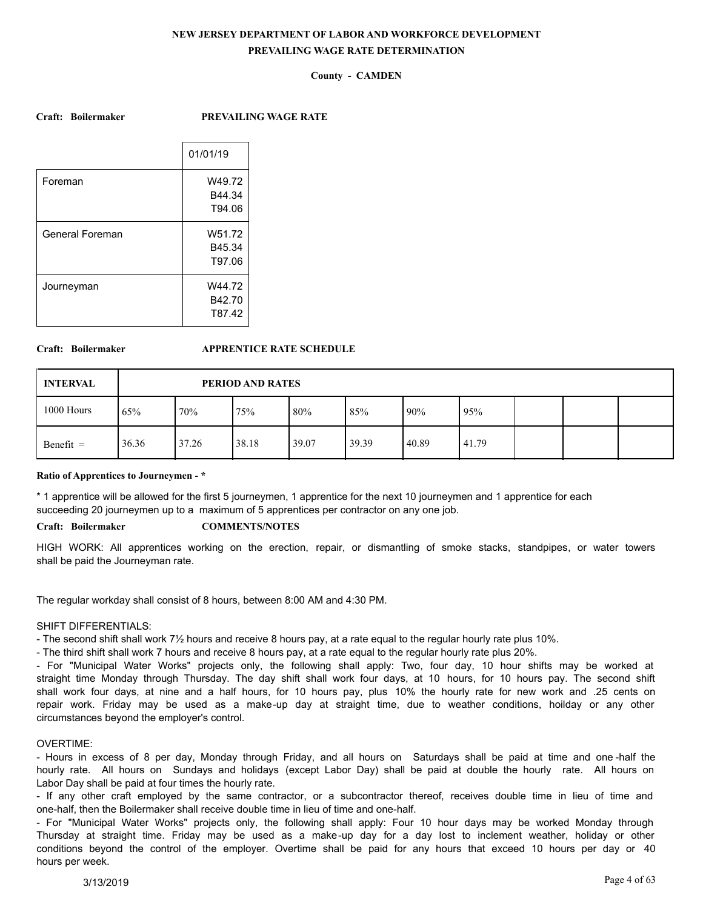# **County - CAMDEN**

**Craft: Boilermaker PREVAILING WAGE RATE**

|                 | 01/01/19 |
|-----------------|----------|
| Foreman         | W49.72   |
|                 | B44.34   |
|                 | T94.06   |
| General Foreman | W51.72   |
|                 | B45.34   |
|                 | T97.06   |
| Journeyman      | W44.72   |
|                 | B42.70   |
|                 | T87.42   |
|                 |          |

### **Craft: Boilermaker APPRENTICE RATE SCHEDULE**

| <b>INTERVAL</b> |       | PERIOD AND RATES |       |       |       |        |       |  |  |  |
|-----------------|-------|------------------|-------|-------|-------|--------|-------|--|--|--|
| 1000 Hours      | 65%   | 70%              | 175%  | 80%   | 85%   | $90\%$ | 95%   |  |  |  |
| $Benefit =$     | 36.36 | 37.26            | 38.18 | 39.07 | 39.39 | 40.89  | 41.79 |  |  |  |

#### **Ratio of Apprentices to Journeymen - \***

\* 1 apprentice will be allowed for the first 5 journeymen, 1 apprentice for the next 10 journeymen and 1 apprentice for each succeeding 20 journeymen up to a maximum of 5 apprentices per contractor on any one job.

## **Craft: Boilermaker COMMENTS/NOTES**

HIGH WORK: All apprentices working on the erection, repair, or dismantling of smoke stacks, standpipes, or water towers shall be paid the Journeyman rate.

The regular workday shall consist of 8 hours, between 8:00 AM and 4:30 PM.

#### SHIFT DIFFERENTIALS:

- The second shift shall work 7½ hours and receive 8 hours pay, at a rate equal to the regular hourly rate plus 10%.

- The third shift shall work 7 hours and receive 8 hours pay, at a rate equal to the regular hourly rate plus 20%.

- For "Municipal Water Works" projects only, the following shall apply: Two, four day, 10 hour shifts may be worked at straight time Monday through Thursday. The day shift shall work four days, at 10 hours, for 10 hours pay. The second shift shall work four days, at nine and a half hours, for 10 hours pay, plus 10% the hourly rate for new work and .25 cents on repair work. Friday may be used as a make-up day at straight time, due to weather conditions, hoilday or any other circumstances beyond the employer's control.

#### OVERTIME:

- Hours in excess of 8 per day, Monday through Friday, and all hours on Saturdays shall be paid at time and one -half the hourly rate. All hours on Sundays and holidays (except Labor Day) shall be paid at double the hourly rate. All hours on Labor Day shall be paid at four times the hourly rate.

- If any other craft employed by the same contractor, or a subcontractor thereof, receives double time in lieu of time and one-half, then the Boilermaker shall receive double time in lieu of time and one-half.

- For "Municipal Water Works" projects only, the following shall apply: Four 10 hour days may be worked Monday through Thursday at straight time. Friday may be used as a make-up day for a day lost to inclement weather, holiday or other conditions beyond the control of the employer. Overtime shall be paid for any hours that exceed 10 hours per day or 40 hours per week.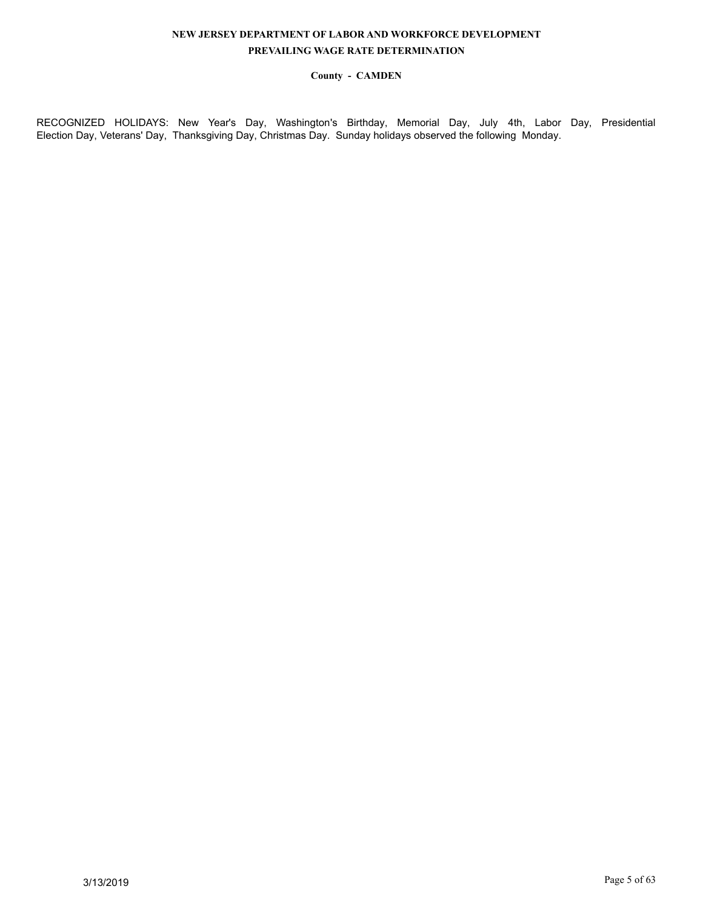# **County - CAMDEN**

RECOGNIZED HOLIDAYS: New Year's Day, Washington's Birthday, Memorial Day, July 4th, Labor Day, Presidential Election Day, Veterans' Day, Thanksgiving Day, Christmas Day. Sunday holidays observed the following Monday.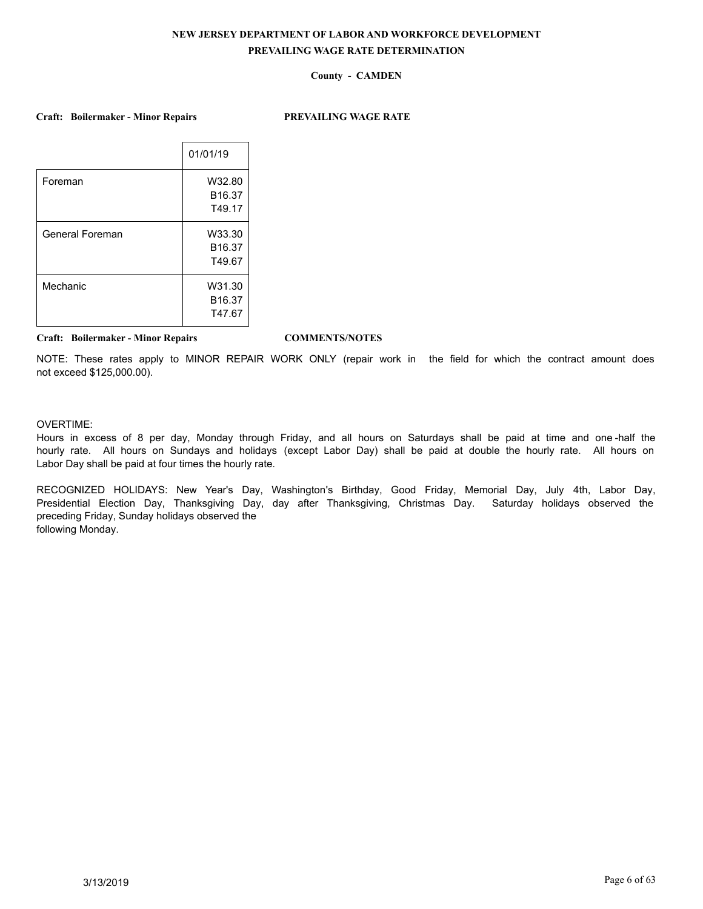# **County - CAMDEN**

**Craft: Boilermaker - Minor Repairs PREVAILING WAGE RATE**

| 01/01/19           |
|--------------------|
| W32.80             |
| B <sub>16.37</sub> |
| T49.17             |
| W33.30             |
| B <sub>16.37</sub> |
| T49.67             |
| W31.30             |
| B <sub>16.37</sub> |
| T47.67             |
|                    |

**Craft: Boilermaker - Minor Repairs COMMENTS/NOTES**

NOTE: These rates apply to MINOR REPAIR WORK ONLY (repair work in the field for which the contract amount does not exceed \$125,000.00).

# OVERTIME:

Hours in excess of 8 per day, Monday through Friday, and all hours on Saturdays shall be paid at time and one -half the hourly rate. All hours on Sundays and holidays (except Labor Day) shall be paid at double the hourly rate. All hours on Labor Day shall be paid at four times the hourly rate.

RECOGNIZED HOLIDAYS: New Year's Day, Washington's Birthday, Good Friday, Memorial Day, July 4th, Labor Day, Presidential Election Day, Thanksgiving Day, day after Thanksgiving, Christmas Day. Saturday holidays observed the preceding Friday, Sunday holidays observed the following Monday.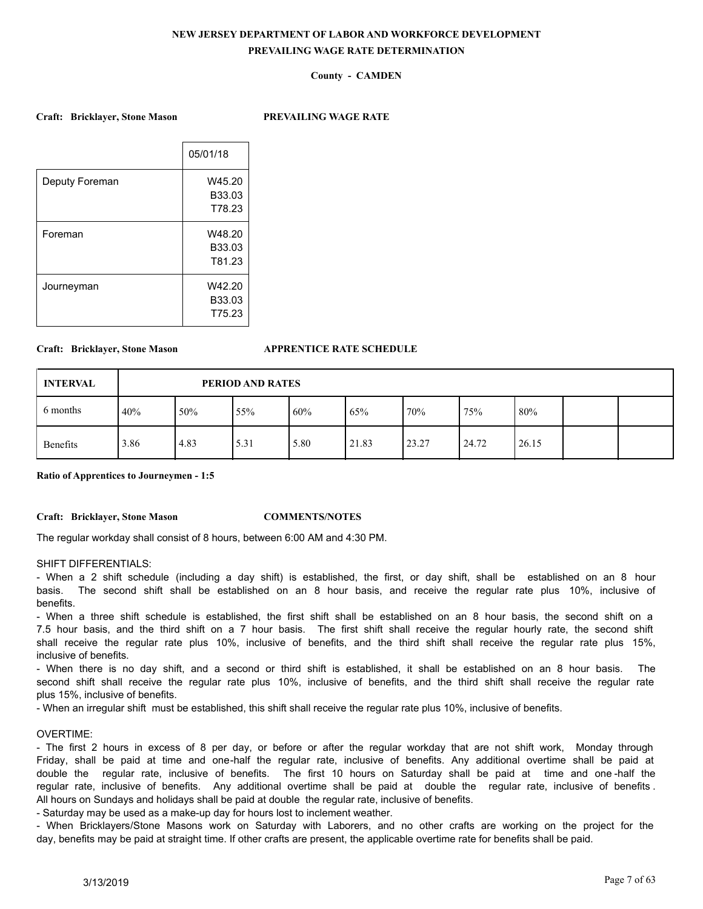## **County - CAMDEN**

**Craft: Bricklayer, Stone Mason PREVAILING WAGE RATE**

|                | 05/01/18 |
|----------------|----------|
| Deputy Foreman | W45.20   |
|                | B33.03   |
|                | T78.23   |
| Foreman        | W48.20   |
|                | B33.03   |
|                | T81.23   |
| Journeyman     | W42.20   |
|                | B33.03   |
|                | T75.23   |
|                |          |

#### **Craft: Bricklayer, Stone Mason APPRENTICE RATE SCHEDULE**

| <b>INTERVAL</b> |      | PERIOD AND RATES |      |      |       |       |       |       |  |  |
|-----------------|------|------------------|------|------|-------|-------|-------|-------|--|--|
| 6 months        | 40%  | 50%              | 55%  | 60%  | 65%   | 170%  | 75%   | 80%   |  |  |
| Benefits        | 3.86 | 4.83             | 5.31 | 5.80 | 21.83 | 23.27 | 24.72 | 26.15 |  |  |

**Ratio of Apprentices to Journeymen - 1:5**

**Craft: Bricklayer, Stone Mason COMMENTS/NOTES**

The regular workday shall consist of 8 hours, between 6:00 AM and 4:30 PM.

## SHIFT DIFFERENTIALS:

- When a 2 shift schedule (including a day shift) is established, the first, or day shift, shall be established on an 8 hour basis. The second shift shall be established on an 8 hour basis, and receive the regular rate plus 10%, inclusive of benefits.

- When a three shift schedule is established, the first shift shall be established on an 8 hour basis, the second shift on a 7.5 hour basis, and the third shift on a 7 hour basis. The first shift shall receive the regular hourly rate, the second shift shall receive the regular rate plus 10%, inclusive of benefits, and the third shift shall receive the regular rate plus 15%, inclusive of benefits.

- When there is no day shift, and a second or third shift is established, it shall be established on an 8 hour basis. The second shift shall receive the regular rate plus 10%, inclusive of benefits, and the third shift shall receive the regular rate plus 15%, inclusive of benefits.

- When an irregular shift must be established, this shift shall receive the regular rate plus 10%, inclusive of benefits.

### OVERTIME:

- The first 2 hours in excess of 8 per day, or before or after the regular workday that are not shift work, Monday through Friday, shall be paid at time and one-half the regular rate, inclusive of benefits. Any additional overtime shall be paid at double the regular rate, inclusive of benefits. The first 10 hours on Saturday shall be paid at time and one -half the regular rate, inclusive of benefits. Any additional overtime shall be paid at double the regular rate, inclusive of benefits . All hours on Sundays and holidays shall be paid at double the regular rate, inclusive of benefits.

- Saturday may be used as a make-up day for hours lost to inclement weather.

- When Bricklayers/Stone Masons work on Saturday with Laborers, and no other crafts are working on the project for the day, benefits may be paid at straight time. If other crafts are present, the applicable overtime rate for benefits shall be paid.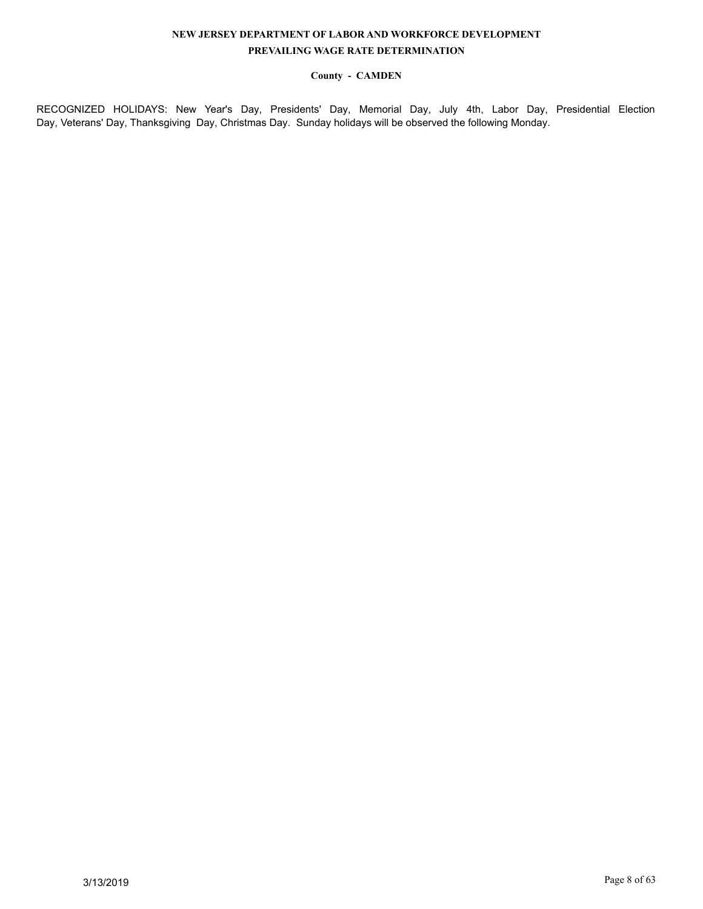# **County - CAMDEN**

RECOGNIZED HOLIDAYS: New Year's Day, Presidents' Day, Memorial Day, July 4th, Labor Day, Presidential Election Day, Veterans' Day, Thanksgiving Day, Christmas Day. Sunday holidays will be observed the following Monday.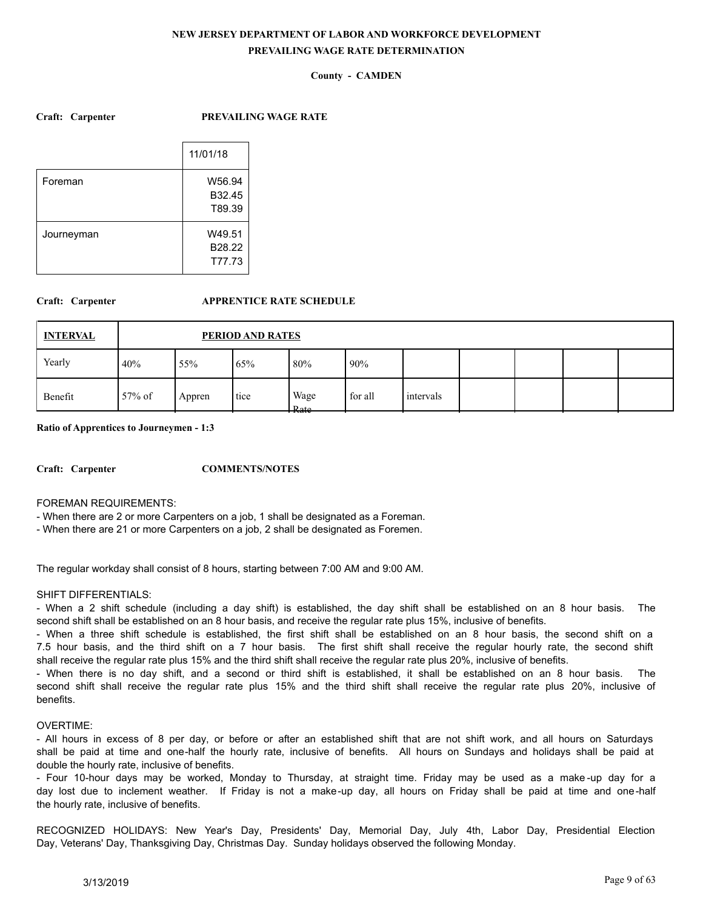# **County - CAMDEN**

**Craft: Carpenter PREVAILING WAGE RATE**

|            | 11/01/18 |
|------------|----------|
| Foreman    | W56.94   |
|            | B32.45   |
|            | T89.39   |
| Journeyman | W49.51   |
|            | B28.22   |
|            | T77.73   |

# **Craft: Carpenter APPRENTICE RATE SCHEDULE**

| <b>INTERVAL</b> |           | PERIOD AND RATES |      |                                            |         |           |  |  |  |  |
|-----------------|-----------|------------------|------|--------------------------------------------|---------|-----------|--|--|--|--|
| Yearly          | 40%       | 55%              | 65%  | 80%                                        | 90%     |           |  |  |  |  |
| Benefit         | $57\%$ of | Appren           | tice | Wage<br>R <sub>at</sub><br><del>rato</del> | for all | intervals |  |  |  |  |

**Ratio of Apprentices to Journeymen - 1:3**

**Craft: Carpenter COMMENTS/NOTES**

FOREMAN REQUIREMENTS:

- When there are 2 or more Carpenters on a job, 1 shall be designated as a Foreman.

- When there are 21 or more Carpenters on a job, 2 shall be designated as Foremen.

The regular workday shall consist of 8 hours, starting between 7:00 AM and 9:00 AM.

# SHIFT DIFFERENTIALS:

- When a 2 shift schedule (including a day shift) is established, the day shift shall be established on an 8 hour basis. The second shift shall be established on an 8 hour basis, and receive the regular rate plus 15%, inclusive of benefits.

- When a three shift schedule is established, the first shift shall be established on an 8 hour basis, the second shift on a 7.5 hour basis, and the third shift on a 7 hour basis. The first shift shall receive the regular hourly rate, the second shift shall receive the regular rate plus 15% and the third shift shall receive the regular rate plus 20%, inclusive of benefits.

- When there is no day shift, and a second or third shift is established, it shall be established on an 8 hour basis. The second shift shall receive the regular rate plus 15% and the third shift shall receive the regular rate plus 20%, inclusive of benefits.

## OVERTIME:

- All hours in excess of 8 per day, or before or after an established shift that are not shift work, and all hours on Saturdays shall be paid at time and one-half the hourly rate, inclusive of benefits. All hours on Sundays and holidays shall be paid at double the hourly rate, inclusive of benefits.

- Four 10-hour days may be worked, Monday to Thursday, at straight time. Friday may be used as a make -up day for a day lost due to inclement weather. If Friday is not a make-up day, all hours on Friday shall be paid at time and one-half the hourly rate, inclusive of benefits.

RECOGNIZED HOLIDAYS: New Year's Day, Presidents' Day, Memorial Day, July 4th, Labor Day, Presidential Election Day, Veterans' Day, Thanksgiving Day, Christmas Day. Sunday holidays observed the following Monday.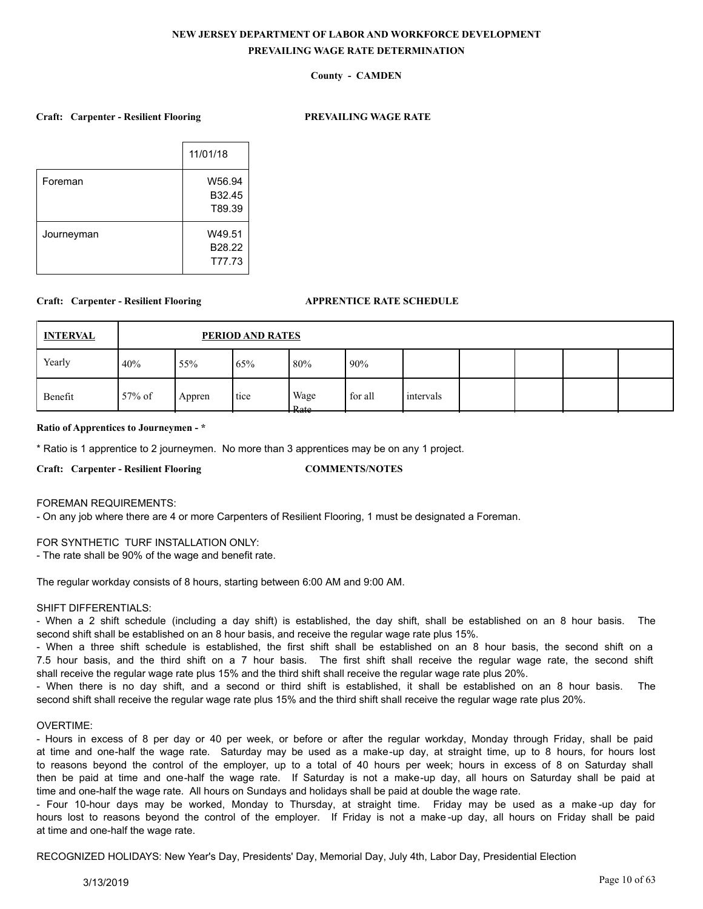# **County - CAMDEN**

### **Craft: Carpenter - Resilient Flooring PREVAILING WAGE RATE**

|            | 11/01/18 |
|------------|----------|
| Foreman    | W56.94   |
|            | B32.45   |
|            | T89.39   |
| Journeyman | W49.51   |
|            | B28.22   |
|            | T77.73   |
|            |          |

## **Craft: Carpenter - Resilient Flooring APPRENTICE RATE SCHEDULE**

| <b>INTERVAL</b> |           |        | PERIOD AND RATES |                                 |         |           |  |  |
|-----------------|-----------|--------|------------------|---------------------------------|---------|-----------|--|--|
| Yearly          | 40%       | 55%    | 65%              | 80%                             | 90%     |           |  |  |
| Benefit         | $57\%$ of | Appren | tice             | Wage<br>Rate<br><del>nato</del> | for all | intervals |  |  |

## **Ratio of Apprentices to Journeymen - \***

\* Ratio is 1 apprentice to 2 journeymen. No more than 3 apprentices may be on any 1 project.

**Craft: Carpenter - Resilient Flooring COMMENTS/NOTES**

#### FOREMAN REQUIREMENTS:

- On any job where there are 4 or more Carpenters of Resilient Flooring, 1 must be designated a Foreman.

#### FOR SYNTHETIC TURF INSTALLATION ONLY:

- The rate shall be 90% of the wage and benefit rate.

The regular workday consists of 8 hours, starting between 6:00 AM and 9:00 AM.

### SHIFT DIFFERENTIALS:

- When a 2 shift schedule (including a day shift) is established, the day shift, shall be established on an 8 hour basis. The second shift shall be established on an 8 hour basis, and receive the regular wage rate plus 15%.

- When a three shift schedule is established, the first shift shall be established on an 8 hour basis, the second shift on a 7.5 hour basis, and the third shift on a 7 hour basis. The first shift shall receive the regular wage rate, the second shift shall receive the regular wage rate plus 15% and the third shift shall receive the regular wage rate plus 20%.

- When there is no day shift, and a second or third shift is established, it shall be established on an 8 hour basis. The second shift shall receive the regular wage rate plus 15% and the third shift shall receive the regular wage rate plus 20%.

## OVERTIME:

- Hours in excess of 8 per day or 40 per week, or before or after the regular workday, Monday through Friday, shall be paid at time and one-half the wage rate. Saturday may be used as a make-up day, at straight time, up to 8 hours, for hours lost to reasons beyond the control of the employer, up to a total of 40 hours per week; hours in excess of 8 on Saturday shall then be paid at time and one-half the wage rate. If Saturday is not a make-up day, all hours on Saturday shall be paid at time and one-half the wage rate. All hours on Sundays and holidays shall be paid at double the wage rate.

- Four 10-hour days may be worked, Monday to Thursday, at straight time. Friday may be used as a make -up day for hours lost to reasons beyond the control of the employer. If Friday is not a make -up day, all hours on Friday shall be paid at time and one-half the wage rate.

RECOGNIZED HOLIDAYS: New Year's Day, Presidents' Day, Memorial Day, July 4th, Labor Day, Presidential Election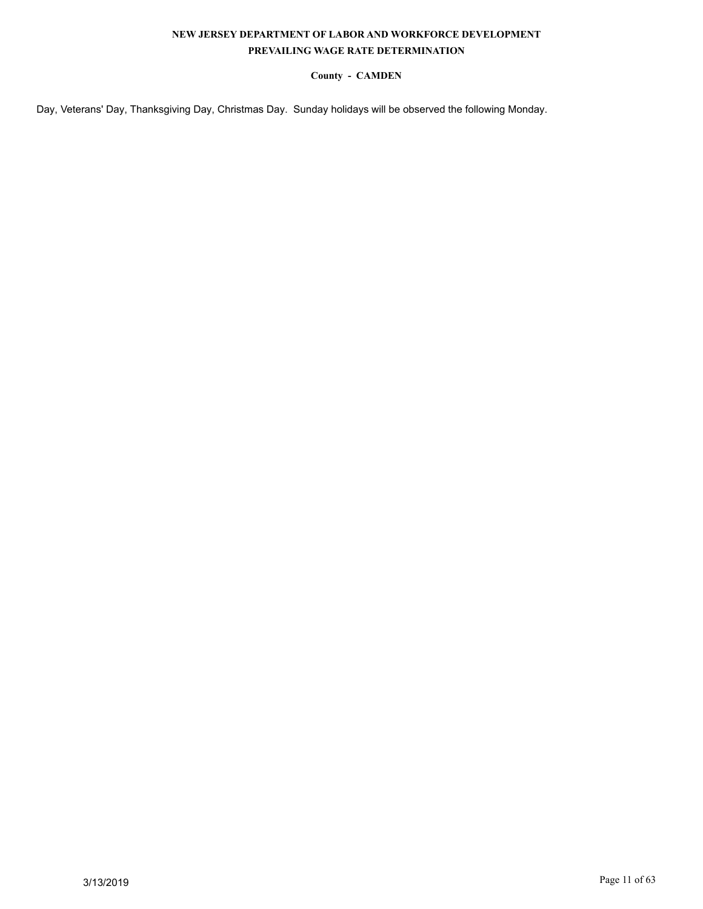# **County - CAMDEN**

Day, Veterans' Day, Thanksgiving Day, Christmas Day. Sunday holidays will be observed the following Monday.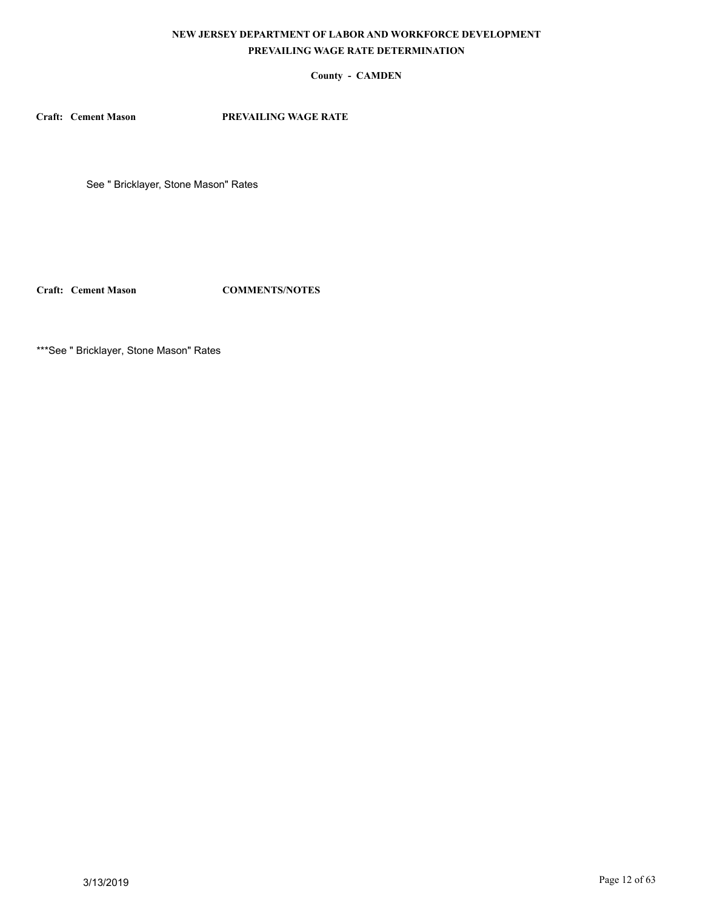# **County - CAMDEN**

**Craft: Cement Mason PREVAILING WAGE RATE**

See " Bricklayer, Stone Mason" Rates

**Craft: Cement Mason COMMENTS/NOTES**

\*\*\*See " Bricklayer, Stone Mason" Rates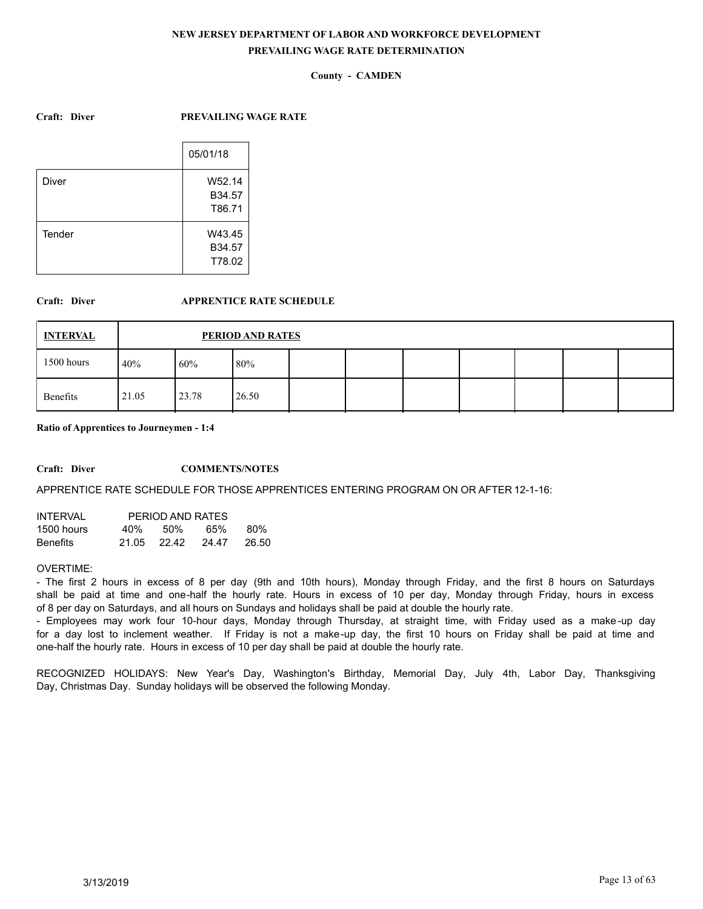# **County - CAMDEN**

## **Craft: Diver PREVAILING WAGE RATE**

|        | 05/01/18 |
|--------|----------|
| Diver  | W52.14   |
|        | B34.57   |
|        | T86.71   |
| Tender | W43.45   |
|        | B34.57   |
|        | T78.02   |
|        |          |

# **Craft: Diver APPRENTICE RATE SCHEDULE**

| <b>INTERVAL</b> |       |       | PERIOD AND RATES |  |  |  |  |
|-----------------|-------|-------|------------------|--|--|--|--|
| 1500 hours      | 40%   | 60%   | 180%             |  |  |  |  |
| Benefits        | 21.05 | 23.78 | 26.50            |  |  |  |  |

### **Ratio of Apprentices to Journeymen - 1:4**

#### **Craft: Diver COMMENTS/NOTES**

#### APPRENTICE RATE SCHEDULE FOR THOSE APPRENTICES ENTERING PROGRAM ON OR AFTER 12-1-16:

| INTFRVAI        |       | PERIOD AND RATES |       |        |
|-----------------|-------|------------------|-------|--------|
| 1500 hours      | 40%   | .50%             | 65%   | 80%    |
| <b>Benefits</b> | 21.05 | 22.42            | 24.47 | -26.50 |

# OVERTIME:

- The first 2 hours in excess of 8 per day (9th and 10th hours), Monday through Friday, and the first 8 hours on Saturdays shall be paid at time and one-half the hourly rate. Hours in excess of 10 per day, Monday through Friday, hours in excess of 8 per day on Saturdays, and all hours on Sundays and holidays shall be paid at double the hourly rate.

- Employees may work four 10-hour days, Monday through Thursday, at straight time, with Friday used as a make -up day for a day lost to inclement weather. If Friday is not a make-up day, the first 10 hours on Friday shall be paid at time and one-half the hourly rate. Hours in excess of 10 per day shall be paid at double the hourly rate.

RECOGNIZED HOLIDAYS: New Year's Day, Washington's Birthday, Memorial Day, July 4th, Labor Day, Thanksgiving Day, Christmas Day. Sunday holidays will be observed the following Monday.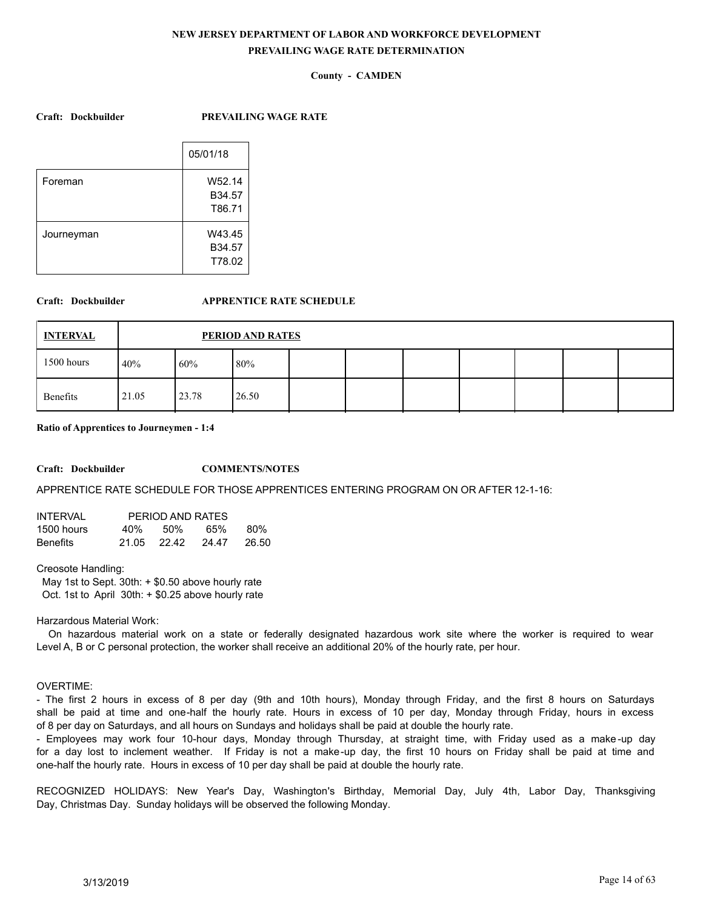# **County - CAMDEN**

**Craft: Dockbuilder PREVAILING WAGE RATE**

|            | 05/01/18                   |
|------------|----------------------------|
| Foreman    | W52.14<br>B34.57<br>T86.71 |
| Journeyman | W43.45<br>B34.57           |
|            | T78.02                     |

## **Craft: Dockbuilder APPRENTICE RATE SCHEDULE**

| <b>INTERVAL</b> |       |       | PERIOD AND RATES |  |  |  |  |
|-----------------|-------|-------|------------------|--|--|--|--|
| 1500 hours      | 40%   | 60%   | 80%              |  |  |  |  |
| Benefits        | 21.05 | 23.78 | 26.50            |  |  |  |  |

### **Ratio of Apprentices to Journeymen - 1:4**

## **Craft: Dockbuilder COMMENTS/NOTES**

APPRENTICE RATE SCHEDULE FOR THOSE APPRENTICES ENTERING PROGRAM ON OR AFTER 12-1-16:

| INTFRVAI        |     | PERIOD AND RATES |       |         |
|-----------------|-----|------------------|-------|---------|
| 1500 hours      | 40% | .50%             | 65%   | 80%     |
| <b>Benefits</b> |     | 21.05 22.42      | 24.47 | - 26.50 |

### Creosote Handling:

 May 1st to Sept. 30th: + \$0.50 above hourly rate Oct. 1st to April 30th: + \$0.25 above hourly rate

#### Harzardous Material Work:

 On hazardous material work on a state or federally designated hazardous work site where the worker is required to wear Level A, B or C personal protection, the worker shall receive an additional 20% of the hourly rate, per hour.

### OVERTIME:

- The first 2 hours in excess of 8 per day (9th and 10th hours), Monday through Friday, and the first 8 hours on Saturdays shall be paid at time and one-half the hourly rate. Hours in excess of 10 per day, Monday through Friday, hours in excess of 8 per day on Saturdays, and all hours on Sundays and holidays shall be paid at double the hourly rate.

- Employees may work four 10-hour days, Monday through Thursday, at straight time, with Friday used as a make -up day for a day lost to inclement weather. If Friday is not a make-up day, the first 10 hours on Friday shall be paid at time and one-half the hourly rate. Hours in excess of 10 per day shall be paid at double the hourly rate.

RECOGNIZED HOLIDAYS: New Year's Day, Washington's Birthday, Memorial Day, July 4th, Labor Day, Thanksgiving Day, Christmas Day. Sunday holidays will be observed the following Monday.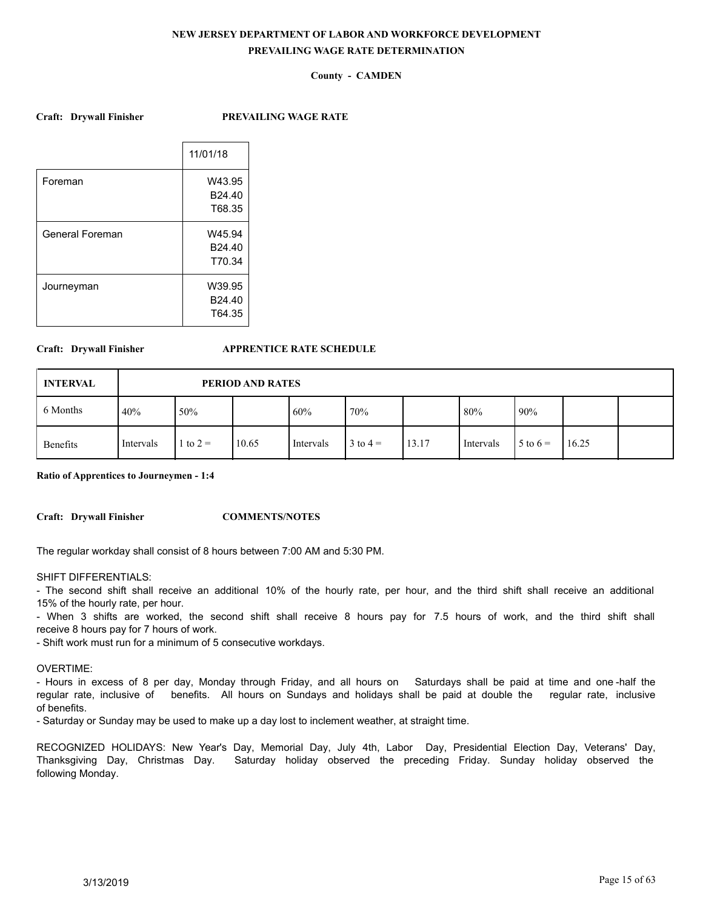# **County - CAMDEN**

**Craft: Drywall Finisher PREVAILING WAGE RATE**

|                 | 11/01/18           |
|-----------------|--------------------|
| Foreman         | W43.95             |
|                 | B <sub>24.40</sub> |
|                 | T68.35             |
| General Foreman | W45.94             |
|                 | B24.40             |
|                 | T70.34             |
| Journeyman      | W39.95             |
|                 | B <sub>24.40</sub> |
|                 | T64.35             |
|                 |                    |

### **Craft: Drywall Finisher APPRENTICE RATE SCHEDULE**

| <b>INTERVAL</b> |           |            | PERIOD AND RATES |           |            |       |           |              |       |  |
|-----------------|-----------|------------|------------------|-----------|------------|-------|-----------|--------------|-------|--|
| 6 Months        | 40%       | 50%        |                  | 60%       | 70%        |       | 80%       | 90%          |       |  |
| Benefits        | Intervals | 1 to $2 =$ | 10.65            | Intervals | $3$ to 4 = | 13.17 | Intervals | $5$ to $6 =$ | 16.25 |  |

**Ratio of Apprentices to Journeymen - 1:4**

**Craft: Drywall Finisher COMMENTS/NOTES**

The regular workday shall consist of 8 hours between 7:00 AM and 5:30 PM.

### SHIFT DIFFERENTIALS:

- The second shift shall receive an additional 10% of the hourly rate, per hour, and the third shift shall receive an additional 15% of the hourly rate, per hour.

- When 3 shifts are worked, the second shift shall receive 8 hours pay for 7.5 hours of work, and the third shift shall receive 8 hours pay for 7 hours of work.

- Shift work must run for a minimum of 5 consecutive workdays.

### OVERTIME:

- Hours in excess of 8 per day, Monday through Friday, and all hours on Saturdays shall be paid at time and one -half the regular rate, inclusive of benefits. All hours on Sundays and holidays shall be paid at double the regular rate, inclusive of benefits.

- Saturday or Sunday may be used to make up a day lost to inclement weather, at straight time.

RECOGNIZED HOLIDAYS: New Year's Day, Memorial Day, July 4th, Labor Day, Presidential Election Day, Veterans' Day, Thanksgiving Day, Christmas Day. Saturday holiday observed the preceding Friday. Sunday holiday observed the following Monday.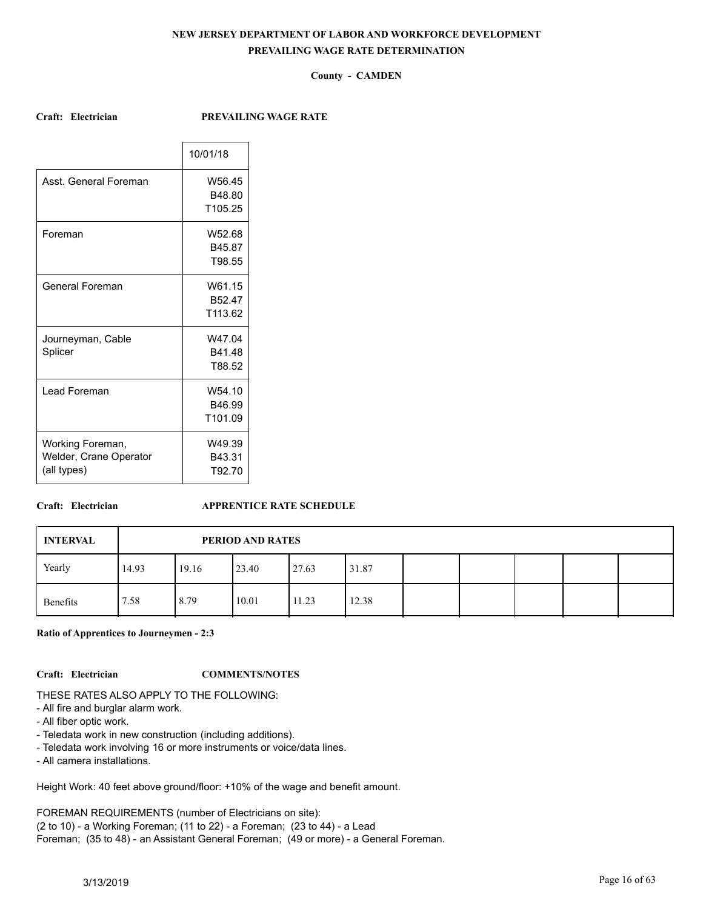# **County - CAMDEN**

**Craft: Electrician PREVAILING WAGE RATE**

|                        | 10/01/18 |
|------------------------|----------|
| Asst. General Foreman  | W56.45   |
|                        | B48.80   |
|                        | T105.25  |
| Foreman                | W52.68   |
|                        | B45.87   |
|                        | T98.55   |
| General Foreman        | W61.15   |
|                        | B52.47   |
|                        | T113.62  |
| Journeyman, Cable      | W47.04   |
| Splicer                | B41.48   |
|                        | T88.52   |
| Lead Foreman           | W54.10   |
|                        | B46.99   |
|                        | T101.09  |
| Working Foreman,       | W49.39   |
| Welder, Crane Operator | B43.31   |
| (all types)            | T92.70   |
|                        |          |

# **Craft: Electrician APPRENTICE RATE SCHEDULE**

| <b>INTERVAL</b> |       |       | <b>PERIOD AND RATES</b> |       |       |  |  |  |
|-----------------|-------|-------|-------------------------|-------|-------|--|--|--|
| Yearly          | 14.93 | 19.16 | 23.40                   | 27.63 | 31.87 |  |  |  |
| Benefits        | '.58  | 8.79  | 10.01                   | 11.23 | 12.38 |  |  |  |

**Ratio of Apprentices to Journeymen - 2:3**

# **Craft: Electrician COMMENTS/NOTES**

# THESE RATES ALSO APPLY TO THE FOLLOWING:

- All fire and burglar alarm work.
- All fiber optic work.
- Teledata work in new construction (including additions).
- Teledata work involving 16 or more instruments or voice/data lines.
- All camera installations.

Height Work: 40 feet above ground/floor: +10% of the wage and benefit amount.

FOREMAN REQUIREMENTS (number of Electricians on site):

(2 to 10) - a Working Foreman; (11 to 22) - a Foreman; (23 to 44) - a Lead

Foreman; (35 to 48) - an Assistant General Foreman; (49 or more) - a General Foreman.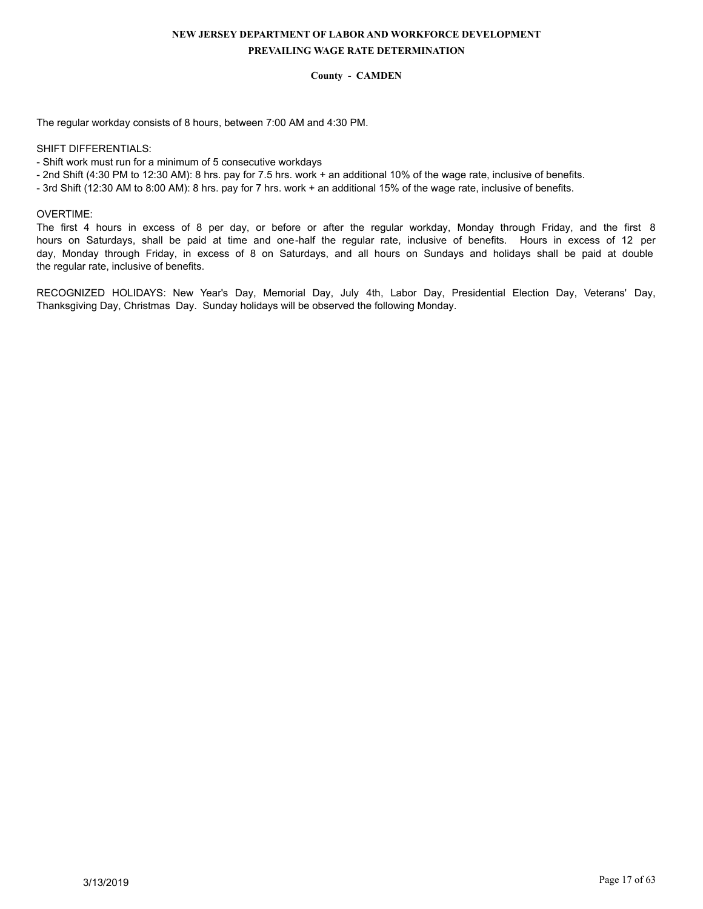# **County - CAMDEN**

The regular workday consists of 8 hours, between 7:00 AM and 4:30 PM.

### SHIFT DIFFERENTIALS:

- Shift work must run for a minimum of 5 consecutive workdays
- 2nd Shift (4:30 PM to 12:30 AM): 8 hrs. pay for 7.5 hrs. work + an additional 10% of the wage rate, inclusive of benefits.
- 3rd Shift (12:30 AM to 8:00 AM): 8 hrs. pay for 7 hrs. work + an additional 15% of the wage rate, inclusive of benefits.

### OVERTIME:

The first 4 hours in excess of 8 per day, or before or after the regular workday, Monday through Friday, and the first 8 hours on Saturdays, shall be paid at time and one-half the regular rate, inclusive of benefits. Hours in excess of 12 per day, Monday through Friday, in excess of 8 on Saturdays, and all hours on Sundays and holidays shall be paid at double the regular rate, inclusive of benefits.

RECOGNIZED HOLIDAYS: New Year's Day, Memorial Day, July 4th, Labor Day, Presidential Election Day, Veterans' Day, Thanksgiving Day, Christmas Day. Sunday holidays will be observed the following Monday.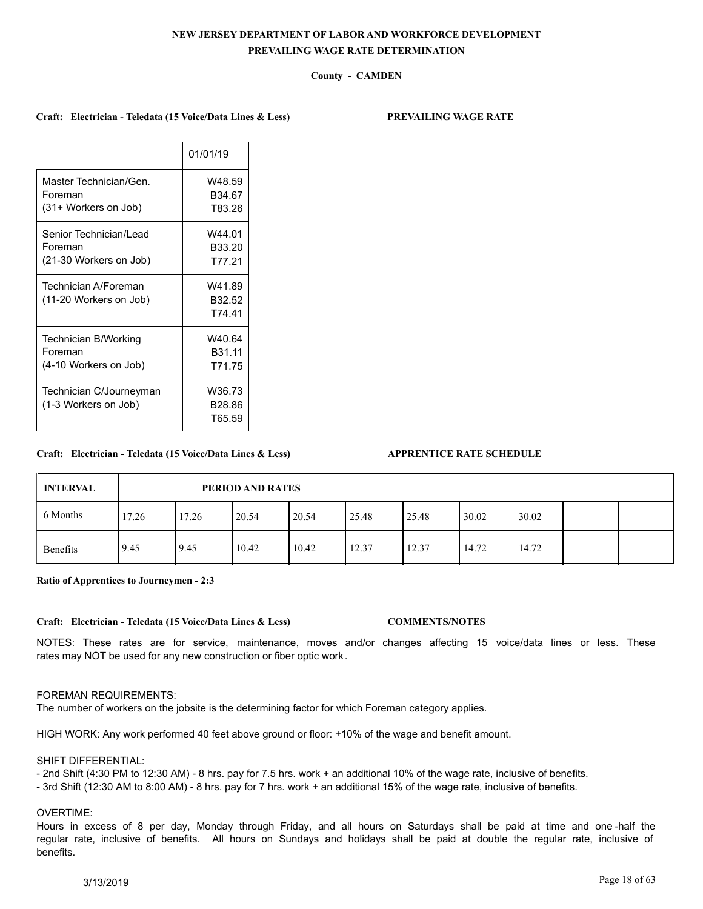# **County - CAMDEN**

### **Craft: Electrician - Teledata (15 Voice/Data Lines & Less) PREVAILING WAGE RATE**

|                                   | 01/01/19           |
|-----------------------------------|--------------------|
| Master Technician/Gen.<br>Foreman | W48.59<br>B34.67   |
| (31+ Workers on Job)              | T83.26             |
| Senior Technician/Lead            | W44.01             |
| Foreman                           | B33.20             |
| (21-30 Workers on Job)            | T77.21             |
| Technician A/Foreman              | W41.89             |
| (11-20 Workers on Job)            | B32.52             |
|                                   | T74.41             |
| Technician B/Working              | W40.64             |
| Foreman                           | B31.11             |
| (4-10 Workers on Job)             | T71.75             |
| Technician C/Journeyman           | W36.73             |
| (1-3 Workers on Job)              | B <sub>28.86</sub> |
|                                   | T65.59             |

## **Craft: Electrician - Teledata (15 Voice/Data Lines & Less) APPRENTICE RATE SCHEDULE**

# 6 Months Benefits 17.26 17.26 20.54 20.54 25.48 25.48 30.02 30.02 9.45 | 9.45 | 10.42 | 10.42 | 12.37 | 12.37 | 14.72 | 14.72 **INTERVAL PERIOD AND RATES**

**Ratio of Apprentices to Journeymen - 2:3**

**Craft: Electrician - Teledata (15 Voice/Data Lines & Less) COMMENTS/NOTES**

NOTES: These rates are for service, maintenance, moves and/or changes affecting 15 voice/data lines or less. These rates may NOT be used for any new construction or fiber optic work.

## FOREMAN REQUIREMENTS:

The number of workers on the jobsite is the determining factor for which Foreman category applies.

HIGH WORK: Any work performed 40 feet above ground or floor: +10% of the wage and benefit amount.

### SHIFT DIFFERENTIAL:

- 2nd Shift (4:30 PM to 12:30 AM) - 8 hrs. pay for 7.5 hrs. work + an additional 10% of the wage rate, inclusive of benefits.

- 3rd Shift (12:30 AM to 8:00 AM) - 8 hrs. pay for 7 hrs. work + an additional 15% of the wage rate, inclusive of benefits.

## OVERTIME:

Hours in excess of 8 per day, Monday through Friday, and all hours on Saturdays shall be paid at time and one -half the regular rate, inclusive of benefits. All hours on Sundays and holidays shall be paid at double the regular rate, inclusive of benefits.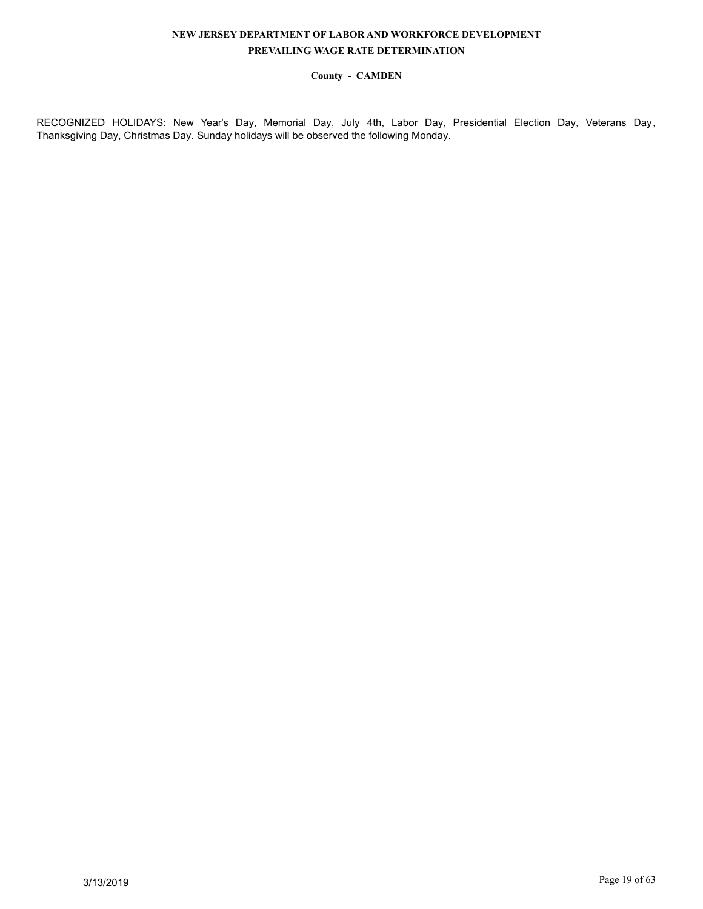# **County - CAMDEN**

RECOGNIZED HOLIDAYS: New Year's Day, Memorial Day, July 4th, Labor Day, Presidential Election Day, Veterans Day, Thanksgiving Day, Christmas Day. Sunday holidays will be observed the following Monday.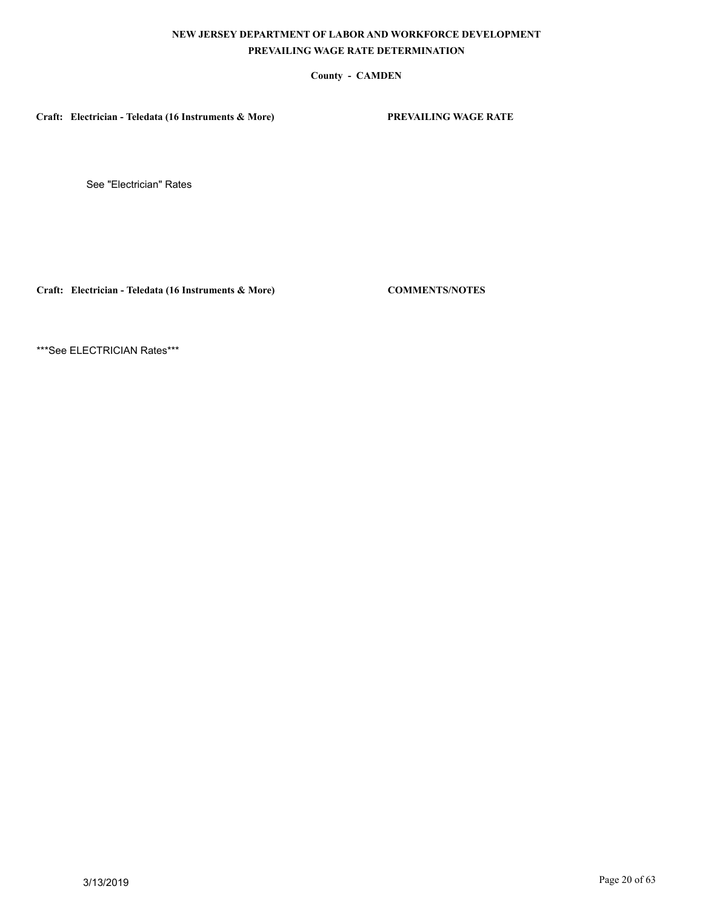# **County - CAMDEN**

**Craft: Electrician - Teledata (16 Instruments & More) PREVAILING WAGE RATE**

See "Electrician" Rates

**Craft: Electrician - Teledata (16 Instruments & More) COMMENTS/NOTES**

\*\*\*See ELECTRICIAN Rates\*\*\*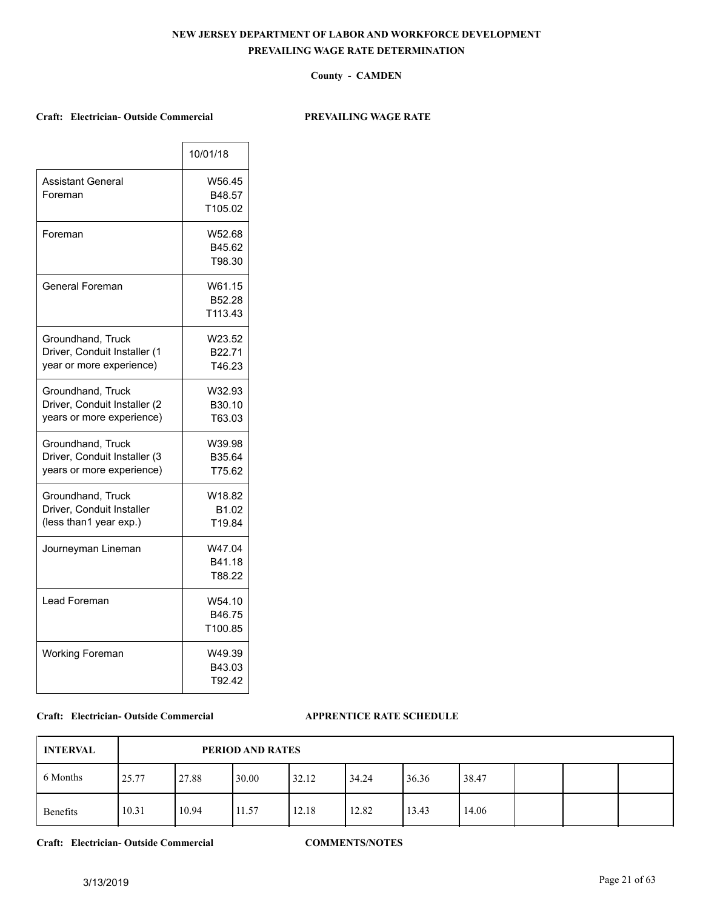## **County - CAMDEN**

# **Craft: Electrician- Outside Commercial PREVAILING WAGE RATE**

 $\overline{\phantom{a}}$ 

|                                                                                | 10/01/18                    |
|--------------------------------------------------------------------------------|-----------------------------|
| Assistant General<br>Foreman                                                   | W56.45<br>B48.57<br>T105.02 |
| Foreman                                                                        | W52.68<br>B45.62<br>T98.30  |
| General Foreman                                                                | W61.15<br>B52.28<br>T113.43 |
| Groundhand, Truck<br>Driver, Conduit Installer (1<br>year or more experience)  | W23.52<br>B22.71<br>T46.23  |
| Groundhand, Truck<br>Driver, Conduit Installer (2<br>years or more experience) | W32.93<br>B30.10<br>T63.03  |
| Groundhand, Truck<br>Driver, Conduit Installer (3<br>years or more experience) | W39.98<br>B35.64<br>T75.62  |
| Groundhand, Truck<br>Driver, Conduit Installer<br>(less than1 year exp.)       | W18.82<br>B1.02<br>T19.84   |
| Journeyman Lineman                                                             | W47.04<br>B41.18<br>T88.22  |
| Lead Foreman                                                                   | W54.10<br>B46.75<br>T100.85 |
| <b>Working Foreman</b>                                                         | W49.39<br>B43.03<br>T92.42  |

### **Craft: Electrician- Outside Commercial APPRENTICE RATE SCHEDULE**

| <b>INTERVAL</b> |       | PERIOD AND RATES |       |       |       |       |       |  |  |  |  |  |
|-----------------|-------|------------------|-------|-------|-------|-------|-------|--|--|--|--|--|
| 6 Months        | 25.77 | 27.88            | 30.00 | 32.12 | 34.24 | 36.36 | 38.47 |  |  |  |  |  |
| Benefits        | 10.31 | 10.94            | 11.57 | 12.18 | 12.82 | 13.43 | 14.06 |  |  |  |  |  |

**Craft: Electrician- Outside Commercial COMMENTS/NOTES**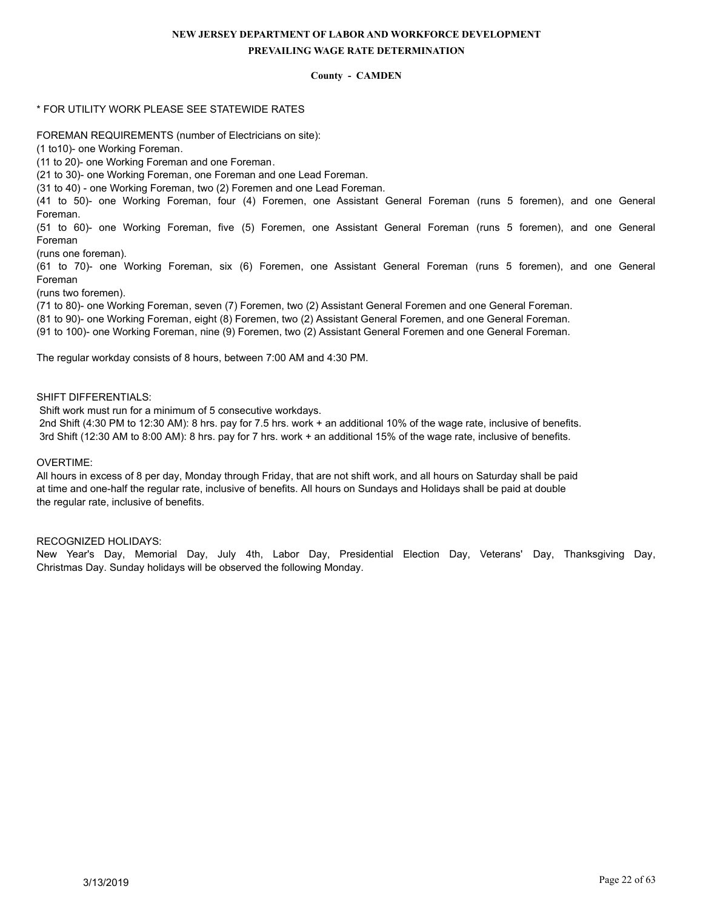# **County - CAMDEN**

# \* FOR UTILITY WORK PLEASE SEE STATEWIDE RATES

FOREMAN REQUIREMENTS (number of Electricians on site):

(1 to10)- one Working Foreman.

(11 to 20)- one Working Foreman and one Foreman.

(21 to 30)- one Working Foreman, one Foreman and one Lead Foreman.

(31 to 40) - one Working Foreman, two (2) Foremen and one Lead Foreman.

(41 to 50)- one Working Foreman, four (4) Foremen, one Assistant General Foreman (runs 5 foremen), and one General Foreman.

(51 to 60)- one Working Foreman, five (5) Foremen, one Assistant General Foreman (runs 5 foremen), and one General Foreman

(runs one foreman).

(61 to 70)- one Working Foreman, six (6) Foremen, one Assistant General Foreman (runs 5 foremen), and one General Foreman

(runs two foremen).

(71 to 80)- one Working Foreman, seven (7) Foremen, two (2) Assistant General Foremen and one General Foreman. (81 to 90)- one Working Foreman, eight (8) Foremen, two (2) Assistant General Foremen, and one General Foreman.

(91 to 100)- one Working Foreman, nine (9) Foremen, two (2) Assistant General Foremen and one General Foreman.

The regular workday consists of 8 hours, between 7:00 AM and 4:30 PM.

SHIFT DIFFERENTIALS:

Shift work must run for a minimum of 5 consecutive workdays.

 2nd Shift (4:30 PM to 12:30 AM): 8 hrs. pay for 7.5 hrs. work + an additional 10% of the wage rate, inclusive of benefits. 3rd Shift (12:30 AM to 8:00 AM): 8 hrs. pay for 7 hrs. work + an additional 15% of the wage rate, inclusive of benefits.

## OVERTIME:

All hours in excess of 8 per day, Monday through Friday, that are not shift work, and all hours on Saturday shall be paid at time and one-half the regular rate, inclusive of benefits. All hours on Sundays and Holidays shall be paid at double the regular rate, inclusive of benefits.

## RECOGNIZED HOLIDAYS:

New Year's Day, Memorial Day, July 4th, Labor Day, Presidential Election Day, Veterans' Day, Thanksgiving Day, Christmas Day. Sunday holidays will be observed the following Monday.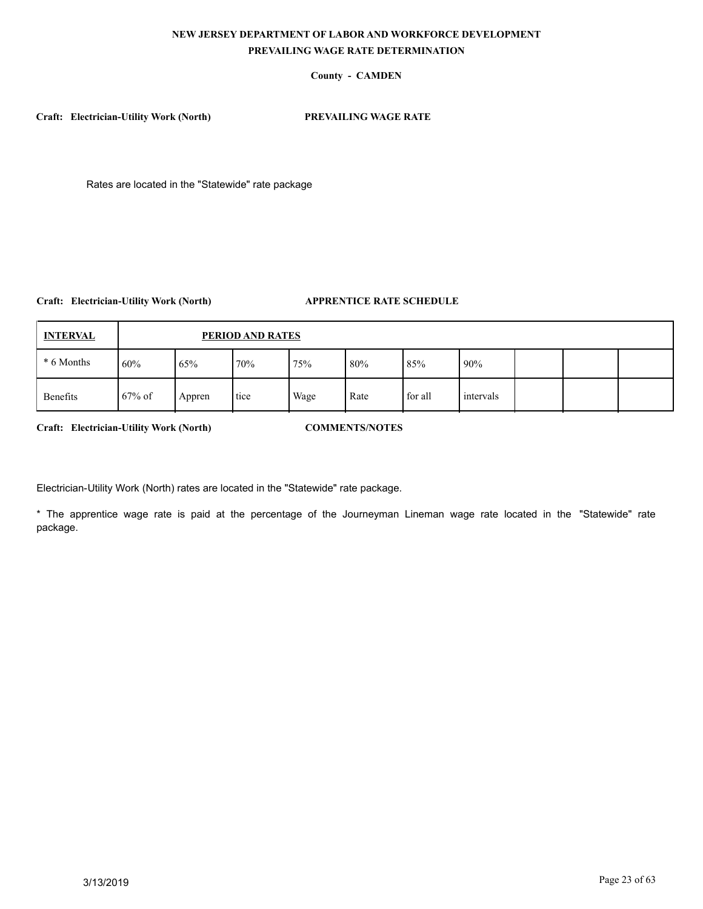# **County - CAMDEN**

**Craft: Electrician-Utility Work (North) PREVAILING WAGE RATE**

Rates are located in the "Statewide" rate package

# **Craft: Electrician-Utility Work (North) APPRENTICE RATE SCHEDULE**

| <b>INTERVAL</b> |           | PERIOD AND RATES |      |      |      |         |           |  |  |  |  |  |  |
|-----------------|-----------|------------------|------|------|------|---------|-----------|--|--|--|--|--|--|
| * 6 Months      | 60%       | 65%              | 170% | 75%  | 80%  | 85%     | 90%       |  |  |  |  |  |  |
| Benefits        | $67\%$ of | Appren           | tice | Wage | Rate | for all | intervals |  |  |  |  |  |  |

**Craft: Electrician-Utility Work (North) COMMENTS/NOTES**

Electrician-Utility Work (North) rates are located in the "Statewide" rate package.

\* The apprentice wage rate is paid at the percentage of the Journeyman Lineman wage rate located in the "Statewide" rate package.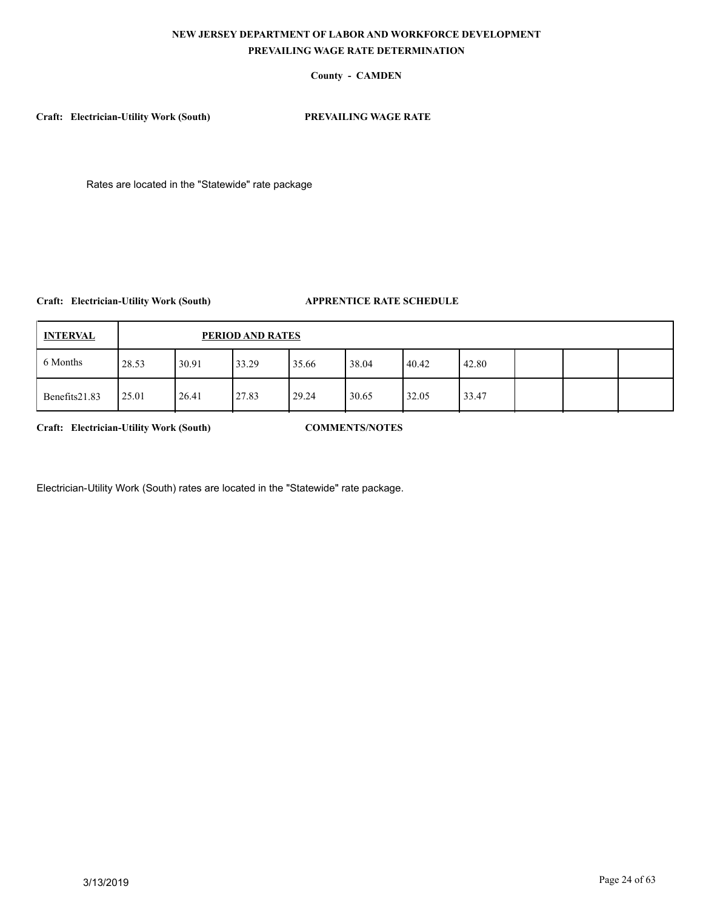# **County - CAMDEN**

**Craft: Electrician-Utility Work (South) PREVAILING WAGE RATE**

Rates are located in the "Statewide" rate package

**Craft: Electrician-Utility Work (South) APPRENTICE RATE SCHEDULE**

| <b>INTERVAL</b> |       | PERIOD AND RATES |       |       |       |       |       |  |  |  |  |  |  |
|-----------------|-------|------------------|-------|-------|-------|-------|-------|--|--|--|--|--|--|
| 6 Months        | 28.53 | 30.91            | 33.29 | 35.66 | 38.04 | 40.42 | 42.80 |  |  |  |  |  |  |
| Benefits21.83   | 25.01 | 26.41            | 27.83 | 29.24 | 30.65 | 32.05 | 33.47 |  |  |  |  |  |  |

**Craft: Electrician-Utility Work (South) COMMENTS/NOTES**

Electrician-Utility Work (South) rates are located in the "Statewide" rate package.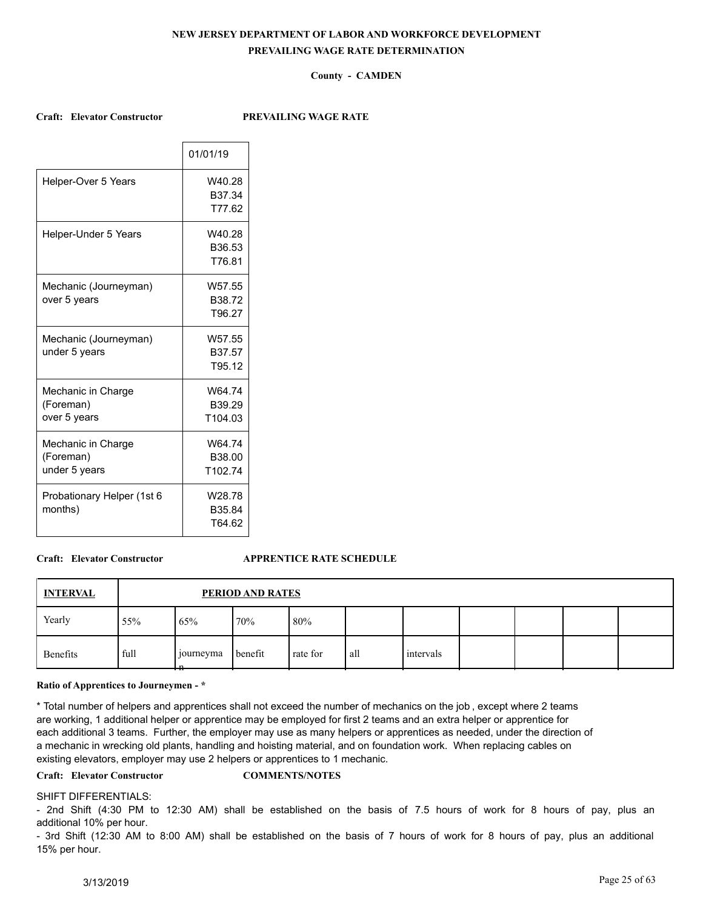# **County - CAMDEN**

### **Craft: Elevator Constructor PREVAILING WAGE RATE**

|                                                  | 01/01/19                                 |
|--------------------------------------------------|------------------------------------------|
| Helper-Over 5 Years                              | W40.28<br>B37.34<br>T77.62               |
| Helper-Under 5 Years                             | W40.28<br>B36.53<br>T76.81               |
| Mechanic (Journeyman)<br>over 5 years            | W57.55<br>B38.72<br>T96.27               |
| Mechanic (Journeyman)<br>under 5 years           | W57.55<br>B37.57<br>T95.12               |
| Mechanic in Charge<br>(Foreman)<br>over 5 years  | W64.74<br>B39.29<br>T <sub>104</sub> .03 |
| Mechanic in Charge<br>(Foreman)<br>under 5 years | W64.74<br>B38.00<br>T102.74              |
| Probationary Helper (1st 6<br>months)            | W28.78<br>B35.84<br>T64.62               |

## **Craft: Elevator Constructor APPRENTICE RATE SCHEDULE**

| <b>INTERVAL</b> |      | PERIOD AND RATES        |         |          |     |           |  |  |  |  |  |  |
|-----------------|------|-------------------------|---------|----------|-----|-----------|--|--|--|--|--|--|
| Yearly          | 55%  | 65%                     | 70%     | $80\%$   |     |           |  |  |  |  |  |  |
| Benefits        | full | journeyma<br>- n<br>. . | benefit | rate for | all | intervals |  |  |  |  |  |  |

#### **Ratio of Apprentices to Journeymen - \***

\* Total number of helpers and apprentices shall not exceed the number of mechanics on the job , except where 2 teams are working, 1 additional helper or apprentice may be employed for first 2 teams and an extra helper or apprentice for each additional 3 teams. Further, the employer may use as many helpers or apprentices as needed, under the direction of a mechanic in wrecking old plants, handling and hoisting material, and on foundation work. When replacing cables on existing elevators, employer may use 2 helpers or apprentices to 1 mechanic.

## **Craft: Elevator Constructor COMMENTS/NOTES**

#### SHIFT DIFFERENTIALS:

- 2nd Shift (4:30 PM to 12:30 AM) shall be established on the basis of 7.5 hours of work for 8 hours of pay, plus an additional 10% per hour.

- 3rd Shift (12:30 AM to 8:00 AM) shall be established on the basis of 7 hours of work for 8 hours of pay, plus an additional 15% per hour.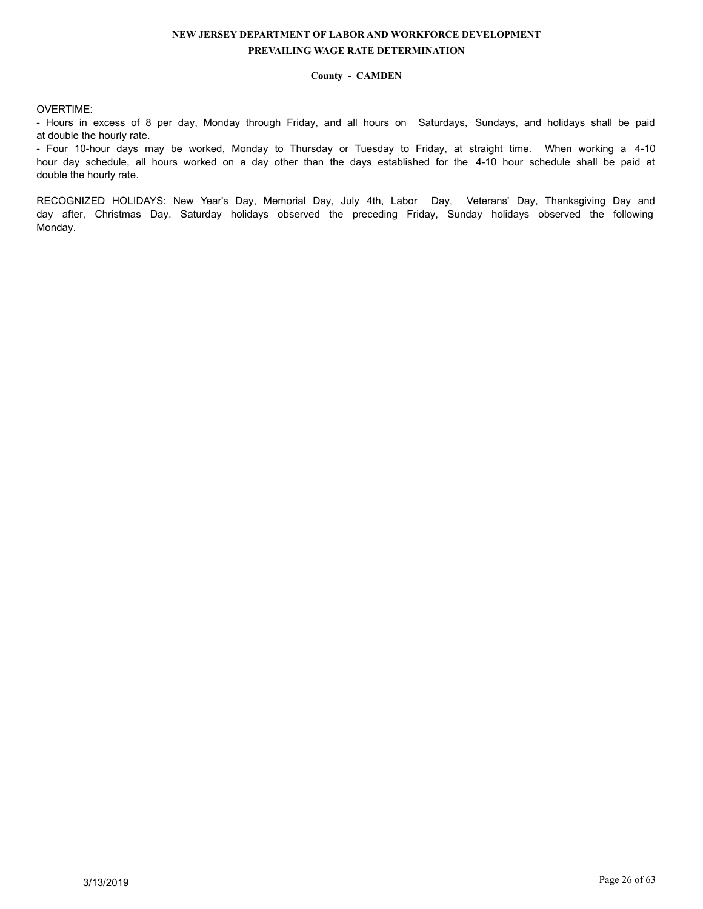## **County - CAMDEN**

# OVERTIME:

- Hours in excess of 8 per day, Monday through Friday, and all hours on Saturdays, Sundays, and holidays shall be paid at double the hourly rate.

- Four 10-hour days may be worked, Monday to Thursday or Tuesday to Friday, at straight time. When working a 4-10 hour day schedule, all hours worked on a day other than the days established for the 4-10 hour schedule shall be paid at double the hourly rate.

RECOGNIZED HOLIDAYS: New Year's Day, Memorial Day, July 4th, Labor Day, Veterans' Day, Thanksgiving Day and day after, Christmas Day. Saturday holidays observed the preceding Friday, Sunday holidays observed the following Monday.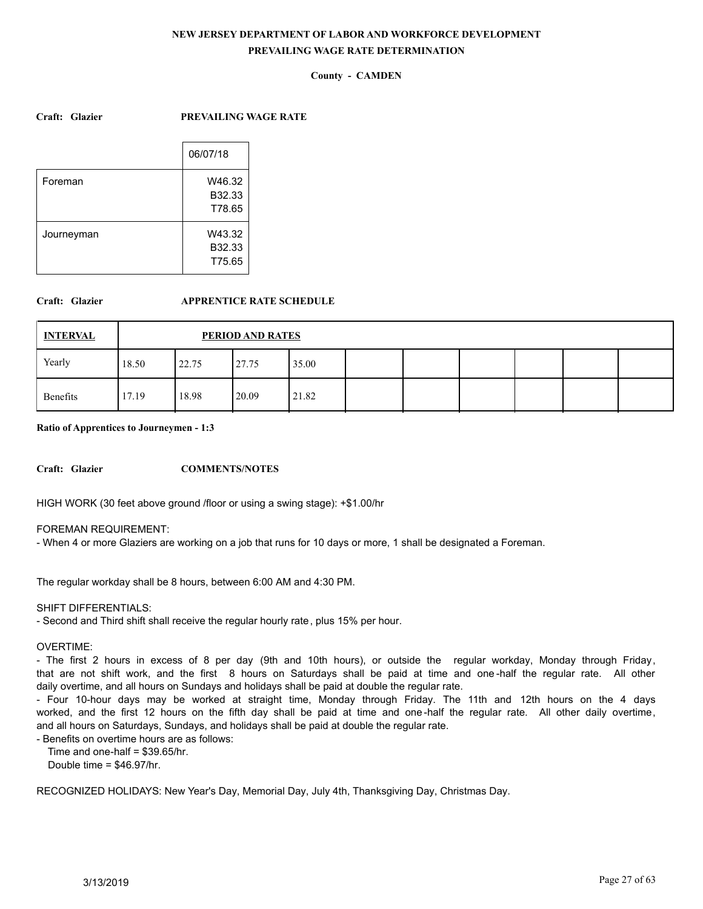# **County - CAMDEN**

### **Craft: Glazier PREVAILING WAGE RATE**

|            | 06/07/18 |
|------------|----------|
|            |          |
| Foreman    | W46.32   |
|            | B32.33   |
|            | T78.65   |
| Journeyman | W43.32   |
|            | B32.33   |
|            | T75.65   |
|            |          |

## **Craft: Glazier APPRENTICE RATE SCHEDULE**

| <b>INTERVAL</b> |       | PERIOD AND RATES |       |       |  |  |  |  |  |  |  |  |  |
|-----------------|-------|------------------|-------|-------|--|--|--|--|--|--|--|--|--|
| Yearly          | 18.50 | 22.75            | 27.75 | 35.00 |  |  |  |  |  |  |  |  |  |
| Benefits        | 17.19 | 18.98            | 20.09 | 21.82 |  |  |  |  |  |  |  |  |  |

**Ratio of Apprentices to Journeymen - 1:3**

**Craft: Glazier COMMENTS/NOTES**

HIGH WORK (30 feet above ground /floor or using a swing stage): +\$1.00/hr

FOREMAN REQUIREMENT:

- When 4 or more Glaziers are working on a job that runs for 10 days or more, 1 shall be designated a Foreman.

The regular workday shall be 8 hours, between 6:00 AM and 4:30 PM.

### SHIFT DIFFERENTIALS:

- Second and Third shift shall receive the regular hourly rate, plus 15% per hour.

#### OVERTIME:

- The first 2 hours in excess of 8 per day (9th and 10th hours), or outside the regular workday, Monday through Friday, that are not shift work, and the first 8 hours on Saturdays shall be paid at time and one -half the regular rate. All other daily overtime, and all hours on Sundays and holidays shall be paid at double the regular rate.

- Four 10-hour days may be worked at straight time, Monday through Friday. The 11th and 12th hours on the 4 days worked, and the first 12 hours on the fifth day shall be paid at time and one -half the regular rate. All other daily overtime, and all hours on Saturdays, Sundays, and holidays shall be paid at double the regular rate.

- Benefits on overtime hours are as follows:

Time and one-half = \$39.65/hr.

Double time = \$46.97/hr.

RECOGNIZED HOLIDAYS: New Year's Day, Memorial Day, July 4th, Thanksgiving Day, Christmas Day.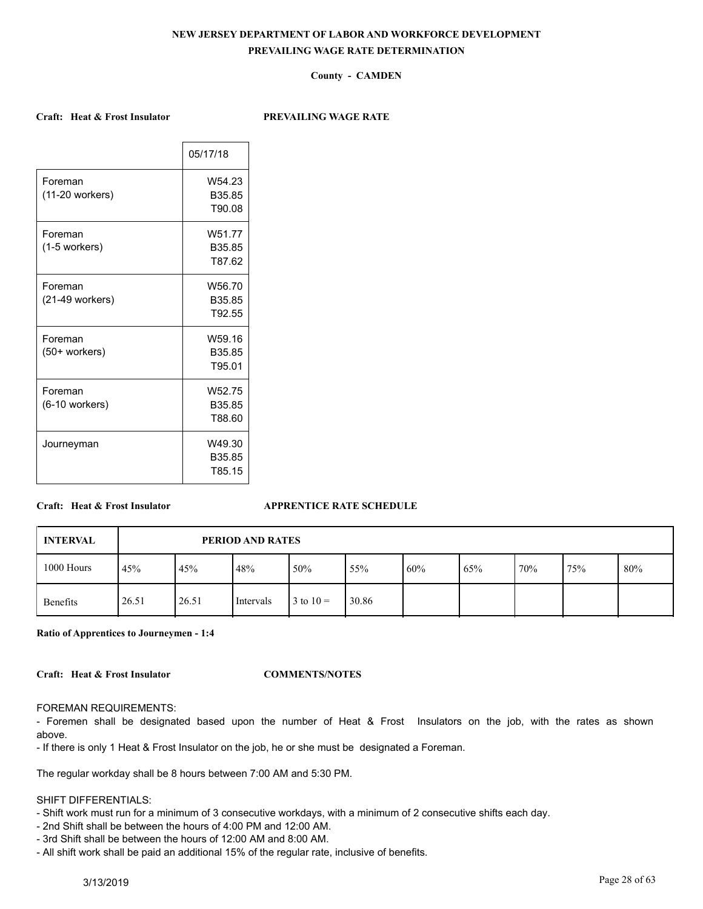# **County - CAMDEN**

### **Craft: Heat & Frost Insulator PREVAILING WAGE RATE**

|                 | 05/17/18           |
|-----------------|--------------------|
| Foreman         | W <sub>54</sub> 23 |
| (11-20 workers) | B <sub>35.85</sub> |
|                 | T90.08             |
| Foreman         | W51.77             |
| (1-5 workers)   | B35.85             |
|                 | T87.62             |
| Foreman         | W56.70             |
| (21-49 workers) | B35.85             |
|                 | T92.55             |
| Foreman         | W59.16             |
| (50+ workers)   | B <sub>35.85</sub> |
|                 | T95.01             |
| Foreman         | W <sub>52.75</sub> |
| (6-10 workers)  | B <sub>35.85</sub> |
|                 | T88.60             |
| Journeyman      | W49.30             |
|                 | B35.85             |
|                 | T85.15             |
|                 |                    |

### **Craft: Heat & Frost Insulator APPRENTICE RATE SCHEDULE**

| <b>INTERVAL</b> |       | PERIOD AND RATES |           |               |       |     |     |     |     |     |  |  |  |
|-----------------|-------|------------------|-----------|---------------|-------|-----|-----|-----|-----|-----|--|--|--|
| 1000 Hours      | 45%   | 45%              | 48%       | 50%           | 55%   | 60% | 65% | 70% | 75% | 80% |  |  |  |
| Benefits        | 26.51 | 26.51            | Intervals | $3$ to $10 =$ | 30.86 |     |     |     |     |     |  |  |  |

**Ratio of Apprentices to Journeymen - 1:4**

**Craft: Heat & Frost Insulator COMMENTS/NOTES**

#### FOREMAN REQUIREMENTS:

- Foremen shall be designated based upon the number of Heat & Frost Insulators on the job, with the rates as shown above.

- If there is only 1 Heat & Frost Insulator on the job, he or she must be designated a Foreman.

The regular workday shall be 8 hours between 7:00 AM and 5:30 PM.

### SHIFT DIFFERENTIALS:

- Shift work must run for a minimum of 3 consecutive workdays, with a minimum of 2 consecutive shifts each day.
- 2nd Shift shall be between the hours of 4:00 PM and 12:00 AM.
- 3rd Shift shall be between the hours of 12:00 AM and 8:00 AM.
- All shift work shall be paid an additional 15% of the regular rate, inclusive of benefits.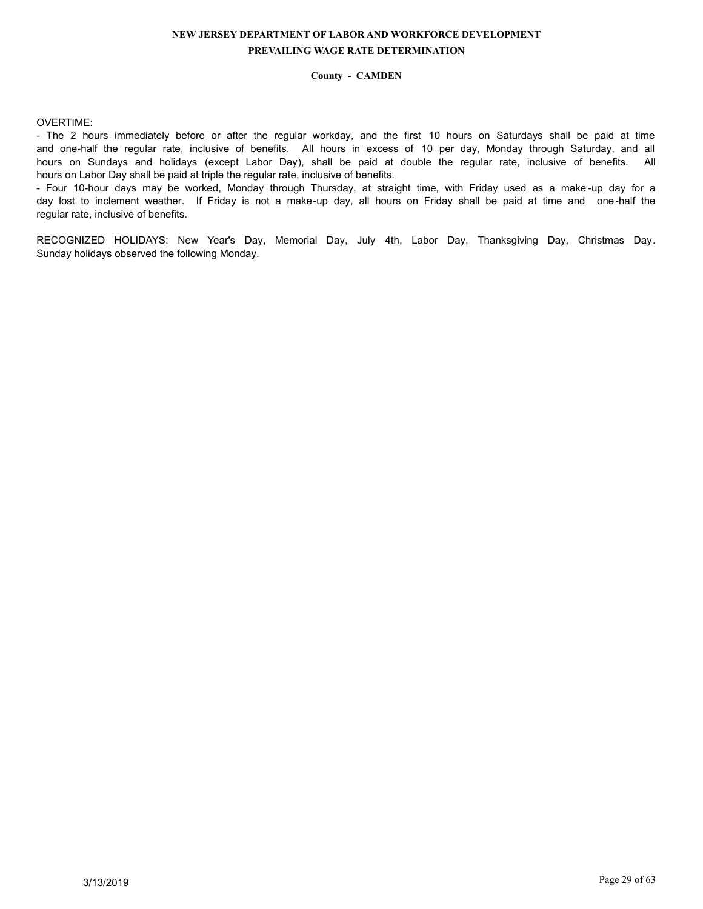## **County - CAMDEN**

## OVERTIME:

- The 2 hours immediately before or after the regular workday, and the first 10 hours on Saturdays shall be paid at time and one-half the regular rate, inclusive of benefits. All hours in excess of 10 per day, Monday through Saturday, and all hours on Sundays and holidays (except Labor Day), shall be paid at double the regular rate, inclusive of benefits. All hours on Labor Day shall be paid at triple the regular rate, inclusive of benefits.

- Four 10-hour days may be worked, Monday through Thursday, at straight time, with Friday used as a make -up day for a day lost to inclement weather. If Friday is not a make-up day, all hours on Friday shall be paid at time and one-half the regular rate, inclusive of benefits.

RECOGNIZED HOLIDAYS: New Year's Day, Memorial Day, July 4th, Labor Day, Thanksgiving Day, Christmas Day. Sunday holidays observed the following Monday.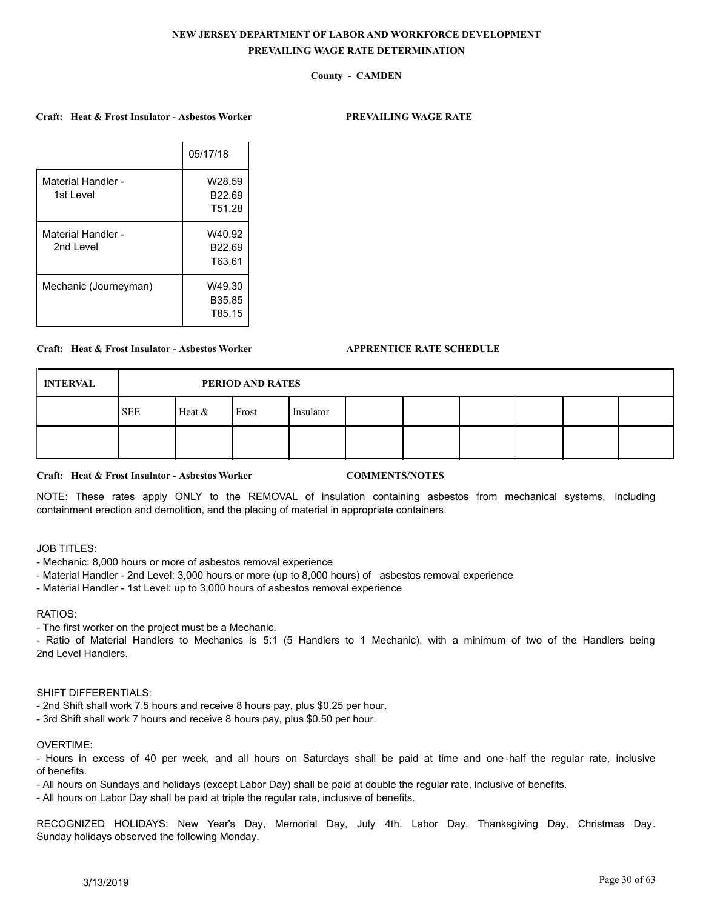# **County - CAMDEN**

### **Craft: Heat & Frost Insulator - Asbestos Worker PREVAILING WAGE RATE**

|                       | 05/17/18           |
|-----------------------|--------------------|
| Material Handler -    | W28.59             |
| 1st Level             | B <sub>22.69</sub> |
|                       | T51.28             |
| Material Handler -    | W40.92             |
| 2nd Level             | B <sub>22.69</sub> |
|                       | T63.61             |
| Mechanic (Journeyman) | W49.30             |
|                       | B35.85             |
|                       | T85.15             |

### **Craft: Heat & Frost Insulator - Asbestos Worker APPRENTICE RATE SCHEDULE**

| <b>INTERVAL</b> |            | PERIOD AND RATES |       |           |  |  |  |  |  |  |  |  |  |
|-----------------|------------|------------------|-------|-----------|--|--|--|--|--|--|--|--|--|
|                 | <b>SEE</b> | Heat $&$         | Frost | Insulator |  |  |  |  |  |  |  |  |  |
|                 |            |                  |       |           |  |  |  |  |  |  |  |  |  |

#### **Craft: Heat & Frost Insulator - Asbestos Worker COMMENTS/NOTES**

NOTE: These rates apply ONLY to the REMOVAL of insulation containing asbestos from mechanical systems, including containment erection and demolition, and the placing of material in appropriate containers.

# JOB TITLES:

- Mechanic: 8,000 hours or more of asbestos removal experience
- Material Handler 2nd Level: 3,000 hours or more (up to 8,000 hours) of asbestos removal experience
- Material Handler 1st Level: up to 3,000 hours of asbestos removal experience

#### RATIOS:

- The first worker on the project must be a Mechanic.

- Ratio of Material Handlers to Mechanics is 5:1 (5 Handlers to 1 Mechanic), with a minimum of two of the Handlers being 2nd Level Handlers.

# SHIFT DIFFERENTIALS:

- 2nd Shift shall work 7.5 hours and receive 8 hours pay, plus \$0.25 per hour.
- 3rd Shift shall work 7 hours and receive 8 hours pay, plus \$0.50 per hour.

#### OVERTIME:

- Hours in excess of 40 per week, and all hours on Saturdays shall be paid at time and one -half the regular rate, inclusive of benefits.

- All hours on Sundays and holidays (except Labor Day) shall be paid at double the regular rate, inclusive of benefits.

- All hours on Labor Day shall be paid at triple the regular rate, inclusive of benefits.

RECOGNIZED HOLIDAYS: New Year's Day, Memorial Day, July 4th, Labor Day, Thanksgiving Day, Christmas Day. Sunday holidays observed the following Monday.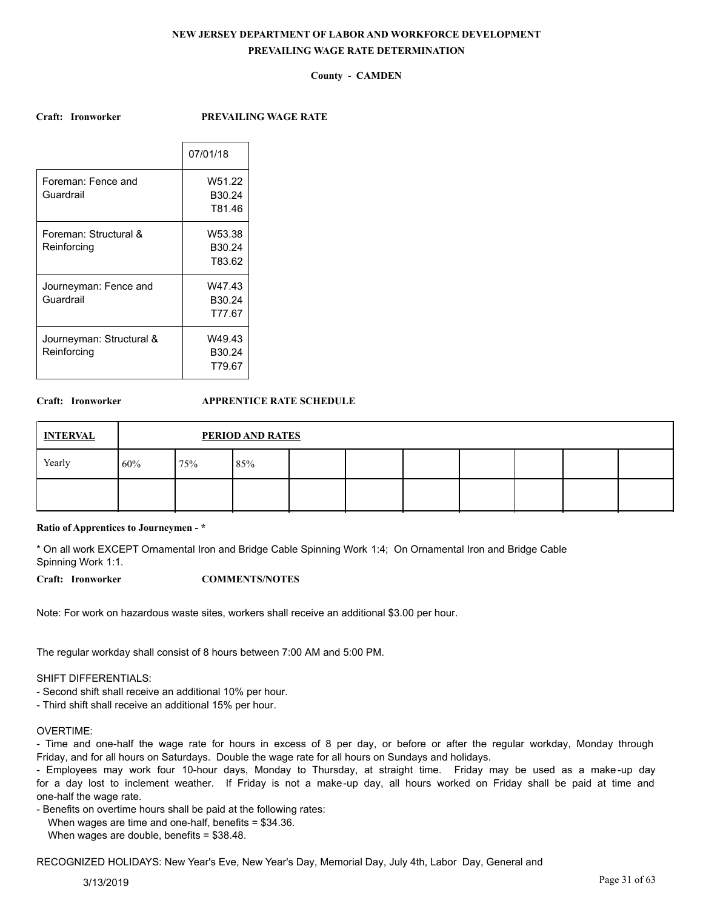## **County - CAMDEN**

**Craft: Ironworker PREVAILING WAGE RATE**

|                          | 07/01/18           |
|--------------------------|--------------------|
| Foreman: Fence and       | W51.22             |
| Guardrail                | B <sub>30.24</sub> |
|                          | T81.46             |
| Foreman: Structural &    | W53.38             |
| Reinforcing              | B <sub>30.24</sub> |
|                          | T83.62             |
| Journeyman: Fence and    | W47.43             |
| Guardrail                | B <sub>30.24</sub> |
|                          | T77.67             |
| Journeyman: Structural & | W49.43             |
| Reinforcing              | B <sub>30.24</sub> |
|                          | T79.67             |
|                          |                    |

### **Craft: Ironworker APPRENTICE RATE SCHEDULE**

| <b>INTERVAL</b> |     | <b>PERIOD AND RATES</b> |     |  |  |  |  |  |  |  |  |  |  |
|-----------------|-----|-------------------------|-----|--|--|--|--|--|--|--|--|--|--|
| Yearly          | 60% | 75%                     | 85% |  |  |  |  |  |  |  |  |  |  |
|                 |     |                         |     |  |  |  |  |  |  |  |  |  |  |

#### **Ratio of Apprentices to Journeymen - \***

\* On all work EXCEPT Ornamental Iron and Bridge Cable Spinning Work 1:4; On Ornamental Iron and Bridge Cable Spinning Work 1:1.

**Craft: Ironworker COMMENTS/NOTES**

Note: For work on hazardous waste sites, workers shall receive an additional \$3.00 per hour.

The regular workday shall consist of 8 hours between 7:00 AM and 5:00 PM.

### SHIFT DIFFERENTIALS:

- Second shift shall receive an additional 10% per hour.

- Third shift shall receive an additional 15% per hour.

#### OVERTIME:

- Time and one-half the wage rate for hours in excess of 8 per day, or before or after the regular workday, Monday through Friday, and for all hours on Saturdays. Double the wage rate for all hours on Sundays and holidays.

- Employees may work four 10-hour days, Monday to Thursday, at straight time. Friday may be used as a make -up day for a day lost to inclement weather. If Friday is not a make-up day, all hours worked on Friday shall be paid at time and one-half the wage rate.

- Benefits on overtime hours shall be paid at the following rates:

When wages are time and one-half, benefits = \$34.36.

When wages are double, benefits = \$38.48.

RECOGNIZED HOLIDAYS: New Year's Eve, New Year's Day, Memorial Day, July 4th, Labor Day, General and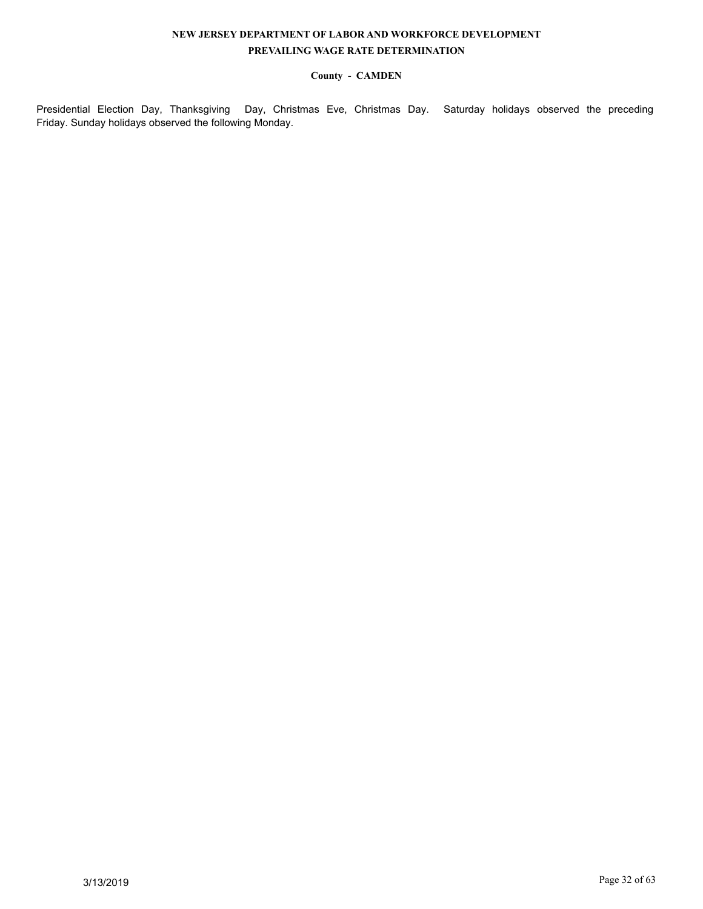# **County - CAMDEN**

Presidential Election Day, Thanksgiving Day, Christmas Eve, Christmas Day. Saturday holidays observed the preceding Friday. Sunday holidays observed the following Monday.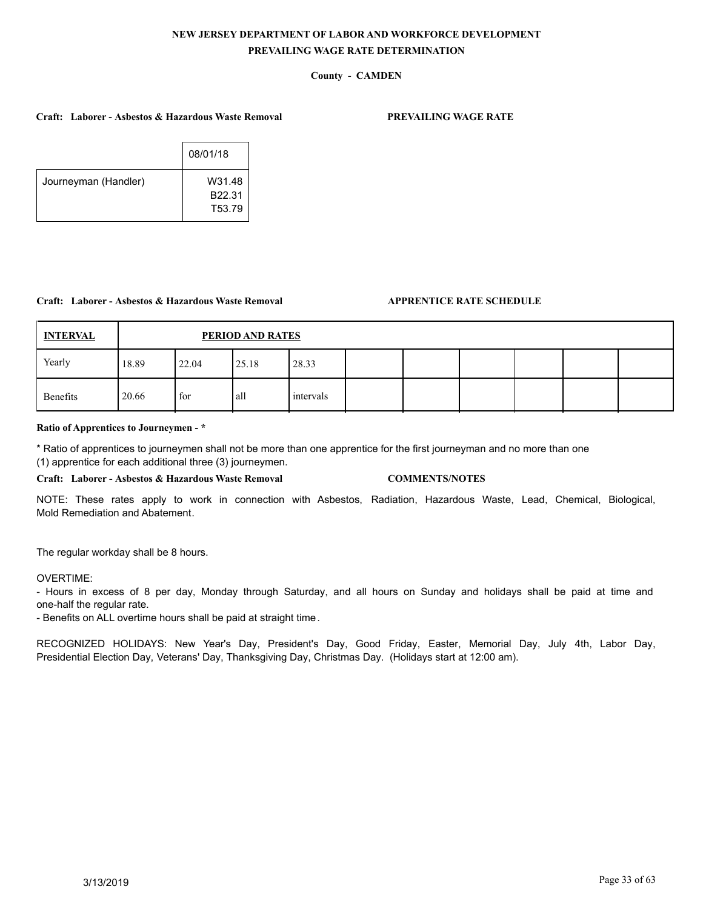# **County - CAMDEN**

### **Craft: Laborer - Asbestos & Hazardous Waste Removal PREVAILING WAGE RATE**

|                      | 08/01/18                   |  |
|----------------------|----------------------------|--|
| Journeyman (Handler) | W31.48<br>B22.31<br>T53.79 |  |
|                      |                            |  |

### **Craft: Laborer - Asbestos & Hazardous Waste Removal APPRENTICE RATE SCHEDULE**

| <b>INTERVAL</b> |       | PERIOD AND RATES |       |           |  |  |  |  |  |  |  |  |  |
|-----------------|-------|------------------|-------|-----------|--|--|--|--|--|--|--|--|--|
| Yearly          | 18.89 | 22.04            | 25.18 | 28.33     |  |  |  |  |  |  |  |  |  |
| Benefits        | 20.66 | for              | l all | intervals |  |  |  |  |  |  |  |  |  |

### **Ratio of Apprentices to Journeymen - \***

\* Ratio of apprentices to journeymen shall not be more than one apprentice for the first journeyman and no more than one (1) apprentice for each additional three (3) journeymen.

**Craft: Laborer - Asbestos & Hazardous Waste Removal COMMENTS/NOTES**

NOTE: These rates apply to work in connection with Asbestos, Radiation, Hazardous Waste, Lead, Chemical, Biological, Mold Remediation and Abatement.

The regular workday shall be 8 hours.

### OVERTIME:

- Hours in excess of 8 per day, Monday through Saturday, and all hours on Sunday and holidays shall be paid at time and one-half the regular rate.

- Benefits on ALL overtime hours shall be paid at straight time.

RECOGNIZED HOLIDAYS: New Year's Day, President's Day, Good Friday, Easter, Memorial Day, July 4th, Labor Day, Presidential Election Day, Veterans' Day, Thanksgiving Day, Christmas Day. (Holidays start at 12:00 am).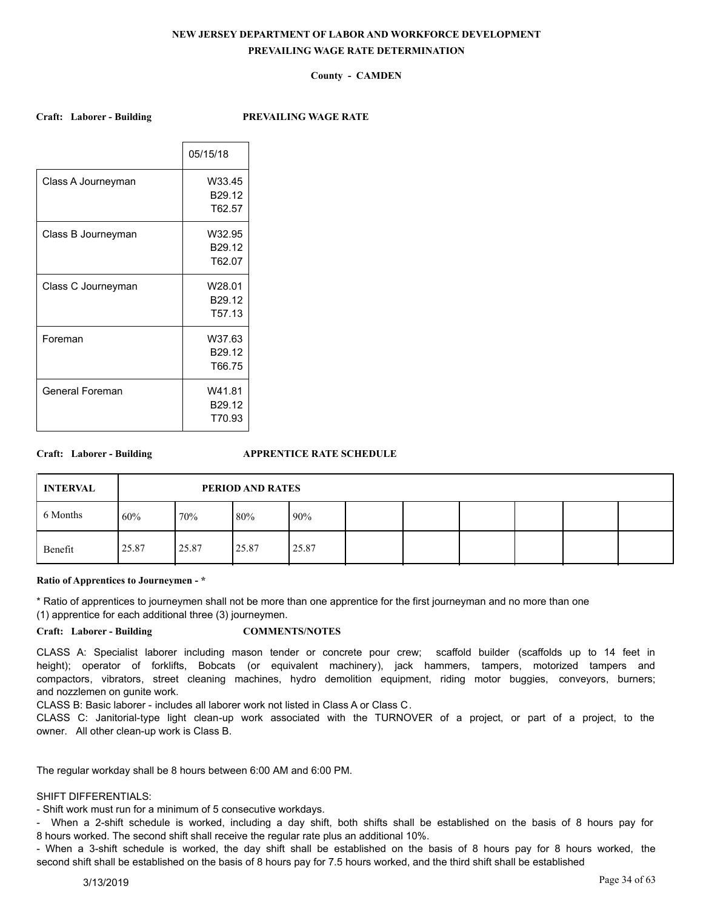# **County - CAMDEN**

### **Craft: Laborer - Building PREVAILING WAGE RATE**

|                    | 05/15/18           |
|--------------------|--------------------|
| Class A Journeyman | W33.45             |
|                    | B <sub>29.12</sub> |
|                    | T62.57             |
| Class B Journeyman | W32.95             |
|                    | B29.12             |
|                    | T62.07             |
| Class C Journeyman | W28.01             |
|                    | B29.12             |
|                    | T <sub>57.13</sub> |
| Foreman            | W37.63             |
|                    | B29.12             |
|                    | T66.75             |
| General Foreman    | W41.81             |
|                    | B <sub>29.12</sub> |
|                    | T70.93             |

### **Craft: Laborer - Building APPRENTICE RATE SCHEDULE**

| <b>INTERVAL</b> | PERIOD AND RATES |       |       |       |  |  |  |  |  |  |  |  |
|-----------------|------------------|-------|-------|-------|--|--|--|--|--|--|--|--|
| 6 Months        | 60%              | 70%   | 80%   | 90%   |  |  |  |  |  |  |  |  |
| Benefit         | 25.87            | 25.87 | 25.87 | 25.87 |  |  |  |  |  |  |  |  |

#### **Ratio of Apprentices to Journeymen - \***

\* Ratio of apprentices to journeymen shall not be more than one apprentice for the first journeyman and no more than one

(1) apprentice for each additional three (3) journeymen.

## **Craft: Laborer - Building COMMENTS/NOTES**

CLASS A: Specialist laborer including mason tender or concrete pour crew; scaffold builder (scaffolds up to 14 feet in height); operator of forklifts, Bobcats (or equivalent machinery), jack hammers, tampers, motorized tampers and compactors, vibrators, street cleaning machines, hydro demolition equipment, riding motor buggies, conveyors, burners; and nozzlemen on gunite work.

CLASS B: Basic laborer - includes all laborer work not listed in Class A or Class C.

CLASS C: Janitorial-type light clean-up work associated with the TURNOVER of a project, or part of a project, to the owner. All other clean-up work is Class B.

The regular workday shall be 8 hours between 6:00 AM and 6:00 PM.

## SHIFT DIFFERENTIALS:

- Shift work must run for a minimum of 5 consecutive workdays.

- When a 2-shift schedule is worked, including a day shift, both shifts shall be established on the basis of 8 hours pay for 8 hours worked. The second shift shall receive the regular rate plus an additional 10%.

- When a 3-shift schedule is worked, the day shift shall be established on the basis of 8 hours pay for 8 hours worked, the second shift shall be established on the basis of 8 hours pay for 7.5 hours worked, and the third shift shall be established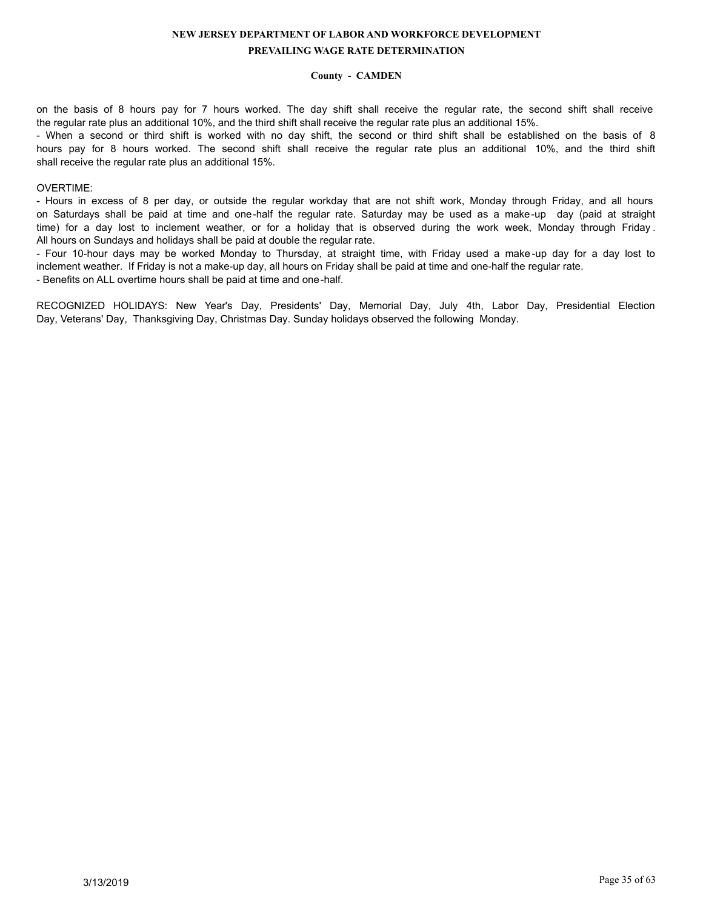## **County - CAMDEN**

on the basis of 8 hours pay for 7 hours worked. The day shift shall receive the regular rate, the second shift shall receive the regular rate plus an additional 10%, and the third shift shall receive the regular rate plus an additional 15%.

- When a second or third shift is worked with no day shift, the second or third shift shall be established on the basis of 8 hours pay for 8 hours worked. The second shift shall receive the regular rate plus an additional 10%, and the third shift shall receive the regular rate plus an additional 15%.

### OVERTIME:

- Hours in excess of 8 per day, or outside the regular workday that are not shift work, Monday through Friday, and all hours on Saturdays shall be paid at time and one-half the regular rate. Saturday may be used as a make-up day (paid at straight time) for a day lost to inclement weather, or for a holiday that is observed during the work week, Monday through Friday . All hours on Sundays and holidays shall be paid at double the regular rate.

- Four 10-hour days may be worked Monday to Thursday, at straight time, with Friday used a make -up day for a day lost to inclement weather. If Friday is not a make-up day, all hours on Friday shall be paid at time and one-half the regular rate. - Benefits on ALL overtime hours shall be paid at time and one-half.

RECOGNIZED HOLIDAYS: New Year's Day, Presidents' Day, Memorial Day, July 4th, Labor Day, Presidential Election Day, Veterans' Day, Thanksgiving Day, Christmas Day. Sunday holidays observed the following Monday.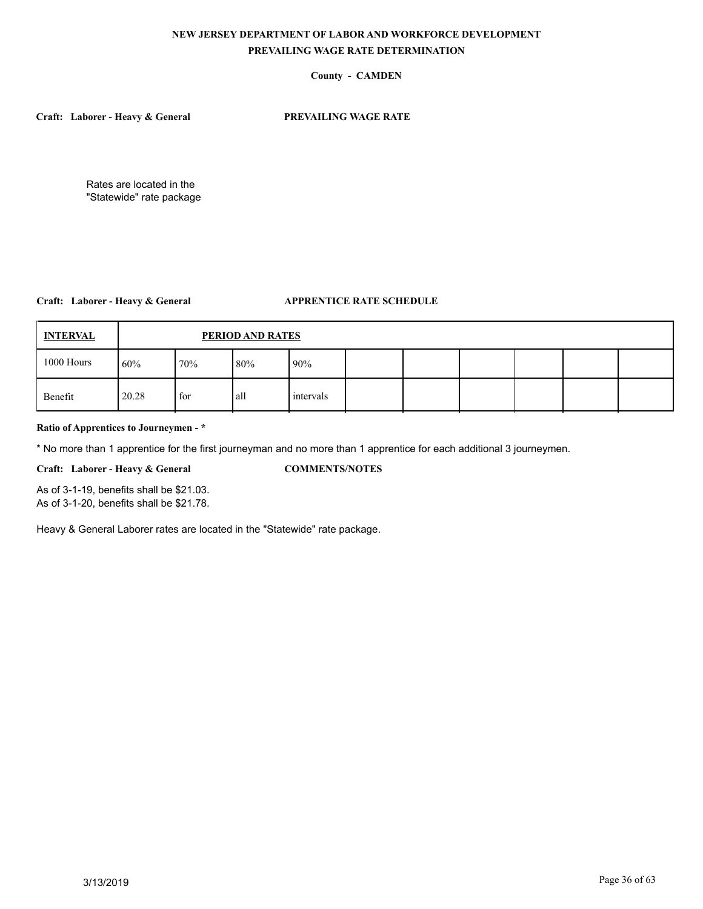# **County - CAMDEN**

**Craft: Laborer - Heavy & General PREVAILING WAGE RATE**

Rates are located in the "Statewide" rate package

# **Craft: Laborer - Heavy & General APPRENTICE RATE SCHEDULE**

| <b>INTERVAL</b> |       | PERIOD AND RATES |       |           |  |  |  |  |  |  |  |  |  |
|-----------------|-------|------------------|-------|-----------|--|--|--|--|--|--|--|--|--|
| 1000 Hours      | 60%   | 70%              | 80%   | 90%       |  |  |  |  |  |  |  |  |  |
| Benefit         | 20.28 | for              | l all | intervals |  |  |  |  |  |  |  |  |  |

## **Ratio of Apprentices to Journeymen - \***

\* No more than 1 apprentice for the first journeyman and no more than 1 apprentice for each additional 3 journeymen.

**Craft: Laborer - Heavy & General COMMENTS/NOTES**

As of 3-1-19, benefits shall be \$21.03. As of 3-1-20, benefits shall be \$21.78.

Heavy & General Laborer rates are located in the "Statewide" rate package.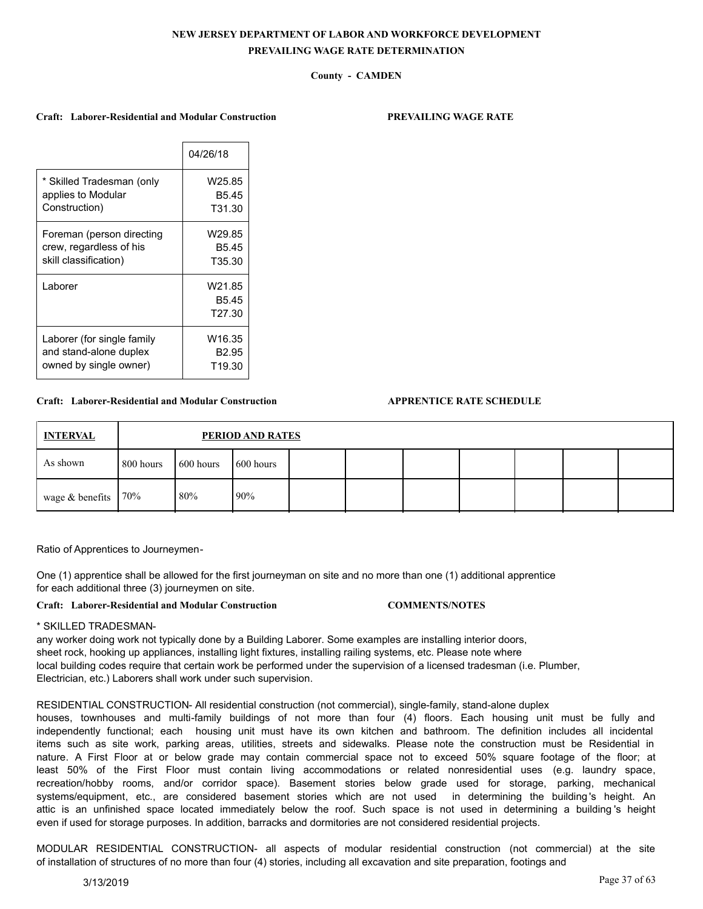## **County - CAMDEN**

#### **Craft: Laborer-Residential and Modular Construction PREVAILING WAGE RATE**

|                            | 04/26/18                                          |
|----------------------------|---------------------------------------------------|
| * Skilled Tradesman (only  | W25.85                                            |
| applies to Modular         | B <sub>5.45</sub>                                 |
| Construction)              | T31.30                                            |
| Foreman (person directing  | W29.85                                            |
| crew, regardless of his    | B <sub>5.45</sub>                                 |
| skill classification)      | T35.30                                            |
| Laborer                    | W21.85<br>B <sub>5.45</sub><br>T <sub>27.30</sub> |
| Laborer (for single family | W16.35                                            |
| and stand-alone duplex     | B <sub>2.95</sub>                                 |
| owned by single owner)     | T19.30                                            |

### **Craft: Laborer-Residential and Modular Construction APPRENTICE RATE SCHEDULE**

| <b>INTERVAL</b>         |           | PERIOD AND RATES |                    |  |  |  |  |  |  |  |
|-------------------------|-----------|------------------|--------------------|--|--|--|--|--|--|--|
| As shown                | 800 hours | 600 hours        | $\sqrt{600}$ hours |  |  |  |  |  |  |  |
| wage $&$ benefits   70% |           | 80%              | $190\%$            |  |  |  |  |  |  |  |

Ratio of Apprentices to Journeymen-

One (1) apprentice shall be allowed for the first journeyman on site and no more than one (1) additional apprentice for each additional three (3) journeymen on site.

**Craft: Laborer-Residential and Modular Construction COMMENTS/NOTES**

\* SKILLED TRADESMAN-

any worker doing work not typically done by a Building Laborer. Some examples are installing interior doors, sheet rock, hooking up appliances, installing light fixtures, installing railing systems, etc. Please note where local building codes require that certain work be performed under the supervision of a licensed tradesman (i.e. Plumber, Electrician, etc.) Laborers shall work under such supervision.

RESIDENTIAL CONSTRUCTION- All residential construction (not commercial), single-family, stand-alone duplex

houses, townhouses and multi-family buildings of not more than four (4) floors. Each housing unit must be fully and independently functional; each housing unit must have its own kitchen and bathroom. The definition includes all incidental items such as site work, parking areas, utilities, streets and sidewalks. Please note the construction must be Residential in nature. A First Floor at or below grade may contain commercial space not to exceed 50% square footage of the floor; at least 50% of the First Floor must contain living accommodations or related nonresidential uses (e.g. laundry space, recreation/hobby rooms, and/or corridor space). Basement stories below grade used for storage, parking, mechanical systems/equipment, etc., are considered basement stories which are not used in determining the building 's height. An attic is an unfinished space located immediately below the roof. Such space is not used in determining a building 's height even if used for storage purposes. In addition, barracks and dormitories are not considered residential projects.

MODULAR RESIDENTIAL CONSTRUCTION- all aspects of modular residential construction (not commercial) at the site of installation of structures of no more than four (4) stories, including all excavation and site preparation, footings and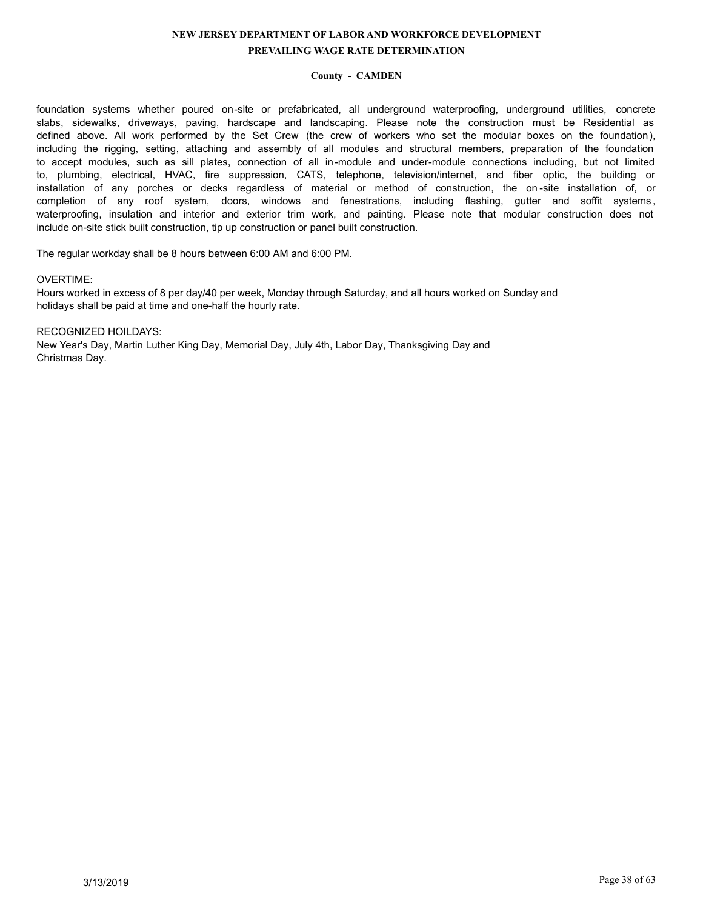## **County - CAMDEN**

foundation systems whether poured on-site or prefabricated, all underground waterproofing, underground utilities, concrete slabs, sidewalks, driveways, paving, hardscape and landscaping. Please note the construction must be Residential as defined above. All work performed by the Set Crew (the crew of workers who set the modular boxes on the foundation), including the rigging, setting, attaching and assembly of all modules and structural members, preparation of the foundation to accept modules, such as sill plates, connection of all in-module and under-module connections including, but not limited to, plumbing, electrical, HVAC, fire suppression, CATS, telephone, television/internet, and fiber optic, the building or installation of any porches or decks regardless of material or method of construction, the on -site installation of, or completion of any roof system, doors, windows and fenestrations, including flashing, gutter and soffit systems , waterproofing, insulation and interior and exterior trim work, and painting. Please note that modular construction does not include on-site stick built construction, tip up construction or panel built construction.

The regular workday shall be 8 hours between 6:00 AM and 6:00 PM.

### OVERTIME:

Hours worked in excess of 8 per day/40 per week, Monday through Saturday, and all hours worked on Sunday and holidays shall be paid at time and one-half the hourly rate.

RECOGNIZED HOILDAYS: New Year's Day, Martin Luther King Day, Memorial Day, July 4th, Labor Day, Thanksgiving Day and Christmas Day.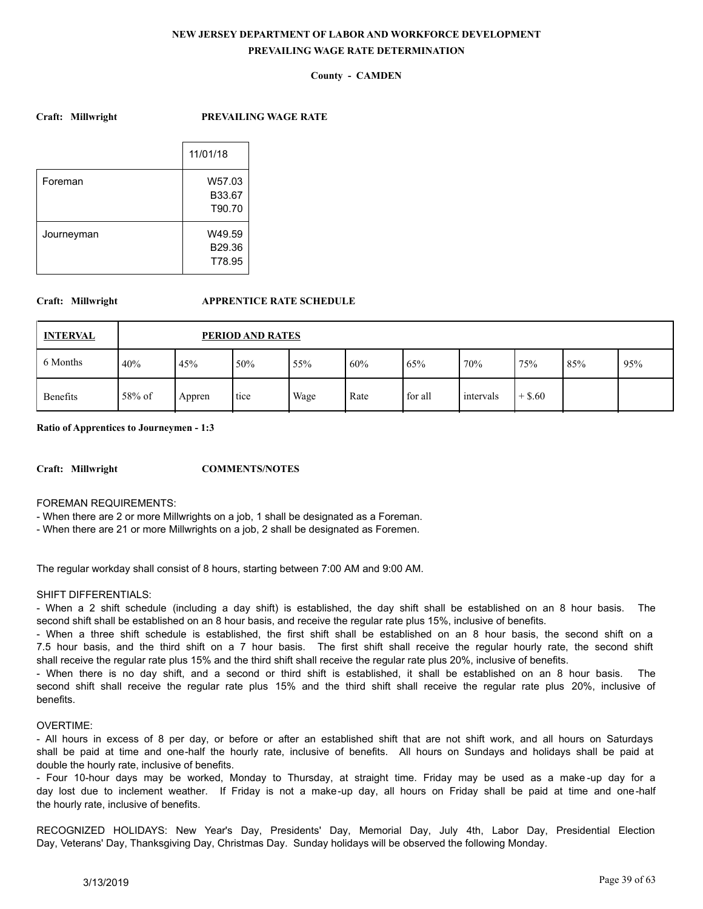## **County - CAMDEN**

**Craft: Millwright PREVAILING WAGE RATE**

|            | 11/01/18 |
|------------|----------|
| Foreman    | W57.03   |
|            | B33.67   |
|            | T90.70   |
| Journeyman | W49.59   |
|            | B29.36   |
|            | T78.95   |

## **Craft: Millwright APPRENTICE RATE SCHEDULE**

| <b>INTERVAL</b> |        | PERIOD AND RATES |      |      |      |         |           |           |     |     |  |
|-----------------|--------|------------------|------|------|------|---------|-----------|-----------|-----|-----|--|
| 6 Months        | 40%    | 45%              | 50%  | 55%  | 60%  | 65%     | 70%       | 75%       | 85% | 95% |  |
| <b>Benefits</b> | 58% of | Appren           | tice | Wage | Rate | for all | intervals | $+$ \$.60 |     |     |  |

**Ratio of Apprentices to Journeymen - 1:3**

**Craft: Millwright COMMENTS/NOTES**

FOREMAN REQUIREMENTS:

- When there are 2 or more Millwrights on a job, 1 shall be designated as a Foreman.

- When there are 21 or more Millwrights on a job, 2 shall be designated as Foremen.

The regular workday shall consist of 8 hours, starting between 7:00 AM and 9:00 AM.

## SHIFT DIFFERENTIALS:

- When a 2 shift schedule (including a day shift) is established, the day shift shall be established on an 8 hour basis. The second shift shall be established on an 8 hour basis, and receive the regular rate plus 15%, inclusive of benefits.

- When a three shift schedule is established, the first shift shall be established on an 8 hour basis, the second shift on a 7.5 hour basis, and the third shift on a 7 hour basis. The first shift shall receive the regular hourly rate, the second shift shall receive the regular rate plus 15% and the third shift shall receive the regular rate plus 20%, inclusive of benefits.

- When there is no day shift, and a second or third shift is established, it shall be established on an 8 hour basis. The second shift shall receive the regular rate plus 15% and the third shift shall receive the regular rate plus 20%, inclusive of benefits.

## OVERTIME:

- All hours in excess of 8 per day, or before or after an established shift that are not shift work, and all hours on Saturdays shall be paid at time and one-half the hourly rate, inclusive of benefits. All hours on Sundays and holidays shall be paid at double the hourly rate, inclusive of benefits.

- Four 10-hour days may be worked, Monday to Thursday, at straight time. Friday may be used as a make -up day for a day lost due to inclement weather. If Friday is not a make-up day, all hours on Friday shall be paid at time and one-half the hourly rate, inclusive of benefits.

RECOGNIZED HOLIDAYS: New Year's Day, Presidents' Day, Memorial Day, July 4th, Labor Day, Presidential Election Day, Veterans' Day, Thanksgiving Day, Christmas Day. Sunday holidays will be observed the following Monday.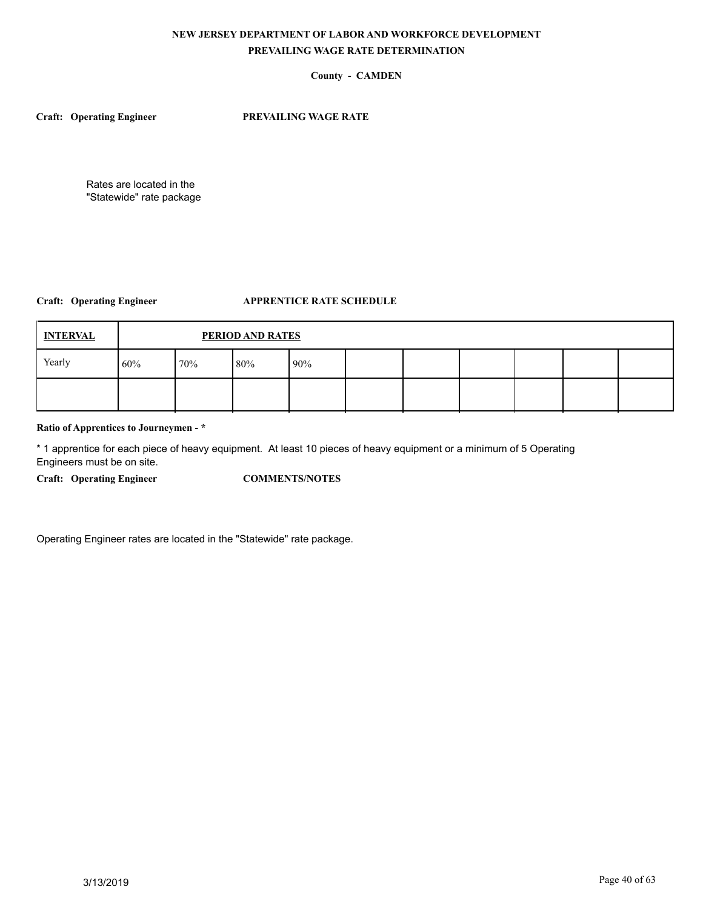## **County - CAMDEN**

**Craft: Operating Engineer PREVAILING WAGE RATE**

Rates are located in the "Statewide" rate package

## **Craft: Operating Engineer APPRENTICE RATE SCHEDULE**

| <b>INTERVAL</b> |     | PERIOD AND RATES  |  |  |  |  |  |  |  |  |  |
|-----------------|-----|-------------------|--|--|--|--|--|--|--|--|--|
| Yearly          | 60% | 80%<br>70%<br>90% |  |  |  |  |  |  |  |  |  |
|                 |     |                   |  |  |  |  |  |  |  |  |  |

### **Ratio of Apprentices to Journeymen - \***

\* 1 apprentice for each piece of heavy equipment. At least 10 pieces of heavy equipment or a minimum of 5 Operating Engineers must be on site.

**Craft: Operating Engineer COMMENTS/NOTES**

Operating Engineer rates are located in the "Statewide" rate package.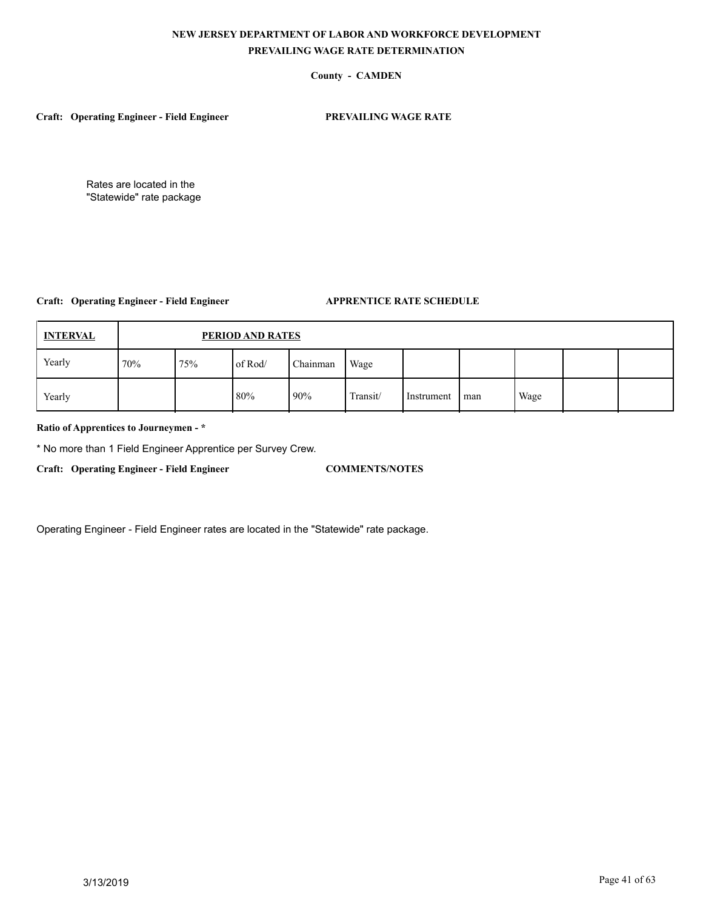## **County - CAMDEN**

**Craft: Operating Engineer - Field Engineer PREVAILING WAGE RATE**

Rates are located in the "Statewide" rate package

## **Craft: Operating Engineer - Field Engineer APPRENTICE RATE SCHEDULE**

| <b>INTERVAL</b> |     | PERIOD AND RATES                   |     |     |          |            |     |      |  |  |  |
|-----------------|-----|------------------------------------|-----|-----|----------|------------|-----|------|--|--|--|
| Yearly          | 70% | Chainman<br>75%<br>of Rod/<br>Wage |     |     |          |            |     |      |  |  |  |
| Yearly          |     |                                    | 80% | 90% | Transit/ | Instrument | man | Wage |  |  |  |

## **Ratio of Apprentices to Journeymen - \***

\* No more than 1 Field Engineer Apprentice per Survey Crew.

**Craft: Operating Engineer - Field Engineer COMMENTS/NOTES**

Operating Engineer - Field Engineer rates are located in the "Statewide" rate package.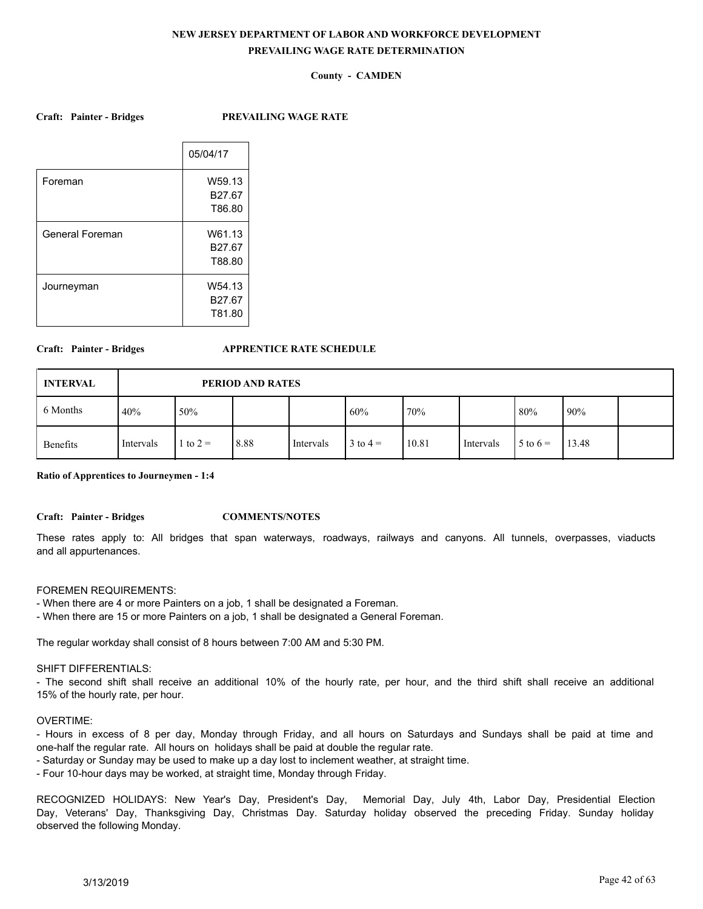## **County - CAMDEN**

**Craft: Painter - Bridges PREVAILING WAGE RATE**

|                 | 05/04/17           |
|-----------------|--------------------|
| Foreman         | W59.13             |
|                 | B <sub>27.67</sub> |
|                 | T86.80             |
| General Foreman | W61.13             |
|                 | B <sub>27.67</sub> |
|                 | T88.80             |
| Journeyman      | W54.13             |
|                 | B <sub>27.67</sub> |
|                 | T81.80             |
|                 |                    |

#### **Craft: Painter - Bridges APPRENTICE RATE SCHEDULE**

| <b>INTERVAL</b> |           | PERIOD AND RATES |      |           |              |       |           |                     |       |  |
|-----------------|-----------|------------------|------|-----------|--------------|-------|-----------|---------------------|-------|--|
| 6 Months        | 40%       | 50%              |      |           | 60%          | 170%  |           | 80%                 | 90%   |  |
| <b>Benefits</b> | Intervals | 1 to $2 =$       | 8.88 | Intervals | $3$ to $4 =$ | 10.81 | Intervals | $5 \text{ to } 6 =$ | 13.48 |  |

**Ratio of Apprentices to Journeymen - 1:4**

**Craft: Painter - Bridges COMMENTS/NOTES**

These rates apply to: All bridges that span waterways, roadways, railways and canyons. All tunnels, overpasses, viaducts and all appurtenances.

#### FOREMEN REQUIREMENTS:

- When there are 4 or more Painters on a job, 1 shall be designated a Foreman.

- When there are 15 or more Painters on a job, 1 shall be designated a General Foreman.

The regular workday shall consist of 8 hours between 7:00 AM and 5:30 PM.

## SHIFT DIFFERENTIALS:

- The second shift shall receive an additional 10% of the hourly rate, per hour, and the third shift shall receive an additional 15% of the hourly rate, per hour.

#### OVERTIME:

- Hours in excess of 8 per day, Monday through Friday, and all hours on Saturdays and Sundays shall be paid at time and one-half the regular rate. All hours on holidays shall be paid at double the regular rate.

- Saturday or Sunday may be used to make up a day lost to inclement weather, at straight time.

- Four 10-hour days may be worked, at straight time, Monday through Friday.

RECOGNIZED HOLIDAYS: New Year's Day, President's Day, Memorial Day, July 4th, Labor Day, Presidential Election Day, Veterans' Day, Thanksgiving Day, Christmas Day. Saturday holiday observed the preceding Friday. Sunday holiday observed the following Monday.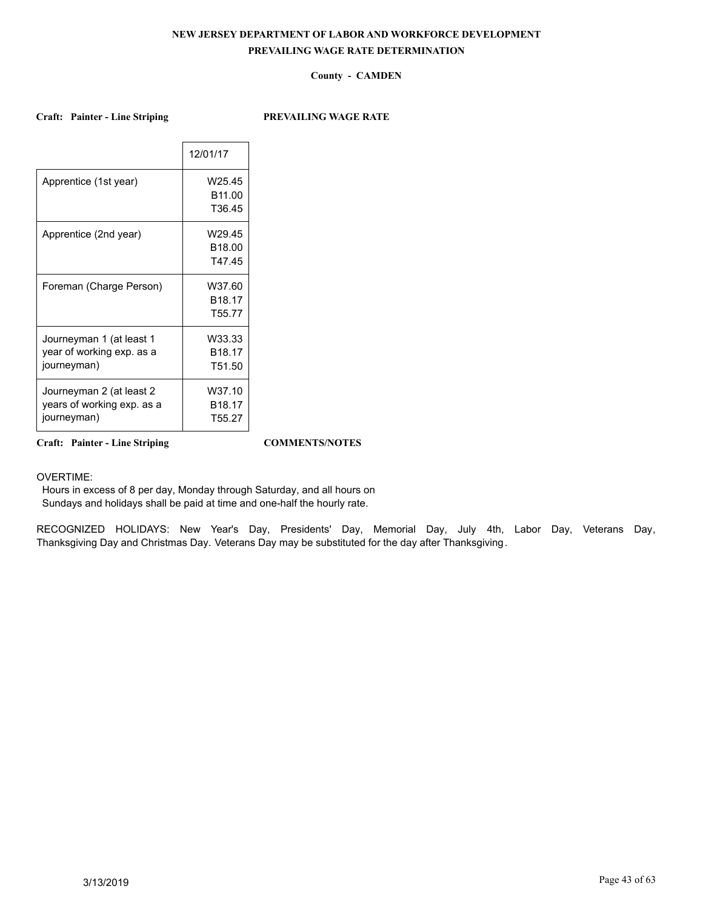## **County - CAMDEN**

**Craft: Painter - Line Striping PREVAILING WAGE RATE**

|                                                                       | 12/01/17                                           |
|-----------------------------------------------------------------------|----------------------------------------------------|
| Apprentice (1st year)                                                 | W25.45<br>B <sub>11.00</sub><br>T36.45             |
| Apprentice (2nd year)                                                 | W29.45<br>B <sub>18.00</sub><br>T47.45             |
| Foreman (Charge Person)                                               | W37.60<br>B <sub>18.17</sub><br>T <sub>55.77</sub> |
| Journeyman 1 (at least 1<br>year of working exp. as a<br>journeyman)  | W33.33<br>B <sub>18.17</sub><br>T51.50             |
| Journeyman 2 (at least 2<br>years of working exp. as a<br>journeyman) | W37.10<br>B <sub>18.17</sub><br>T55.27             |

**Craft: Painter - Line Striping COMMENTS/NOTES**

OVERTIME:

 Hours in excess of 8 per day, Monday through Saturday, and all hours on Sundays and holidays shall be paid at time and one-half the hourly rate.

RECOGNIZED HOLIDAYS: New Year's Day, Presidents' Day, Memorial Day, July 4th, Labor Day, Veterans Day, Thanksgiving Day and Christmas Day. Veterans Day may be substituted for the day after Thanksgiving.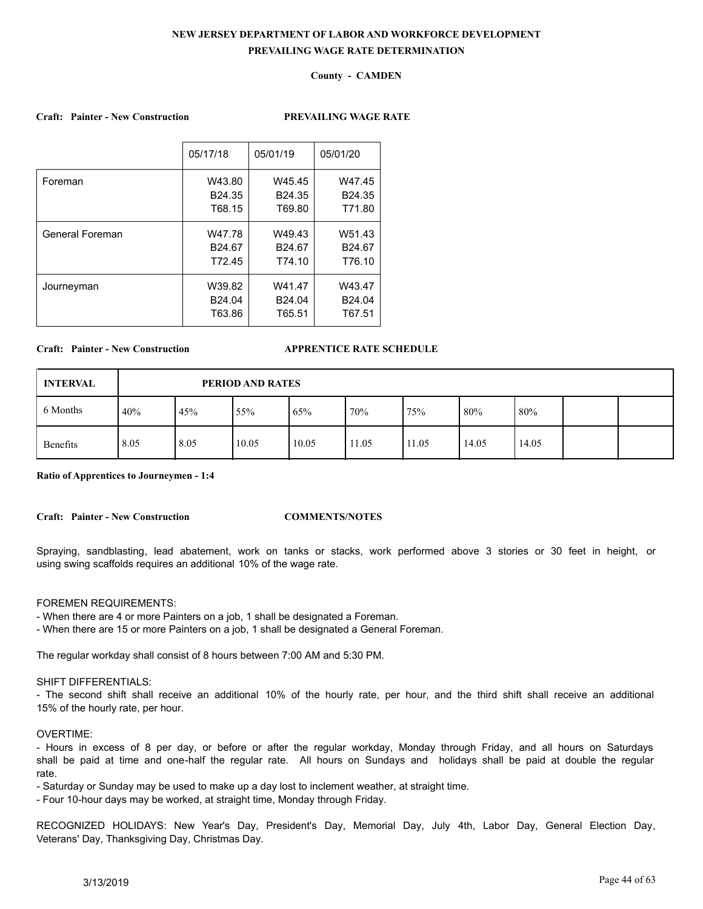## **County - CAMDEN**

### **Craft: Painter - New Construction PREVAILING WAGE RATE**

|                 | 05/17/18           | 05/01/19           | 05/01/20           |
|-----------------|--------------------|--------------------|--------------------|
| Foreman         | W43.80             | W45.45             | W47.45             |
|                 | B <sub>24.35</sub> | B <sub>24.35</sub> | B <sub>24.35</sub> |
|                 | T68.15             | T69.80             | T71.80             |
| General Foreman | W47.78             | W49.43             | W51.43             |
|                 | B24.67             | B <sub>24.67</sub> | B24.67             |
|                 | T72.45             | T74.10             | T76.10             |
| Journeyman      | W39.82             | W41.47             | W43.47             |
|                 | B24.04             | B24.04             | B24.04             |
|                 | T63.86             | T65.51             | T67.51             |
|                 |                    |                    |                    |

#### **Craft: Painter - New Construction APPRENTICE RATE SCHEDULE**

| <b>INTERVAL</b> |      | PERIOD AND RATES |       |       |       |       |        |       |  |  |
|-----------------|------|------------------|-------|-------|-------|-------|--------|-------|--|--|
| 6 Months        | 40%  | 45%              | 55%   | 65%   | 70%   | 75%   | $80\%$ | 80%   |  |  |
| Benefits        | 8.05 | 8.05             | 10.05 | 10.05 | 11.05 | 11.05 | 14.05  | 14.05 |  |  |

**Ratio of Apprentices to Journeymen - 1:4**

**Craft: Painter - New Construction COMMENTS/NOTES**

Spraying, sandblasting, lead abatement, work on tanks or stacks, work performed above 3 stories or 30 feet in height, or using swing scaffolds requires an additional 10% of the wage rate.

## FOREMEN REQUIREMENTS:

- When there are 4 or more Painters on a job, 1 shall be designated a Foreman.

- When there are 15 or more Painters on a job, 1 shall be designated a General Foreman.

The regular workday shall consist of 8 hours between 7:00 AM and 5:30 PM.

## SHIFT DIFFERENTIALS:

- The second shift shall receive an additional 10% of the hourly rate, per hour, and the third shift shall receive an additional 15% of the hourly rate, per hour.

## OVERTIME:

- Hours in excess of 8 per day, or before or after the regular workday, Monday through Friday, and all hours on Saturdays shall be paid at time and one-half the regular rate. All hours on Sundays and holidays shall be paid at double the regular rate.

- Saturday or Sunday may be used to make up a day lost to inclement weather, at straight time.

- Four 10-hour days may be worked, at straight time, Monday through Friday.

RECOGNIZED HOLIDAYS: New Year's Day, President's Day, Memorial Day, July 4th, Labor Day, General Election Day, Veterans' Day, Thanksgiving Day, Christmas Day.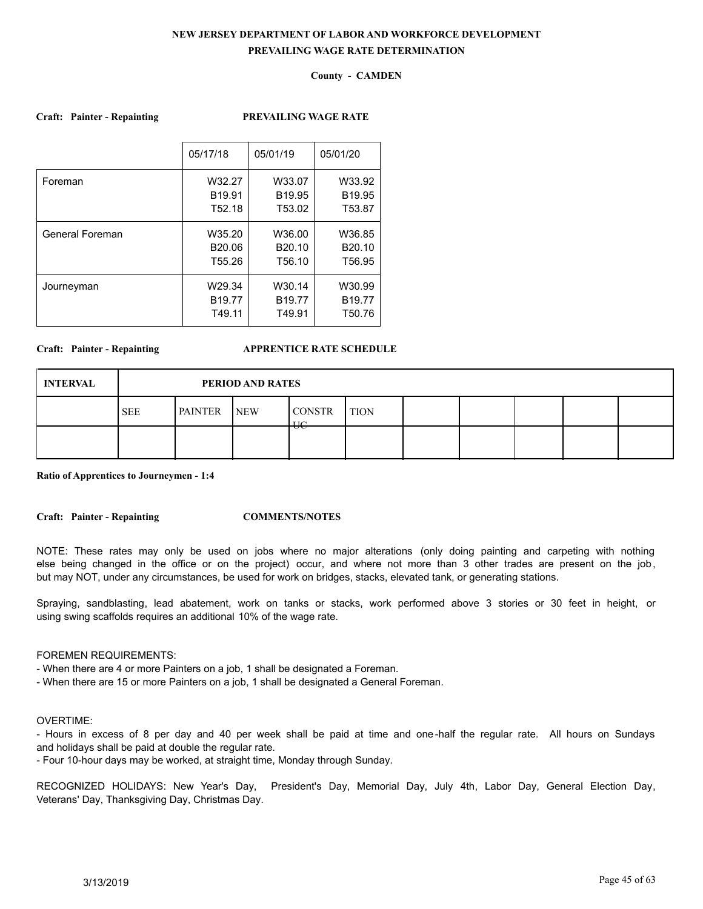## **County - CAMDEN**

#### **Craft: Painter - Repainting PREVAILING WAGE RATE**

|                 | 05/17/18           | 05/01/19           | 05/01/20           |
|-----------------|--------------------|--------------------|--------------------|
| Foreman         | W32.27             | W33.07             | W33.92             |
|                 | B <sub>19.91</sub> | B <sub>19.95</sub> | B <sub>19.95</sub> |
|                 | T52.18             | T53.02             | T53.87             |
| General Foreman | W35.20             | W36.00             | W36.85             |
|                 | B20.06             | B <sub>20.10</sub> | B <sub>20.10</sub> |
|                 | T <sub>55.26</sub> | T56.10             | T <sub>56.95</sub> |
| Journeyman      | W29.34             | W30.14             | W30.99             |
|                 | B <sub>19.77</sub> | B <sub>19.77</sub> | B <sub>19.77</sub> |
|                 | T49.11             | T49.91             | T50.76             |
|                 |                    |                    |                    |

#### **Craft: Painter - Repainting APPRENTICE RATE SCHEDULE**

| <b>INTERVAL</b> |            | PERIOD AND RATES |            |                                  |             |  |  |  |  |  |  |
|-----------------|------------|------------------|------------|----------------------------------|-------------|--|--|--|--|--|--|
|                 | <b>SEE</b> | <b>PAINTER</b>   | <b>NEW</b> | <b>CONSTR</b><br>$\overline{11}$ | <b>TION</b> |  |  |  |  |  |  |
|                 |            |                  |            | ᠊ᠣᡄ                              |             |  |  |  |  |  |  |

**Ratio of Apprentices to Journeymen - 1:4**

**Craft: Painter - Repainting COMMENTS/NOTES**

NOTE: These rates may only be used on jobs where no major alterations (only doing painting and carpeting with nothing else being changed in the office or on the project) occur, and where not more than 3 other trades are present on the job, but may NOT, under any circumstances, be used for work on bridges, stacks, elevated tank, or generating stations.

Spraying, sandblasting, lead abatement, work on tanks or stacks, work performed above 3 stories or 30 feet in height, or using swing scaffolds requires an additional 10% of the wage rate.

## FOREMEN REQUIREMENTS:

- When there are 4 or more Painters on a job, 1 shall be designated a Foreman.

- When there are 15 or more Painters on a job, 1 shall be designated a General Foreman.

### OVERTIME:

- Hours in excess of 8 per day and 40 per week shall be paid at time and one -half the regular rate. All hours on Sundays and holidays shall be paid at double the regular rate.

- Four 10-hour days may be worked, at straight time, Monday through Sunday.

RECOGNIZED HOLIDAYS: New Year's Day, President's Day, Memorial Day, July 4th, Labor Day, General Election Day, Veterans' Day, Thanksgiving Day, Christmas Day.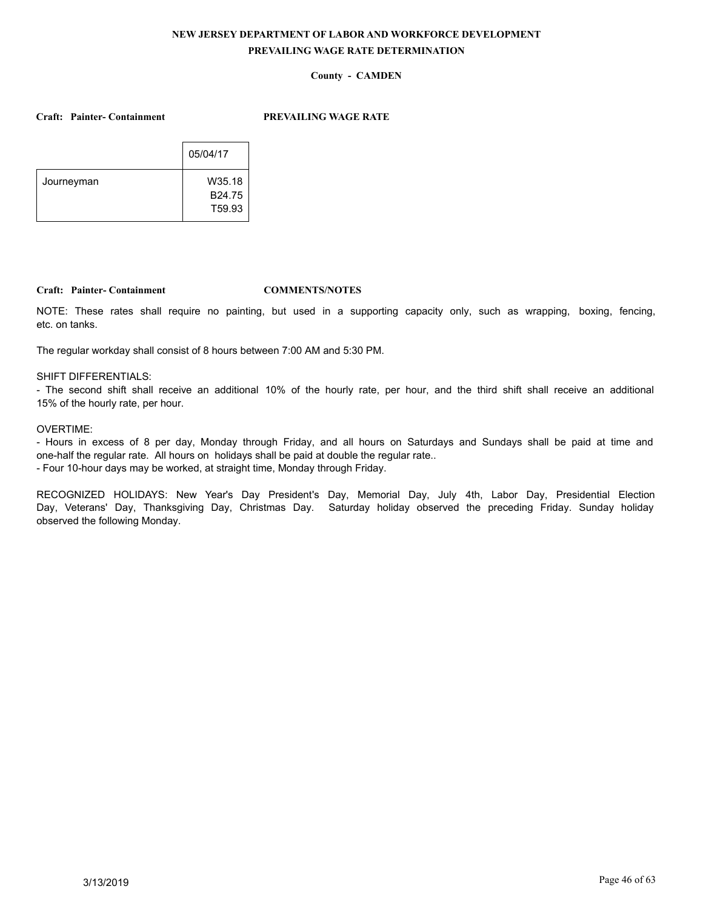## **County - CAMDEN**

**Craft: Painter- Containment PREVAILING WAGE RATE**

|            | 05/04/17           |
|------------|--------------------|
| Journeyman | W35.18             |
|            | B24.75             |
|            | T <sub>59.93</sub> |

## **Craft: Painter- Containment COMMENTS/NOTES**

NOTE: These rates shall require no painting, but used in a supporting capacity only, such as wrapping, boxing, fencing, etc. on tanks.

The regular workday shall consist of 8 hours between 7:00 AM and 5:30 PM.

### SHIFT DIFFERENTIALS:

- The second shift shall receive an additional 10% of the hourly rate, per hour, and the third shift shall receive an additional 15% of the hourly rate, per hour.

## OVERTIME:

- Hours in excess of 8 per day, Monday through Friday, and all hours on Saturdays and Sundays shall be paid at time and one-half the regular rate. All hours on holidays shall be paid at double the regular rate.. - Four 10-hour days may be worked, at straight time, Monday through Friday.

RECOGNIZED HOLIDAYS: New Year's Day President's Day, Memorial Day, July 4th, Labor Day, Presidential Election Day, Veterans' Day, Thanksgiving Day, Christmas Day. Saturday holiday observed the preceding Friday. Sunday holiday observed the following Monday.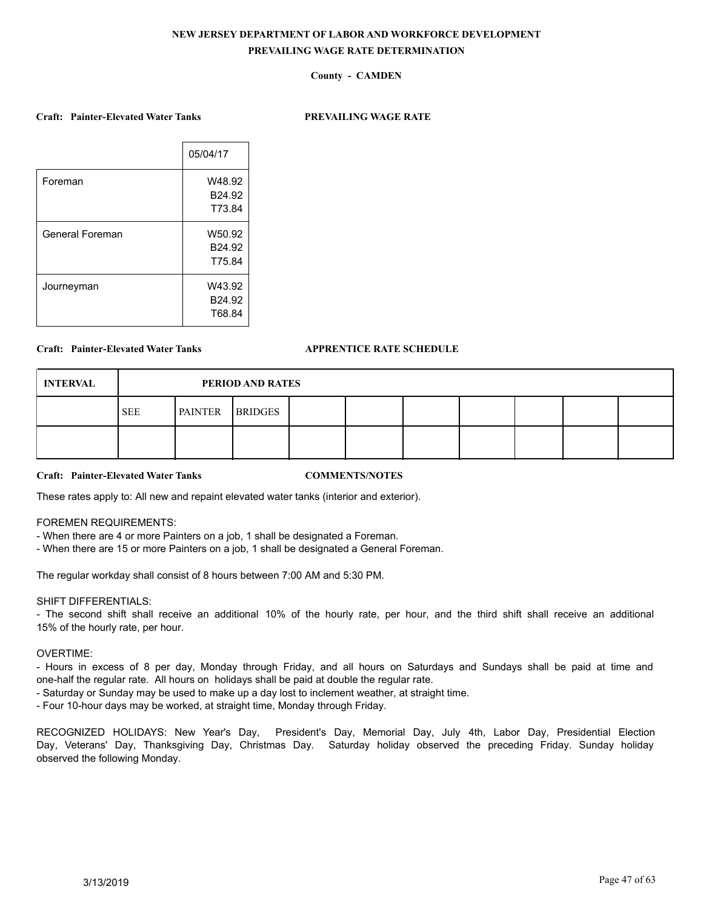## **County - CAMDEN**

### **Craft: Painter-Elevated Water Tanks PREVAILING WAGE RATE**

|                 | 05/04/17 |
|-----------------|----------|
| Foreman         | W48.92   |
|                 | B24.92   |
|                 | T73.84   |
| General Foreman | W50.92   |
|                 | B24.92   |
|                 | T75.84   |
| Journeyman      | W43.92   |
|                 | B24.92   |
|                 | T68.84   |

#### **Craft: Painter-Elevated Water Tanks APPRENTICE RATE SCHEDULE**

| <b>INTERVAL</b> |            | PERIOD AND RATES |                |  |  |  |  |  |  |  |  |
|-----------------|------------|------------------|----------------|--|--|--|--|--|--|--|--|
|                 | <b>SEE</b> | <b>PAINTER</b>   | <b>BRIDGES</b> |  |  |  |  |  |  |  |  |
|                 |            |                  |                |  |  |  |  |  |  |  |  |

**Craft: Painter-Elevated Water Tanks COMMENTS/NOTES**

These rates apply to: All new and repaint elevated water tanks (interior and exterior).

### FOREMEN REQUIREMENTS:

- When there are 4 or more Painters on a job, 1 shall be designated a Foreman.
- When there are 15 or more Painters on a job, 1 shall be designated a General Foreman.

The regular workday shall consist of 8 hours between 7:00 AM and 5:30 PM.

## SHIFT DIFFERENTIALS:

- The second shift shall receive an additional 10% of the hourly rate, per hour, and the third shift shall receive an additional 15% of the hourly rate, per hour.

#### OVERTIME:

- Hours in excess of 8 per day, Monday through Friday, and all hours on Saturdays and Sundays shall be paid at time and one-half the regular rate. All hours on holidays shall be paid at double the regular rate.

- Saturday or Sunday may be used to make up a day lost to inclement weather, at straight time.

- Four 10-hour days may be worked, at straight time, Monday through Friday.

RECOGNIZED HOLIDAYS: New Year's Day, President's Day, Memorial Day, July 4th, Labor Day, Presidential Election Day, Veterans' Day, Thanksgiving Day, Christmas Day. Saturday holiday observed the preceding Friday. Sunday holiday observed the following Monday.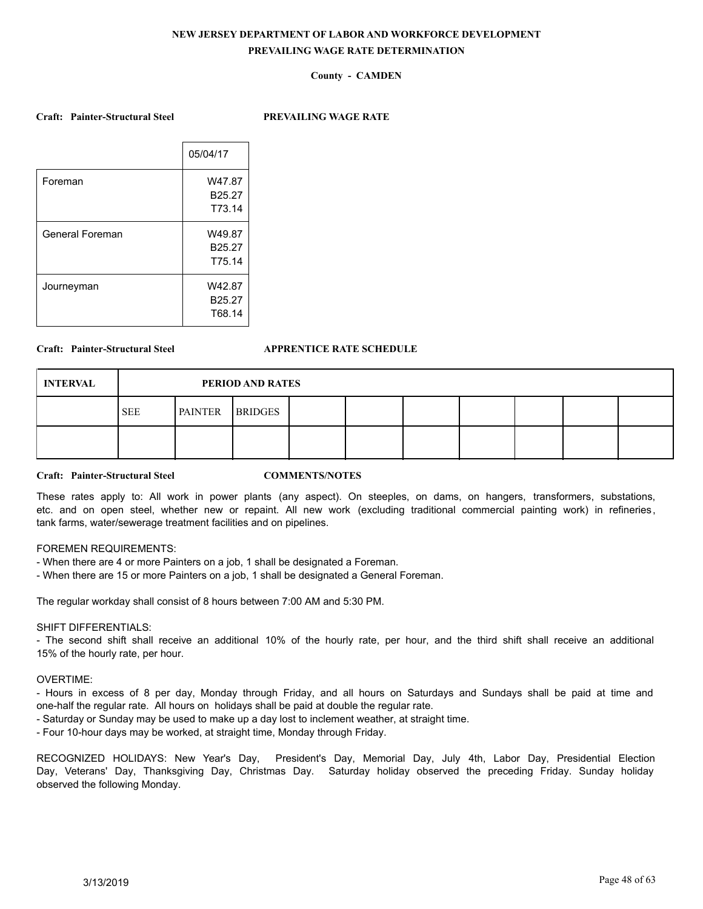## **County - CAMDEN**

**Craft: Painter-Structural Steel PREVAILING WAGE RATE**

|                 | 05/04/17           |
|-----------------|--------------------|
| Foreman         | W47.87             |
|                 | B <sub>25.27</sub> |
|                 | T73.14             |
| General Foreman | W49.87             |
|                 | B25.27             |
|                 | T75.14             |
| Journeyman      | W42.87             |
|                 | B <sub>25.27</sub> |
|                 | T68.14             |
|                 |                    |

### **Craft: Painter-Structural Steel APPRENTICE RATE SCHEDULE**

| <b>INTERVAL</b> |            | PERIOD AND RATES |                |  |  |  |  |  |  |  |  |
|-----------------|------------|------------------|----------------|--|--|--|--|--|--|--|--|
|                 | <b>SEE</b> | <b>PAINTER</b>   | <b>BRIDGES</b> |  |  |  |  |  |  |  |  |
|                 |            |                  |                |  |  |  |  |  |  |  |  |

**Craft: Painter-Structural Steel COMMENTS/NOTES**

These rates apply to: All work in power plants (any aspect). On steeples, on dams, on hangers, transformers, substations, etc. and on open steel, whether new or repaint. All new work (excluding traditional commercial painting work) in refineries, tank farms, water/sewerage treatment facilities and on pipelines.

## FOREMEN REQUIREMENTS:

- When there are 4 or more Painters on a job, 1 shall be designated a Foreman.

- When there are 15 or more Painters on a job, 1 shall be designated a General Foreman.

The regular workday shall consist of 8 hours between 7:00 AM and 5:30 PM.

## SHIFT DIFFERENTIALS:

- The second shift shall receive an additional 10% of the hourly rate, per hour, and the third shift shall receive an additional 15% of the hourly rate, per hour.

#### OVERTIME:

- Hours in excess of 8 per day, Monday through Friday, and all hours on Saturdays and Sundays shall be paid at time and one-half the regular rate. All hours on holidays shall be paid at double the regular rate.

- Saturday or Sunday may be used to make up a day lost to inclement weather, at straight time.
- Four 10-hour days may be worked, at straight time, Monday through Friday.

RECOGNIZED HOLIDAYS: New Year's Day, President's Day, Memorial Day, July 4th, Labor Day, Presidential Election Day, Veterans' Day, Thanksgiving Day, Christmas Day. Saturday holiday observed the preceding Friday. Sunday holiday observed the following Monday.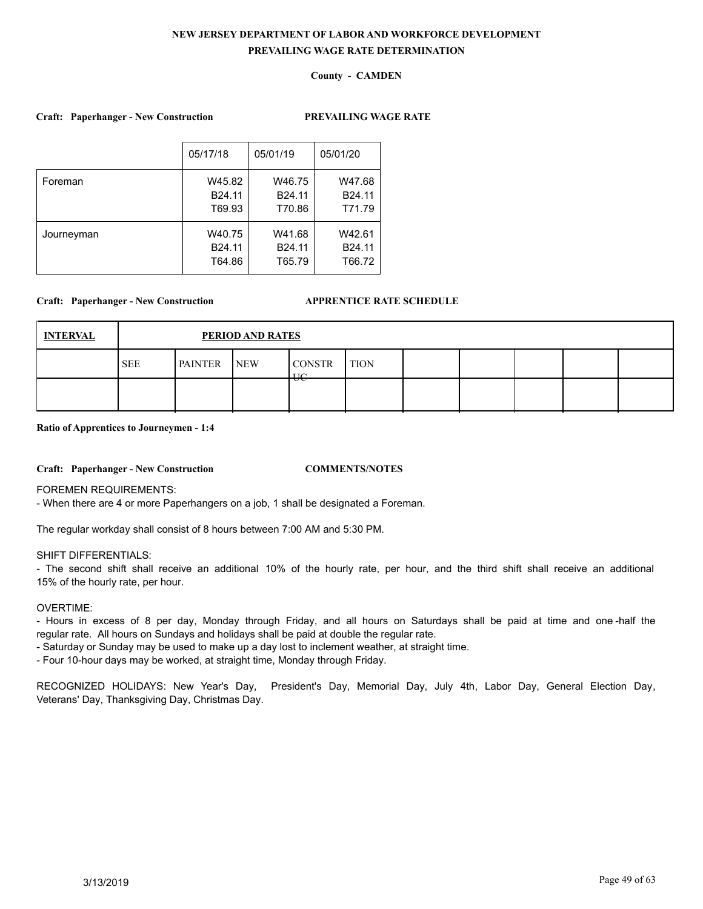## **County - CAMDEN**

## **Craft: Paperhanger - New Construction PREVAILING WAGE RATE**

|            | 05/17/18           | 05/01/19 | 05/01/20           |
|------------|--------------------|----------|--------------------|
| Foreman    | W45.82             | W46.75   | W47.68             |
|            | B <sub>24.11</sub> | B24.11   | B <sub>24.11</sub> |
|            | T69.93             | T70.86   | T71.79             |
| Journeyman | W40.75             | W41.68   | W42.61             |
|            | B <sub>24.11</sub> | B24.11   | B <sub>24.11</sub> |
|            | T64.86             | T65.79   | T66.72             |

### **Craft: Paperhanger - New Construction APPRENTICE RATE SCHEDULE**

| <b>INTERVAL</b> |            | PERIOD AND RATES |            |                                        |             |  |  |  |  |  |  |
|-----------------|------------|------------------|------------|----------------------------------------|-------------|--|--|--|--|--|--|
|                 | <b>SEE</b> | <b>PAINTER</b>   | <b>NEW</b> | <b>CONSTR</b><br>$\mathbf{H}^{\prime}$ | <b>TION</b> |  |  |  |  |  |  |
|                 |            |                  |            | ᠊ᠣᡄ                                    |             |  |  |  |  |  |  |

#### **Ratio of Apprentices to Journeymen - 1:4**

#### **Craft: Paperhanger - New Construction COMMENTS/NOTES**

FOREMEN REQUIREMENTS:

- When there are 4 or more Paperhangers on a job, 1 shall be designated a Foreman.

The regular workday shall consist of 8 hours between 7:00 AM and 5:30 PM.

## SHIFT DIFFERENTIALS:

- The second shift shall receive an additional 10% of the hourly rate, per hour, and the third shift shall receive an additional 15% of the hourly rate, per hour.

## OVERTIME:

- Hours in excess of 8 per day, Monday through Friday, and all hours on Saturdays shall be paid at time and one -half the regular rate. All hours on Sundays and holidays shall be paid at double the regular rate.

- Saturday or Sunday may be used to make up a day lost to inclement weather, at straight time.

- Four 10-hour days may be worked, at straight time, Monday through Friday.

RECOGNIZED HOLIDAYS: New Year's Day, President's Day, Memorial Day, July 4th, Labor Day, General Election Day, Veterans' Day, Thanksgiving Day, Christmas Day.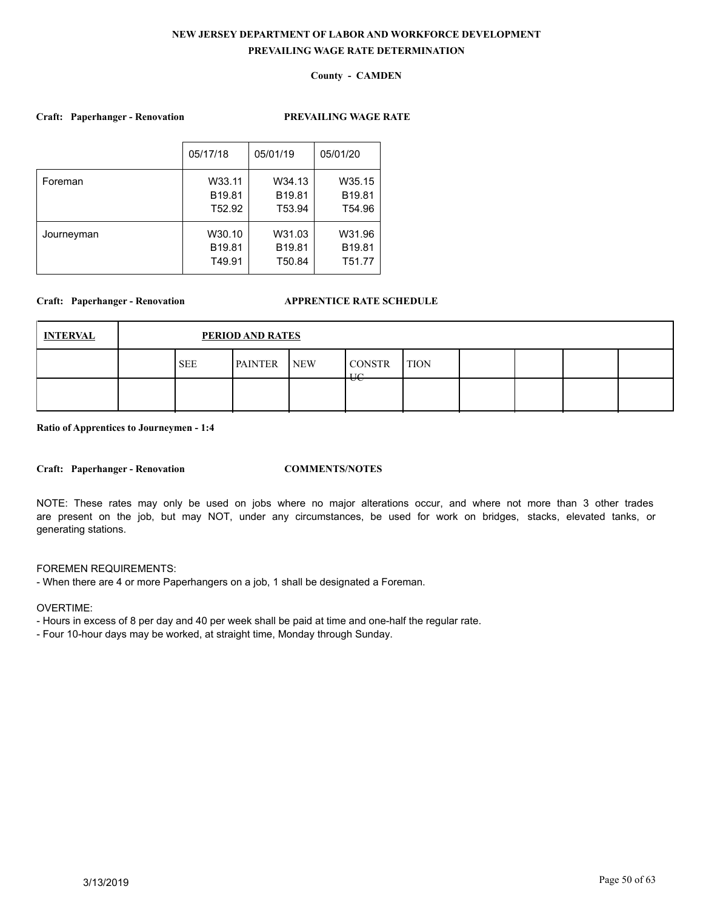## **County - CAMDEN**

## **Craft: Paperhanger - Renovation PREVAILING WAGE RATE**

|            | 05/17/18           | 05/01/19           | 05/01/20           |
|------------|--------------------|--------------------|--------------------|
| Foreman    | W33.11             | W34.13             | W35.15             |
|            | B <sub>19.81</sub> | B <sub>19.81</sub> | B <sub>19.81</sub> |
|            | T52.92             | T53.94             | T54.96             |
| Journeyman | W30.10             | W31.03             | W31.96             |
|            | B <sub>19.81</sub> | B <sub>19.81</sub> | B <sub>19.81</sub> |
|            | T49.91             | T50.84             | T51.77             |

## **Craft: Paperhanger - Renovation APPRENTICE RATE SCHEDULE**

| <b>INTERVAL</b> | PERIOD AND RATES<br><b>PAINTER</b><br><b>CONSTR</b><br><b>SEE</b><br><b>NEW</b><br><b>TION</b><br><b>TIC</b><br>᠊ᠣᡄ |  |  |  |  |  |  |  |  |
|-----------------|---------------------------------------------------------------------------------------------------------------------|--|--|--|--|--|--|--|--|
|                 |                                                                                                                     |  |  |  |  |  |  |  |  |
|                 |                                                                                                                     |  |  |  |  |  |  |  |  |

**Ratio of Apprentices to Journeymen - 1:4**

**Craft: Paperhanger - Renovation COMMENTS/NOTES**

NOTE: These rates may only be used on jobs where no major alterations occur, and where not more than 3 other trades are present on the job, but may NOT, under any circumstances, be used for work on bridges, stacks, elevated tanks, or generating stations.

## FOREMEN REQUIREMENTS:

- When there are 4 or more Paperhangers on a job, 1 shall be designated a Foreman.

OVERTIME:

- Hours in excess of 8 per day and 40 per week shall be paid at time and one-half the regular rate.

- Four 10-hour days may be worked, at straight time, Monday through Sunday.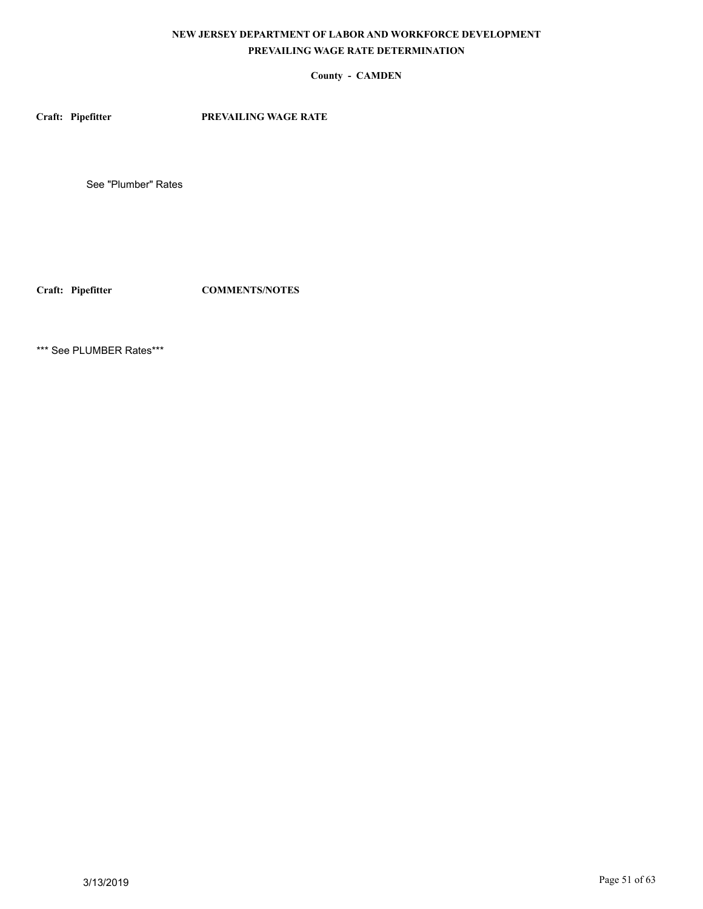## **County - CAMDEN**

**Craft: Pipefitter PREVAILING WAGE RATE**

See "Plumber" Rates

**Craft: Pipefitter COMMENTS/NOTES**

\*\*\* See PLUMBER Rates\*\*\*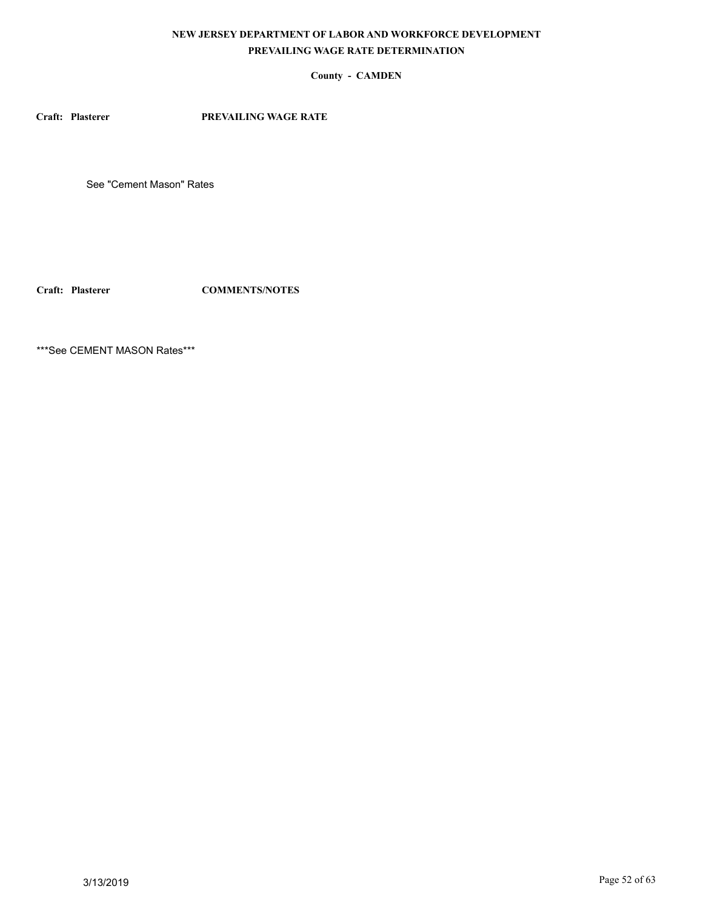## **County - CAMDEN**

**Craft: Plasterer PREVAILING WAGE RATE**

See "Cement Mason" Rates

**Craft: Plasterer COMMENTS/NOTES**

\*\*\*See CEMENT MASON Rates\*\*\*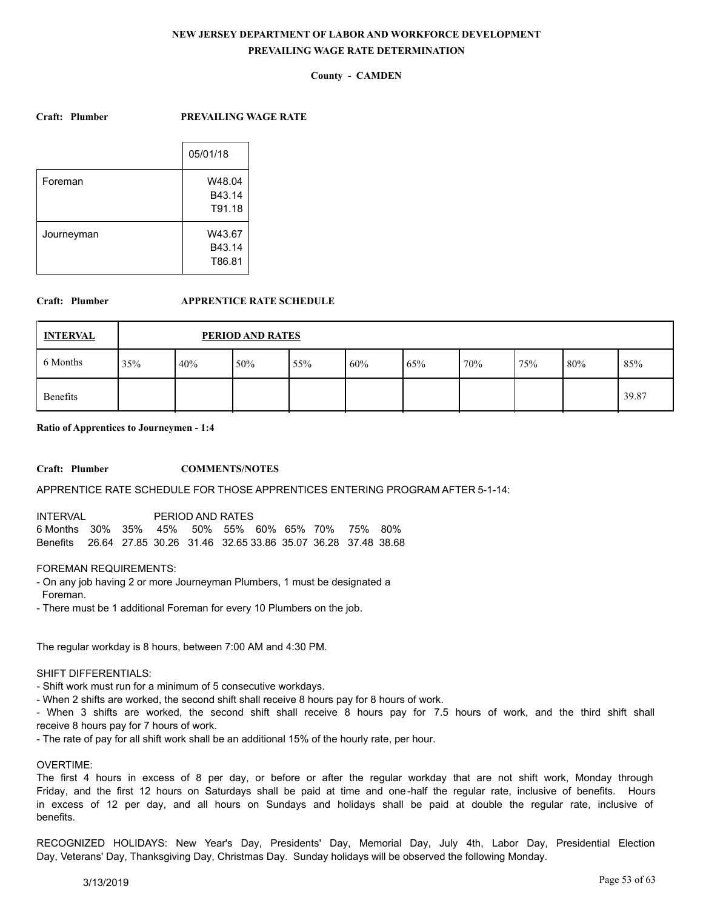## **County - CAMDEN**

### **Craft: Plumber PREVAILING WAGE RATE**

|            | 05/01/18                   |
|------------|----------------------------|
| Foreman    | W48.04<br>B43.14<br>T91.18 |
| Journeyman | W43.67<br>B43.14<br>T86.81 |

#### **Craft: Plumber APPRENTICE RATE SCHEDULE**

| <b>INTERVAL</b> |     | PERIOD AND RATES |     |     |     |     |     |     |        |       |
|-----------------|-----|------------------|-----|-----|-----|-----|-----|-----|--------|-------|
| 6 Months        | 35% | 40%              | 50% | 55% | 60% | 65% | 70% | 75% | $80\%$ | 85%   |
| Benefits        |     |                  |     |     |     |     |     |     |        | 39.87 |

### **Ratio of Apprentices to Journeymen - 1:4**

#### **Craft: Plumber COMMENTS/NOTES**

#### APPRENTICE RATE SCHEDULE FOR THOSE APPRENTICES ENTERING PROGRAM AFTER 5-1-14:

| <b>INTERVAL</b>                                                      | PERIOD AND RATES |  |  |  |  |
|----------------------------------------------------------------------|------------------|--|--|--|--|
| 6 Months 30% 35% 45% 50% 55% 60% 65% 70% 75% 80%                     |                  |  |  |  |  |
| Benefits 26.64 27.85 30.26 31.46 32.65 33.86 35.07 36.28 37.48 38.68 |                  |  |  |  |  |

### FOREMAN REQUIREMENTS:

- On any job having 2 or more Journeyman Plumbers, 1 must be designated a Foreman.
- There must be 1 additional Foreman for every 10 Plumbers on the job.

The regular workday is 8 hours, between 7:00 AM and 4:30 PM.

#### SHIFT DIFFERENTIALS:

- Shift work must run for a minimum of 5 consecutive workdays.
- When 2 shifts are worked, the second shift shall receive 8 hours pay for 8 hours of work.

- When 3 shifts are worked, the second shift shall receive 8 hours pay for 7.5 hours of work, and the third shift shall receive 8 hours pay for 7 hours of work.

- The rate of pay for all shift work shall be an additional 15% of the hourly rate, per hour.

## OVERTIME:

The first 4 hours in excess of 8 per day, or before or after the regular workday that are not shift work, Monday through Friday, and the first 12 hours on Saturdays shall be paid at time and one-half the regular rate, inclusive of benefits. Hours in excess of 12 per day, and all hours on Sundays and holidays shall be paid at double the regular rate, inclusive of benefits.

RECOGNIZED HOLIDAYS: New Year's Day, Presidents' Day, Memorial Day, July 4th, Labor Day, Presidential Election Day, Veterans' Day, Thanksgiving Day, Christmas Day. Sunday holidays will be observed the following Monday.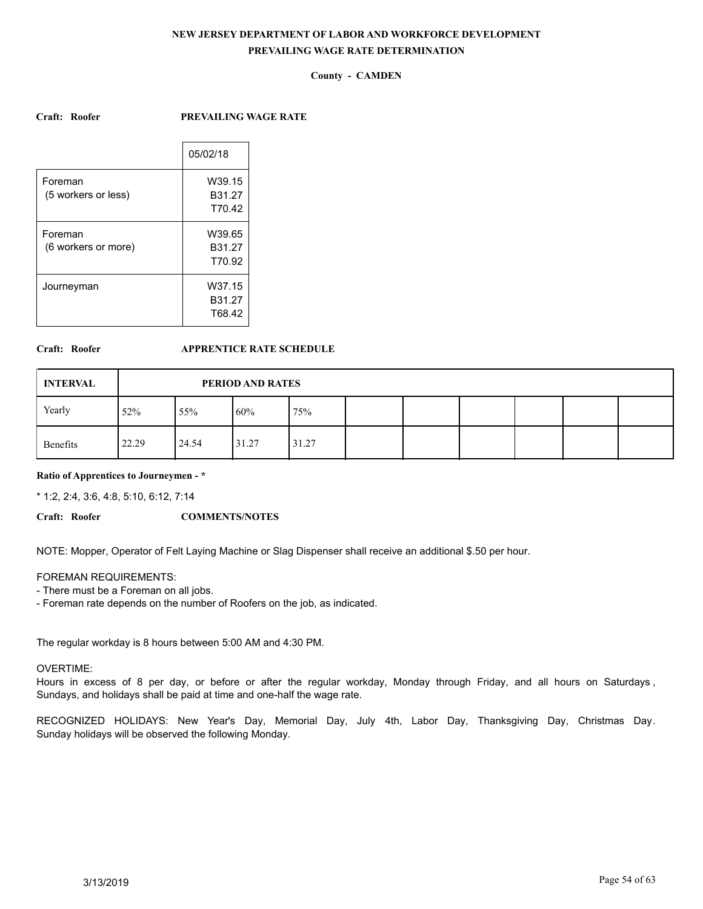## **County - CAMDEN**

#### **Craft: Roofer PREVAILING WAGE RATE**

|                     | 05/02/18           |
|---------------------|--------------------|
| Foreman             | W39.15             |
| (5 workers or less) | B <sub>31.27</sub> |
|                     | T70.42             |
| Foreman             | W39.65             |
| (6 workers or more) | B <sub>31.27</sub> |
|                     | T70.92             |
| Journeyman          | W37.15             |
|                     | B31.27             |
|                     | T68.42             |
|                     |                    |

## **Craft: Roofer APPRENTICE RATE SCHEDULE**

| <b>INTERVAL</b> |       | PERIOD AND RATES |       |       |  |  |  |  |  |  |  |  |
|-----------------|-------|------------------|-------|-------|--|--|--|--|--|--|--|--|
| Yearly          | 52%   | 55%              | 160%  | 75%   |  |  |  |  |  |  |  |  |
| Benefits        | 22.29 | 24.54            | 31.27 | 31.27 |  |  |  |  |  |  |  |  |

## **Ratio of Apprentices to Journeymen - \***

\* 1:2, 2:4, 3:6, 4:8, 5:10, 6:12, 7:14

#### **Craft: Roofer COMMENTS/NOTES**

NOTE: Mopper, Operator of Felt Laying Machine or Slag Dispenser shall receive an additional \$.50 per hour.

#### FOREMAN REQUIREMENTS:

- There must be a Foreman on all jobs.

- Foreman rate depends on the number of Roofers on the job, as indicated.

The regular workday is 8 hours between 5:00 AM and 4:30 PM.

### OVERTIME:

Hours in excess of 8 per day, or before or after the regular workday, Monday through Friday, and all hours on Saturdays , Sundays, and holidays shall be paid at time and one-half the wage rate.

RECOGNIZED HOLIDAYS: New Year's Day, Memorial Day, July 4th, Labor Day, Thanksgiving Day, Christmas Day. Sunday holidays will be observed the following Monday.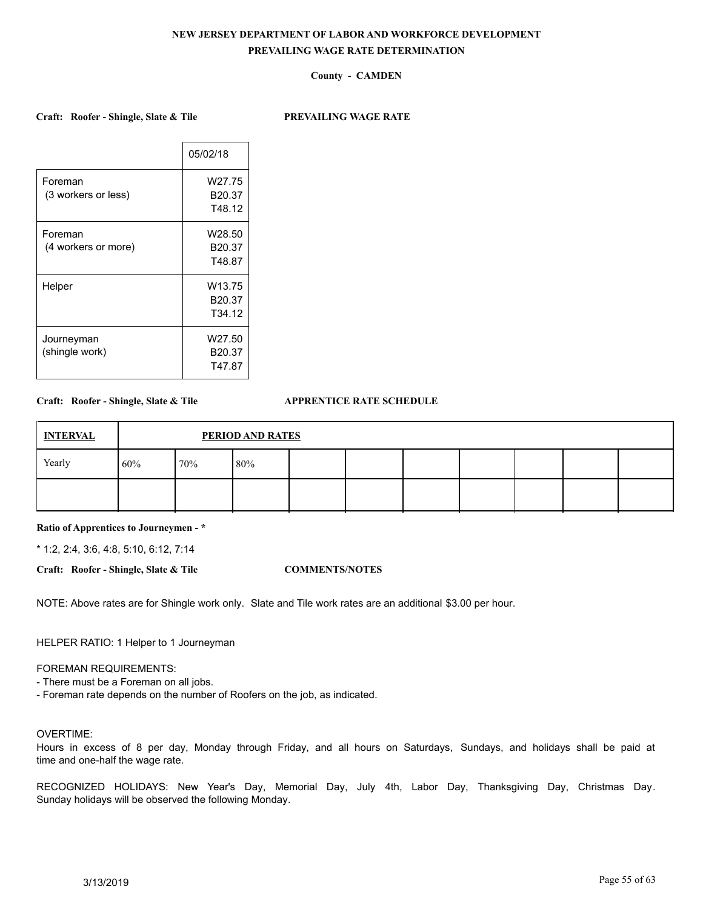## **County - CAMDEN**

**Craft: Roofer - Shingle, Slate & Tile PREVAILING WAGE RATE**

|                     | 05/02/18           |
|---------------------|--------------------|
| Foreman             | W27.75             |
| (3 workers or less) | B20.37             |
|                     | T48.12             |
| Foreman             | W28.50             |
| (4 workers or more) | B <sub>20.37</sub> |
|                     | T48.87             |
| Helper              | W <sub>13.75</sub> |
|                     | B20.37             |
|                     | T <sub>34.12</sub> |
| Journeyman          | W27.50             |
| (shingle work)      | B <sub>20.37</sub> |
|                     | T47.87             |

## **Craft: Roofer - Shingle, Slate & Tile APPRENTICE RATE SCHEDULE**

| <b>INTERVAL</b> |     | <b>PERIOD AND RATES</b> |     |  |  |  |  |  |  |  |  |  |
|-----------------|-----|-------------------------|-----|--|--|--|--|--|--|--|--|--|
| Yearly          | 60% | 70%                     | 80% |  |  |  |  |  |  |  |  |  |
|                 |     |                         |     |  |  |  |  |  |  |  |  |  |

## **Ratio of Apprentices to Journeymen - \***

\* 1:2, 2:4, 3:6, 4:8, 5:10, 6:12, 7:14

**Craft: Roofer - Shingle, Slate & Tile COMMENTS/NOTES**

NOTE: Above rates are for Shingle work only. Slate and Tile work rates are an additional \$3.00 per hour.

HELPER RATIO: 1 Helper to 1 Journeyman

### FOREMAN REQUIREMENTS:

- There must be a Foreman on all jobs.

- Foreman rate depends on the number of Roofers on the job, as indicated.

## OVERTIME:

Hours in excess of 8 per day, Monday through Friday, and all hours on Saturdays, Sundays, and holidays shall be paid at time and one-half the wage rate.

RECOGNIZED HOLIDAYS: New Year's Day, Memorial Day, July 4th, Labor Day, Thanksgiving Day, Christmas Day. Sunday holidays will be observed the following Monday.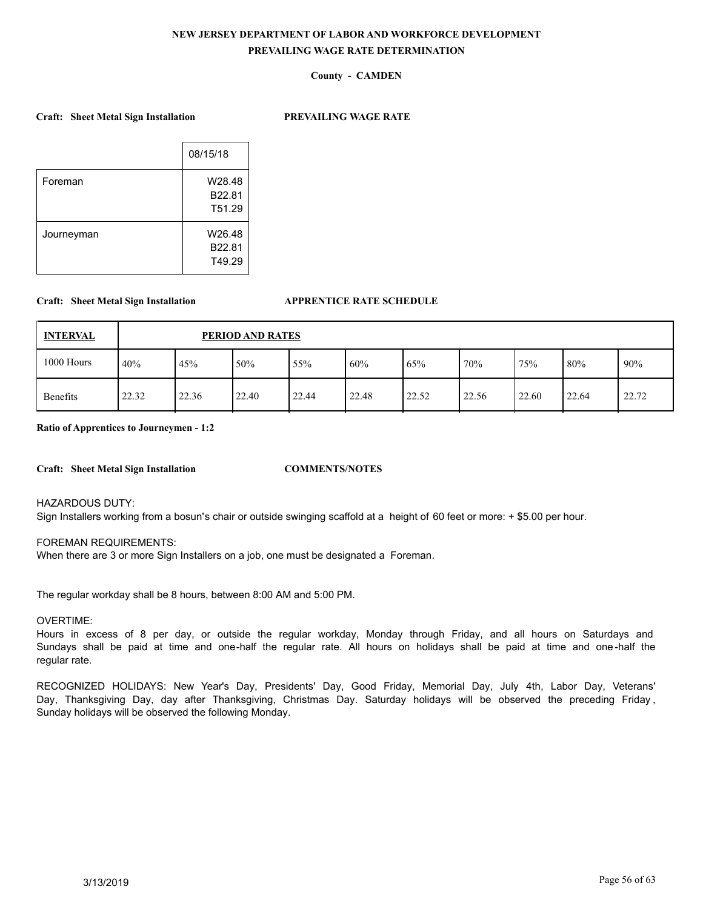## **County - CAMDEN**

### **Craft: Sheet Metal Sign Installation PREVAILING WAGE RATE**

|            | 08/15/18 |
|------------|----------|
| Foreman    | W28.48   |
|            | B22.81   |
|            | T51.29   |
| Journeyman | W26.48   |
|            | B22.81   |
|            | T49.29   |
|            |          |

### **Craft: Sheet Metal Sign Installation APPRENTICE RATE SCHEDULE**

| <b>INTERVAL</b> |       | PERIOD AND RATES |       |       |       |       |       |       |        |       |  |  |  |
|-----------------|-------|------------------|-------|-------|-------|-------|-------|-------|--------|-------|--|--|--|
| 1000 Hours      | 40%   | 45%              | 50%   | 55%   | 60%   | 65%   | 70%   | 75%   | $80\%$ | 90%   |  |  |  |
| <b>Benefits</b> | 22.32 | 22.36            | 22.40 | 22.44 | 22.48 | 22.52 | 22.56 | 22.60 | 22.64  | 22.72 |  |  |  |

**Ratio of Apprentices to Journeymen - 1:2**

**Craft: Sheet Metal Sign Installation COMMENTS/NOTES**

HAZARDOUS DUTY:

Sign Installers working from a bosun's chair or outside swinging scaffold at a height of 60 feet or more: + \$5.00 per hour.

### FOREMAN REQUIREMENTS:

When there are 3 or more Sign Installers on a job, one must be designated a Foreman.

The regular workday shall be 8 hours, between 8:00 AM and 5:00 PM.

#### OVERTIME:

Hours in excess of 8 per day, or outside the regular workday, Monday through Friday, and all hours on Saturdays and Sundays shall be paid at time and one-half the regular rate. All hours on holidays shall be paid at time and one -half the regular rate.

RECOGNIZED HOLIDAYS: New Year's Day, Presidents' Day, Good Friday, Memorial Day, July 4th, Labor Day, Veterans' Day, Thanksgiving Day, day after Thanksgiving, Christmas Day. Saturday holidays will be observed the preceding Friday , Sunday holidays will be observed the following Monday.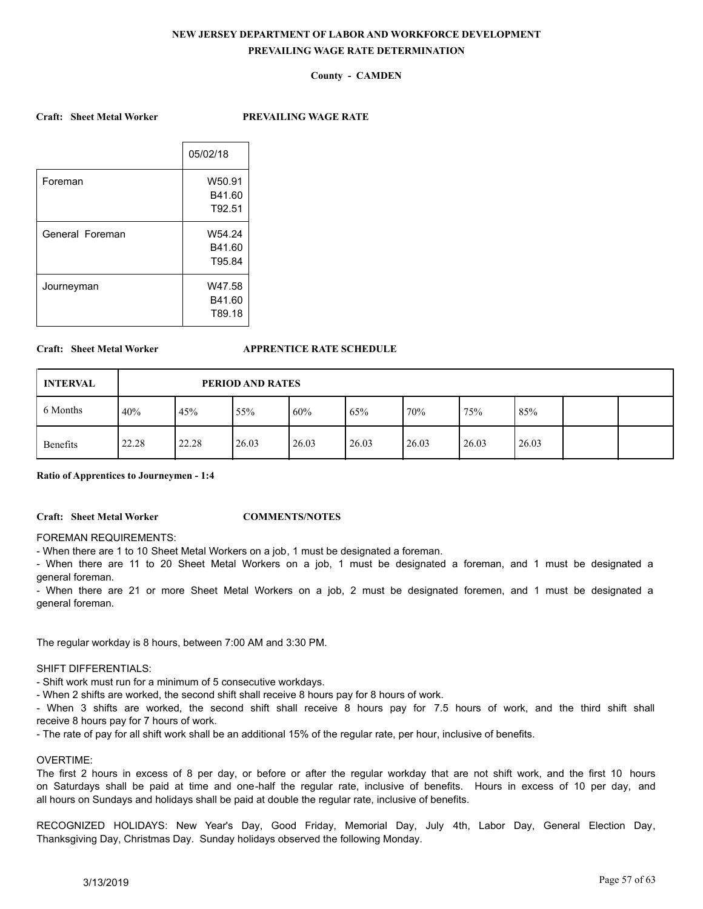## **County - CAMDEN**

#### **Craft: Sheet Metal Worker PREVAILING WAGE RATE**

|                 | 05/02/18 |
|-----------------|----------|
| Foreman         | W50.91   |
|                 | B41.60   |
|                 | T92.51   |
| General Foreman | W54.24   |
|                 | B41.60   |
|                 | T95.84   |
| Journeyman      | W47.58   |
|                 | B41.60   |
|                 | T89.18   |
|                 |          |

#### **Craft: Sheet Metal Worker APPRENTICE RATE SCHEDULE**

| <b>INTERVAL</b> |       | PERIOD AND RATES |       |       |       |       |       |       |  |  |  |  |
|-----------------|-------|------------------|-------|-------|-------|-------|-------|-------|--|--|--|--|
| 6 Months        | 40%   | 45%              | 55%   | 60%   | 65%   | 70%   | 75%   | 85%   |  |  |  |  |
| Benefits        | 22.28 | 22.28            | 26.03 | 26.03 | 26.03 | 26.03 | 26.03 | 26.03 |  |  |  |  |

**Ratio of Apprentices to Journeymen - 1:4**

#### **Craft: Sheet Metal Worker COMMENTS/NOTES**

### FOREMAN REQUIREMENTS:

- When there are 1 to 10 Sheet Metal Workers on a job, 1 must be designated a foreman.

- When there are 11 to 20 Sheet Metal Workers on a job, 1 must be designated a foreman, and 1 must be designated a general foreman.

- When there are 21 or more Sheet Metal Workers on a job, 2 must be designated foremen, and 1 must be designated a general foreman.

The regular workday is 8 hours, between 7:00 AM and 3:30 PM.

### SHIFT DIFFERENTIALS:

- Shift work must run for a minimum of 5 consecutive workdays.

- When 2 shifts are worked, the second shift shall receive 8 hours pay for 8 hours of work.

- When 3 shifts are worked, the second shift shall receive 8 hours pay for 7.5 hours of work, and the third shift shall receive 8 hours pay for 7 hours of work.

- The rate of pay for all shift work shall be an additional 15% of the regular rate, per hour, inclusive of benefits.

#### OVERTIME:

The first 2 hours in excess of 8 per day, or before or after the regular workday that are not shift work, and the first 10 hours on Saturdays shall be paid at time and one-half the regular rate, inclusive of benefits. Hours in excess of 10 per day, and all hours on Sundays and holidays shall be paid at double the regular rate, inclusive of benefits.

RECOGNIZED HOLIDAYS: New Year's Day, Good Friday, Memorial Day, July 4th, Labor Day, General Election Day, Thanksgiving Day, Christmas Day. Sunday holidays observed the following Monday.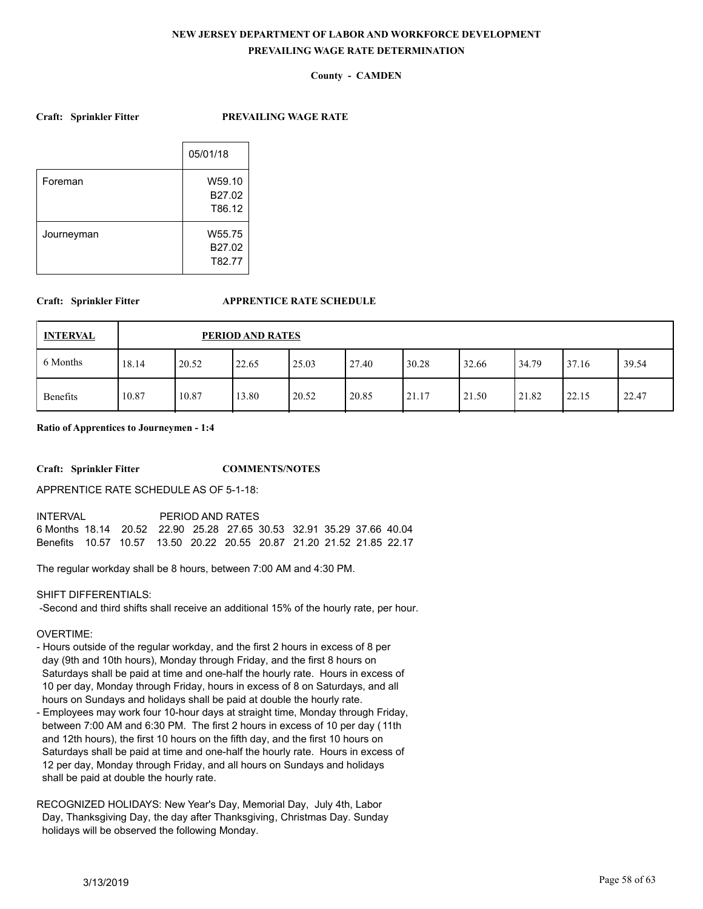## **County - CAMDEN**

**Craft: Sprinkler Fitter PREVAILING WAGE RATE**

|            | 05/01/18                   |
|------------|----------------------------|
| Foreman    | W59.10<br>B27.02<br>T86.12 |
| Journeyman | W55.75<br>B27.02<br>T82.77 |

## **Craft: Sprinkler Fitter APPRENTICE RATE SCHEDULE**

| <b>INTERVAL</b> |       | PERIOD AND RATES |       |       |       |       |       |       |       |       |  |  |  |
|-----------------|-------|------------------|-------|-------|-------|-------|-------|-------|-------|-------|--|--|--|
| 6 Months        | 18.14 | 20.52            | 22.65 | 25.03 | 27.40 | 30.28 | 32.66 | 34.79 | 37.16 | 39.54 |  |  |  |
| Benefits        | 10.87 | 10.87            | 13.80 | 20.52 | 20.85 | 21.17 | 21.50 | 21.82 | 22.15 | 22.47 |  |  |  |

**Ratio of Apprentices to Journeymen - 1:4**

**Craft: Sprinkler Fitter COMMENTS/NOTES**

APPRENTICE RATE SCHEDULE AS OF 5-1-18:

| <b>INTERVAL</b>                                                               |  |  | PERIOD AND RATES |  |  |  |  |  |  |
|-------------------------------------------------------------------------------|--|--|------------------|--|--|--|--|--|--|
| 6 Months 18.14  20.52  22.90  25.28  27.65  30.53  32.91  35.29  37.66  40.04 |  |  |                  |  |  |  |  |  |  |
| Benefits 10.57 10.57 13.50 20.22 20.55 20.87 21.20 21.52 21.85 22.17          |  |  |                  |  |  |  |  |  |  |

The regular workday shall be 8 hours, between 7:00 AM and 4:30 PM.

SHIFT DIFFERENTIALS:

-Second and third shifts shall receive an additional 15% of the hourly rate, per hour.

OVERTIME:

- Hours outside of the regular workday, and the first 2 hours in excess of 8 per day (9th and 10th hours), Monday through Friday, and the first 8 hours on Saturdays shall be paid at time and one-half the hourly rate. Hours in excess of 10 per day, Monday through Friday, hours in excess of 8 on Saturdays, and all hours on Sundays and holidays shall be paid at double the hourly rate.
- Employees may work four 10-hour days at straight time, Monday through Friday, between 7:00 AM and 6:30 PM. The first 2 hours in excess of 10 per day (11th and 12th hours), the first 10 hours on the fifth day, and the first 10 hours on Saturdays shall be paid at time and one-half the hourly rate. Hours in excess of 12 per day, Monday through Friday, and all hours on Sundays and holidays shall be paid at double the hourly rate.

RECOGNIZED HOLIDAYS: New Year's Day, Memorial Day, July 4th, Labor Day, Thanksgiving Day, the day after Thanksgiving, Christmas Day. Sunday holidays will be observed the following Monday.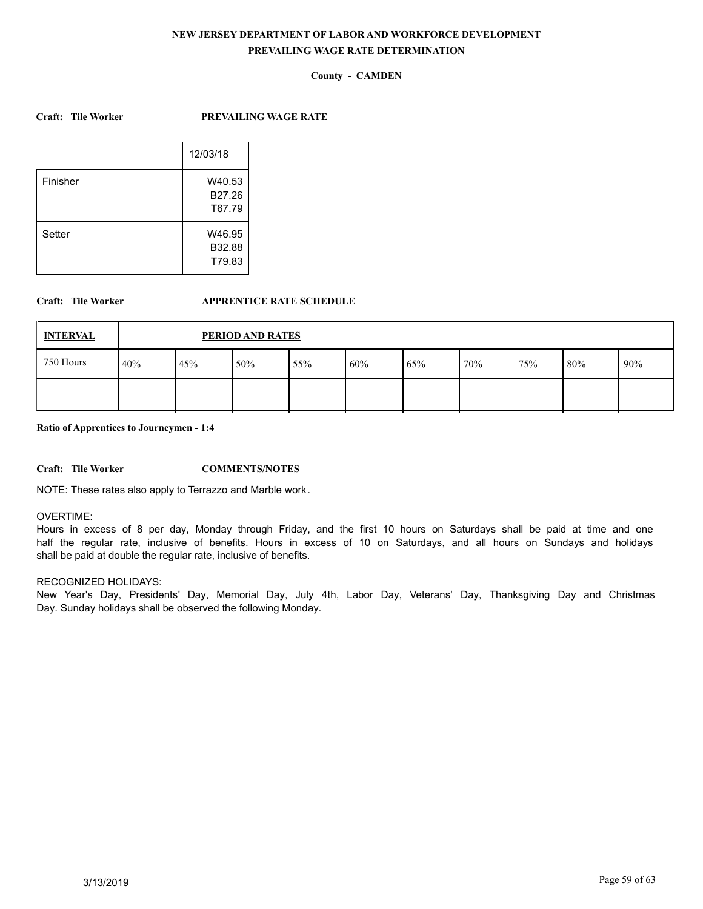## **County - CAMDEN**

**Craft: Tile Worker PREVAILING WAGE RATE**

|          | 12/03/18 |
|----------|----------|
| Finisher | W40.53   |
|          | B27.26   |
|          | T67.79   |
| Setter   | W46.95   |
|          | B32.88   |
|          | T79.83   |

## **Craft: Tile Worker APPRENTICE RATE SCHEDULE**

| <b>INTERVAL</b> |     | PERIOD AND RATES |     |     |     |     |     |     |        |     |
|-----------------|-----|------------------|-----|-----|-----|-----|-----|-----|--------|-----|
| 750 Hours       | 40% | 45%              | 50% | 55% | 60% | 65% | 70% | 75% | $80\%$ | 90% |
|                 |     |                  |     |     |     |     |     |     |        |     |

**Ratio of Apprentices to Journeymen - 1:4**

**Craft: Tile Worker COMMENTS/NOTES**

NOTE: These rates also apply to Terrazzo and Marble work.

### OVERTIME:

Hours in excess of 8 per day, Monday through Friday, and the first 10 hours on Saturdays shall be paid at time and one half the regular rate, inclusive of benefits. Hours in excess of 10 on Saturdays, and all hours on Sundays and holidays shall be paid at double the regular rate, inclusive of benefits.

### RECOGNIZED HOLIDAYS:

New Year's Day, Presidents' Day, Memorial Day, July 4th, Labor Day, Veterans' Day, Thanksgiving Day and Christmas Day. Sunday holidays shall be observed the following Monday.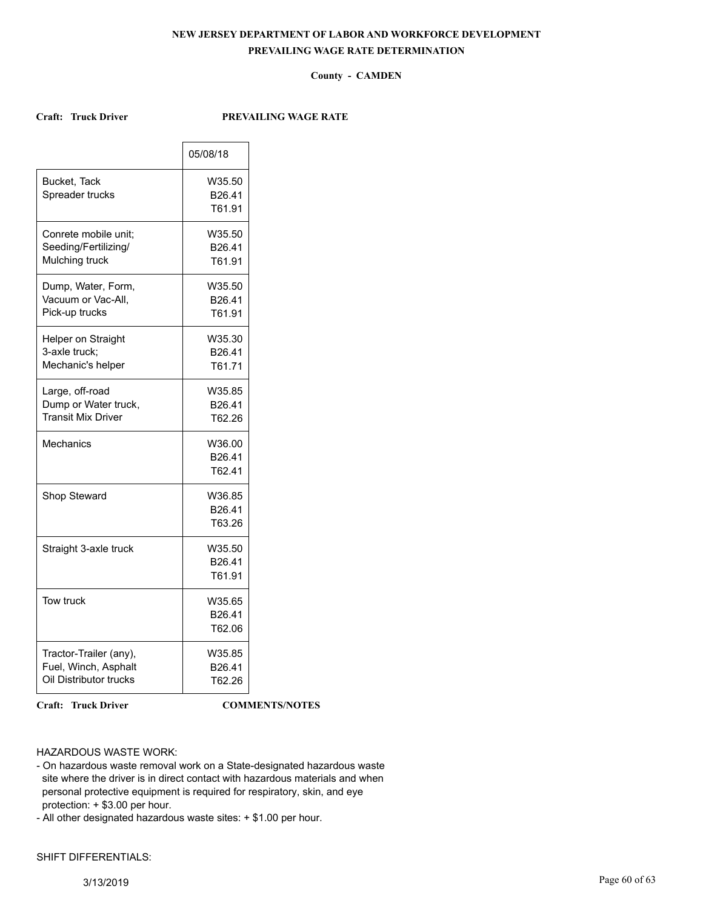## **County - CAMDEN**

## **Craft: Truck Driver PREVAILING WAGE RATE**

|                                                                          | 05/08/18                               |
|--------------------------------------------------------------------------|----------------------------------------|
| Bucket, Tack<br>Spreader trucks                                          | W35.50<br>B26.41<br>T61.91             |
| Conrete mobile unit:<br>Seeding/Fertilizing/<br>Mulching truck           | W35.50<br>B26.41<br>T61.91             |
| Dump, Water, Form,<br>Vacuum or Vac-All,<br>Pick-up trucks               | W35.50<br>B26.41<br>T61.91             |
| Helper on Straight<br>3-axle truck:<br>Mechanic's helper                 | W35.30<br>B26.41<br>T61.71             |
| Large, off-road<br>Dump or Water truck,<br><b>Transit Mix Driver</b>     | W35.85<br>B26.41<br>T62.26             |
| Mechanics                                                                | W36.00<br>B26.41<br>T62.41             |
| Shop Steward                                                             | W36.85<br>B26.41<br>T63.26             |
| Straight 3-axle truck                                                    | W35.50<br>B26.41<br>T61.91             |
| Tow truck                                                                | W35.65<br>B <sub>26.41</sub><br>T62.06 |
| Tractor-Trailer (any),<br>Fuel, Winch, Asphalt<br>Oil Distributor trucks | W35.85<br>B26.41<br>T62.26             |

**Craft: Truck Driver COMMENTS/NOTES**

## HAZARDOUS WASTE WORK:

- On hazardous waste removal work on a State-designated hazardous waste site where the driver is in direct contact with hazardous materials and when personal protective equipment is required for respiratory, skin, and eye protection: + \$3.00 per hour.
- All other designated hazardous waste sites: + \$1.00 per hour.

## SHIFT DIFFERENTIALS: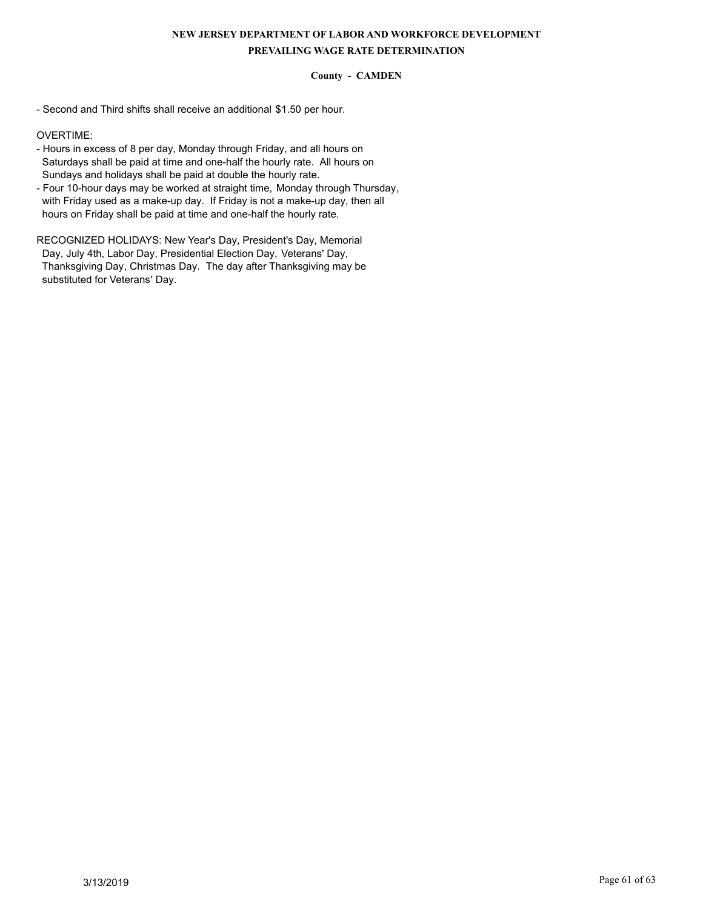## **County - CAMDEN**

- Second and Third shifts shall receive an additional \$1.50 per hour.

OVERTIME:

- Hours in excess of 8 per day, Monday through Friday, and all hours on Saturdays shall be paid at time and one-half the hourly rate. All hours on Sundays and holidays shall be paid at double the hourly rate.
- Four 10-hour days may be worked at straight time, Monday through Thursday, with Friday used as a make-up day. If Friday is not a make-up day, then all hours on Friday shall be paid at time and one-half the hourly rate.

RECOGNIZED HOLIDAYS: New Year's Day, President's Day, Memorial Day, July 4th, Labor Day, Presidential Election Day, Veterans' Day, Thanksgiving Day, Christmas Day. The day after Thanksgiving may be substituted for Veterans' Day.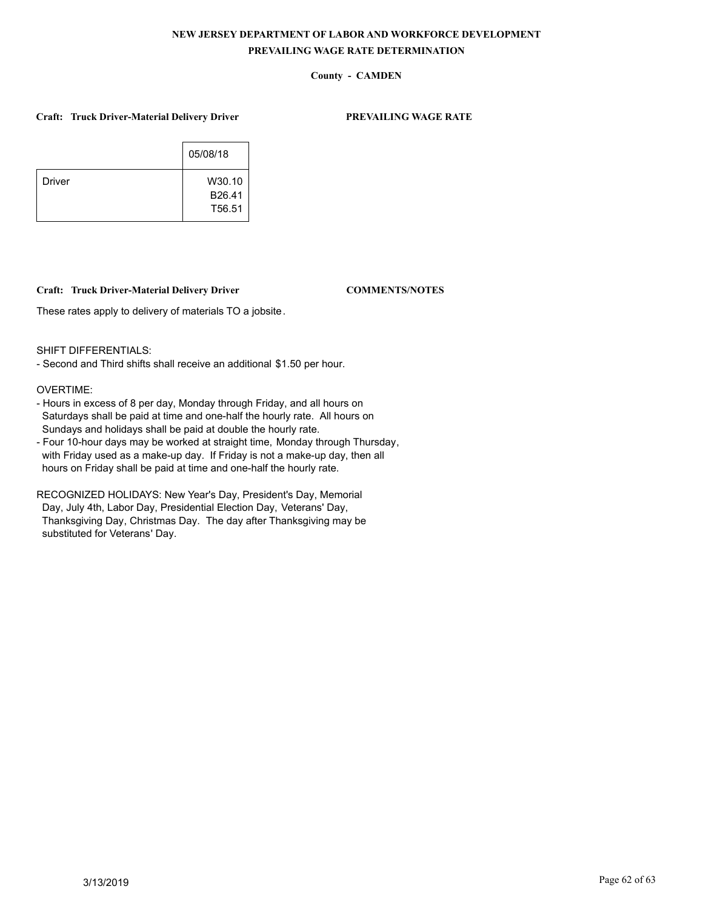## **County - CAMDEN**

### **Craft: Truck Driver-Material Delivery Driver PREVAILING WAGE RATE**

|               | 05/08/18 |
|---------------|----------|
| <b>Driver</b> | W30.10   |
|               | B26.41   |
|               | T56.51   |

## **Craft: Truck Driver-Material Delivery Driver COMMENTS/NOTES**

These rates apply to delivery of materials TO a jobsite.

SHIFT DIFFERENTIALS:

- Second and Third shifts shall receive an additional \$1.50 per hour.

## OVERTIME:

- Hours in excess of 8 per day, Monday through Friday, and all hours on Saturdays shall be paid at time and one-half the hourly rate. All hours on Sundays and holidays shall be paid at double the hourly rate.
- Four 10-hour days may be worked at straight time, Monday through Thursday, with Friday used as a make-up day. If Friday is not a make-up day, then all hours on Friday shall be paid at time and one-half the hourly rate.

RECOGNIZED HOLIDAYS: New Year's Day, President's Day, Memorial Day, July 4th, Labor Day, Presidential Election Day, Veterans' Day, Thanksgiving Day, Christmas Day. The day after Thanksgiving may be substituted for Veterans' Day.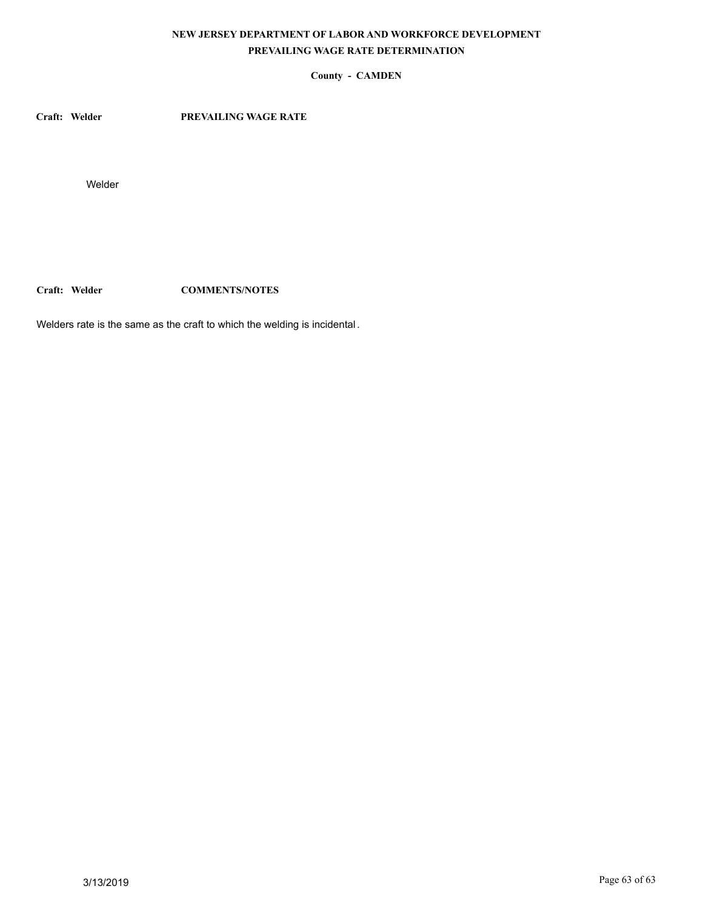## **County - CAMDEN**

**Craft: Welder PREVAILING WAGE RATE**

Welder

**Craft: Welder COMMENTS/NOTES**

Welders rate is the same as the craft to which the welding is incidental.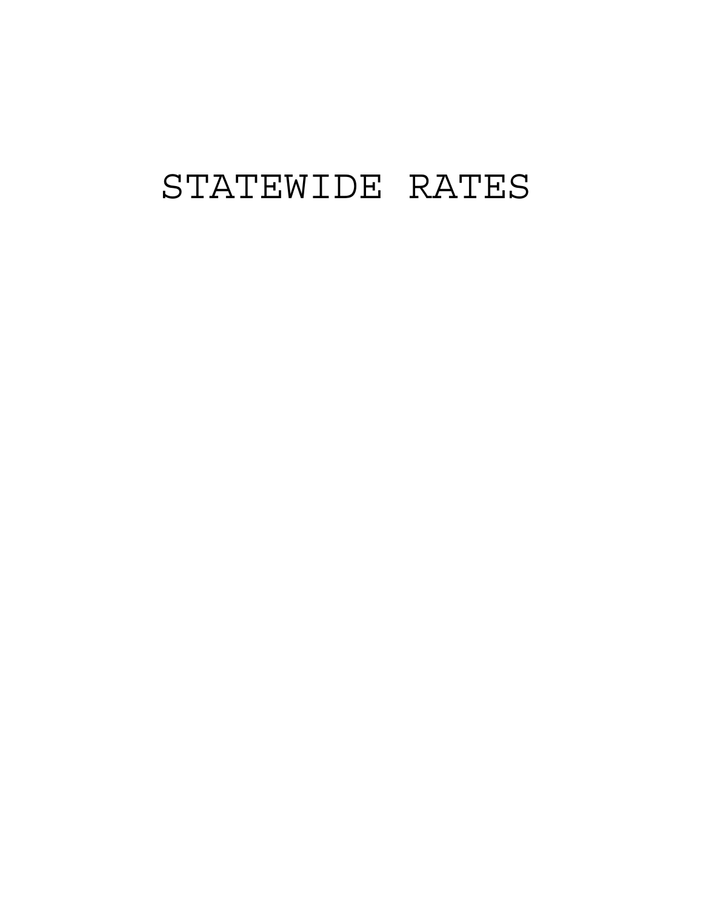# STATEWIDE RATES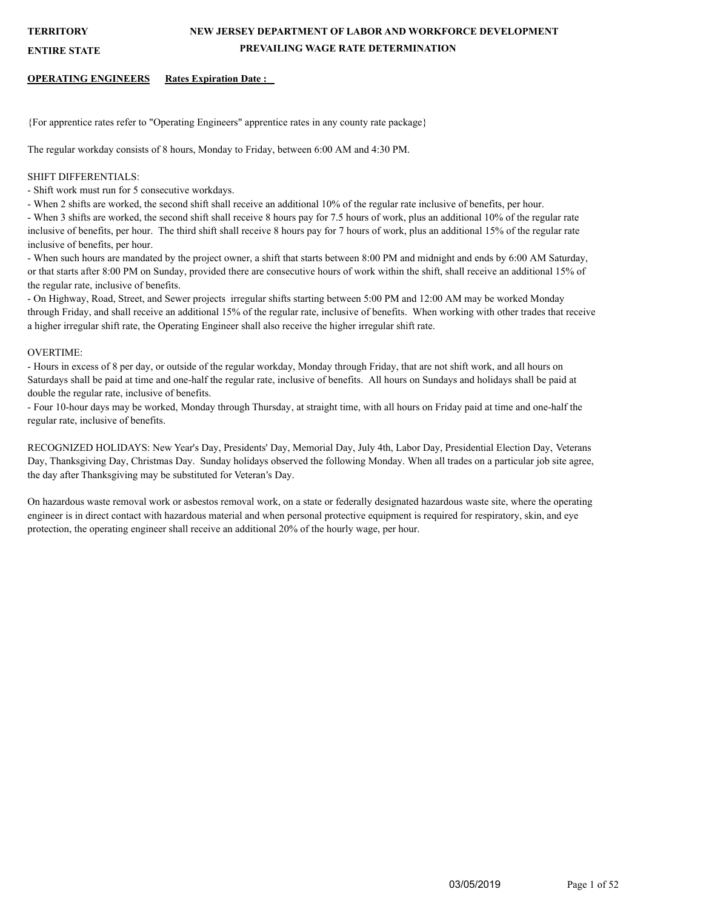### **ENTIRE STATE**

### **OPERATING ENGINEERS Rates Expiration Date :**

{For apprentice rates refer to "Operating Engineers" apprentice rates in any county rate package}

The regular workday consists of 8 hours, Monday to Friday, between 6:00 AM and 4:30 PM.

## SHIFT DIFFERENTIALS:

- Shift work must run for 5 consecutive workdays.

- When 2 shifts are worked, the second shift shall receive an additional 10% of the regular rate inclusive of benefits, per hour.

- When 3 shifts are worked, the second shift shall receive 8 hours pay for 7.5 hours of work, plus an additional 10% of the regular rate inclusive of benefits, per hour. The third shift shall receive 8 hours pay for 7 hours of work, plus an additional 15% of the regular rate inclusive of benefits, per hour.

- When such hours are mandated by the project owner, a shift that starts between 8:00 PM and midnight and ends by 6:00 AM Saturday, or that starts after 8:00 PM on Sunday, provided there are consecutive hours of work within the shift, shall receive an additional 15% of the regular rate, inclusive of benefits.

- On Highway, Road, Street, and Sewer projects irregular shifts starting between 5:00 PM and 12:00 AM may be worked Monday through Friday, and shall receive an additional 15% of the regular rate, inclusive of benefits. When working with other trades that receive a higher irregular shift rate, the Operating Engineer shall also receive the higher irregular shift rate.

## OVERTIME:

- Hours in excess of 8 per day, or outside of the regular workday, Monday through Friday, that are not shift work, and all hours on Saturdays shall be paid at time and one-half the regular rate, inclusive of benefits. All hours on Sundays and holidays shall be paid at double the regular rate, inclusive of benefits.

- Four 10-hour days may be worked, Monday through Thursday, at straight time, with all hours on Friday paid at time and one-half the regular rate, inclusive of benefits.

RECOGNIZED HOLIDAYS: New Year's Day, Presidents' Day, Memorial Day, July 4th, Labor Day, Presidential Election Day, Veterans Day, Thanksgiving Day, Christmas Day. Sunday holidays observed the following Monday. When all trades on a particular job site agree, the day after Thanksgiving may be substituted for Veteran's Day.

On hazardous waste removal work or asbestos removal work, on a state or federally designated hazardous waste site, where the operating engineer is in direct contact with hazardous material and when personal protective equipment is required for respiratory, skin, and eye protection, the operating engineer shall receive an additional 20% of the hourly wage, per hour.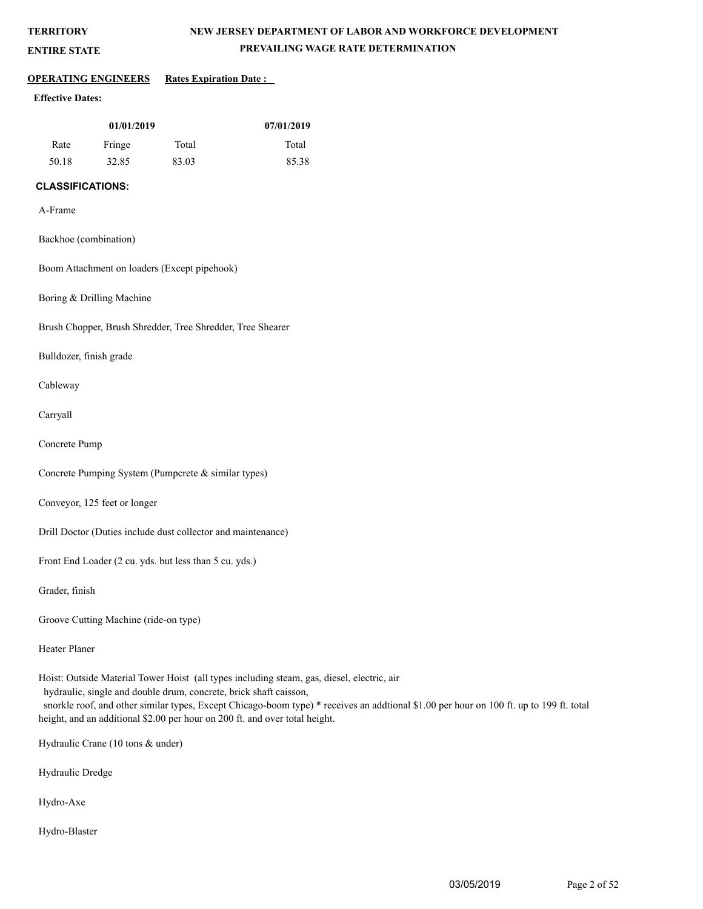**ENTIRE STATE**

## **NEW JERSEY DEPARTMENT OF LABOR AND WORKFORCE DEVELOPMENT PREVAILING WAGE RATE DETERMINATION**

## **OPERATING ENGINEERS Rates Expiration Date :**

## **Effective Dates:**

| 01/01/2019 |        |       | 07/01/2019 |
|------------|--------|-------|------------|
| Rate       | Fringe | Total | Total      |
| 50.18      | 32.85  | 83.03 | 85.38      |

## **CLASSIFICATIONS:**

A-Frame

Backhoe (combination)

Boom Attachment on loaders (Except pipehook)

Boring & Drilling Machine

Brush Chopper, Brush Shredder, Tree Shredder, Tree Shearer

Bulldozer, finish grade

Cableway

Carryall

Concrete Pump

Concrete Pumping System (Pumpcrete & similar types)

Conveyor, 125 feet or longer

Drill Doctor (Duties include dust collector and maintenance)

Front End Loader (2 cu. yds. but less than 5 cu. yds.)

Grader, finish

Groove Cutting Machine (ride-on type)

Heater Planer

Hoist: Outside Material Tower Hoist (all types including steam, gas, diesel, electric, air hydraulic, single and double drum, concrete, brick shaft caisson,

snorkle roof, and other similar types, Except Chicago-boom type) \* receives an addtional \$1.00 per hour on 100 ft. up to 199 ft. total height, and an additional \$2.00 per hour on 200 ft. and over total height.

Hydraulic Crane (10 tons & under)

Hydraulic Dredge

Hydro-Axe

Hydro-Blaster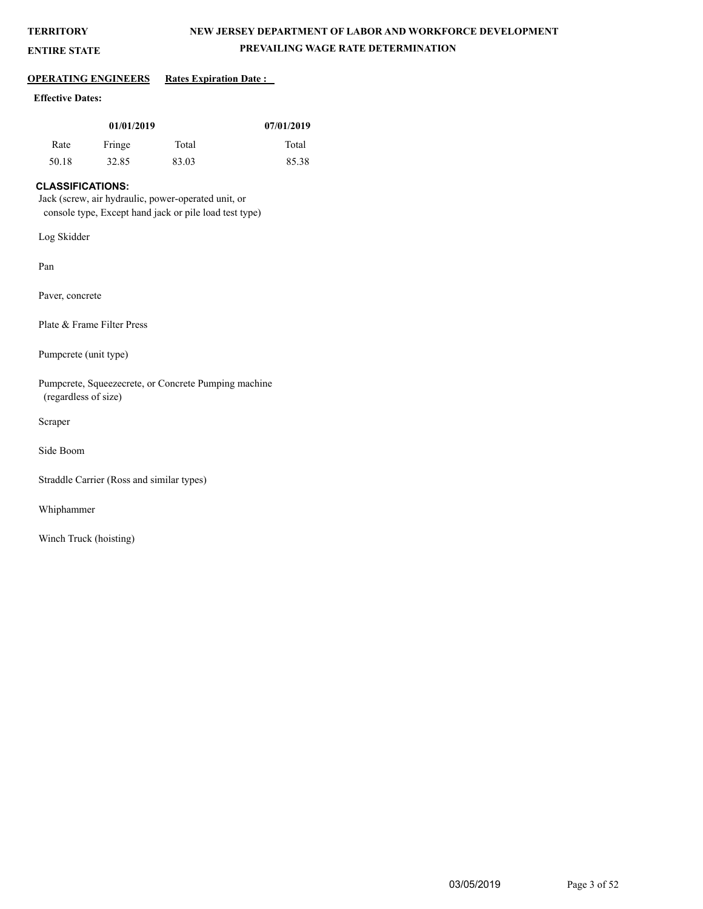## **NEW JERSEY DEPARTMENT OF LABOR AND WORKFORCE DEVELOPMENT PREVAILING WAGE RATE DETERMINATION**

## **ENTIRE STATE**

## **OPERATING ENGINEERS** Rates Expiration Date :

## **Effective Dates:**

| 01/01/2019 |        |       | 07/01/2019 |
|------------|--------|-------|------------|
| Rate       | Fringe | Total | Total      |
| 50.18      | 32.85  | 83.03 | 85.38      |

## **CLASSIFICATIONS:**

Jack (screw, air hydraulic, power-operated unit, or console type, Except hand jack or pile load test type)

Log Skidder

Pan

Paver, concrete

Plate & Frame Filter Press

Pumpcrete (unit type)

Pumpcrete, Squeezecrete, or Concrete Pumping machine (regardless of size)

Scraper

Side Boom

Straddle Carrier (Ross and similar types)

Whiphammer

Winch Truck (hoisting)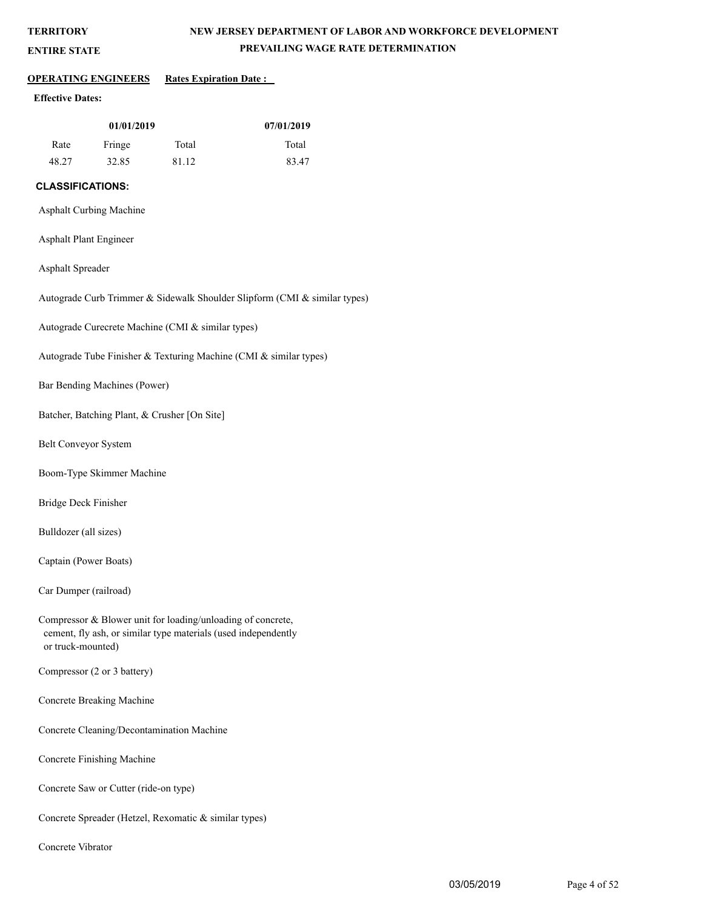## **NEW JERSEY DEPARTMENT OF LABOR AND WORKFORCE DEVELOPMENT PREVAILING WAGE RATE DETERMINATION**

## **ENTIRE STATE**

## **OPERATING ENGINEERS Rates Expiration Date :**

## **Effective Dates:**

| 01/01/2019 |        |       | 07/01/2019 |
|------------|--------|-------|------------|
| Rate       | Fringe | Total | Total      |
| 48.27      | 32.85  | 81.12 | 83.47      |

## **CLASSIFICATIONS:**

## Asphalt Curbing Machine

## Asphalt Plant Engineer

## Asphalt Spreader

Autograde Curb Trimmer & Sidewalk Shoulder Slipform (CMI & similar types)

Autograde Curecrete Machine (CMI & similar types)

Autograde Tube Finisher & Texturing Machine (CMI & similar types)

Bar Bending Machines (Power)

Batcher, Batching Plant, & Crusher [On Site]

Belt Conveyor System

Boom-Type Skimmer Machine

Bridge Deck Finisher

Bulldozer (all sizes)

Captain (Power Boats)

Car Dumper (railroad)

Compressor & Blower unit for loading/unloading of concrete, cement, fly ash, or similar type materials (used independently or truck-mounted)

Compressor (2 or 3 battery)

Concrete Breaking Machine

Concrete Cleaning/Decontamination Machine

Concrete Finishing Machine

Concrete Saw or Cutter (ride-on type)

Concrete Spreader (Hetzel, Rexomatic & similar types)

Concrete Vibrator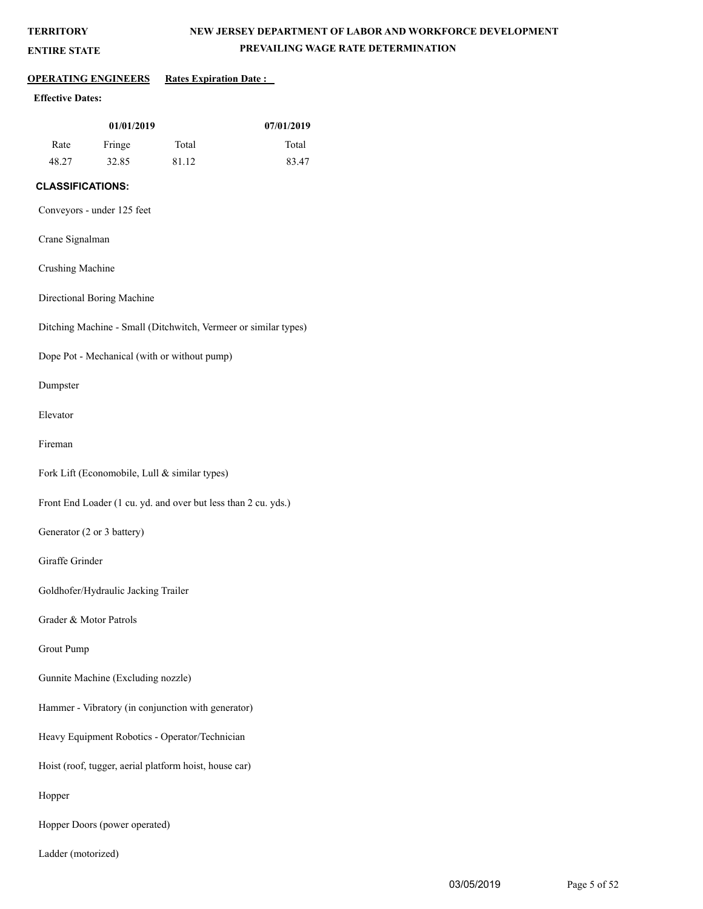**ENTIRE STATE**

## **NEW JERSEY DEPARTMENT OF LABOR AND WORKFORCE DEVELOPMENT PREVAILING WAGE RATE DETERMINATION**

## **OPERATING ENGINEERS** Rates Expiration Date :

## **Effective Dates:**

| 01/01/2019 |        |       | 07/01/2019 |
|------------|--------|-------|------------|
| Rate       | Fringe | Total | Total      |
| 48.27      | 32.85  | 81.12 | 83.47      |

## **CLASSIFICATIONS:**

Conveyors - under 125 feet

## Crane Signalman

Crushing Machine

Directional Boring Machine

Ditching Machine - Small (Ditchwitch, Vermeer or similar types)

Dope Pot - Mechanical (with or without pump)

Dumpster

Elevator

Fireman

Fork Lift (Economobile, Lull & similar types)

Front End Loader (1 cu. yd. and over but less than 2 cu. yds.)

Generator (2 or 3 battery)

Giraffe Grinder

Goldhofer/Hydraulic Jacking Trailer

Grader & Motor Patrols

Grout Pump

Gunnite Machine (Excluding nozzle)

Hammer - Vibratory (in conjunction with generator)

Heavy Equipment Robotics - Operator/Technician

Hoist (roof, tugger, aerial platform hoist, house car)

Hopper

Hopper Doors (power operated)

Ladder (motorized)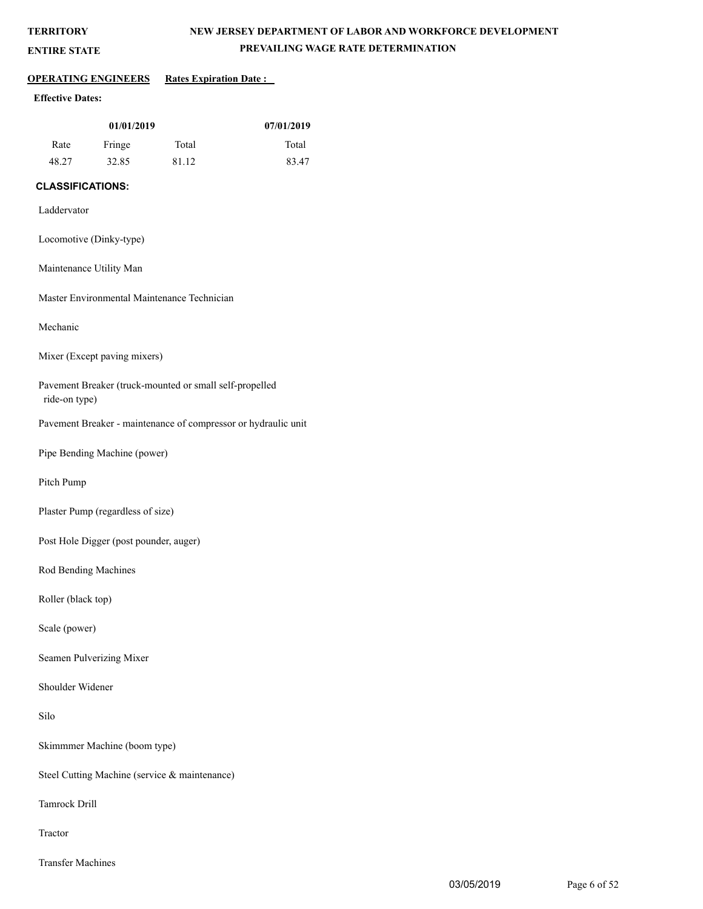**ENTIRE STATE**

## **NEW JERSEY DEPARTMENT OF LABOR AND WORKFORCE DEVELOPMENT PREVAILING WAGE RATE DETERMINATION**

## **OPERATING ENGINEERS** Rates Expiration Date :

## **Effective Dates:**

| 01/01/2019 |        |       | 07/01/2019 |
|------------|--------|-------|------------|
| Rate       | Fringe | Total | Total      |
| 48.27      | 32.85  | 81.12 | 83.47      |

## **CLASSIFICATIONS:**

- Laddervator
- Locomotive (Dinky-type)
- Maintenance Utility Man

Master Environmental Maintenance Technician

Mechanic

Mixer (Except paving mixers)

Pavement Breaker (truck-mounted or small self-propelled ride-on type)

Pavement Breaker - maintenance of compressor or hydraulic unit

Pipe Bending Machine (power)

Pitch Pump

Plaster Pump (regardless of size)

Post Hole Digger (post pounder, auger)

Rod Bending Machines

Roller (black top)

Scale (power)

Seamen Pulverizing Mixer

Shoulder Widener

Silo

Skimmmer Machine (boom type)

Steel Cutting Machine (service & maintenance)

Tamrock Drill

Tractor

Transfer Machines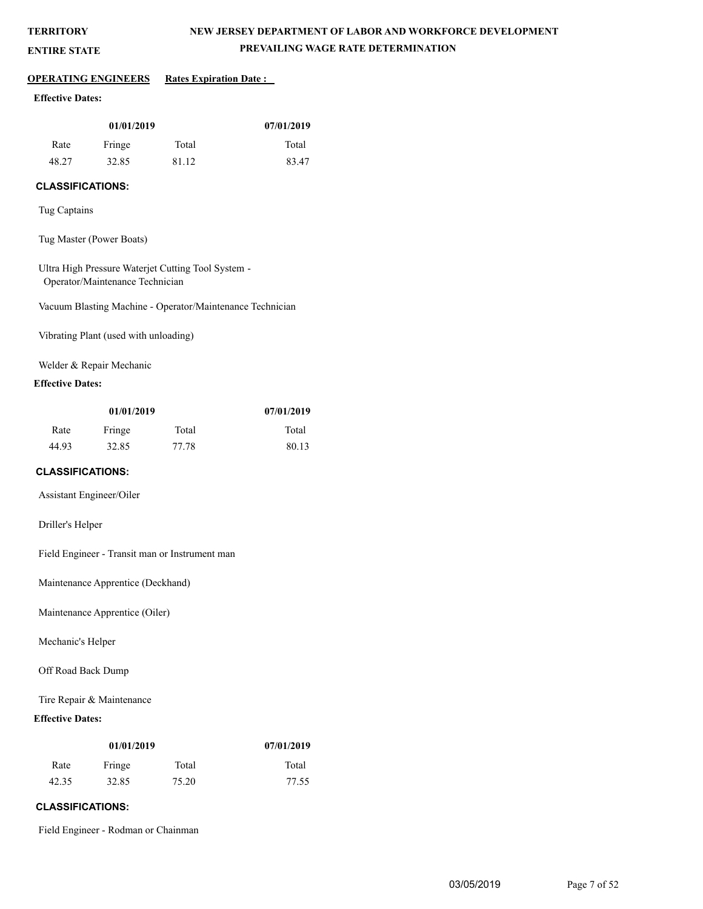**ENTIRE STATE**

## **NEW JERSEY DEPARTMENT OF LABOR AND WORKFORCE DEVELOPMENT PREVAILING WAGE RATE DETERMINATION**

### **OPERATING ENGINEERS** Rates Expiration Date :

## **Effective Dates:**

| 01/01/2019 |        |       | 07/01/2019 |
|------------|--------|-------|------------|
| Rate       | Fringe | Total | Total      |
| 48.27      | 32.85  | 81.12 | 83.47      |

## **CLASSIFICATIONS:**

Tug Captains

Tug Master (Power Boats)

Ultra High Pressure Waterjet Cutting Tool System - Operator/Maintenance Technician

Vacuum Blasting Machine - Operator/Maintenance Technician

Vibrating Plant (used with unloading)

Welder & Repair Mechanic

## **Effective Dates:**

| 01/01/2019 |        |       | 07/01/2019 |
|------------|--------|-------|------------|
| Rate       | Fringe | Total | Total      |
| 44.93      | 32.85  | 77.78 | 80.13      |

## **CLASSIFICATIONS:**

Assistant Engineer/Oiler

Driller's Helper

Field Engineer - Transit man or Instrument man

Maintenance Apprentice (Deckhand)

Maintenance Apprentice (Oiler)

Mechanic's Helper

Off Road Back Dump

Tire Repair & Maintenance

## **Effective Dates:**

| 01/01/2019 |        |       | 07/01/2019 |
|------------|--------|-------|------------|
| Rate       | Fringe | Total | Total      |
| 42.35      | 32.85  | 75.20 | 77.55      |

## **CLASSIFICATIONS:**

Field Engineer - Rodman or Chainman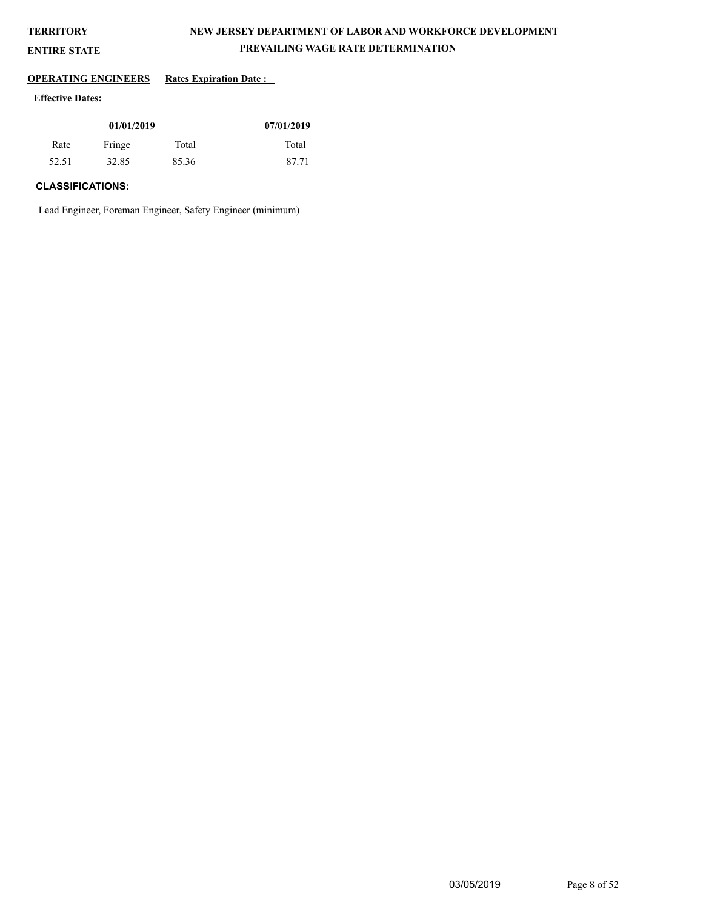**ENTIRE STATE**

## **NEW JERSEY DEPARTMENT OF LABOR AND WORKFORCE DEVELOPMENT PREVAILING WAGE RATE DETERMINATION**

## **OPERATING ENGINEERS** Rates Expiration Date :

## **Effective Dates:**

| 01/01/2019 |        |       | 07/01/2019 |
|------------|--------|-------|------------|
| Rate       | Fringe | Total | Total      |
| 52.51      | 32.85  | 85.36 | 87.71      |

## **CLASSIFICATIONS:**

Lead Engineer, Foreman Engineer, Safety Engineer (minimum)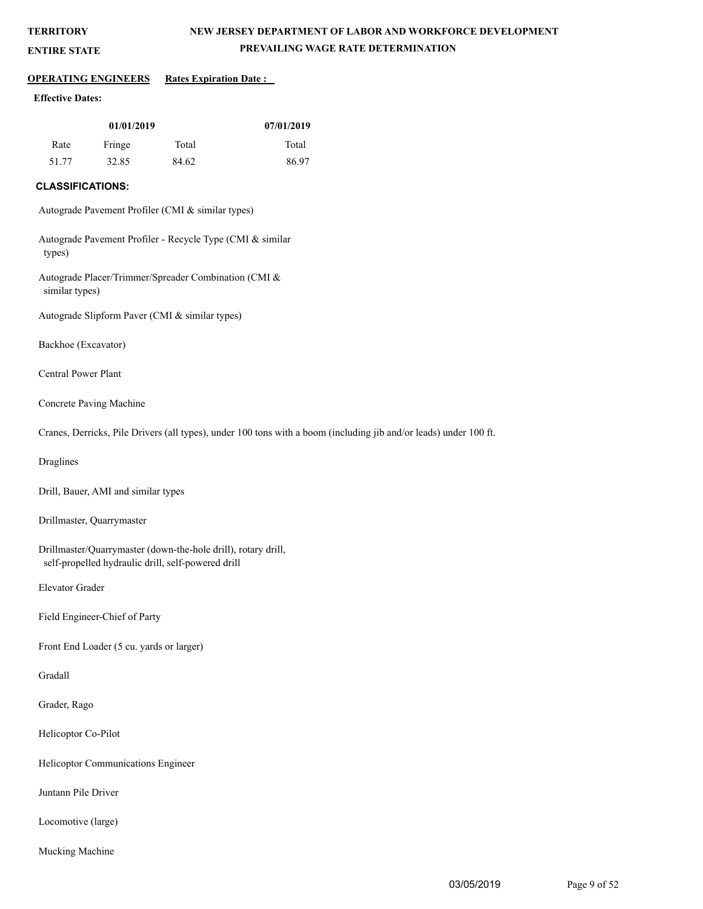## **NEW JERSEY DEPARTMENT OF LABOR AND WORKFORCE DEVELOPMENT PREVAILING WAGE RATE DETERMINATION**

#### **ENTIRE STATE**

#### **OPERATING ENGINEERS Rates Expiration Date :**

#### **Effective Dates:**

| 01/01/2019 |        |       | 07/01/2019 |
|------------|--------|-------|------------|
| Rate       | Fringe | Total | Total      |
| 51.77      | 32.85  | 84.62 | 86.97      |

#### **CLASSIFICATIONS:**

Autograde Pavement Profiler (CMI & similar types)

Autograde Pavement Profiler - Recycle Type (CMI & similar types)

Autograde Placer/Trimmer/Spreader Combination (CMI & similar types)

Autograde Slipform Paver (CMI & similar types)

Backhoe (Excavator)

Central Power Plant

Concrete Paving Machine

Cranes, Derricks, Pile Drivers (all types), under 100 tons with a boom (including jib and/or leads) under 100 ft.

Draglines

Drill, Bauer, AMI and similar types

Drillmaster, Quarrymaster

Drillmaster/Quarrymaster (down-the-hole drill), rotary drill, self-propelled hydraulic drill, self-powered drill

Elevator Grader

Field Engineer-Chief of Party

Front End Loader (5 cu. yards or larger)

Gradall

Grader, Rago

Helicoptor Co-Pilot

Helicoptor Communications Engineer

Juntann Pile Driver

Locomotive (large)

Mucking Machine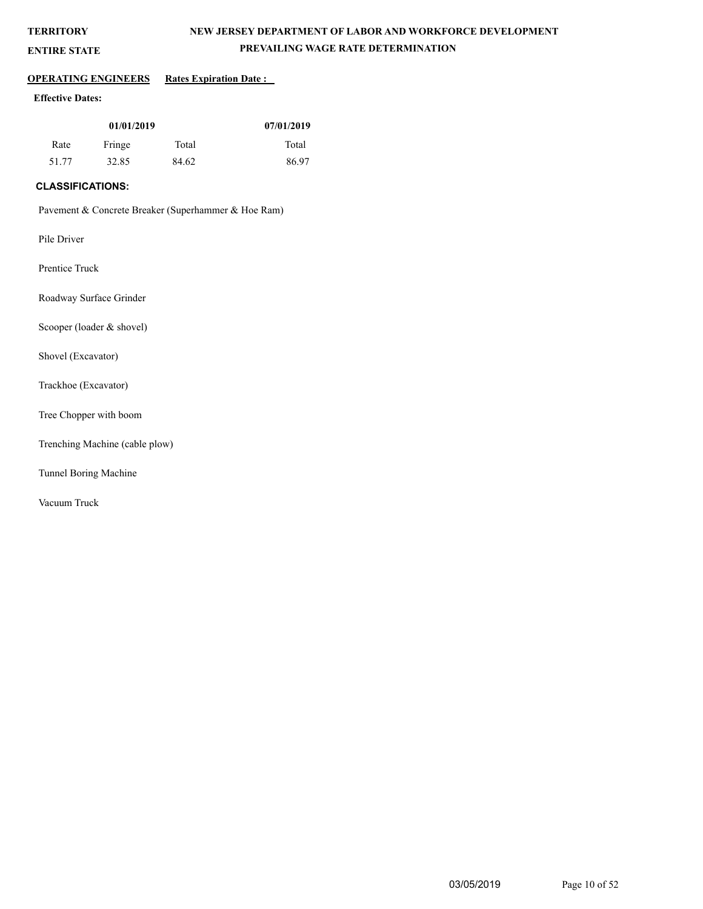## **NEW JERSEY DEPARTMENT OF LABOR AND WORKFORCE DEVELOPMENT PREVAILING WAGE RATE DETERMINATION**

# **ENTIRE STATE**

## **OPERATING ENGINEERS** Rates Expiration Date :

## **Effective Dates:**

| 01/01/2019 |        |       | 07/01/2019 |
|------------|--------|-------|------------|
| Rate       | Fringe | Total | Total      |
| 51.77      | 32.85  | 84.62 | 86.97      |

## **CLASSIFICATIONS:**

Pavement & Concrete Breaker (Superhammer & Hoe Ram)

Pile Driver

Prentice Truck

Roadway Surface Grinder

Scooper (loader & shovel)

Shovel (Excavator)

Trackhoe (Excavator)

Tree Chopper with boom

Trenching Machine (cable plow)

Tunnel Boring Machine

Vacuum Truck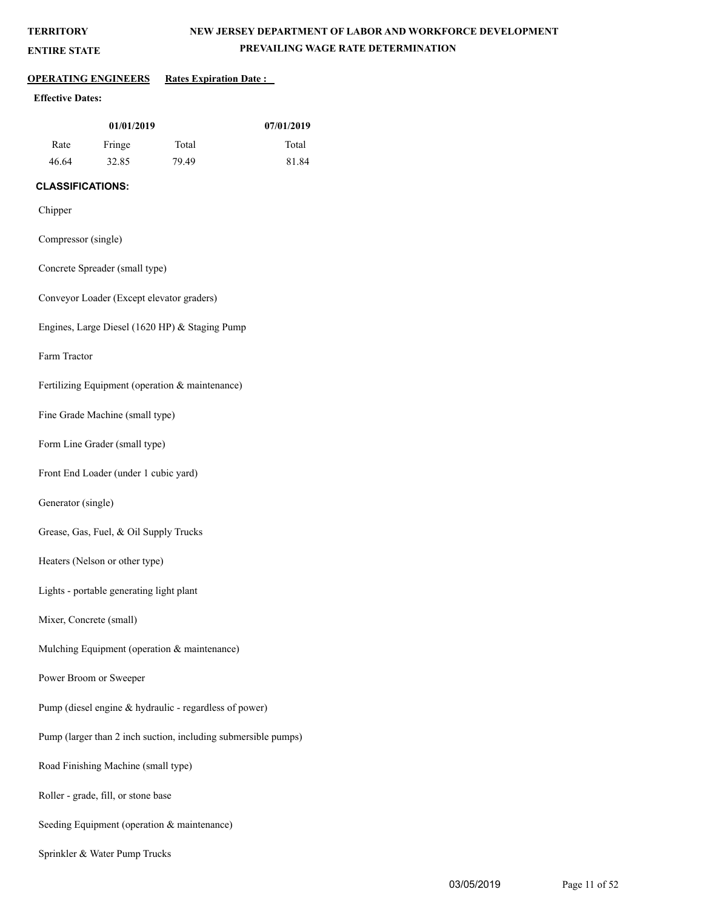**ENTIRE STATE**

## **NEW JERSEY DEPARTMENT OF LABOR AND WORKFORCE DEVELOPMENT PREVAILING WAGE RATE DETERMINATION**

#### **OPERATING ENGINEERS Rates Expiration Date :**

#### **Effective Dates:**

| 01/01/2019 |        |       | 07/01/2019 |
|------------|--------|-------|------------|
| Rate       | Fringe | Total | Total      |
| 46.64      | 32.85  | 79.49 | 81.84      |

## **CLASSIFICATIONS:**

#### Chipper

- Compressor (single)
- Concrete Spreader (small type)

Conveyor Loader (Except elevator graders)

Engines, Large Diesel (1620 HP) & Staging Pump

Farm Tractor

Fertilizing Equipment (operation & maintenance)

Fine Grade Machine (small type)

Form Line Grader (small type)

Front End Loader (under 1 cubic yard)

Generator (single)

Grease, Gas, Fuel, & Oil Supply Trucks

Heaters (Nelson or other type)

Lights - portable generating light plant

Mixer, Concrete (small)

Mulching Equipment (operation & maintenance)

Power Broom or Sweeper

Pump (diesel engine & hydraulic - regardless of power)

Pump (larger than 2 inch suction, including submersible pumps)

Road Finishing Machine (small type)

Roller - grade, fill, or stone base

Seeding Equipment (operation & maintenance)

Sprinkler & Water Pump Trucks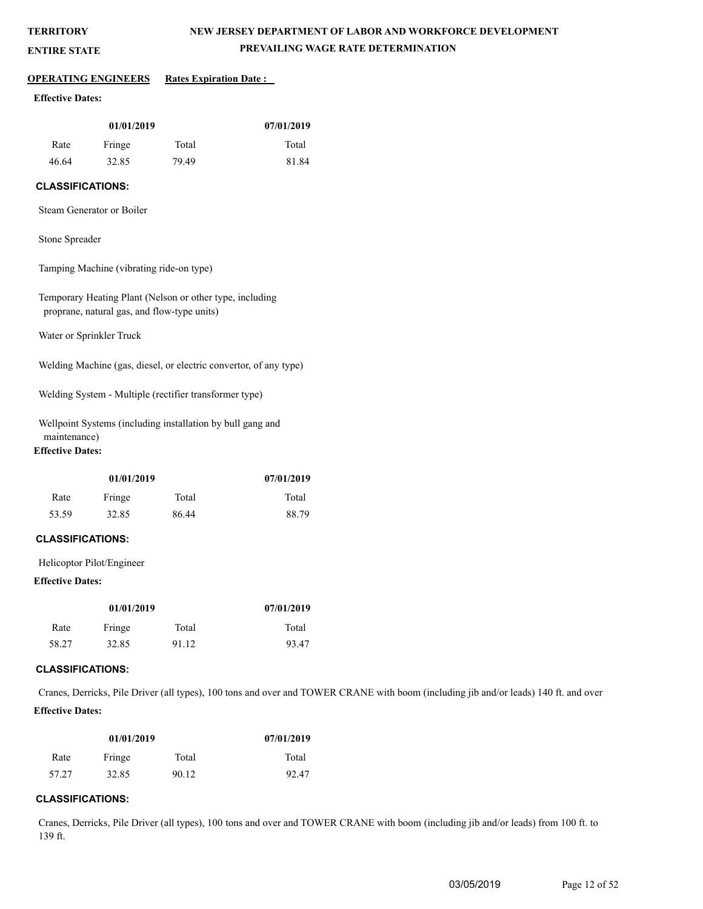**ENTIRE STATE**

## **NEW JERSEY DEPARTMENT OF LABOR AND WORKFORCE DEVELOPMENT PREVAILING WAGE RATE DETERMINATION**

# **OPERATING ENGINEERS Rates Expiration Date :**

## **Effective Dates:**

| 01/01/2019 |        |       | 07/01/2019 |
|------------|--------|-------|------------|
| Rate       | Fringe | Total | Total      |
| 46.64      | 32.85  | 79.49 | 81.84      |

## **CLASSIFICATIONS:**

Steam Generator or Boiler

## Stone Spreader

Tamping Machine (vibrating ride-on type)

Temporary Heating Plant (Nelson or other type, including proprane, natural gas, and flow-type units)

Water or Sprinkler Truck

Welding Machine (gas, diesel, or electric convertor, of any type)

Welding System - Multiple (rectifier transformer type)

Wellpoint Systems (including installation by bull gang and maintenance)

## **Effective Dates:**

| 01/01/2019 |        |       | 07/01/2019 |
|------------|--------|-------|------------|
| Rate       | Fringe | Total | Total      |
| 53.59      | 32.85  | 86.44 | 88.79      |

## **CLASSIFICATIONS:**

Helicoptor Pilot/Engineer

#### **Effective Dates:**

| 01/01/2019 |        |       | 07/01/2019 |
|------------|--------|-------|------------|
| Rate       | Fringe | Total | Total      |
| 58.27      | 32.85  | 91.12 | 93.47      |

#### **CLASSIFICATIONS:**

Cranes, Derricks, Pile Driver (all types), 100 tons and over and TOWER CRANE with boom (including jib and/or leads) 140 ft. and over **Effective Dates:**

| 01/01/2019 |        |       | 07/01/2019 |
|------------|--------|-------|------------|
| Rate       | Fringe | Total | Total      |
| 57.27      | 32.85  | 90.12 | 92.47      |

#### **CLASSIFICATIONS:**

Cranes, Derricks, Pile Driver (all types), 100 tons and over and TOWER CRANE with boom (including jib and/or leads) from 100 ft. to 139 ft.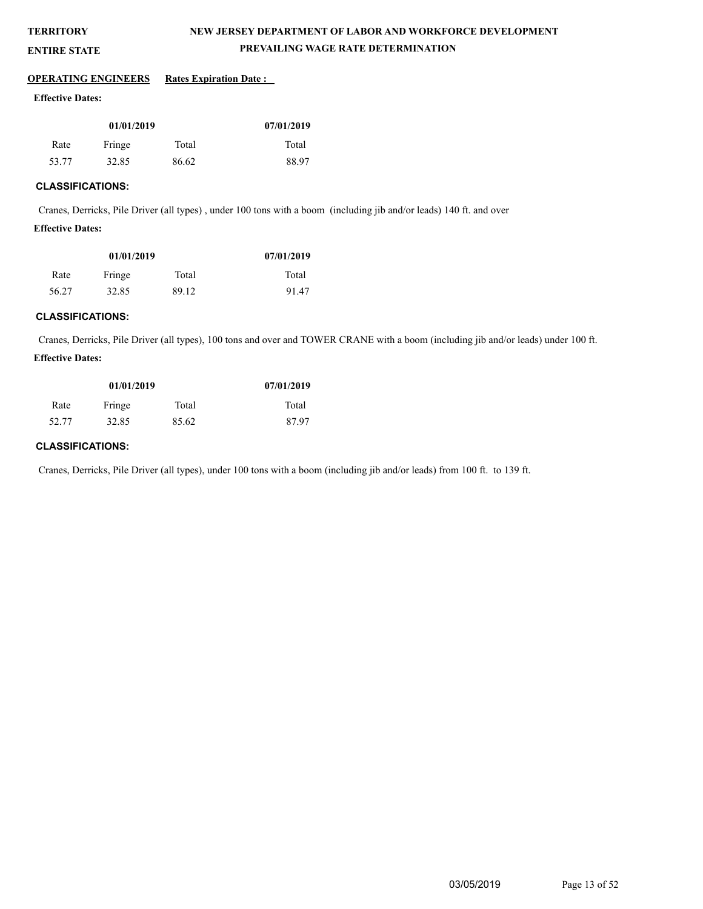## **NEW JERSEY DEPARTMENT OF LABOR AND WORKFORCE DEVELOPMENT PREVAILING WAGE RATE DETERMINATION**

#### **ENTIRE STATE**

#### **OPERATING ENGINEERS** Rates Expiration Date :

#### **Effective Dates:**

| 01/01/2019 |        |       | 07/01/2019 |
|------------|--------|-------|------------|
| Rate       | Fringe | Total | Total      |
| 53.77      | 32.85  | 86.62 | 88.97      |

#### **CLASSIFICATIONS:**

Cranes, Derricks, Pile Driver (all types) , under 100 tons with a boom (including jib and/or leads) 140 ft. and over

## **Effective Dates:**

| 01/01/2019 |        |       | 07/01/2019 |
|------------|--------|-------|------------|
| Rate       | Fringe | Total | Total      |
| 56.27      | 32.85  | 89.12 | 91.47      |

## **CLASSIFICATIONS:**

Cranes, Derricks, Pile Driver (all types), 100 tons and over and TOWER CRANE with a boom (including jib and/or leads) under 100 ft. **Effective Dates:**

| 01/01/2019 |        |       | 07/01/2019 |
|------------|--------|-------|------------|
| Rate       | Fringe | Total | Total      |
| 52.77      | 32.85  | 85.62 | 87.97      |

#### **CLASSIFICATIONS:**

Cranes, Derricks, Pile Driver (all types), under 100 tons with a boom (including jib and/or leads) from 100 ft. to 139 ft.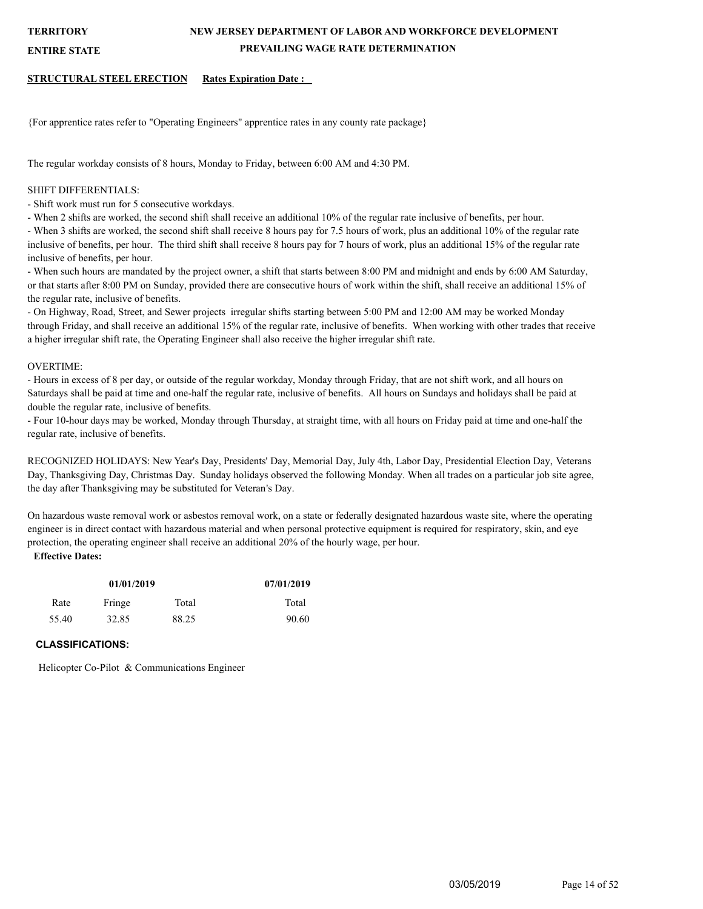## **NEW JERSEY DEPARTMENT OF LABOR AND WORKFORCE DEVELOPMENT PREVAILING WAGE RATE DETERMINATION**

**ENTIRE STATE**

#### **STRUCTURAL STEEL ERECTION Rates Expiration Date :**

{For apprentice rates refer to "Operating Engineers" apprentice rates in any county rate package}

The regular workday consists of 8 hours, Monday to Friday, between 6:00 AM and 4:30 PM.

#### SHIFT DIFFERENTIALS:

- Shift work must run for 5 consecutive workdays.

- When 2 shifts are worked, the second shift shall receive an additional 10% of the regular rate inclusive of benefits, per hour.

- When 3 shifts are worked, the second shift shall receive 8 hours pay for 7.5 hours of work, plus an additional 10% of the regular rate inclusive of benefits, per hour. The third shift shall receive 8 hours pay for 7 hours of work, plus an additional 15% of the regular rate inclusive of benefits, per hour.

- When such hours are mandated by the project owner, a shift that starts between 8:00 PM and midnight and ends by 6:00 AM Saturday, or that starts after 8:00 PM on Sunday, provided there are consecutive hours of work within the shift, shall receive an additional 15% of the regular rate, inclusive of benefits.

- On Highway, Road, Street, and Sewer projects irregular shifts starting between 5:00 PM and 12:00 AM may be worked Monday through Friday, and shall receive an additional 15% of the regular rate, inclusive of benefits. When working with other trades that receive a higher irregular shift rate, the Operating Engineer shall also receive the higher irregular shift rate.

#### OVERTIME:

- Hours in excess of 8 per day, or outside of the regular workday, Monday through Friday, that are not shift work, and all hours on Saturdays shall be paid at time and one-half the regular rate, inclusive of benefits. All hours on Sundays and holidays shall be paid at double the regular rate, inclusive of benefits.

- Four 10-hour days may be worked, Monday through Thursday, at straight time, with all hours on Friday paid at time and one-half the regular rate, inclusive of benefits.

RECOGNIZED HOLIDAYS: New Year's Day, Presidents' Day, Memorial Day, July 4th, Labor Day, Presidential Election Day, Veterans Day, Thanksgiving Day, Christmas Day. Sunday holidays observed the following Monday. When all trades on a particular job site agree, the day after Thanksgiving may be substituted for Veteran's Day.

On hazardous waste removal work or asbestos removal work, on a state or federally designated hazardous waste site, where the operating engineer is in direct contact with hazardous material and when personal protective equipment is required for respiratory, skin, and eye protection, the operating engineer shall receive an additional 20% of the hourly wage, per hour.

## **Effective Dates:**

| 01/01/2019              |       |       | 07/01/2019 |
|-------------------------|-------|-------|------------|
| Fringe<br>Total<br>Rate |       |       | Total      |
| 55.40                   | 32.85 | 88.25 | 90.60      |

## **CLASSIFICATIONS:**

Helicopter Co-Pilot & Communications Engineer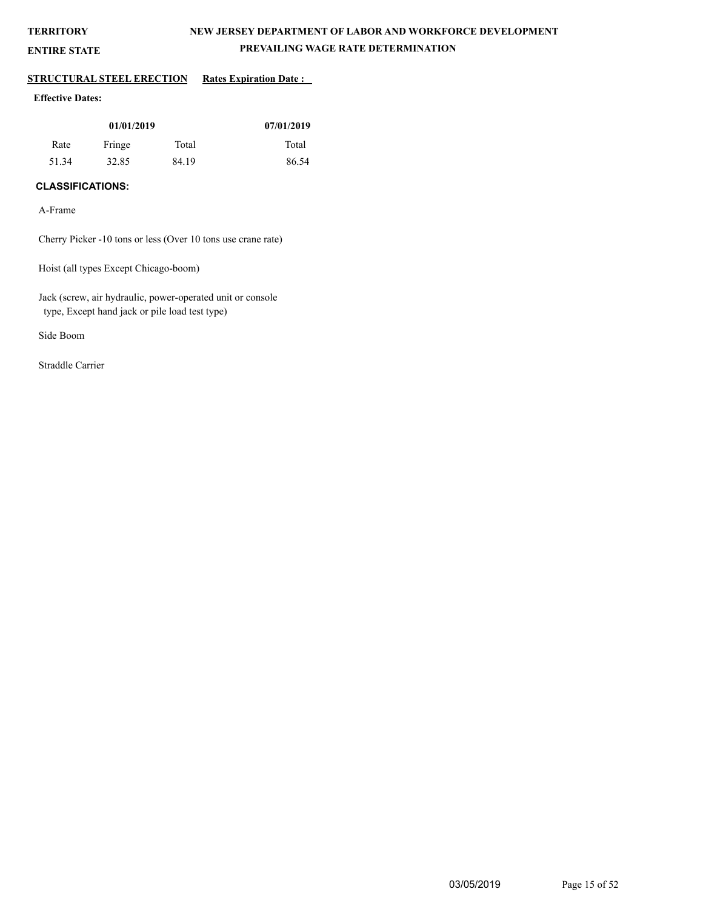**ENTIRE STATE**

## **NEW JERSEY DEPARTMENT OF LABOR AND WORKFORCE DEVELOPMENT PREVAILING WAGE RATE DETERMINATION**

## **STRUCTURAL STEEL ERECTION** Rates Expiration Date :

## **Effective Dates:**

| 01/01/2019 |        |       | 07/01/2019 |
|------------|--------|-------|------------|
| Rate       | Fringe | Total | Total      |
| 51.34      | 32.85  | 84.19 | 86.54      |

## **CLASSIFICATIONS:**

A-Frame

Cherry Picker -10 tons or less (Over 10 tons use crane rate)

Hoist (all types Except Chicago-boom)

Jack (screw, air hydraulic, power-operated unit or console type, Except hand jack or pile load test type)

Side Boom

Straddle Carrier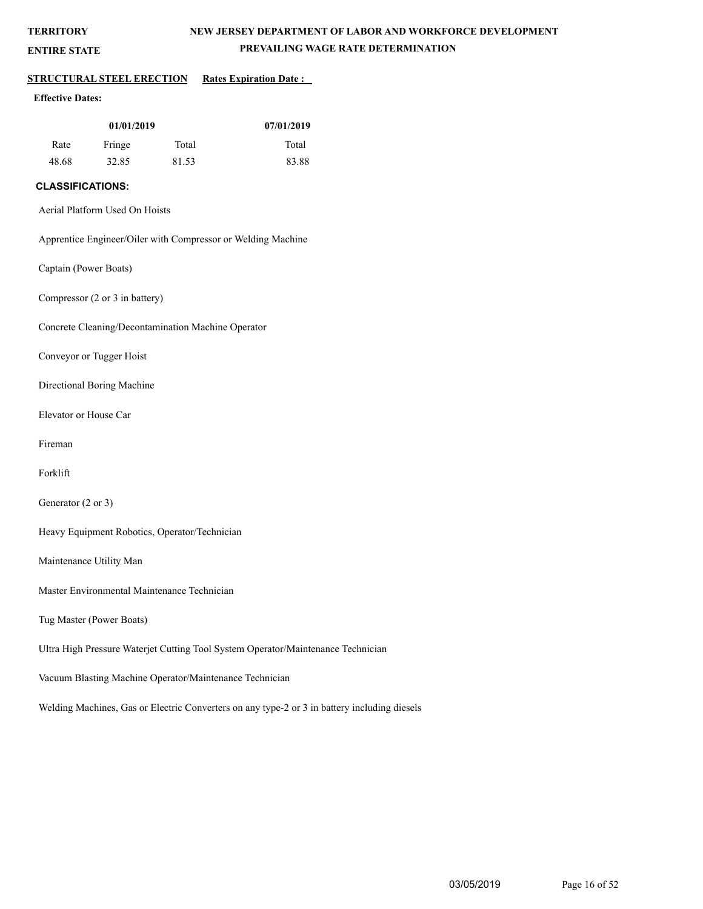**ENTIRE STATE**

## **NEW JERSEY DEPARTMENT OF LABOR AND WORKFORCE DEVELOPMENT PREVAILING WAGE RATE DETERMINATION**

## **STRUCTURAL STEEL ERECTION Rates Expiration Date :**

## **Effective Dates:**

| 01/01/2019 |        |       | 07/01/2019 |
|------------|--------|-------|------------|
| Rate       | Fringe | Total | Total      |
| 48.68      | 32.85  | 81.53 | 83.88      |

## **CLASSIFICATIONS:**

Aerial Platform Used On Hoists

Apprentice Engineer/Oiler with Compressor or Welding Machine

Captain (Power Boats)

Compressor (2 or 3 in battery)

Concrete Cleaning/Decontamination Machine Operator

Conveyor or Tugger Hoist

Directional Boring Machine

Elevator or House Car

Fireman

Forklift

Generator (2 or 3)

Heavy Equipment Robotics, Operator/Technician

Maintenance Utility Man

Master Environmental Maintenance Technician

Tug Master (Power Boats)

Ultra High Pressure Waterjet Cutting Tool System Operator/Maintenance Technician

Vacuum Blasting Machine Operator/Maintenance Technician

Welding Machines, Gas or Electric Converters on any type-2 or 3 in battery including diesels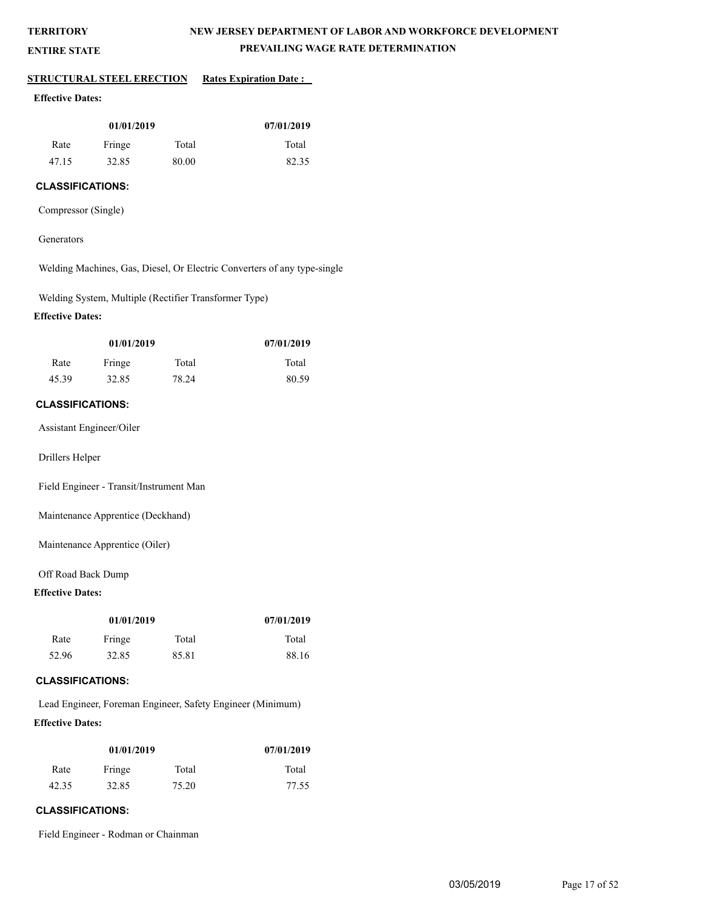**ENTIRE STATE**

## **NEW JERSEY DEPARTMENT OF LABOR AND WORKFORCE DEVELOPMENT PREVAILING WAGE RATE DETERMINATION**

#### **STRUCTURAL STEEL ERECTION Rates Expiration Date :**

#### **Effective Dates:**

| 01/01/2019 |        |       | 07/01/2019 |
|------------|--------|-------|------------|
| Rate       | Fringe | Total | Total      |
| 47.15      | 32.85  | 80.00 | 82.35      |

## **CLASSIFICATIONS:**

Compressor (Single)

#### **Generators**

Welding Machines, Gas, Diesel, Or Electric Converters of any type-single

Welding System, Multiple (Rectifier Transformer Type)

## **Effective Dates:**

| 01/01/2019 |        |       | 07/01/2019 |
|------------|--------|-------|------------|
| Rate       | Fringe | Total | Total      |
| 45.39      | 32.85  | 78.24 | 80.59      |

## **CLASSIFICATIONS:**

Assistant Engineer/Oiler

Drillers Helper

Field Engineer - Transit/Instrument Man

Maintenance Apprentice (Deckhand)

Maintenance Apprentice (Oiler)

#### Off Road Back Dump

## **Effective Dates:**

| 01/01/2019 |        |       | 07/01/2019 |
|------------|--------|-------|------------|
| Rate       | Fringe | Total | Total      |
| 52.96      | 32.85  | 85.81 | 88.16      |

#### **CLASSIFICATIONS:**

Lead Engineer, Foreman Engineer, Safety Engineer (Minimum) **Effective Dates:**

| 01/01/2019              |       |       | 07/01/2019 |
|-------------------------|-------|-------|------------|
| Total<br>Fringe<br>Rate |       |       | Total      |
| 42.35                   | 32.85 | 75.20 | 77.55      |

## **CLASSIFICATIONS:**

Field Engineer - Rodman or Chainman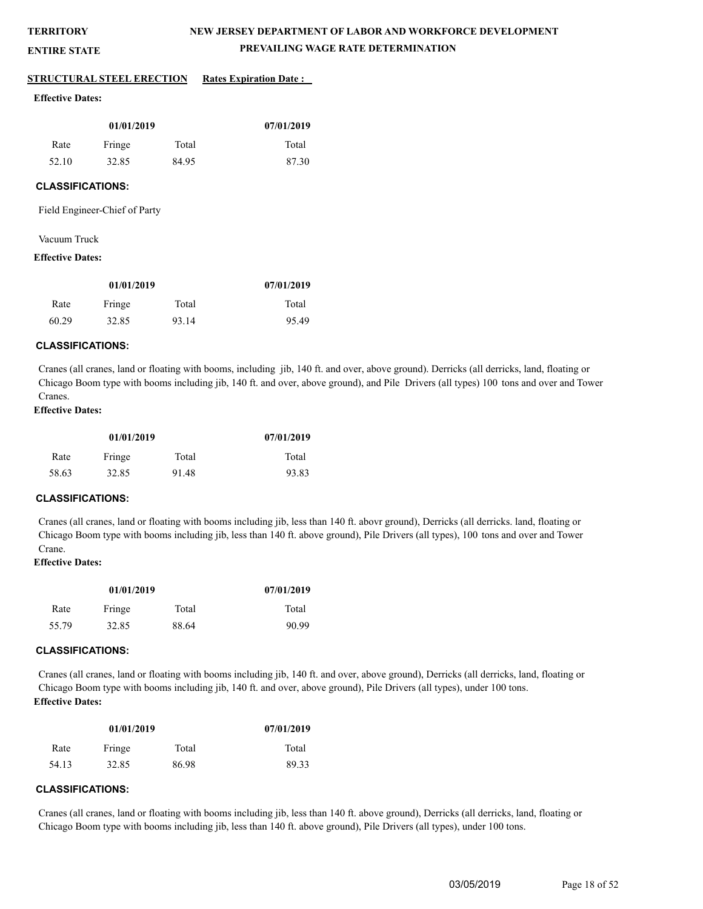**ENTIRE STATE**

## **NEW JERSEY DEPARTMENT OF LABOR AND WORKFORCE DEVELOPMENT PREVAILING WAGE RATE DETERMINATION**

#### **STRUCTURAL STEEL ERECTION Rates Expiration Date :**

#### **Effective Dates:**

| 01/01/2019 |        |       | 07/01/2019 |
|------------|--------|-------|------------|
| Rate       | Fringe | Total | Total      |
| 52.10      | 32.85  | 84.95 | 87.30      |

#### **CLASSIFICATIONS:**

Field Engineer-Chief of Party

#### Vacuum Truck

#### **Effective Dates:**

| 01/01/2019 |        |       | 07/01/2019 |
|------------|--------|-------|------------|
| Rate       | Fringe | Total | Total      |
| 60.29      | 32.85  | 93.14 | 95.49      |

#### **CLASSIFICATIONS:**

Cranes (all cranes, land or floating with booms, including jib, 140 ft. and over, above ground). Derricks (all derricks, land, floating or Chicago Boom type with booms including jib, 140 ft. and over, above ground), and Pile Drivers (all types) 100 tons and over and Tower Cranes.

## **Effective Dates:**

| 01/01/2019 |        |       | 07/01/2019 |
|------------|--------|-------|------------|
| Rate       | Fringe | Total | Total      |
| 58.63      | 32.85  | 91.48 | 93.83      |

#### **CLASSIFICATIONS:**

Cranes (all cranes, land or floating with booms including jib, less than 140 ft. abovr ground), Derricks (all derricks. land, floating or Chicago Boom type with booms including jib, less than 140 ft. above ground), Pile Drivers (all types), 100 tons and over and Tower Crane.

## **Effective Dates:**

| 01/01/2019              |       |       | 07/01/2019 |
|-------------------------|-------|-------|------------|
| Total<br>Fringe<br>Rate |       |       | Total      |
| 55.79                   | 32.85 | 88.64 | 90.99      |

#### **CLASSIFICATIONS:**

Cranes (all cranes, land or floating with booms including jib, 140 ft. and over, above ground), Derricks (all derricks, land, floating or Chicago Boom type with booms including jib, 140 ft. and over, above ground), Pile Drivers (all types), under 100 tons. **Effective Dates:**

| 01/01/2019              |       |       | 07/01/2019 |
|-------------------------|-------|-------|------------|
| Fringe<br>Total<br>Rate |       |       | Total      |
| 54.13                   | 32.85 | 86.98 | 89.33      |

## **CLASSIFICATIONS:**

Cranes (all cranes, land or floating with booms including jib, less than 140 ft. above ground), Derricks (all derricks, land, floating or Chicago Boom type with booms including jib, less than 140 ft. above ground), Pile Drivers (all types), under 100 tons.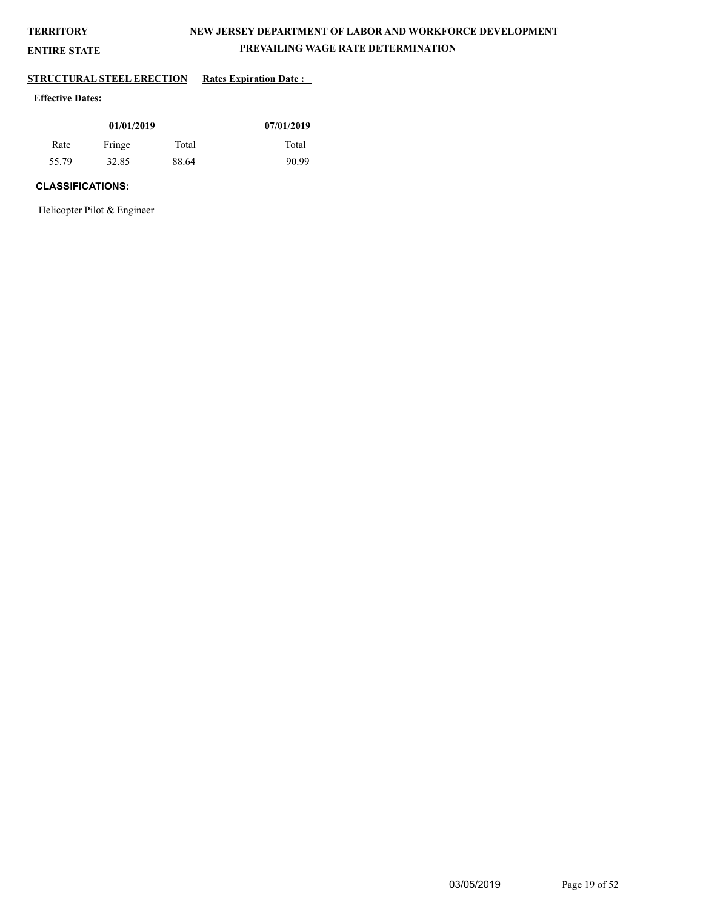**ENTIRE STATE**

## **NEW JERSEY DEPARTMENT OF LABOR AND WORKFORCE DEVELOPMENT PREVAILING WAGE RATE DETERMINATION**

# **STRUCTURAL STEEL ERECTION Rates Expiration Date :**

## **Effective Dates:**

| 01/01/2019 |        |       | 07/01/2019 |
|------------|--------|-------|------------|
| Rate       | Fringe | Total | Total      |
| 55.79      | 32.85  | 88.64 | 90.99      |

## **CLASSIFICATIONS:**

Helicopter Pilot & Engineer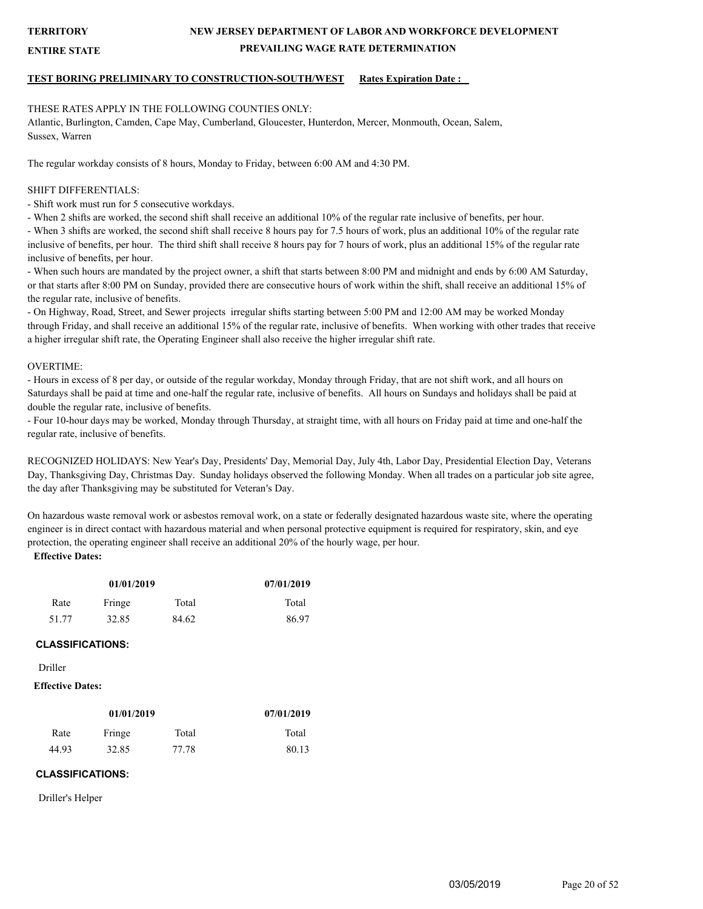**ENTIRE STATE**

## **NEW JERSEY DEPARTMENT OF LABOR AND WORKFORCE DEVELOPMENT PREVAILING WAGE RATE DETERMINATION**

## **TEST BORING PRELIMINARY TO CONSTRUCTION-SOUTH/WEST Rates Expiration Date :**

#### THESE RATES APPLY IN THE FOLLOWING COUNTIES ONLY:

Atlantic, Burlington, Camden, Cape May, Cumberland, Gloucester, Hunterdon, Mercer, Monmouth, Ocean, Salem, Sussex, Warren

The regular workday consists of 8 hours, Monday to Friday, between 6:00 AM and 4:30 PM.

#### SHIFT DIFFERENTIALS:

- Shift work must run for 5 consecutive workdays.

- When 2 shifts are worked, the second shift shall receive an additional 10% of the regular rate inclusive of benefits, per hour.

- When 3 shifts are worked, the second shift shall receive 8 hours pay for 7.5 hours of work, plus an additional 10% of the regular rate inclusive of benefits, per hour. The third shift shall receive 8 hours pay for 7 hours of work, plus an additional 15% of the regular rate inclusive of benefits, per hour.

- When such hours are mandated by the project owner, a shift that starts between 8:00 PM and midnight and ends by 6:00 AM Saturday, or that starts after 8:00 PM on Sunday, provided there are consecutive hours of work within the shift, shall receive an additional 15% of the regular rate, inclusive of benefits.

- On Highway, Road, Street, and Sewer projects irregular shifts starting between 5:00 PM and 12:00 AM may be worked Monday through Friday, and shall receive an additional 15% of the regular rate, inclusive of benefits. When working with other trades that receive a higher irregular shift rate, the Operating Engineer shall also receive the higher irregular shift rate.

#### OVERTIME:

- Hours in excess of 8 per day, or outside of the regular workday, Monday through Friday, that are not shift work, and all hours on Saturdays shall be paid at time and one-half the regular rate, inclusive of benefits. All hours on Sundays and holidays shall be paid at double the regular rate, inclusive of benefits.

- Four 10-hour days may be worked, Monday through Thursday, at straight time, with all hours on Friday paid at time and one-half the regular rate, inclusive of benefits.

RECOGNIZED HOLIDAYS: New Year's Day, Presidents' Day, Memorial Day, July 4th, Labor Day, Presidential Election Day, Veterans Day, Thanksgiving Day, Christmas Day. Sunday holidays observed the following Monday. When all trades on a particular job site agree, the day after Thanksgiving may be substituted for Veteran's Day.

On hazardous waste removal work or asbestos removal work, on a state or federally designated hazardous waste site, where the operating engineer is in direct contact with hazardous material and when personal protective equipment is required for respiratory, skin, and eye protection, the operating engineer shall receive an additional 20% of the hourly wage, per hour.

## **Effective Dates:**

| 01/01/2019              |       |       | 07/01/2019 |
|-------------------------|-------|-------|------------|
| Fringe<br>Total<br>Rate |       |       | Total      |
| 51.77                   | 32.85 | 84.62 | 86.97      |

## **CLASSIFICATIONS:**

#### Driller

#### **Effective Dates:**

| 01/01/2019 |        |       | 07/01/2019 |
|------------|--------|-------|------------|
| Rate       | Fringe | Total | Total      |
| 44.93      | 32.85  | 77.78 | 80.13      |

#### **CLASSIFICATIONS:**

Driller's Helper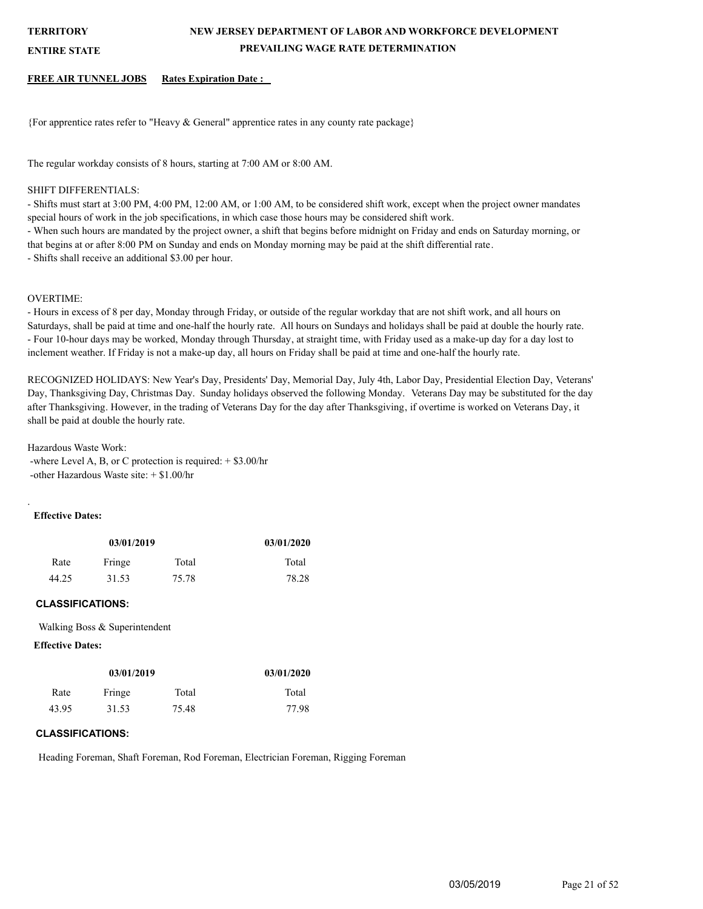**ENTIRE STATE**

## **NEW JERSEY DEPARTMENT OF LABOR AND WORKFORCE DEVELOPMENT PREVAILING WAGE RATE DETERMINATION**

#### **FREE AIR TUNNEL JOBS Rates Expiration Date :**

{For apprentice rates refer to "Heavy  $&$  General" apprentice rates in any county rate package}

The regular workday consists of 8 hours, starting at 7:00 AM or 8:00 AM.

#### SHIFT DIFFERENTIALS:

- Shifts must start at 3:00 PM, 4:00 PM, 12:00 AM, or 1:00 AM, to be considered shift work, except when the project owner mandates special hours of work in the job specifications, in which case those hours may be considered shift work.

- When such hours are mandated by the project owner, a shift that begins before midnight on Friday and ends on Saturday morning, or that begins at or after 8:00 PM on Sunday and ends on Monday morning may be paid at the shift differential rate.

- Shifts shall receive an additional \$3.00 per hour.

#### OVERTIME:

- Hours in excess of 8 per day, Monday through Friday, or outside of the regular workday that are not shift work, and all hours on Saturdays, shall be paid at time and one-half the hourly rate. All hours on Sundays and holidays shall be paid at double the hourly rate. - Four 10-hour days may be worked, Monday through Thursday, at straight time, with Friday used as a make-up day for a day lost to inclement weather. If Friday is not a make-up day, all hours on Friday shall be paid at time and one-half the hourly rate.

RECOGNIZED HOLIDAYS: New Year's Day, Presidents' Day, Memorial Day, July 4th, Labor Day, Presidential Election Day, Veterans' Day, Thanksgiving Day, Christmas Day. Sunday holidays observed the following Monday. Veterans Day may be substituted for the day after Thanksgiving. However, in the trading of Veterans Day for the day after Thanksgiving, if overtime is worked on Veterans Day, it shall be paid at double the hourly rate.

Hazardous Waste Work:

 -where Level A, B, or C protection is required: + \$3.00/hr -other Hazardous Waste site: + \$1.00/hr

#### **Effective Dates:**

.

| 03/01/2019 |        |       | 03/01/2020 |
|------------|--------|-------|------------|
| Rate       | Fringe | Total | Total      |
| 44.25      | 31.53  | 75.78 | 78.28      |

#### **CLASSIFICATIONS:**

Walking Boss & Superintendent

## **Effective Dates:**

| 03/01/2019 |        |       | 03/01/2020 |
|------------|--------|-------|------------|
| Rate       | Fringe | Total | Total      |
| 43.95      | 31.53  | 75.48 | 77.98      |

## **CLASSIFICATIONS:**

Heading Foreman, Shaft Foreman, Rod Foreman, Electrician Foreman, Rigging Foreman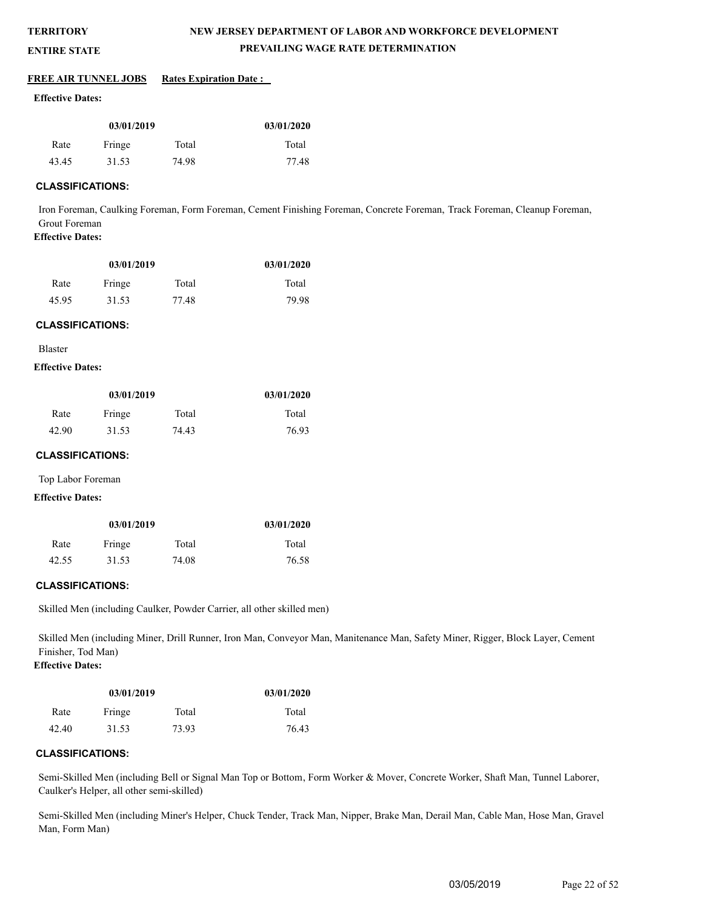## **NEW JERSEY DEPARTMENT OF LABOR AND WORKFORCE DEVELOPMENT PREVAILING WAGE RATE DETERMINATION**

#### **ENTIRE STATE**

#### **FREE AIR TUNNEL JOBS** Rates Expiration Date :

#### **Effective Dates:**

| 03/01/2019 |        |       | 03/01/2020 |
|------------|--------|-------|------------|
| Rate       | Fringe | Total | Total      |
| 43.45      | 31.53  | 74.98 | 77.48      |

#### **CLASSIFICATIONS:**

Iron Foreman, Caulking Foreman, Form Foreman, Cement Finishing Foreman, Concrete Foreman, Track Foreman, Cleanup Foreman, Grout Foreman **Effective Dates:**

| 03/01/2019 |        |       | 03/01/2020 |
|------------|--------|-------|------------|
| Rate       | Fringe | Total | Total      |
| 45.95      | 31.53  | 77.48 | 79.98      |

#### **CLASSIFICATIONS:**

Blaster

### **Effective Dates:**

| 03/01/2019 |        |       | 03/01/2020 |
|------------|--------|-------|------------|
| Rate       | Fringe | Total | Total      |
| 42.90      | 31.53  | 74.43 | 76.93      |

#### **CLASSIFICATIONS:**

Top Labor Foreman

#### **Effective Dates:**

| 03/01/2019 |        |       | 03/01/2020 |
|------------|--------|-------|------------|
| Rate       | Fringe | Total | Total      |
| 42.55      | 31.53  | 74.08 | 76.58      |

#### **CLASSIFICATIONS:**

Skilled Men (including Caulker, Powder Carrier, all other skilled men)

Skilled Men (including Miner, Drill Runner, Iron Man, Conveyor Man, Manitenance Man, Safety Miner, Rigger, Block Layer, Cement Finisher, Tod Man)

## **Effective Dates:**

| 03/01/2019 |        |       | 03/01/2020 |
|------------|--------|-------|------------|
| Rate       | Fringe | Total | Total      |
| 42.40      | 31.53  | 73.93 | 76.43      |

#### **CLASSIFICATIONS:**

Semi-Skilled Men (including Bell or Signal Man Top or Bottom, Form Worker & Mover, Concrete Worker, Shaft Man, Tunnel Laborer, Caulker's Helper, all other semi-skilled)

Semi-Skilled Men (including Miner's Helper, Chuck Tender, Track Man, Nipper, Brake Man, Derail Man, Cable Man, Hose Man, Gravel Man, Form Man)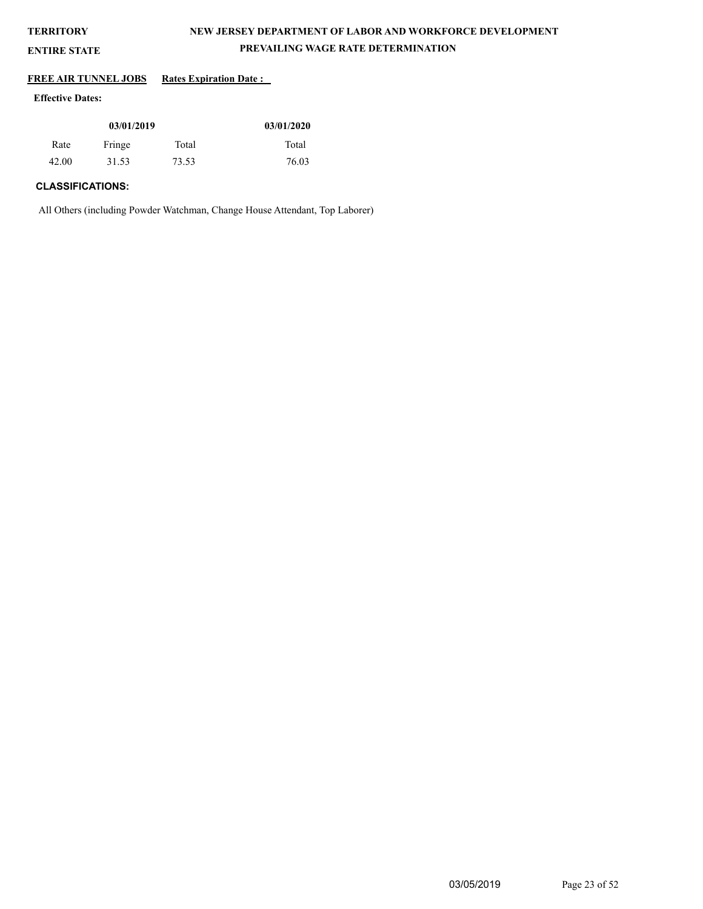## **NEW JERSEY DEPARTMENT OF LABOR AND WORKFORCE DEVELOPMENT PREVAILING WAGE RATE DETERMINATION**

## **ENTIRE STATE**

## **FREE AIR TUNNEL JOBS** Rates Expiration Date :

## **Effective Dates:**

| 03/01/2019 |        |       | 03/01/2020 |
|------------|--------|-------|------------|
| Rate       | Fringe | Total | Total      |
| 42.00      | 31.53  | 73.53 | 76.03      |

## **CLASSIFICATIONS:**

All Others (including Powder Watchman, Change House Attendant, Top Laborer)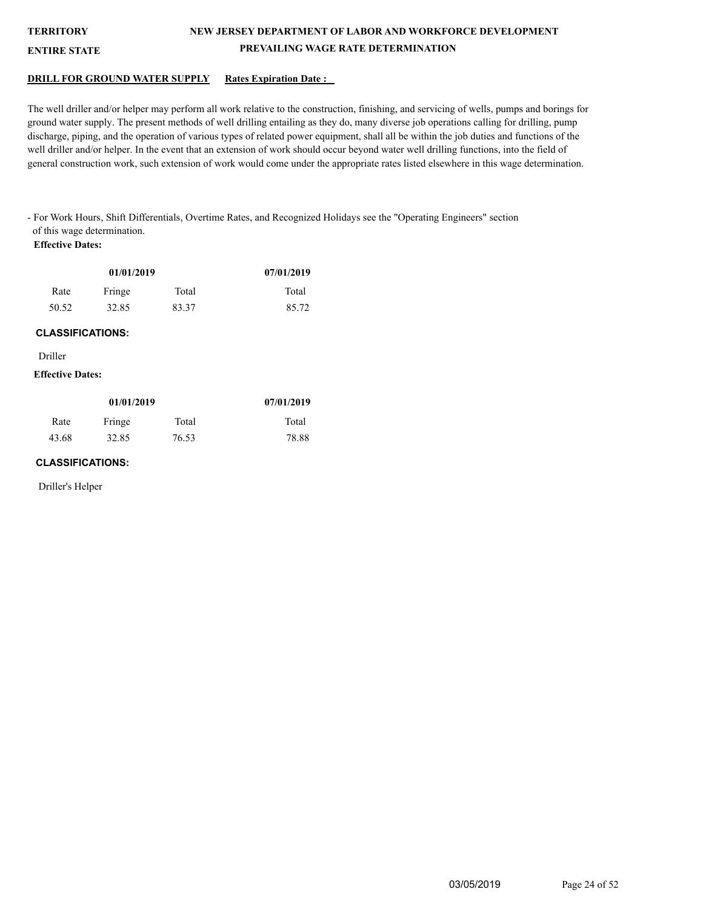## **NEW JERSEY DEPARTMENT OF LABOR AND WORKFORCE DEVELOPMENT PREVAILING WAGE RATE DETERMINATION**

#### **ENTIRE STATE**

#### **DRILL FOR GROUND WATER SUPPLY Rates Expiration Date :**

The well driller and/or helper may perform all work relative to the construction, finishing, and servicing of wells, pumps and borings for ground water supply. The present methods of well drilling entailing as they do, many diverse job operations calling for drilling, pump discharge, piping, and the operation of various types of related power equipment, shall all be within the job duties and functions of the well driller and/or helper. In the event that an extension of work should occur beyond water well drilling functions, into the field of general construction work, such extension of work would come under the appropriate rates listed elsewhere in this wage determination.

- For Work Hours, Shift Differentials, Overtime Rates, and Recognized Holidays see the "Operating Engineers" section of this wage determination.

## **Effective Dates:**

| 01/01/2019 |        |       | 07/01/2019 |
|------------|--------|-------|------------|
| Rate       | Fringe | Total | Total      |
| 50.52      | 32.85  | 83.37 | 85.72      |

#### **CLASSIFICATIONS:**

Driller

#### **Effective Dates:**

| 01/01/2019 |        |       | 07/01/2019 |
|------------|--------|-------|------------|
| Rate       | Fringe | Total | Total      |
| 43.68      | 32.85  | 76.53 | 78.88      |

#### **CLASSIFICATIONS:**

Driller's Helper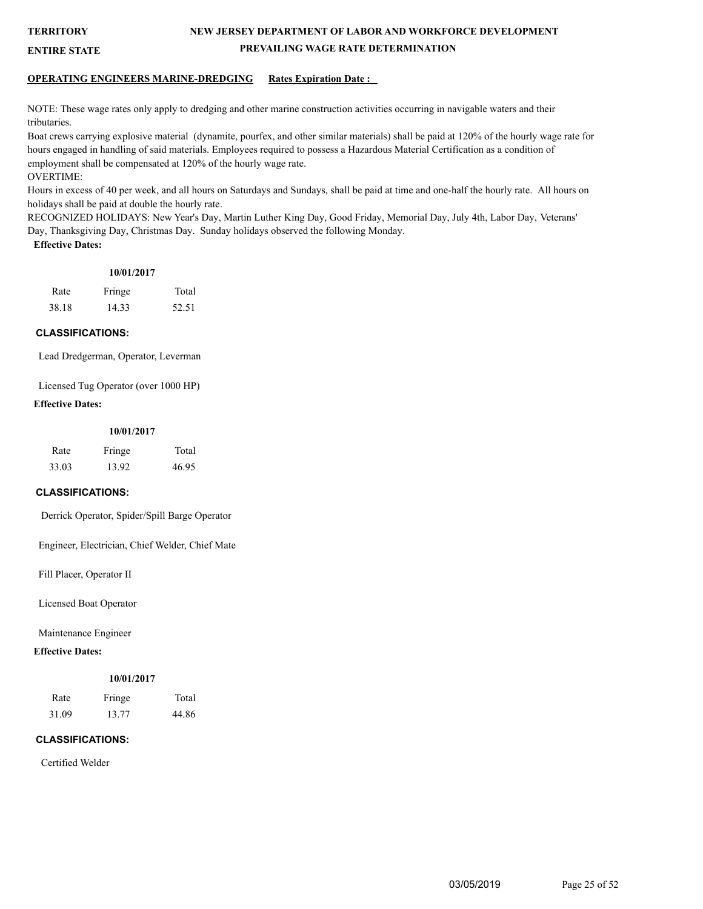**ENTIRE STATE**

## **NEW JERSEY DEPARTMENT OF LABOR AND WORKFORCE DEVELOPMENT PREVAILING WAGE RATE DETERMINATION**

## **OPERATING ENGINEERS MARINE-DREDGING Rates Expiration Date :**

NOTE: These wage rates only apply to dredging and other marine construction activities occurring in navigable waters and their tributaries.

Boat crews carrying explosive material (dynamite, pourfex, and other similar materials) shall be paid at 120% of the hourly wage rate for hours engaged in handling of said materials. Employees required to possess a Hazardous Material Certification as a condition of employment shall be compensated at 120% of the hourly wage rate. OVERTIME:

Hours in excess of 40 per week, and all hours on Saturdays and Sundays, shall be paid at time and one-half the hourly rate. All hours on holidays shall be paid at double the hourly rate.

RECOGNIZED HOLIDAYS: New Year's Day, Martin Luther King Day, Good Friday, Memorial Day, July 4th, Labor Day, Veterans' Day, Thanksgiving Day, Christmas Day. Sunday holidays observed the following Monday. **Effective Dates:**

## **10/01/2017**

| Rate  | Fringe | Total |
|-------|--------|-------|
| 38.18 | 14.33  | 52.51 |

#### **CLASSIFICATIONS:**

Lead Dredgerman, Operator, Leverman

Licensed Tug Operator (over 1000 HP)

## **Effective Dates:**

#### **10/01/2017**

| Rate  | Fringe | Total |
|-------|--------|-------|
| 33.03 | 13.92  | 46.95 |

## **CLASSIFICATIONS:**

Derrick Operator, Spider/Spill Barge Operator

Engineer, Electrician, Chief Welder, Chief Mate

Fill Placer, Operator II

Licensed Boat Operator

Maintenance Engineer

**Effective Dates:**

## **10/01/2017**

| Rate  | Fringe | Total |
|-------|--------|-------|
| 31.09 | 13.77  | 44.86 |

## **CLASSIFICATIONS:**

Certified Welder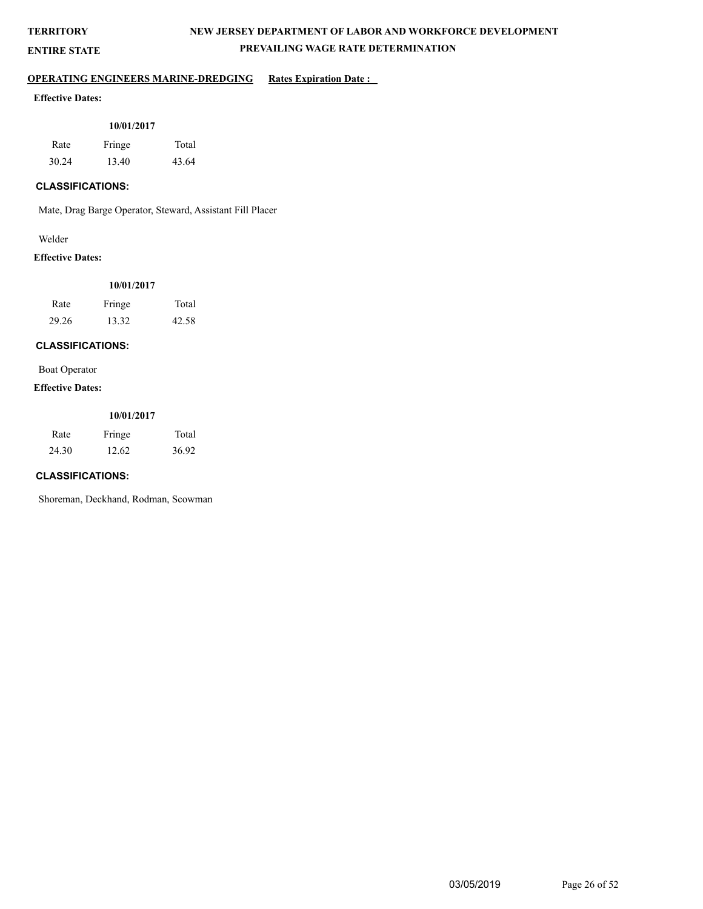**ENTIRE STATE**

## **NEW JERSEY DEPARTMENT OF LABOR AND WORKFORCE DEVELOPMENT PREVAILING WAGE RATE DETERMINATION**

## **OPERATING ENGINEERS MARINE-DREDGING** Rates Expiration Date :

## **Effective Dates:**

#### **10/01/2017**

| Rate  | Fringe | Total |
|-------|--------|-------|
| 30.24 | 13.40  | 43.64 |

## **CLASSIFICATIONS:**

Mate, Drag Barge Operator, Steward, Assistant Fill Placer

#### Welder

#### **Effective Dates:**

| 10/01/2017 |
|------------|
|------------|

| Rate  | Fringe | Total |
|-------|--------|-------|
| 29.26 | 13.32  | 42.58 |

## **CLASSIFICATIONS:**

Boat Operator

#### **Effective Dates:**

#### **10/01/2017**

| Rate  | Fringe | Total |
|-------|--------|-------|
| 24.30 | 12.62  | 36.92 |

## **CLASSIFICATIONS:**

Shoreman, Deckhand, Rodman, Scowman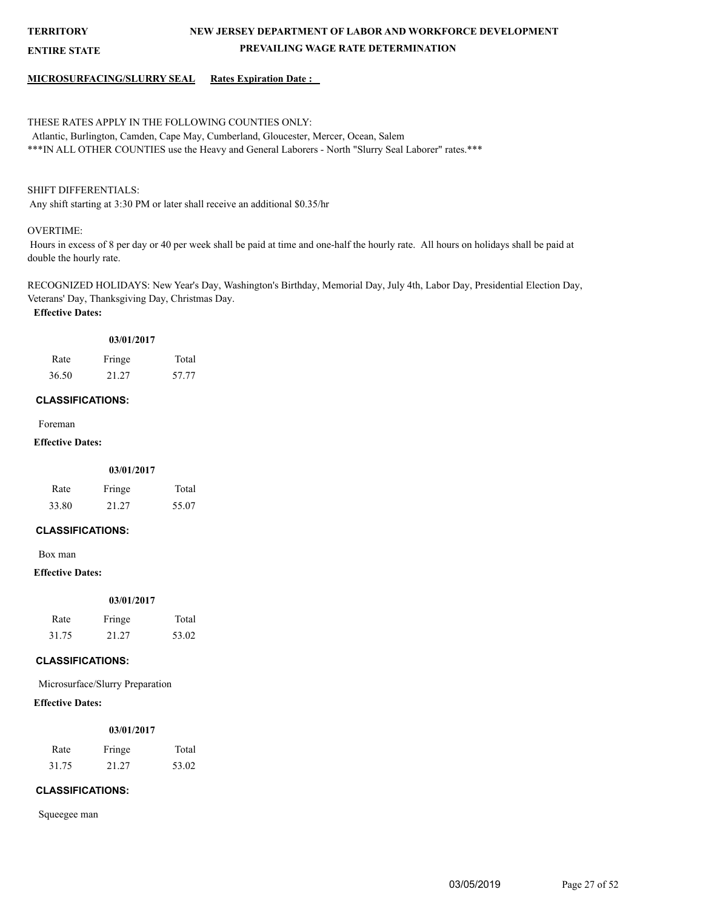**ENTIRE STATE**

## **NEW JERSEY DEPARTMENT OF LABOR AND WORKFORCE DEVELOPMENT PREVAILING WAGE RATE DETERMINATION**

#### **MICROSURFACING/SLURRY SEAL Rates Expiration Date :**

## THESE RATES APPLY IN THE FOLLOWING COUNTIES ONLY:

 Atlantic, Burlington, Camden, Cape May, Cumberland, Gloucester, Mercer, Ocean, Salem \*\*\*IN ALL OTHER COUNTIES use the Heavy and General Laborers - North "Slurry Seal Laborer" rates.\*\*\*

## SHIFT DIFFERENTIALS:

Any shift starting at 3:30 PM or later shall receive an additional \$0.35/hr

#### OVERTIME:

 Hours in excess of 8 per day or 40 per week shall be paid at time and one-half the hourly rate. All hours on holidays shall be paid at double the hourly rate.

RECOGNIZED HOLIDAYS: New Year's Day, Washington's Birthday, Memorial Day, July 4th, Labor Day, Presidential Election Day, Veterans' Day, Thanksgiving Day, Christmas Day. **Effective Dates:**

| . <i>.</i> |        |       |
|------------|--------|-------|
| Rate       | Fringe | Total |
| 36.50      | 21.27  | 57.77 |

**03/01/2017**

#### **CLASSIFICATIONS:**

Foreman

## **Effective Dates:**

| 03/01/2017 |        |       |
|------------|--------|-------|
| Rate       | Fringe | Total |
| 33.80      | 21 27  | 55.07 |

### **CLASSIFICATIONS:**

Box man

#### **Effective Dates:**

|       | 03/01/2017 |       |
|-------|------------|-------|
| Rate  | Fringe     | Total |
| 31.75 | 21.27      | 53.02 |

#### **CLASSIFICATIONS:**

Microsurface/Slurry Preparation

## **Effective Dates:**

#### **03/01/2017**

| Rate  | Fringe | Total |
|-------|--------|-------|
| 31.75 | 21.27  | 53.02 |

## **CLASSIFICATIONS:**

Squeegee man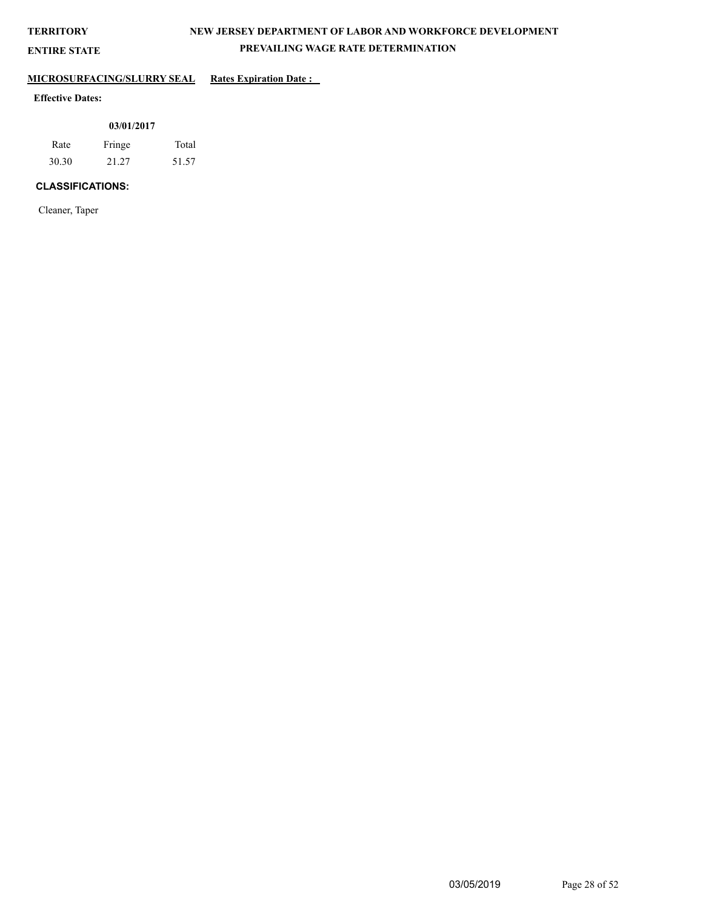**ENTIRE STATE**

## **NEW JERSEY DEPARTMENT OF LABOR AND WORKFORCE DEVELOPMENT PREVAILING WAGE RATE DETERMINATION**

## **MICROSURFACING/SLURRY SEAL Rates Expiration Date :**

## **Effective Dates:**

| 03/01/2017 |        |       |  |
|------------|--------|-------|--|
| Rate       | Fringe | Total |  |
| 30.30      | 21.27  | 51.57 |  |

## **CLASSIFICATIONS:**

Cleaner, Taper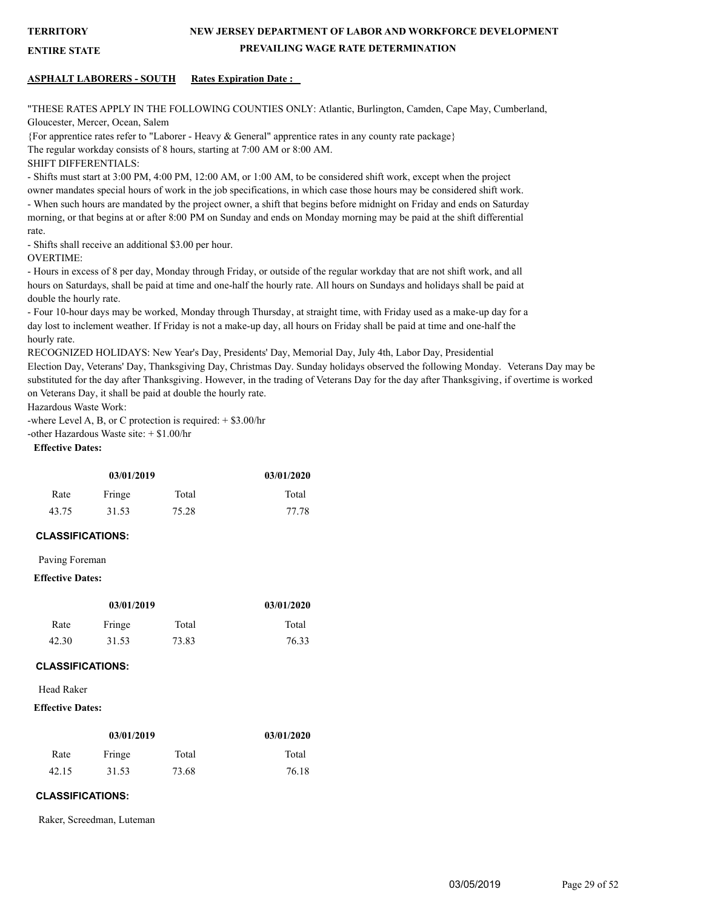**ENTIRE STATE**

## **NEW JERSEY DEPARTMENT OF LABOR AND WORKFORCE DEVELOPMENT PREVAILING WAGE RATE DETERMINATION**

#### **ASPHALT LABORERS - SOUTH Rates Expiration Date :**

"THESE RATES APPLY IN THE FOLLOWING COUNTIES ONLY: Atlantic, Burlington, Camden, Cape May, Cumberland, Gloucester, Mercer, Ocean, Salem

{For apprentice rates refer to "Laborer - Heavy & General" apprentice rates in any county rate package}

The regular workday consists of 8 hours, starting at 7:00 AM or 8:00 AM.

SHIFT DIFFERENTIALS:

- Shifts must start at 3:00 PM, 4:00 PM, 12:00 AM, or 1:00 AM, to be considered shift work, except when the project

owner mandates special hours of work in the job specifications, in which case those hours may be considered shift work. - When such hours are mandated by the project owner, a shift that begins before midnight on Friday and ends on Saturday morning, or that begins at or after 8:00 PM on Sunday and ends on Monday morning may be paid at the shift differential rate.

- Shifts shall receive an additional \$3.00 per hour.

OVERTIME:

- Hours in excess of 8 per day, Monday through Friday, or outside of the regular workday that are not shift work, and all hours on Saturdays, shall be paid at time and one-half the hourly rate. All hours on Sundays and holidays shall be paid at double the hourly rate.

- Four 10-hour days may be worked, Monday through Thursday, at straight time, with Friday used as a make-up day for a day lost to inclement weather. If Friday is not a make-up day, all hours on Friday shall be paid at time and one-half the hourly rate.

RECOGNIZED HOLIDAYS: New Year's Day, Presidents' Day, Memorial Day, July 4th, Labor Day, Presidential

Election Day, Veterans' Day, Thanksgiving Day, Christmas Day. Sunday holidays observed the following Monday. Veterans Day may be substituted for the day after Thanksgiving. However, in the trading of Veterans Day for the day after Thanksgiving, if overtime is worked on Veterans Day, it shall be paid at double the hourly rate.

Hazardous Waste Work:

-where Level A, B, or C protection is required:  $+$  \$3.00/hr -other Hazardous Waste site: + \$1.00/hr

#### **Effective Dates:**

| 03/01/2019 |        | 03/01/2020 |       |
|------------|--------|------------|-------|
| Rate       | Fringe | Total      | Total |
| 43.75      | 31.53  | 75.28      | 77.78 |

#### **CLASSIFICATIONS:**

Paving Foreman

#### **Effective Dates:**

| 03/01/2019 |        |       | 03/01/2020 |
|------------|--------|-------|------------|
| Rate       | Fringe | Total | Total      |
| 42.30      | 31.53  | 73.83 | 76.33      |

#### **CLASSIFICATIONS:**

#### Head Raker

#### **Effective Dates:**

| 03/01/2019 |        |       | 03/01/2020 |
|------------|--------|-------|------------|
| Rate       | Fringe | Total | Total      |
| 42.15      | 31.53  | 73.68 | 76.18      |

#### **CLASSIFICATIONS:**

Raker, Screedman, Luteman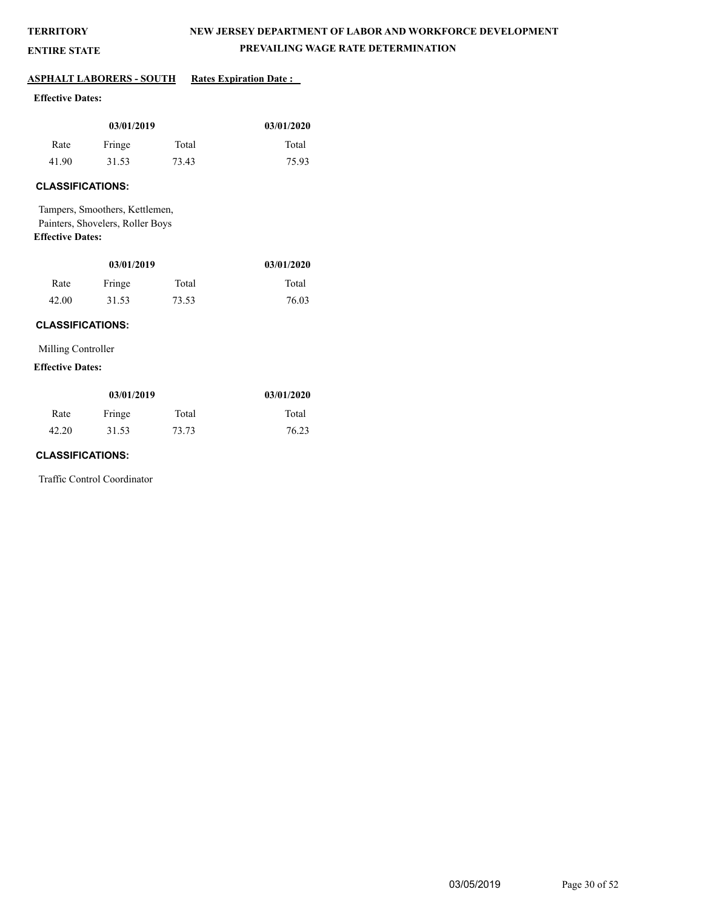## **NEW JERSEY DEPARTMENT OF LABOR AND WORKFORCE DEVELOPMENT PREVAILING WAGE RATE DETERMINATION**

## **ENTIRE STATE**

## **ASPHALT LABORERS - SOUTH Rates Expiration Date :**

## **Effective Dates:**

| 03/01/2019 |        |       | 03/01/2020 |
|------------|--------|-------|------------|
| Rate       | Fringe | Total | Total      |
| 41.90      | 31.53  | 73.43 | 75.93      |

## **CLASSIFICATIONS:**

Tampers, Smoothers, Kettlemen, Painters, Shovelers, Roller Boys **Effective Dates:**

| 03/01/2019 |        |       | 03/01/2020 |
|------------|--------|-------|------------|
| Rate       | Fringe | Total | Total      |
| 42.00      | 31.53  | 73.53 | 76.03      |

#### **CLASSIFICATIONS:**

Milling Controller

#### **Effective Dates:**

| 03/01/2019 |        |       | 03/01/2020 |
|------------|--------|-------|------------|
| Rate       | Fringe | Total | Total      |
| 42.20      | 31.53  | 73.73 | 76.23      |

## **CLASSIFICATIONS:**

Traffic Control Coordinator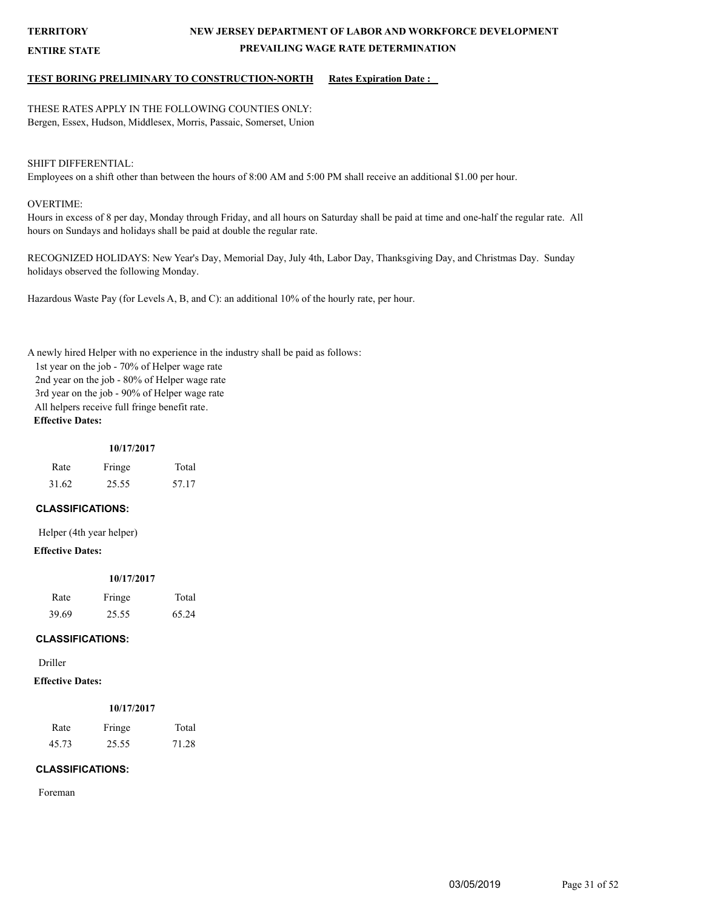**ENTIRE STATE**

## **NEW JERSEY DEPARTMENT OF LABOR AND WORKFORCE DEVELOPMENT PREVAILING WAGE RATE DETERMINATION**

#### **TEST BORING PRELIMINARY TO CONSTRUCTION-NORTH Rates Expiration Date :**

THESE RATES APPLY IN THE FOLLOWING COUNTIES ONLY: Bergen, Essex, Hudson, Middlesex, Morris, Passaic, Somerset, Union

#### SHIFT DIFFERENTIAL:

Employees on a shift other than between the hours of 8:00 AM and 5:00 PM shall receive an additional \$1.00 per hour.

#### OVERTIME:

Hours in excess of 8 per day, Monday through Friday, and all hours on Saturday shall be paid at time and one-half the regular rate. All hours on Sundays and holidays shall be paid at double the regular rate.

RECOGNIZED HOLIDAYS: New Year's Day, Memorial Day, July 4th, Labor Day, Thanksgiving Day, and Christmas Day. Sunday holidays observed the following Monday.

Hazardous Waste Pay (for Levels A, B, and C): an additional 10% of the hourly rate, per hour.

A newly hired Helper with no experience in the industry shall be paid as follows:

1st year on the job - 70% of Helper wage rate

2nd year on the job - 80% of Helper wage rate

3rd year on the job - 90% of Helper wage rate

All helpers receive full fringe benefit rate.

## **Effective Dates:**

| Rate  | Fringe | Total |
|-------|--------|-------|
| 31.62 | 25.55  | 57.17 |

#### **CLASSIFICATIONS:**

Helper (4th year helper)

#### **Effective Dates:**

#### **10/17/2017**

| Rate  | Fringe | Total |
|-------|--------|-------|
| 39.69 | 25.55  | 65.24 |

#### **CLASSIFICATIONS:**

Driller

## **Effective Dates:**

|       | 10/17/2017 |       |
|-------|------------|-------|
| Rate  | Fringe     | Total |
| 45.73 | 25.55      | 71.28 |

#### **CLASSIFICATIONS:**

Foreman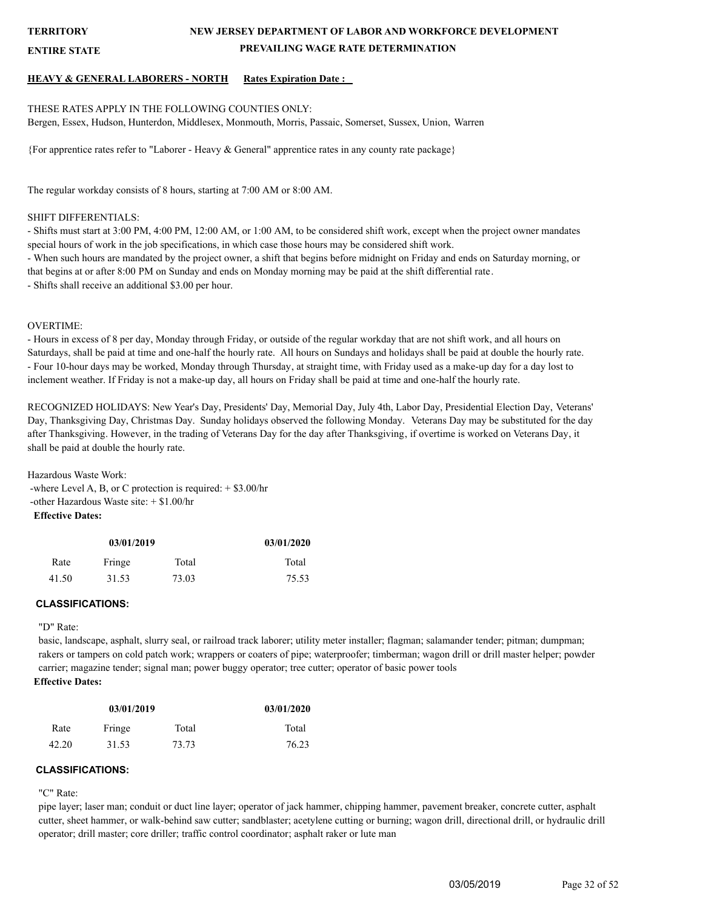**ENTIRE STATE**

## **NEW JERSEY DEPARTMENT OF LABOR AND WORKFORCE DEVELOPMENT PREVAILING WAGE RATE DETERMINATION**

#### **HEAVY & GENERAL LABORERS - NORTH Rates Expiration Date :**

#### THESE RATES APPLY IN THE FOLLOWING COUNTIES ONLY:

Bergen, Essex, Hudson, Hunterdon, Middlesex, Monmouth, Morris, Passaic, Somerset, Sussex, Union, Warren

{For apprentice rates refer to "Laborer - Heavy & General" apprentice rates in any county rate package}

The regular workday consists of 8 hours, starting at 7:00 AM or 8:00 AM.

#### SHIFT DIFFERENTIALS:

- Shifts must start at 3:00 PM, 4:00 PM, 12:00 AM, or 1:00 AM, to be considered shift work, except when the project owner mandates special hours of work in the job specifications, in which case those hours may be considered shift work.

- When such hours are mandated by the project owner, a shift that begins before midnight on Friday and ends on Saturday morning, or that begins at or after 8:00 PM on Sunday and ends on Monday morning may be paid at the shift differential rate.

- Shifts shall receive an additional \$3.00 per hour.

#### OVERTIME:

- Hours in excess of 8 per day, Monday through Friday, or outside of the regular workday that are not shift work, and all hours on Saturdays, shall be paid at time and one-half the hourly rate. All hours on Sundays and holidays shall be paid at double the hourly rate. - Four 10-hour days may be worked, Monday through Thursday, at straight time, with Friday used as a make-up day for a day lost to inclement weather. If Friday is not a make-up day, all hours on Friday shall be paid at time and one-half the hourly rate.

RECOGNIZED HOLIDAYS: New Year's Day, Presidents' Day, Memorial Day, July 4th, Labor Day, Presidential Election Day, Veterans' Day, Thanksgiving Day, Christmas Day. Sunday holidays observed the following Monday. Veterans Day may be substituted for the day after Thanksgiving. However, in the trading of Veterans Day for the day after Thanksgiving, if overtime is worked on Veterans Day, it shall be paid at double the hourly rate.

Hazardous Waste Work:

 -where Level A, B, or C protection is required: + \$3.00/hr -other Hazardous Waste site: + \$1.00/hr **Effective Dates:**

| 03/01/2019 |        |       | 03/01/2020 |
|------------|--------|-------|------------|
| Rate       | Fringe | Total |            |
| 41.50      | 31.53  | 73.03 | 75.53      |

#### **CLASSIFICATIONS:**

#### "D" Rate:

basic, landscape, asphalt, slurry seal, or railroad track laborer; utility meter installer; flagman; salamander tender; pitman; dumpman; rakers or tampers on cold patch work; wrappers or coaters of pipe; waterproofer; timberman; wagon drill or drill master helper; powder carrier; magazine tender; signal man; power buggy operator; tree cutter; operator of basic power tools **Effective Dates:**

| 03/01/2019 |        |       | 03/01/2020 |
|------------|--------|-------|------------|
| Rate       | Fringe | Total | Total      |
| 42.20      | 31.53  | 73.73 | 76.23      |

#### **CLASSIFICATIONS:**

"C" Rate:

pipe layer; laser man; conduit or duct line layer; operator of jack hammer, chipping hammer, pavement breaker, concrete cutter, asphalt cutter, sheet hammer, or walk-behind saw cutter; sandblaster; acetylene cutting or burning; wagon drill, directional drill, or hydraulic drill operator; drill master; core driller; traffic control coordinator; asphalt raker or lute man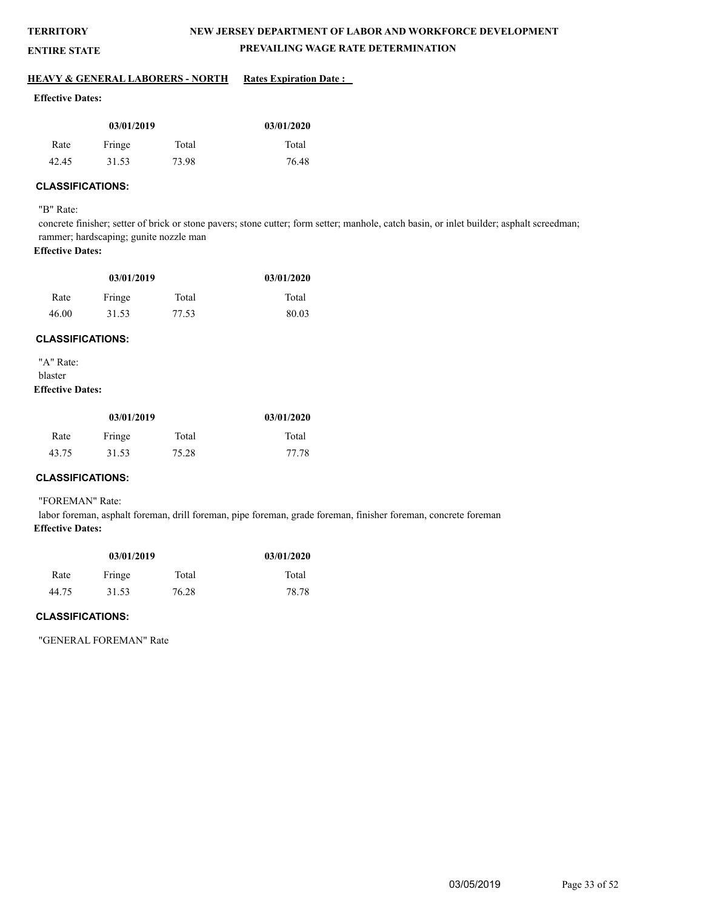**ENTIRE STATE**

## **NEW JERSEY DEPARTMENT OF LABOR AND WORKFORCE DEVELOPMENT PREVAILING WAGE RATE DETERMINATION**

#### **HEAVY & GENERAL LABORERS - NORTH Rates Expiration Date :**

#### **Effective Dates:**

| 03/01/2019 |        |       | 03/01/2020 |
|------------|--------|-------|------------|
| Rate       | Fringe | Total | Total      |
| 42.45      | 31.53  | 73.98 | 76.48      |

## **CLASSIFICATIONS:**

"B" Rate:

concrete finisher; setter of brick or stone pavers; stone cutter; form setter; manhole, catch basin, or inlet builder; asphalt screedman; rammer; hardscaping; gunite nozzle man

#### **Effective Dates:**

| 03/01/2019 |        |       | 03/01/2020 |
|------------|--------|-------|------------|
| Rate       | Fringe | Total | Total      |
| 46.00      | 31.53  | 77.53 | 80.03      |

#### **CLASSIFICATIONS:**

"A" Rate: blaster **Effective Dates:**

| 03/01/2019 |        |       | 03/01/2020 |
|------------|--------|-------|------------|
| Rate       | Fringe | Total | Total      |
| 43.75      | 31.53  | 75.28 | 77.78      |

## **CLASSIFICATIONS:**

#### "FOREMAN" Rate:

labor foreman, asphalt foreman, drill foreman, pipe foreman, grade foreman, finisher foreman, concrete foreman **Effective Dates:**

| 03/01/2019 |        |       | 03/01/2020 |
|------------|--------|-------|------------|
| Rate       | Fringe | Total | Total      |
| 44.75      | 31.53  | 76.28 | 78.78      |

## **CLASSIFICATIONS:**

"GENERAL FOREMAN" Rate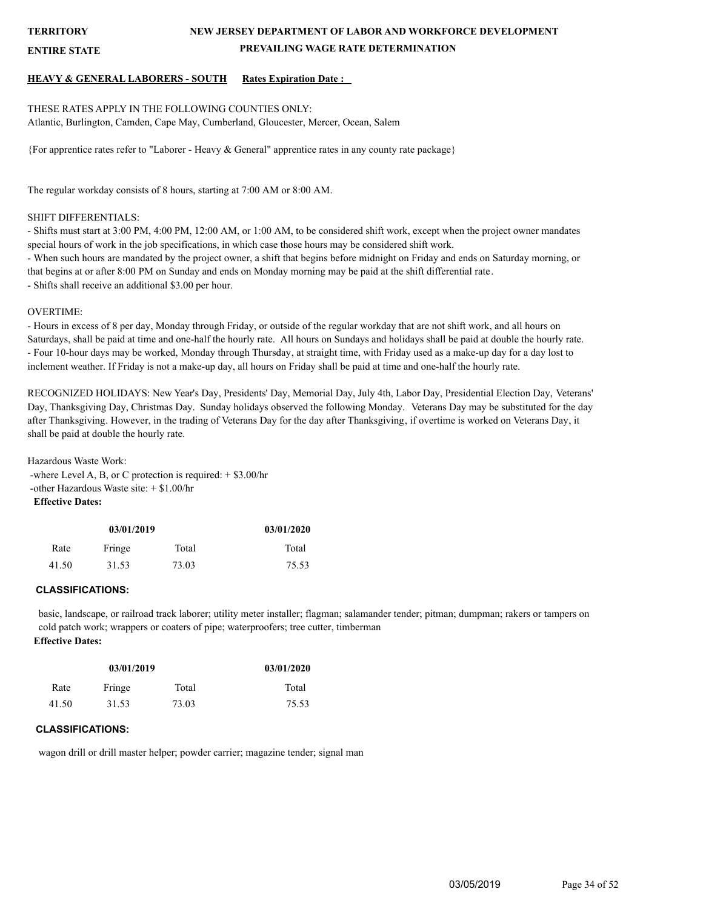**ENTIRE STATE**

## **NEW JERSEY DEPARTMENT OF LABOR AND WORKFORCE DEVELOPMENT PREVAILING WAGE RATE DETERMINATION**

#### **HEAVY & GENERAL LABORERS - SOUTH Rates Expiration Date :**

#### THESE RATES APPLY IN THE FOLLOWING COUNTIES ONLY: Atlantic, Burlington, Camden, Cape May, Cumberland, Gloucester, Mercer, Ocean, Salem

{For apprentice rates refer to "Laborer - Heavy & General" apprentice rates in any county rate package}

The regular workday consists of 8 hours, starting at 7:00 AM or 8:00 AM.

#### SHIFT DIFFERENTIALS:

- Shifts must start at 3:00 PM, 4:00 PM, 12:00 AM, or 1:00 AM, to be considered shift work, except when the project owner mandates special hours of work in the job specifications, in which case those hours may be considered shift work.

- When such hours are mandated by the project owner, a shift that begins before midnight on Friday and ends on Saturday morning, or that begins at or after 8:00 PM on Sunday and ends on Monday morning may be paid at the shift differential rate. - Shifts shall receive an additional \$3.00 per hour.

#### OVERTIME:

- Hours in excess of 8 per day, Monday through Friday, or outside of the regular workday that are not shift work, and all hours on Saturdays, shall be paid at time and one-half the hourly rate. All hours on Sundays and holidays shall be paid at double the hourly rate. - Four 10-hour days may be worked, Monday through Thursday, at straight time, with Friday used as a make-up day for a day lost to inclement weather. If Friday is not a make-up day, all hours on Friday shall be paid at time and one-half the hourly rate.

RECOGNIZED HOLIDAYS: New Year's Day, Presidents' Day, Memorial Day, July 4th, Labor Day, Presidential Election Day, Veterans' Day, Thanksgiving Day, Christmas Day. Sunday holidays observed the following Monday. Veterans Day may be substituted for the day after Thanksgiving. However, in the trading of Veterans Day for the day after Thanksgiving, if overtime is worked on Veterans Day, it shall be paid at double the hourly rate.

Hazardous Waste Work: -where Level A, B, or C protection is required:  $+$  \$3.00/hr -other Hazardous Waste site: + \$1.00/hr **Effective Dates:**

| 03/01/2019              |       |       | 03/01/2020 |
|-------------------------|-------|-------|------------|
| Total<br>Fringe<br>Rate |       | Total |            |
| 41.50                   | 31.53 | 73.03 | 75.53      |

## **CLASSIFICATIONS:**

basic, landscape, or railroad track laborer; utility meter installer; flagman; salamander tender; pitman; dumpman; rakers or tampers on cold patch work; wrappers or coaters of pipe; waterproofers; tree cutter, timberman **Effective Dates:**

| 03/01/2019              |       |       | 03/01/2020 |
|-------------------------|-------|-------|------------|
| Fringe<br>Total<br>Rate |       | Total |            |
| 41.50                   | 31.53 | 73.03 | 75.53      |

## **CLASSIFICATIONS:**

wagon drill or drill master helper; powder carrier; magazine tender; signal man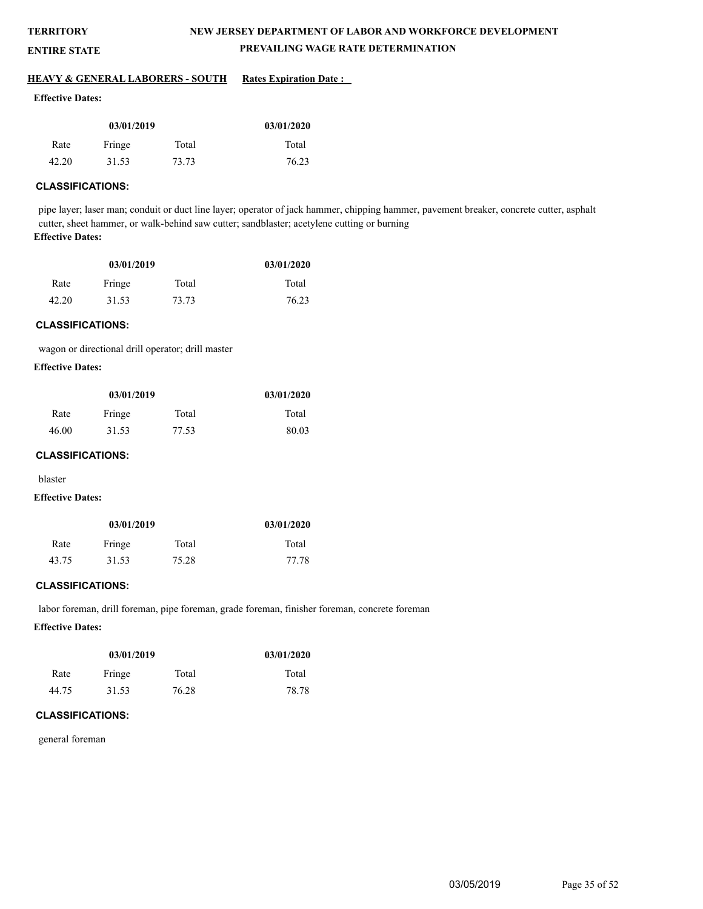**ENTIRE STATE**

## **NEW JERSEY DEPARTMENT OF LABOR AND WORKFORCE DEVELOPMENT PREVAILING WAGE RATE DETERMINATION**

#### **HEAVY & GENERAL LABORERS - SOUTH Rates Expiration Date :**

#### **Effective Dates:**

| 03/01/2019 |        |       | 03/01/2020 |
|------------|--------|-------|------------|
| Rate       | Fringe | Total | Total      |
| 42.20      | 31.53  | 73.73 | 76.23      |

## **CLASSIFICATIONS:**

pipe layer; laser man; conduit or duct line layer; operator of jack hammer, chipping hammer, pavement breaker, concrete cutter, asphalt cutter, sheet hammer, or walk-behind saw cutter; sandblaster; acetylene cutting or burning **Effective Dates:**

| 03/01/2019 |        |       | 03/01/2020 |
|------------|--------|-------|------------|
| Rate       | Fringe | Total | Total      |
| 42.20      | 31.53  | 73.73 | 76.23      |

#### **CLASSIFICATIONS:**

wagon or directional drill operator; drill master

#### **Effective Dates:**

| 03/01/2019 |        |       | 03/01/2020 |
|------------|--------|-------|------------|
| Rate       | Fringe | Total | Total      |
| 46.00      | 31.53  | 77.53 | 80.03      |

#### **CLASSIFICATIONS:**

blaster

#### **Effective Dates:**

| 03/01/2019 |        |       | 03/01/2020 |
|------------|--------|-------|------------|
| Rate       | Fringe | Total | Total      |
| 43.75      | 31.53  | 75.28 | 77.78      |

#### **CLASSIFICATIONS:**

labor foreman, drill foreman, pipe foreman, grade foreman, finisher foreman, concrete foreman

#### **Effective Dates:**

| 03/01/2019              |       |       | 03/01/2020 |
|-------------------------|-------|-------|------------|
| Fringe<br>Total<br>Rate |       | Total |            |
| 44.75                   | 31.53 | 76.28 | 78.78      |

#### **CLASSIFICATIONS:**

general foreman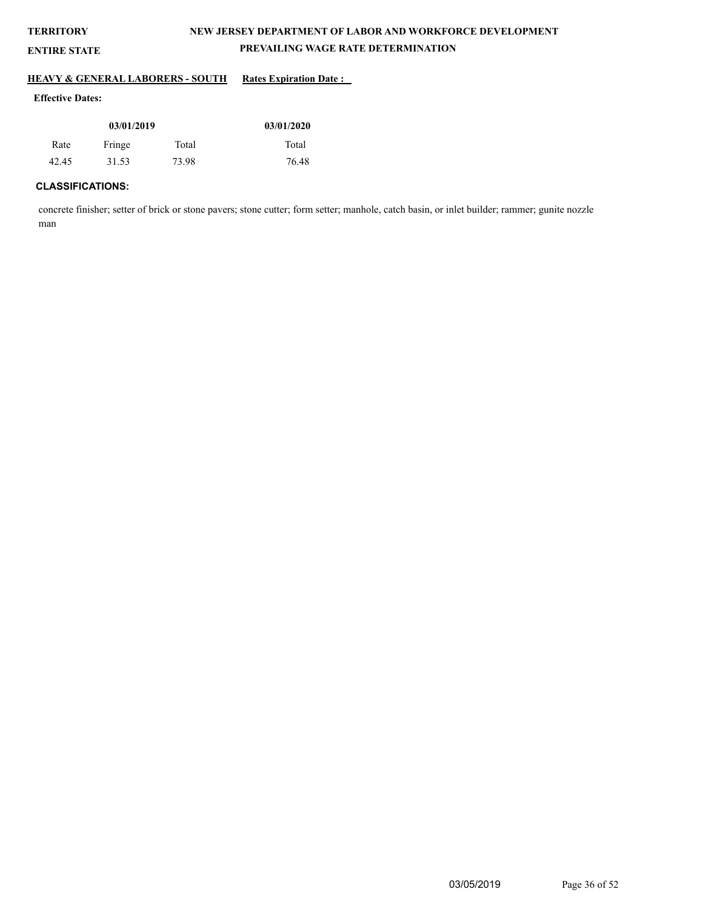# **TERRITORY ENTIRE STATE**

## **NEW JERSEY DEPARTMENT OF LABOR AND WORKFORCE DEVELOPMENT PREVAILING WAGE RATE DETERMINATION**

#### **HEAVY & GENERAL LABORERS - SOUTH Rates Expiration Date :**

## **Effective Dates:**

| 03/01/2019 |        |       | 03/01/2020 |
|------------|--------|-------|------------|
| Rate       | Fringe | Total | Total      |
| 42.45      | 31.53  | 73.98 | 76.48      |

## **CLASSIFICATIONS:**

concrete finisher; setter of brick or stone pavers; stone cutter; form setter; manhole, catch basin, or inlet builder; rammer; gunite nozzle man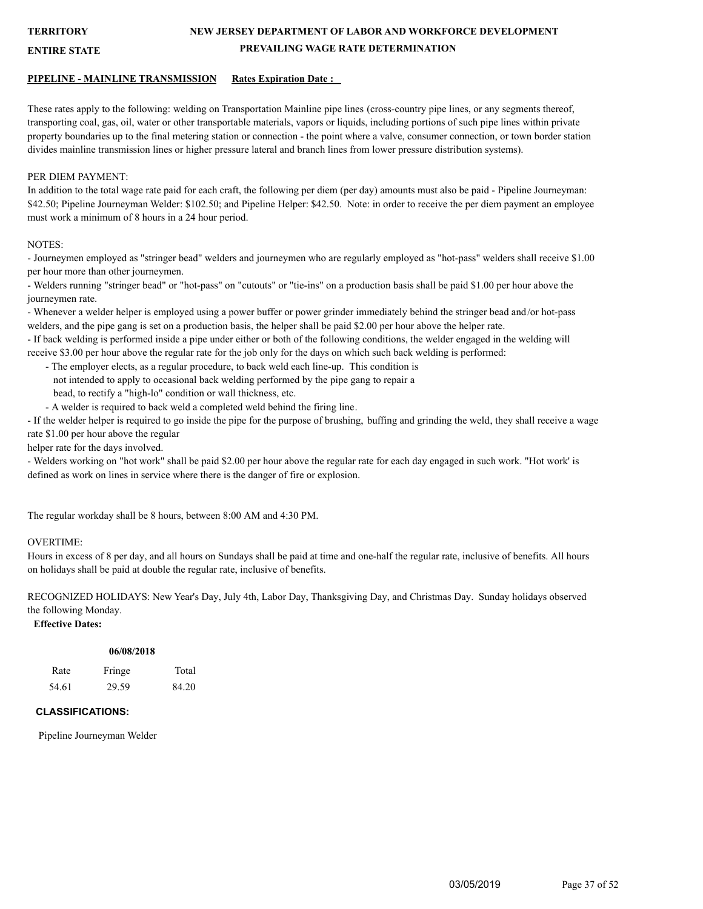## **NEW JERSEY DEPARTMENT OF LABOR AND WORKFORCE DEVELOPMENT PREVAILING WAGE RATE DETERMINATION**

#### **ENTIRE STATE**

#### **PIPELINE - MAINLINE TRANSMISSION Rates Expiration Date :**

These rates apply to the following: welding on Transportation Mainline pipe lines (cross-country pipe lines, or any segments thereof, transporting coal, gas, oil, water or other transportable materials, vapors or liquids, including portions of such pipe lines within private property boundaries up to the final metering station or connection - the point where a valve, consumer connection, or town border station divides mainline transmission lines or higher pressure lateral and branch lines from lower pressure distribution systems).

#### PER DIEM PAYMENT:

In addition to the total wage rate paid for each craft, the following per diem (per day) amounts must also be paid - Pipeline Journeyman: \$42.50; Pipeline Journeyman Welder: \$102.50; and Pipeline Helper: \$42.50. Note: in order to receive the per diem payment an employee must work a minimum of 8 hours in a 24 hour period.

#### NOTES:

- Journeymen employed as "stringer bead" welders and journeymen who are regularly employed as "hot-pass" welders shall receive \$1.00 per hour more than other journeymen.

- Welders running "stringer bead" or "hot-pass" on "cutouts" or "tie-ins" on a production basis shall be paid \$1.00 per hour above the journeymen rate.

- Whenever a welder helper is employed using a power buffer or power grinder immediately behind the stringer bead and/or hot-pass welders, and the pipe gang is set on a production basis, the helper shall be paid \$2.00 per hour above the helper rate.

- If back welding is performed inside a pipe under either or both of the following conditions, the welder engaged in the welding will receive \$3.00 per hour above the regular rate for the job only for the days on which such back welding is performed:

- The employer elects, as a regular procedure, to back weld each line-up. This condition is

not intended to apply to occasional back welding performed by the pipe gang to repair a

bead, to rectify a "high-lo" condition or wall thickness, etc.

- A welder is required to back weld a completed weld behind the firing line.

- If the welder helper is required to go inside the pipe for the purpose of brushing, buffing and grinding the weld, they shall receive a wage rate \$1.00 per hour above the regular

helper rate for the days involved.

- Welders working on "hot work" shall be paid \$2.00 per hour above the regular rate for each day engaged in such work. "Hot work' is defined as work on lines in service where there is the danger of fire or explosion.

The regular workday shall be 8 hours, between 8:00 AM and 4:30 PM.

#### OVERTIME:

Hours in excess of 8 per day, and all hours on Sundays shall be paid at time and one-half the regular rate, inclusive of benefits. All hours on holidays shall be paid at double the regular rate, inclusive of benefits.

RECOGNIZED HOLIDAYS: New Year's Day, July 4th, Labor Day, Thanksgiving Day, and Christmas Day. Sunday holidays observed the following Monday.

## **Effective Dates:**

|       |        | 06/08/2018 |  |
|-------|--------|------------|--|
| Rate  | Fringe | Total      |  |
| 54.61 | 29.59  | 84.20      |  |

#### **CLASSIFICATIONS:**

Pipeline Journeyman Welder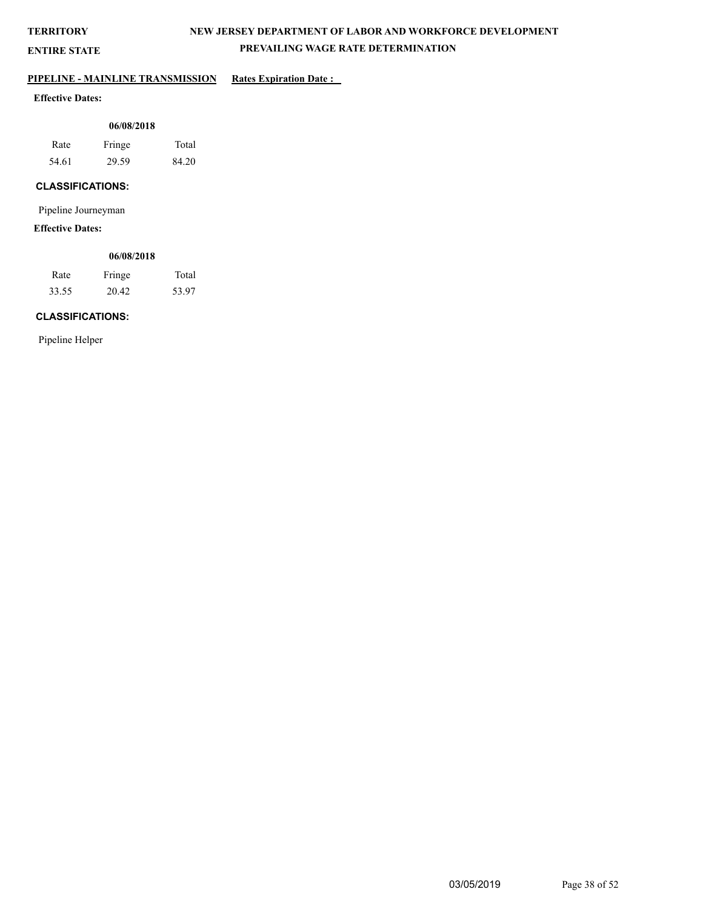**ENTIRE STATE**

## **NEW JERSEY DEPARTMENT OF LABOR AND WORKFORCE DEVELOPMENT PREVAILING WAGE RATE DETERMINATION**

## **PIPELINE - MAINLINE TRANSMISSION Rates Expiration Date :**

## **Effective Dates:**

| 06/08/2018 |        |       |  |  |
|------------|--------|-------|--|--|
| Rate       | Fringe | Total |  |  |
| 54.61      | 29.59  | 84.20 |  |  |

## **CLASSIFICATIONS:**

Pipeline Journeyman

## **Effective Dates:**

## **06/08/2018**

| Rate  | Fringe | Total |
|-------|--------|-------|
| 33.55 | 20.42  | 53.97 |

## **CLASSIFICATIONS:**

Pipeline Helper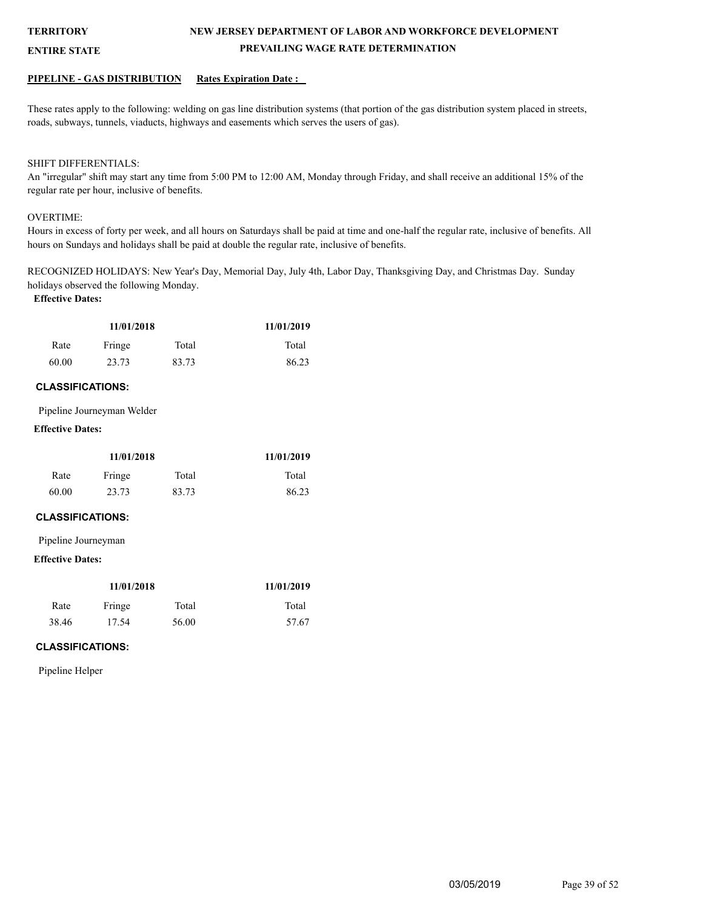**ENTIRE STATE**

## **NEW JERSEY DEPARTMENT OF LABOR AND WORKFORCE DEVELOPMENT PREVAILING WAGE RATE DETERMINATION**

#### **PIPELINE - GAS DISTRIBUTION Rates Expiration Date :**

These rates apply to the following: welding on gas line distribution systems (that portion of the gas distribution system placed in streets, roads, subways, tunnels, viaducts, highways and easements which serves the users of gas).

#### SHIFT DIFFERENTIALS:

An "irregular" shift may start any time from 5:00 PM to 12:00 AM, Monday through Friday, and shall receive an additional 15% of the regular rate per hour, inclusive of benefits.

#### OVERTIME:

Hours in excess of forty per week, and all hours on Saturdays shall be paid at time and one-half the regular rate, inclusive of benefits. All hours on Sundays and holidays shall be paid at double the regular rate, inclusive of benefits.

RECOGNIZED HOLIDAYS: New Year's Day, Memorial Day, July 4th, Labor Day, Thanksgiving Day, and Christmas Day. Sunday holidays observed the following Monday.

#### **Effective Dates:**

| 11/01/2018 |        |       | 11/01/2019 |
|------------|--------|-------|------------|
| Rate       | Fringe | Total | Total      |
| 60.00      | 23.73  | 83.73 | 86.23      |

#### **CLASSIFICATIONS:**

Pipeline Journeyman Welder

## **Effective Dates:**

| 11/01/2018 |        |       | 11/01/2019 |
|------------|--------|-------|------------|
| Rate       | Fringe | Total | Total      |
| 60.00      | 23.73  | 83.73 | 86.23      |

#### **CLASSIFICATIONS:**

Pipeline Journeyman

#### **Effective Dates:**

| 11/01/2018 |        |       | 11/01/2019 |
|------------|--------|-------|------------|
| Rate       | Fringe | Total | Total      |
| 38.46      | 17.54  | 56.00 | 57.67      |

## **CLASSIFICATIONS:**

Pipeline Helper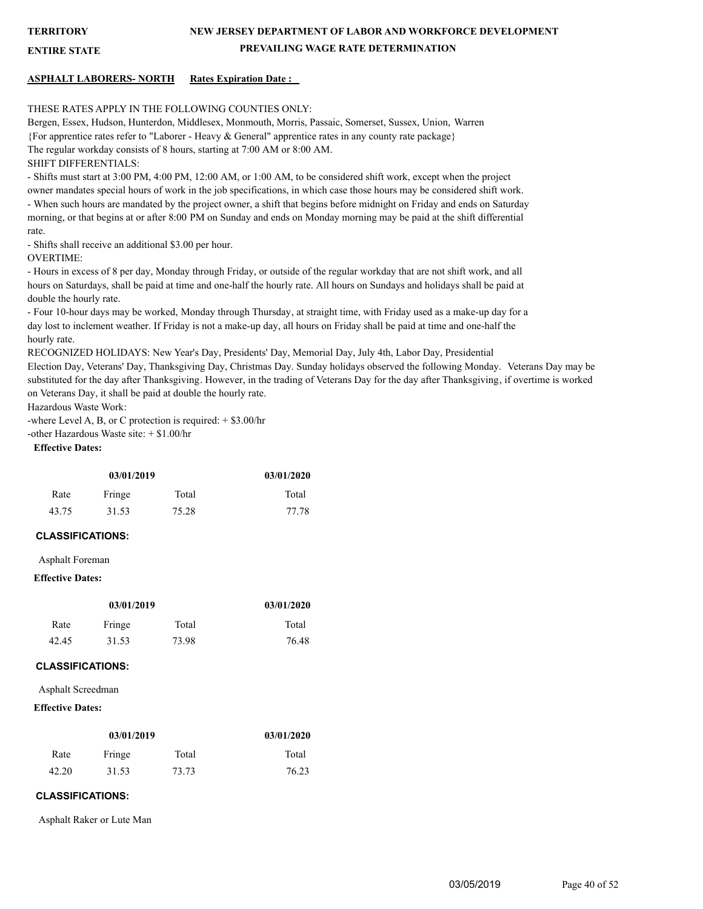**ENTIRE STATE**

## **NEW JERSEY DEPARTMENT OF LABOR AND WORKFORCE DEVELOPMENT PREVAILING WAGE RATE DETERMINATION**

#### **ASPHALT LABORERS- NORTH Rates Expiration Date :**

#### THESE RATES APPLY IN THE FOLLOWING COUNTIES ONLY:

Bergen, Essex, Hudson, Hunterdon, Middlesex, Monmouth, Morris, Passaic, Somerset, Sussex, Union, Warren {For apprentice rates refer to "Laborer - Heavy & General" apprentice rates in any county rate package} The regular workday consists of 8 hours, starting at 7:00 AM or 8:00 AM. SHIFT DIFFERENTIALS:

- Shifts must start at 3:00 PM, 4:00 PM, 12:00 AM, or 1:00 AM, to be considered shift work, except when the project owner mandates special hours of work in the job specifications, in which case those hours may be considered shift work. - When such hours are mandated by the project owner, a shift that begins before midnight on Friday and ends on Saturday morning, or that begins at or after 8:00 PM on Sunday and ends on Monday morning may be paid at the shift differential rate.

- Shifts shall receive an additional \$3.00 per hour.

OVERTIME:

- Hours in excess of 8 per day, Monday through Friday, or outside of the regular workday that are not shift work, and all hours on Saturdays, shall be paid at time and one-half the hourly rate. All hours on Sundays and holidays shall be paid at double the hourly rate.

- Four 10-hour days may be worked, Monday through Thursday, at straight time, with Friday used as a make-up day for a day lost to inclement weather. If Friday is not a make-up day, all hours on Friday shall be paid at time and one-half the hourly rate.

RECOGNIZED HOLIDAYS: New Year's Day, Presidents' Day, Memorial Day, July 4th, Labor Day, Presidential

Election Day, Veterans' Day, Thanksgiving Day, Christmas Day. Sunday holidays observed the following Monday. Veterans Day may be substituted for the day after Thanksgiving. However, in the trading of Veterans Day for the day after Thanksgiving, if overtime is worked on Veterans Day, it shall be paid at double the hourly rate.

Hazardous Waste Work:

-where Level A, B, or C protection is required:  $+$  \$3.00/hr -other Hazardous Waste site: + \$1.00/hr **Effective Dates:**

| 03/01/2019 |        |       | 03/01/2020 |
|------------|--------|-------|------------|
| Rate       | Fringe | Total | Total      |
| 43.75      | 31.53  | 75.28 | 77.78      |

#### **CLASSIFICATIONS:**

Asphalt Foreman

#### **Effective Dates:**

| 03/01/2019 |        |       | 03/01/2020 |
|------------|--------|-------|------------|
| Rate       | Fringe | Total | Total      |
| 42.45      | 31.53  | 73.98 | 76.48      |

#### **CLASSIFICATIONS:**

Asphalt Screedman

#### **Effective Dates:**

| 03/01/2019 |        |       | 03/01/2020 |
|------------|--------|-------|------------|
| Rate       | Fringe | Total | Total      |
| 42.20      | 31.53  | 73.73 | 76.23      |

#### **CLASSIFICATIONS:**

Asphalt Raker or Lute Man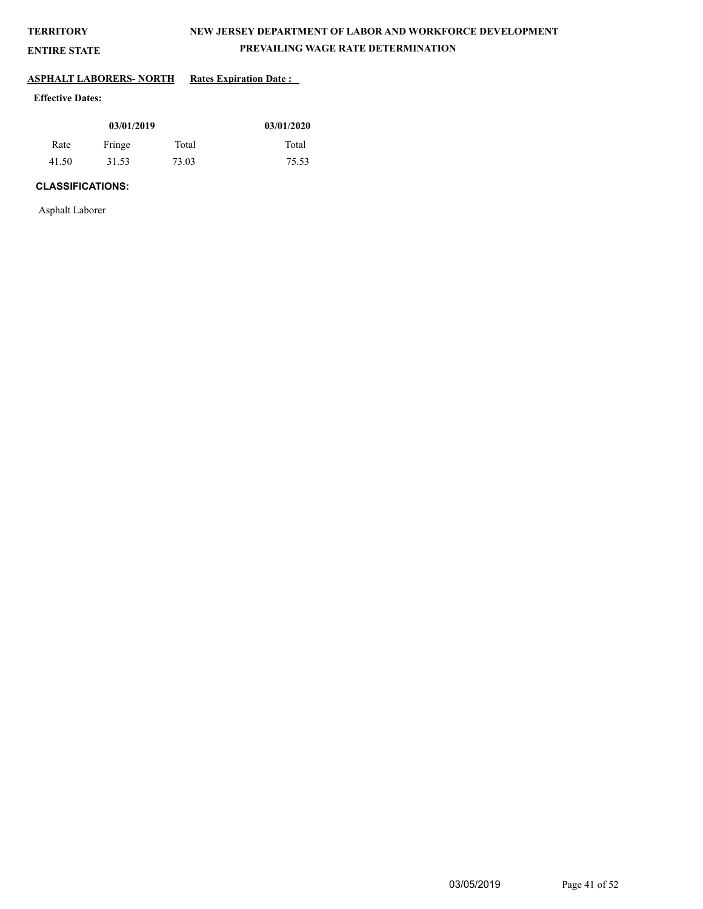**ENTIRE STATE**

## **NEW JERSEY DEPARTMENT OF LABOR AND WORKFORCE DEVELOPMENT PREVAILING WAGE RATE DETERMINATION**

# **ASPHALT LABORERS- NORTH Rates Expiration Date :**

## **Effective Dates:**

| 03/01/2019 |        |       | 03/01/2020 |
|------------|--------|-------|------------|
| Rate       | Fringe | Total | Total      |
| 41.50      | 31.53  | 73.03 | 75.53      |

## **CLASSIFICATIONS:**

Asphalt Laborer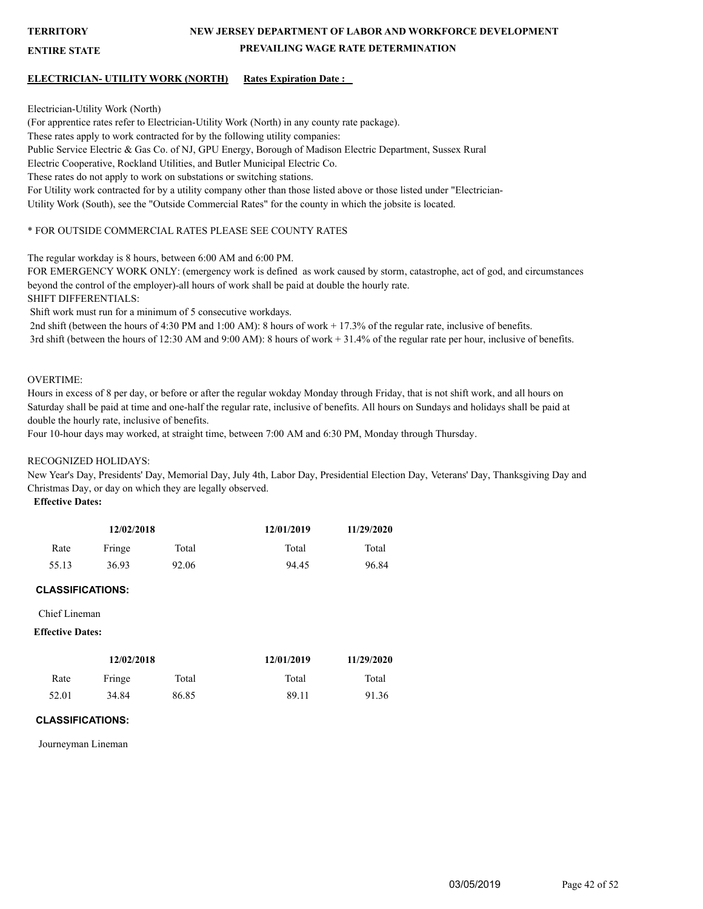**ENTIRE STATE**

## **NEW JERSEY DEPARTMENT OF LABOR AND WORKFORCE DEVELOPMENT PREVAILING WAGE RATE DETERMINATION**

#### **ELECTRICIAN- UTILITY WORK (NORTH) Rates Expiration Date :**

Electrician-Utility Work (North) (For apprentice rates refer to Electrician-Utility Work (North) in any county rate package). These rates apply to work contracted for by the following utility companies: Public Service Electric & Gas Co. of NJ, GPU Energy, Borough of Madison Electric Department, Sussex Rural Electric Cooperative, Rockland Utilities, and Butler Municipal Electric Co. These rates do not apply to work on substations or switching stations. For Utility work contracted for by a utility company other than those listed above or those listed under "Electrician-Utility Work (South), see the "Outside Commercial Rates" for the county in which the jobsite is located.

#### \* FOR OUTSIDE COMMERCIAL RATES PLEASE SEE COUNTY RATES

The regular workday is 8 hours, between 6:00 AM and 6:00 PM.

FOR EMERGENCY WORK ONLY: (emergency work is defined as work caused by storm, catastrophe, act of god, and circumstances beyond the control of the employer)-all hours of work shall be paid at double the hourly rate.

SHIFT DIFFERENTIALS:

Shift work must run for a minimum of 5 consecutive workdays.

 2nd shift (between the hours of 4:30 PM and 1:00 AM): 8 hours of work + 17.3% of the regular rate, inclusive of benefits. 3rd shift (between the hours of 12:30 AM and 9:00 AM): 8 hours of work + 31.4% of the regular rate per hour, inclusive of benefits.

#### OVERTIME:

Hours in excess of 8 per day, or before or after the regular wokday Monday through Friday, that is not shift work, and all hours on Saturday shall be paid at time and one-half the regular rate, inclusive of benefits. All hours on Sundays and holidays shall be paid at double the hourly rate, inclusive of benefits.

Four 10-hour days may worked, at straight time, between 7:00 AM and 6:30 PM, Monday through Thursday.

#### RECOGNIZED HOLIDAYS:

New Year's Day, Presidents' Day, Memorial Day, July 4th, Labor Day, Presidential Election Day, Veterans' Day, Thanksgiving Day and Christmas Day, or day on which they are legally observed.

**Effective Dates:**

| 12/02/2018 |        | 12/01/2019 | 11/29/2020 |       |
|------------|--------|------------|------------|-------|
| Rate       | Fringe | Total      | Total      | Total |
| 55.13      | 36.93  | 92.06      | 94.45      | 96.84 |

#### **CLASSIFICATIONS:**

Chief Lineman

#### **Effective Dates:**

|       | 12/02/2018 |       | 12/01/2019 | 11/29/2020 |
|-------|------------|-------|------------|------------|
| Rate  | Fringe     | Total | Total      | Total      |
| 52.01 | 34.84      | 86.85 | 89.11      | 91.36      |

#### **CLASSIFICATIONS:**

Journeyman Lineman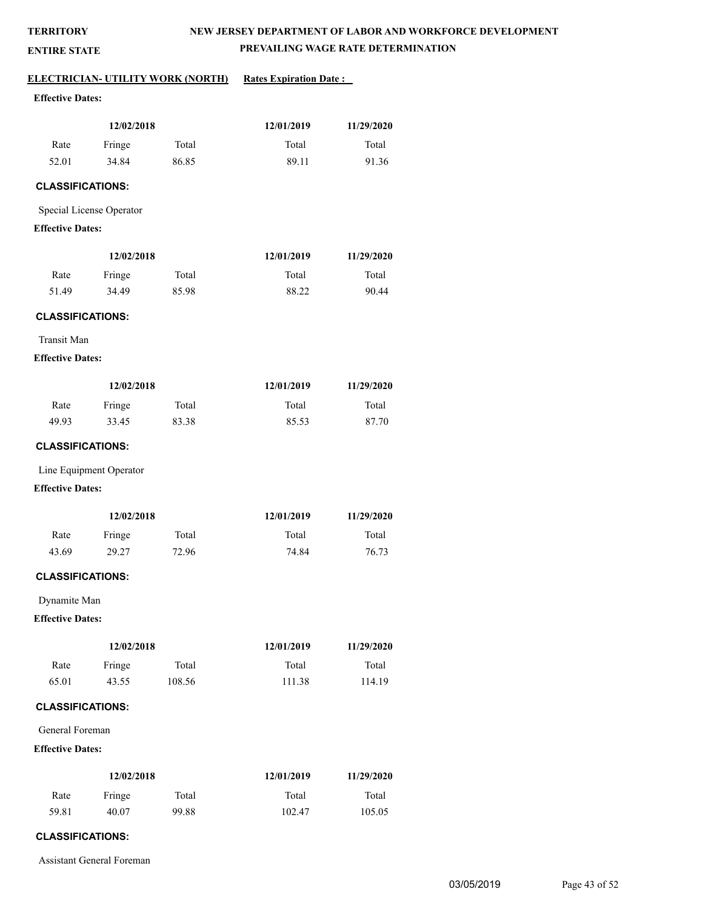**ENTIRE STATE**

## **NEW JERSEY DEPARTMENT OF LABOR AND WORKFORCE DEVELOPMENT PREVAILING WAGE RATE DETERMINATION**

#### **ELECTRICIAN- UTILITY WORK (NORTH)** Rates Expiration Date :

## **Effective Dates:**

| 12/02/2018 |        | 12/01/2019 | 11/29/2020 |       |
|------------|--------|------------|------------|-------|
| Rate       | Fringe | Total      | Total      | Total |
| 52.01      | 34.84  | 86.85      | 89.11      | 91.36 |

## **CLASSIFICATIONS:**

Special License Operator

#### **Effective Dates:**

| 12/02/2018 |        |       | 12/01/2019 | 11/29/2020 |
|------------|--------|-------|------------|------------|
| Rate       | Fringe | Total | Total      | Total      |
| 51.49      | 34.49  | 85.98 | 88.22      | 90.44      |

#### **CLASSIFICATIONS:**

Transit Man

#### **Effective Dates:**

| 12/02/2018 |        |       | 12/01/2019 | 11/29/2020 |
|------------|--------|-------|------------|------------|
| Rate       | Fringe | Total | Total      | Total      |
| 49.93      | 33.45  | 83.38 | 85.53      | 87.70      |

#### **CLASSIFICATIONS:**

Line Equipment Operator

#### **Effective Dates:**

| 12/02/2018 |        |       | 12/01/2019 | 11/29/2020 |
|------------|--------|-------|------------|------------|
| Rate       | Fringe | Total | Total      | Total      |
| 43.69      | 29.27  | 72.96 | 74.84      | 76.73      |

## **CLASSIFICATIONS:**

Dynamite Man

## **Effective Dates:**

| 12/02/2018 |        |        | 12/01/2019 | 11/29/2020 |
|------------|--------|--------|------------|------------|
| Rate       | Fringe | Total  | Total      | Total      |
| 65.01      | 43.55  | 108.56 | 111.38     | 114.19     |

## **CLASSIFICATIONS:**

General Foreman

#### **Effective Dates:**

| 12/02/2018 |        |       | 12/01/2019 | 11/29/2020 |
|------------|--------|-------|------------|------------|
| Rate       | Fringe | Total | Total      | Total      |
| 59.81      | 40.07  | 99.88 | 102.47     | 105.05     |

## **CLASSIFICATIONS:**

Assistant General Foreman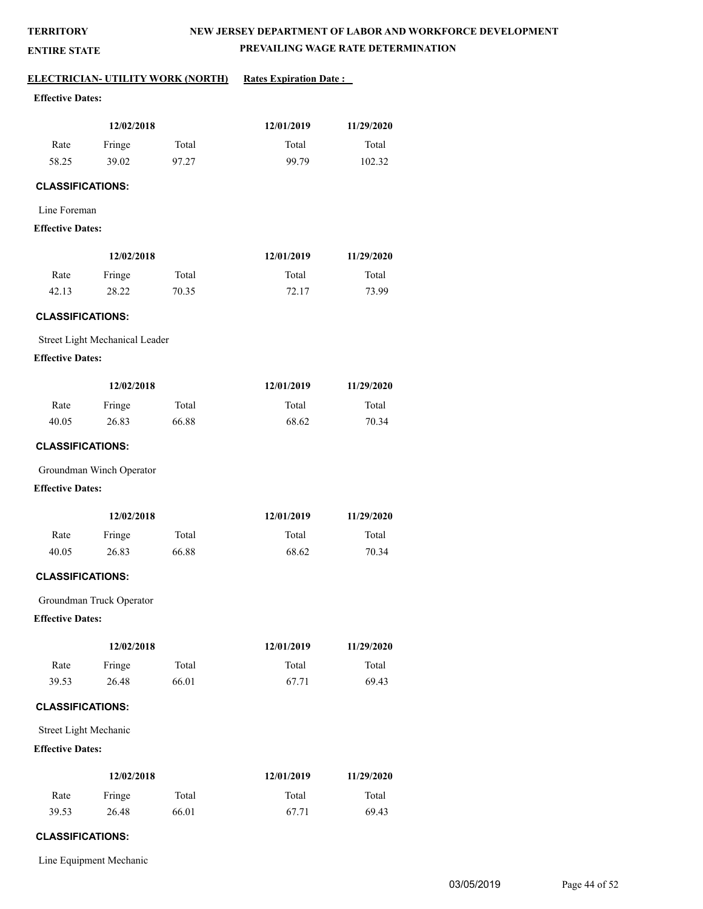**ENTIRE STATE**

## **NEW JERSEY DEPARTMENT OF LABOR AND WORKFORCE DEVELOPMENT PREVAILING WAGE RATE DETERMINATION**

# **ELECTRICIAN- UTILITY WORK (NORTH)** Rates Expiration Date :

## **Effective Dates:**

| 12/02/2018 |        |       | 12/01/2019 | 11/29/2020 |
|------------|--------|-------|------------|------------|
| Rate       | Fringe | Total | Total      | Total      |
| 58.25      | 39.02  | 97.27 | 99.79      | 102.32     |

## **CLASSIFICATIONS:**

#### Line Foreman

#### **Effective Dates:**

| 12/02/2018 |        |       | 12/01/2019 | 11/29/2020 |
|------------|--------|-------|------------|------------|
| Rate       | Fringe | Total | Total      | Total      |
| 42.13      | 28.22  | 70.35 | 72.17      | 73.99      |

## **CLASSIFICATIONS:**

Street Light Mechanical Leader

#### **Effective Dates:**

| 12/02/2018 |        |       | 12/01/2019 | 11/29/2020 |
|------------|--------|-------|------------|------------|
| Rate       | Fringe | Total | Total      | Total      |
| 40.05      | 26.83  | 66.88 | 68.62      | 70.34      |

#### **CLASSIFICATIONS:**

Groundman Winch Operator

#### **Effective Dates:**

| 12/02/2018 |        |       | 12/01/2019 | 11/29/2020 |
|------------|--------|-------|------------|------------|
| Rate       | Fringe | Total | Total      | Total      |
| 40.05      | 26.83  | 66.88 | 68.62      | 70.34      |

## **CLASSIFICATIONS:**

Groundman Truck Operator

## **Effective Dates:**

| 12/02/2018 |        |       | 12/01/2019 | 11/29/2020 |
|------------|--------|-------|------------|------------|
| Rate       | Fringe | Total | Total      | Total      |
| 39.53      | 26.48  | 66.01 | 67.71      | 69.43      |

## **CLASSIFICATIONS:**

Street Light Mechanic

## **Effective Dates:**

| 12/02/2018 |        |       | 12/01/2019 | 11/29/2020 |
|------------|--------|-------|------------|------------|
| Rate       | Fringe | Total | Total      | Total      |
| 39.53      | 26.48  | 66.01 | 67.71      | 69.43      |

## **CLASSIFICATIONS:**

Line Equipment Mechanic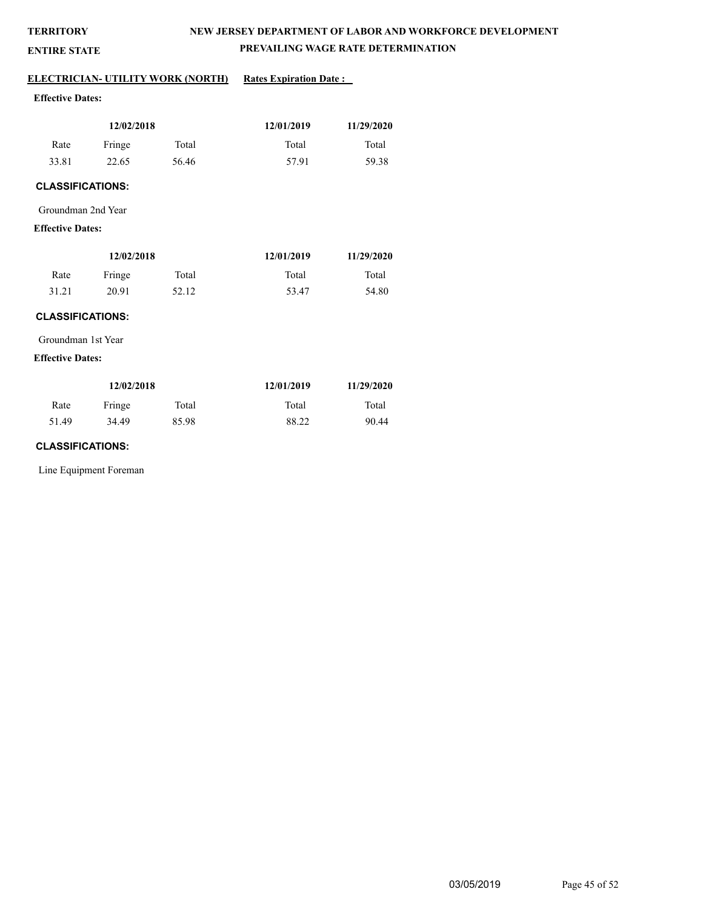**ENTIRE STATE**

# **NEW JERSEY DEPARTMENT OF LABOR AND WORKFORCE DEVELOPMENT PREVAILING WAGE RATE DETERMINATION**

## **ELECTRICIAN- UTILITY WORK (NORTH)** Rates Expiration Date :

## **Effective Dates:**

| 12/02/2018 |        |       | 12/01/2019 | 11/29/2020 |
|------------|--------|-------|------------|------------|
| Rate       | Fringe | Total | Total      | Total      |
| 33.81      | 22.65  | 56.46 | 57.91      | 59.38      |

## **CLASSIFICATIONS:**

#### Groundman 2nd Year

## **Effective Dates:**

| 12/02/2018 |        |       | 12/01/2019 | 11/29/2020 |
|------------|--------|-------|------------|------------|
| Rate       | Fringe | Total | Total      | Total      |
| 31.21      | 20.91  | 52.12 | 53.47      | 54.80      |

## **CLASSIFICATIONS:**

Groundman 1st Year

#### **Effective Dates:**

| 12/02/2018 |        |       | 12/01/2019 | 11/29/2020 |
|------------|--------|-------|------------|------------|
| Rate       | Fringe | Total | Total      | Total      |
| 51.49      | 34.49  | 85.98 | 88.22      | 90.44      |

#### **CLASSIFICATIONS:**

Line Equipment Foreman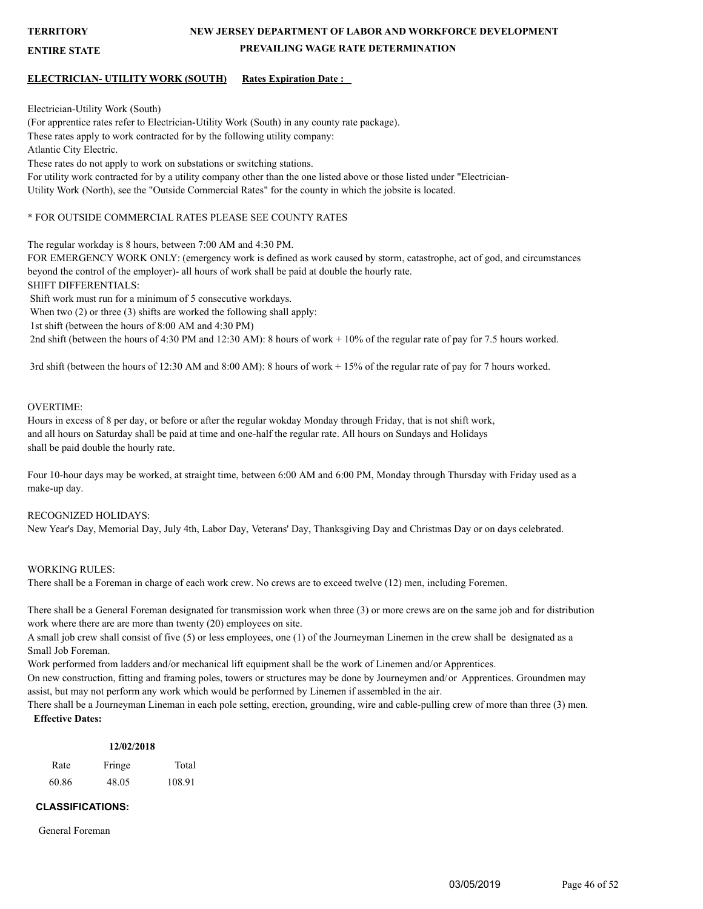**ENTIRE STATE**

## **NEW JERSEY DEPARTMENT OF LABOR AND WORKFORCE DEVELOPMENT PREVAILING WAGE RATE DETERMINATION**

#### **ELECTRICIAN- UTILITY WORK (SOUTH) Rates Expiration Date :**

Electrician-Utility Work (South)

(For apprentice rates refer to Electrician-Utility Work (South) in any county rate package). These rates apply to work contracted for by the following utility company: Atlantic City Electric. These rates do not apply to work on substations or switching stations. For utility work contracted for by a utility company other than the one listed above or those listed under "Electrician-Utility Work (North), see the "Outside Commercial Rates" for the county in which the jobsite is located.

#### \* FOR OUTSIDE COMMERCIAL RATES PLEASE SEE COUNTY RATES

The regular workday is 8 hours, between 7:00 AM and 4:30 PM.

FOR EMERGENCY WORK ONLY: (emergency work is defined as work caused by storm, catastrophe, act of god, and circumstances beyond the control of the employer)- all hours of work shall be paid at double the hourly rate.

SHIFT DIFFERENTIALS:

Shift work must run for a minimum of 5 consecutive workdays.

When two  $(2)$  or three  $(3)$  shifts are worked the following shall apply:

1st shift (between the hours of 8:00 AM and 4:30 PM)

2nd shift (between the hours of 4:30 PM and 12:30 AM): 8 hours of work + 10% of the regular rate of pay for 7.5 hours worked.

3rd shift (between the hours of 12:30 AM and 8:00 AM): 8 hours of work + 15% of the regular rate of pay for 7 hours worked.

#### OVERTIME:

Hours in excess of 8 per day, or before or after the regular wokday Monday through Friday, that is not shift work, and all hours on Saturday shall be paid at time and one-half the regular rate. All hours on Sundays and Holidays shall be paid double the hourly rate.

Four 10-hour days may be worked, at straight time, between 6:00 AM and 6:00 PM, Monday through Thursday with Friday used as a make-up day.

#### RECOGNIZED HOLIDAYS:

New Year's Day, Memorial Day, July 4th, Labor Day, Veterans' Day, Thanksgiving Day and Christmas Day or on days celebrated.

#### WORKING RULES:

There shall be a Foreman in charge of each work crew. No crews are to exceed twelve (12) men, including Foremen.

There shall be a General Foreman designated for transmission work when three (3) or more crews are on the same job and for distribution work where there are are more than twenty (20) employees on site.

A small job crew shall consist of five (5) or less employees, one (1) of the Journeyman Linemen in the crew shall be designated as a Small Job Foreman.

Work performed from ladders and/or mechanical lift equipment shall be the work of Linemen and/or Apprentices.

On new construction, fitting and framing poles, towers or structures may be done by Journeymen and/or Apprentices. Groundmen may assist, but may not perform any work which would be performed by Linemen if assembled in the air.

There shall be a Journeyman Lineman in each pole setting, erection, grounding, wire and cable-pulling crew of more than three (3) men. **Effective Dates:**

#### **12/02/2018**

| Rate  | Fringe | Total  |
|-------|--------|--------|
| 60.86 | 48.05  | 108.91 |

## **CLASSIFICATIONS:**

General Foreman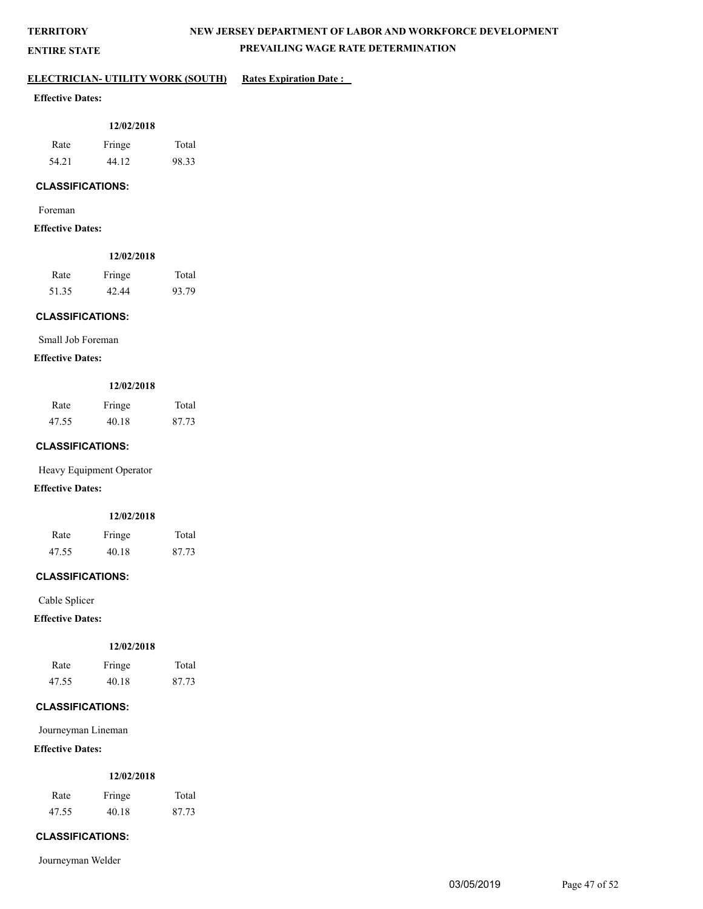**ENTIRE STATE**

# **NEW JERSEY DEPARTMENT OF LABOR AND WORKFORCE DEVELOPMENT PREVAILING WAGE RATE DETERMINATION**

## **ELECTRICIAN- UTILITY WORK (SOUTH)** Rates Expiration Date :

## **Effective Dates:**

| 12/02/2018 |        |       |  |
|------------|--------|-------|--|
| Rate       | Fringe | Total |  |
| 54.21      | 44.12  | 98.33 |  |

## **CLASSIFICATIONS:**

Foreman

#### **Effective Dates:**

| 12/02/2018 |        |       |  |  |
|------------|--------|-------|--|--|
| Rate       | Fringe | Total |  |  |
| 51.35      | 42.44  | 93.79 |  |  |

## **CLASSIFICATIONS:**

Small Job Foreman

#### **Effective Dates:**

#### **12/02/2018**

| Rate  | Fringe | Total |
|-------|--------|-------|
| 47.55 | 40.18  | 87.73 |

#### **CLASSIFICATIONS:**

Heavy Equipment Operator

## **Effective Dates:**

## **12/02/2018**

| Rate  | Fringe | Total |
|-------|--------|-------|
| 47.55 | 40.18  | 87.73 |

## **CLASSIFICATIONS:**

Cable Splicer

## **Effective Dates:**

#### **12/02/2018**

| Rate  | Fringe | Total |
|-------|--------|-------|
| 47.55 | 40.18  | 87.73 |

## **CLASSIFICATIONS:**

Journeyman Lineman

## **Effective Dates:**

#### **12/02/2018**

| Rate  | Fringe | Total |
|-------|--------|-------|
| 47.55 | 40.18  | 87.73 |

## **CLASSIFICATIONS:**

Journeyman Welder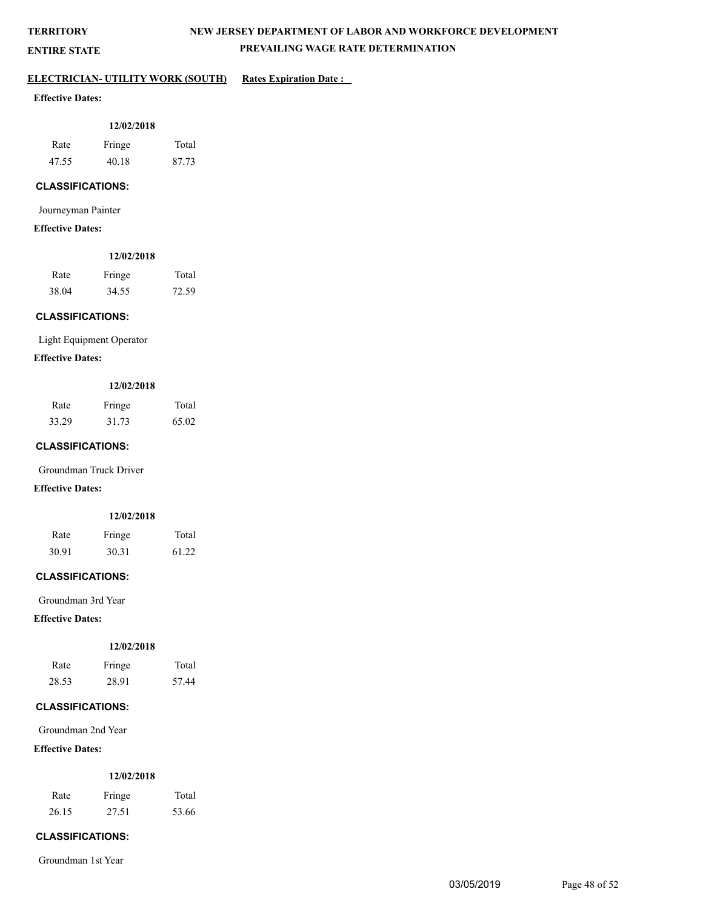**ENTIRE STATE**

# **NEW JERSEY DEPARTMENT OF LABOR AND WORKFORCE DEVELOPMENT PREVAILING WAGE RATE DETERMINATION**

## **ELECTRICIAN- UTILITY WORK (SOUTH)** Rates Expiration Date :

## **Effective Dates:**

| 12/02/2018 |        |       |  |
|------------|--------|-------|--|
| Rate       | Fringe | Total |  |
| 47.55      | 40.18  | 87.73 |  |

## **CLASSIFICATIONS:**

Journeyman Painter

#### **Effective Dates:**

|       | 12/02/2018 |       |
|-------|------------|-------|
| Rate  | Fringe     | Total |
| 38.04 | 34.55      | 72.59 |

## **CLASSIFICATIONS:**

Light Equipment Operator

#### **Effective Dates:**

#### **12/02/2018**

| Rate  | Fringe | Total |
|-------|--------|-------|
| 33.29 | 31.73  | 65.02 |

#### **CLASSIFICATIONS:**

Groundman Truck Driver

#### **Effective Dates:**

#### **12/02/2018**

| Rate  | Fringe | Total |
|-------|--------|-------|
| 30.91 | 30.31  | 61.22 |

#### **CLASSIFICATIONS:**

Groundman 3rd Year

## **Effective Dates:**

#### **12/02/2018**

| Rate  | Fringe | Total |
|-------|--------|-------|
| 28.53 | 28.91  | 57.44 |

## **CLASSIFICATIONS:**

Groundman 2nd Year

## **Effective Dates:**

#### **12/02/2018**

| Rate  | Fringe | Total |
|-------|--------|-------|
| 26.15 | 27.51  | 53.66 |

## **CLASSIFICATIONS:**

Groundman 1st Year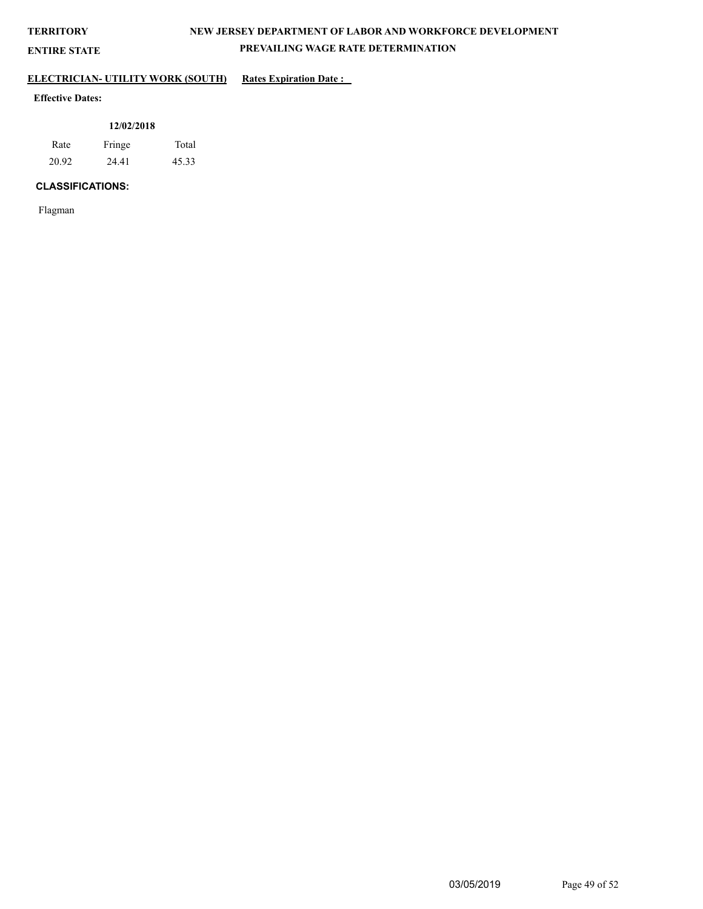**ENTIRE STATE**

# **NEW JERSEY DEPARTMENT OF LABOR AND WORKFORCE DEVELOPMENT PREVAILING WAGE RATE DETERMINATION**

## **ELECTRICIAN- UTILITY WORK (SOUTH)** Rates Expiration Date :

## **Effective Dates:**

|       | 12/02/2018 |       |
|-------|------------|-------|
| Rate  | Fringe     | Total |
| 20.92 | 24.41      | 45.33 |

## **CLASSIFICATIONS:**

Flagman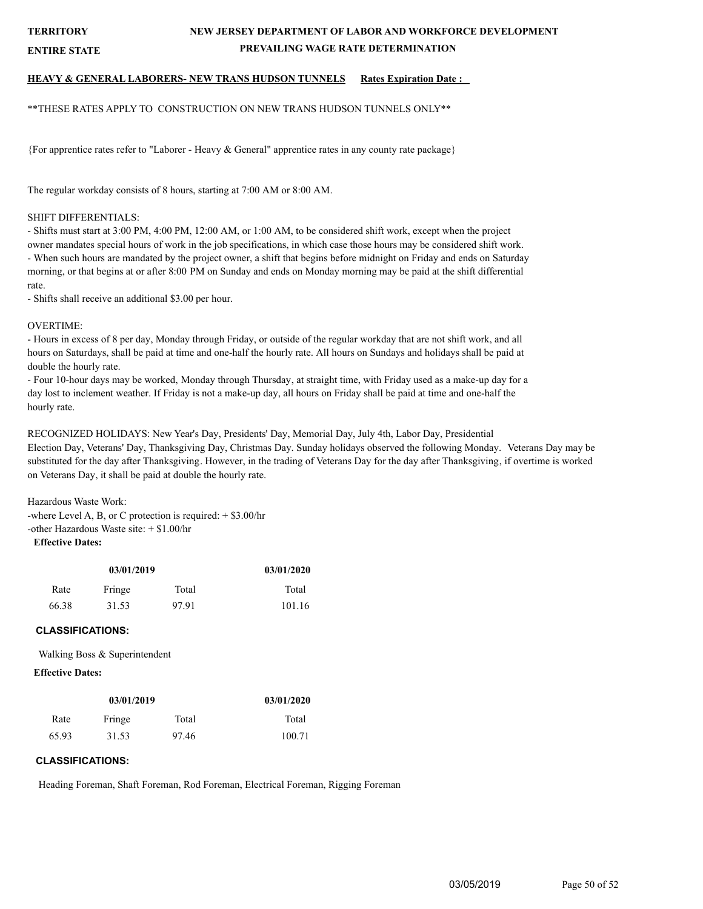**ENTIRE STATE**

## **NEW JERSEY DEPARTMENT OF LABOR AND WORKFORCE DEVELOPMENT PREVAILING WAGE RATE DETERMINATION**

## **HEAVY & GENERAL LABORERS- NEW TRANS HUDSON TUNNELS Rates Expiration Date :**

\*\*THESE RATES APPLY TO CONSTRUCTION ON NEW TRANS HUDSON TUNNELS ONLY\*\*

{For apprentice rates refer to "Laborer - Heavy & General" apprentice rates in any county rate package}

The regular workday consists of 8 hours, starting at 7:00 AM or 8:00 AM.

#### SHIFT DIFFERENTIALS:

- Shifts must start at 3:00 PM, 4:00 PM, 12:00 AM, or 1:00 AM, to be considered shift work, except when the project owner mandates special hours of work in the job specifications, in which case those hours may be considered shift work. - When such hours are mandated by the project owner, a shift that begins before midnight on Friday and ends on Saturday morning, or that begins at or after 8:00 PM on Sunday and ends on Monday morning may be paid at the shift differential rate.

- Shifts shall receive an additional \$3.00 per hour.

#### OVERTIME:

- Hours in excess of 8 per day, Monday through Friday, or outside of the regular workday that are not shift work, and all hours on Saturdays, shall be paid at time and one-half the hourly rate. All hours on Sundays and holidays shall be paid at double the hourly rate.

- Four 10-hour days may be worked, Monday through Thursday, at straight time, with Friday used as a make-up day for a day lost to inclement weather. If Friday is not a make-up day, all hours on Friday shall be paid at time and one-half the hourly rate.

RECOGNIZED HOLIDAYS: New Year's Day, Presidents' Day, Memorial Day, July 4th, Labor Day, Presidential Election Day, Veterans' Day, Thanksgiving Day, Christmas Day. Sunday holidays observed the following Monday. Veterans Day may be substituted for the day after Thanksgiving. However, in the trading of Veterans Day for the day after Thanksgiving, if overtime is worked on Veterans Day, it shall be paid at double the hourly rate.

Hazardous Waste Work: -where Level A, B, or C protection is required: + \$3.00/hr -other Hazardous Waste site: + \$1.00/hr **Effective Dates:**

| 03/01/2019 |                 |       | 03/01/2020 |
|------------|-----------------|-------|------------|
| Rate       | Fringe<br>Total |       | Total      |
| 66.38      | 31.53           | 97.91 | 101.16     |

#### **CLASSIFICATIONS:**

Walking Boss & Superintendent

#### **Effective Dates:**

| 03/01/2019 |        |       | 03/01/2020 |
|------------|--------|-------|------------|
| Rate       | Fringe | Total | Total      |
| 65.93      | 31.53  | 97.46 | 100.71     |

#### **CLASSIFICATIONS:**

Heading Foreman, Shaft Foreman, Rod Foreman, Electrical Foreman, Rigging Foreman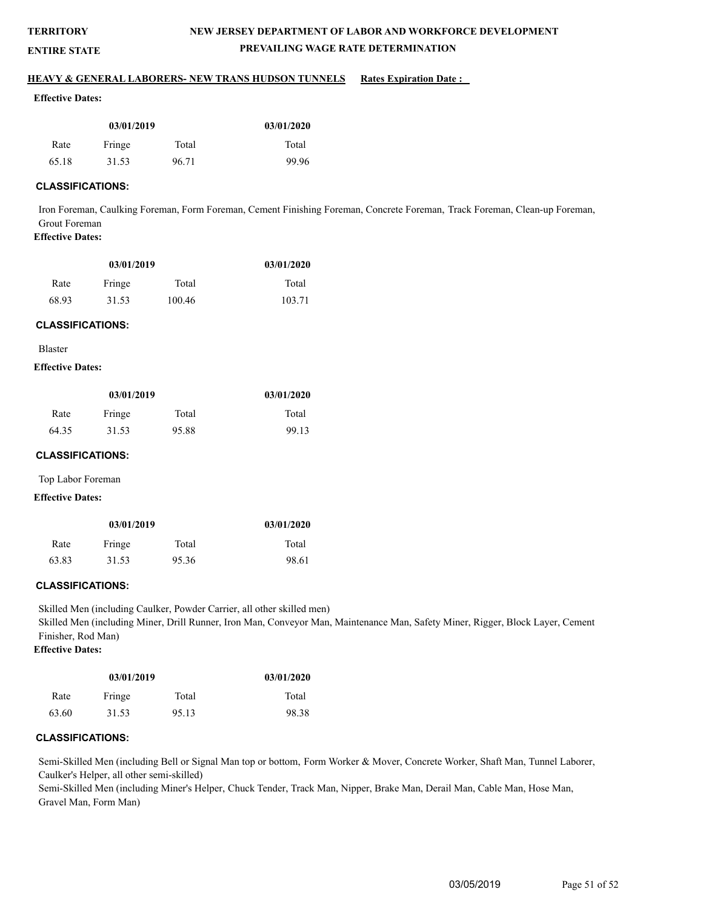## **ENTIRE STATE**

# **NEW JERSEY DEPARTMENT OF LABOR AND WORKFORCE DEVELOPMENT PREVAILING WAGE RATE DETERMINATION**

#### **HEAVY & GENERAL LABORERS- NEW TRANS HUDSON TUNNELS Rates Expiration Date :**

#### **Effective Dates:**

| 03/01/2019 |        | 03/01/2020 |       |
|------------|--------|------------|-------|
| Rate       | Fringe | Total      | Total |
| 65.18      | 31.53  | 96.71      | 99.96 |

## **CLASSIFICATIONS:**

Iron Foreman, Caulking Foreman, Form Foreman, Cement Finishing Foreman, Concrete Foreman, Track Foreman, Clean-up Foreman, Grout Foreman

# **Effective Dates:**

| 03/01/2019 |        |        | 03/01/2020 |
|------------|--------|--------|------------|
| Rate       | Fringe | Total  | Total      |
| 68.93      | 31.53  | 100.46 | 103.71     |

#### **CLASSIFICATIONS:**

Blaster

## **Effective Dates:**

| 03/01/2019 |        |       | 03/01/2020 |
|------------|--------|-------|------------|
| Rate       | Fringe | Total | Total      |
| 64.35      | 31.53  | 95.88 | 99.13      |

#### **CLASSIFICATIONS:**

Top Labor Foreman

#### **Effective Dates:**

| 03/01/2019 |        |       | 03/01/2020 |
|------------|--------|-------|------------|
| Rate       | Fringe | Total | Total      |
| 63.83      | 31.53  | 95.36 | 98.61      |

#### **CLASSIFICATIONS:**

Skilled Men (including Caulker, Powder Carrier, all other skilled men) Skilled Men (including Miner, Drill Runner, Iron Man, Conveyor Man, Maintenance Man, Safety Miner, Rigger, Block Layer, Cement Finisher, Rod Man) **Effective Dates:**

# **03/01/2019**

| 03/01/2019 |        |       | 03/01/2020 |
|------------|--------|-------|------------|
| Rate       | Fringe | Total | Total      |
| 63.60      | 31.53  | 95.13 | 98.38      |

## **CLASSIFICATIONS:**

Semi-Skilled Men (including Bell or Signal Man top or bottom, Form Worker & Mover, Concrete Worker, Shaft Man, Tunnel Laborer, Caulker's Helper, all other semi-skilled)

Semi-Skilled Men (including Miner's Helper, Chuck Tender, Track Man, Nipper, Brake Man, Derail Man, Cable Man, Hose Man, Gravel Man, Form Man)